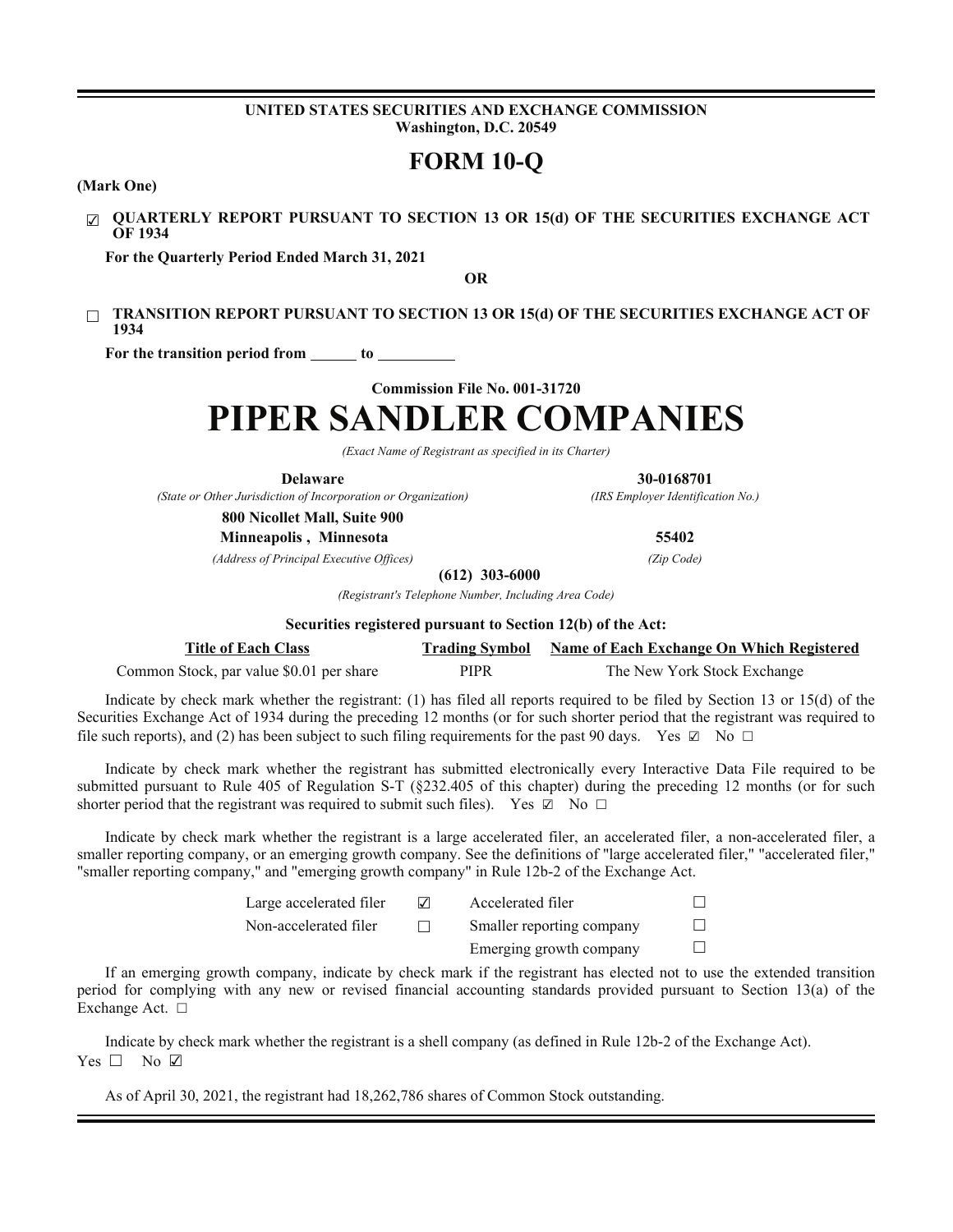#### **UNITED STATES SECURITIES AND EXCHANGE COMMISSION Washington, D.C. 20549**

## **FORM 10-Q**

**(Mark One)**

☑ **QUARTERLY REPORT PURSUANT TO SECTION 13 OR 15(d) OF THE SECURITIES EXCHANGE ACT OF 1934**

**For the Quarterly Period Ended March 31, 2021**

**OR**

□ **TRANSITION REPORT PURSUANT TO SECTION 13 OR 15(d) OF THE SECURITIES EXCHANGE ACT OF 1934**

For the transition period from <u>to separate</u> to <u>separate</u> to **the set of the set of the set of the set of the set of the set of the set of the set of the set of the set of the set of the set of the set of the set of the s** 

**Commission File No. 001-31720**

# **PIPER SANDLER COMPANIES**

*(Exact Name of Registrant as specified in its Charter)*

*(State or Other Jurisdiction of Incorporation or Organization) (IRS Employer Identification No.)*

**Delaware 30-0168701**

**800 Nicollet Mall, Suite 900**

**Minneapolis , Minnesota 55402**

*(Address of Principal Executive Offices) (Zip Code)*

**(612) 303-6000**

*(Registrant's Telephone Number, Including Area Code)*

**Securities registered pursuant to Section 12(b) of the Act:**

| <b>Title of Each Class</b>               |      | <b>Trading Symbol</b> Name of Each Exchange On Which Registered |
|------------------------------------------|------|-----------------------------------------------------------------|
| Common Stock, par value \$0.01 per share | PIPR | The New York Stock Exchange                                     |

Indicate by check mark whether the registrant: (1) has filed all reports required to be filed by Section 13 or 15(d) of the Securities Exchange Act of 1934 during the preceding 12 months (or for such shorter period that the registrant was required to file such reports), and (2) has been subject to such filing requirements for the past 90 days. Yes  $\boxtimes$  No  $\Box$ 

Indicate by check mark whether the registrant has submitted electronically every Interactive Data File required to be submitted pursuant to Rule 405 of Regulation S-T (§232.405 of this chapter) during the preceding 12 months (or for such shorter period that the registrant was required to submit such files). Yes  $\boxtimes$  No  $\Box$ 

Indicate by check mark whether the registrant is a large accelerated filer, an accelerated filer, a non-accelerated filer, a smaller reporting company, or an emerging growth company. See the definitions of "large accelerated filer," "accelerated filer," "smaller reporting company," and "emerging growth company" in Rule 12b-2 of the Exchange Act.

| Large accelerated filer | $\sqrt{}$ | Accelerated filer         |        |
|-------------------------|-----------|---------------------------|--------|
| Non-accelerated filer   |           | Smaller reporting company | $\Box$ |
|                         |           | Emerging growth company   | $\Box$ |

If an emerging growth company, indicate by check mark if the registrant has elected not to use the extended transition period for complying with any new or revised financial accounting standards provided pursuant to Section 13(a) of the Exchange Act. □

Indicate by check mark whether the registrant is a shell company (as defined in Rule 12b-2 of the Exchange Act). Yes □ No ☑

As of April 30, 2021, the registrant had 18,262,786 shares of Common Stock outstanding.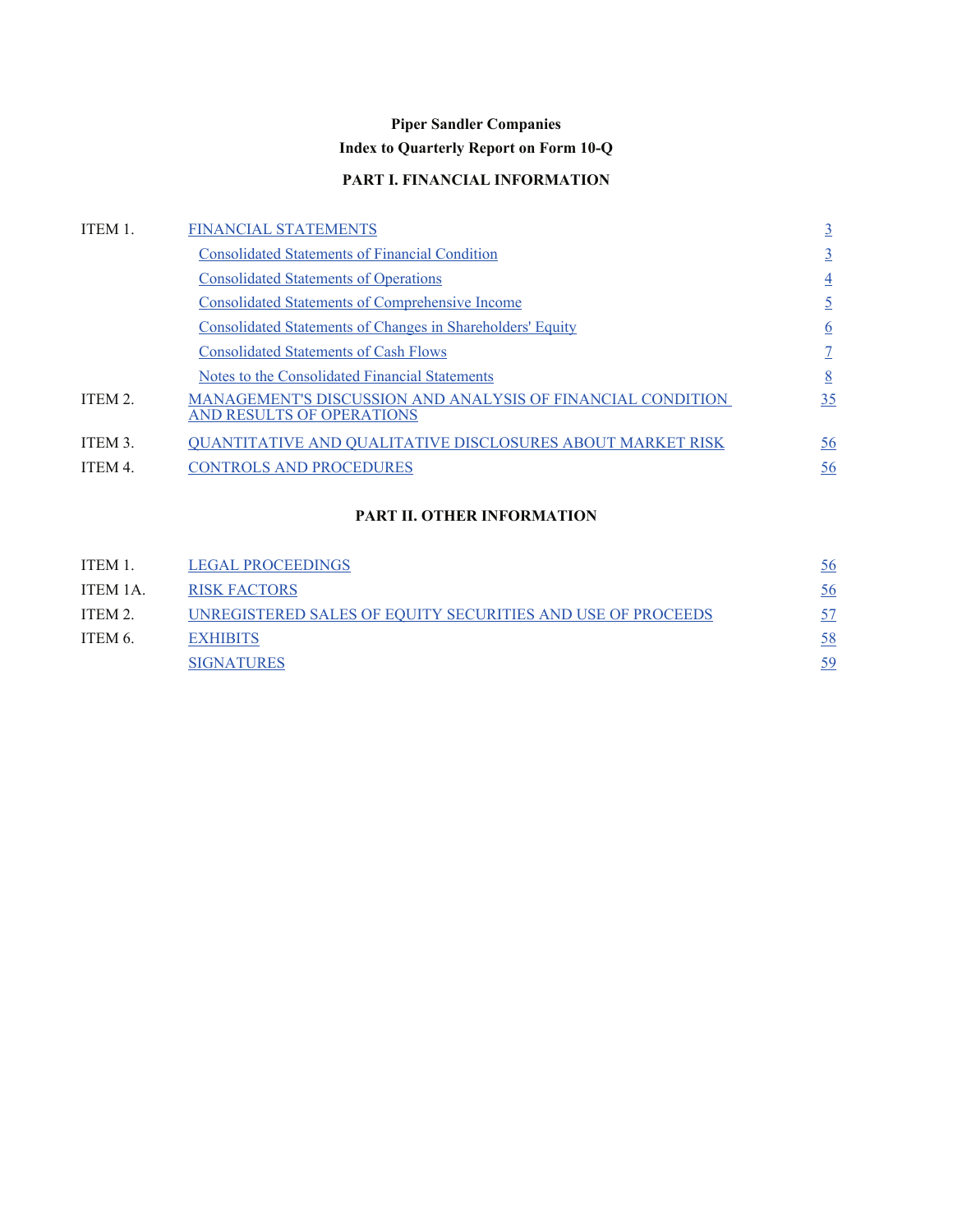## **Piper Sandler Companies**

## **Index to Quarterly Report on Form 10-Q**

## **PART I. FINANCIAL INFORMATION**

<span id="page-1-0"></span>

| ITEM 1. | <b>FINANCIAL STATEMENTS</b>                                                              | $\overline{3}$  |
|---------|------------------------------------------------------------------------------------------|-----------------|
|         | <b>Consolidated Statements of Financial Condition</b>                                    | $\overline{3}$  |
|         | <b>Consolidated Statements of Operations</b>                                             | $\overline{4}$  |
|         | <b>Consolidated Statements of Comprehensive Income</b>                                   | $\overline{5}$  |
|         | <b>Consolidated Statements of Changes in Shareholders' Equity</b>                        | $\underline{6}$ |
|         | <b>Consolidated Statements of Cash Flows</b>                                             |                 |
|         | Notes to the Consolidated Financial Statements                                           | 8               |
| ITEM 2. | MANAGEMENT'S DISCUSSION AND ANALYSIS OF FINANCIAL CONDITION<br>AND RESULTS OF OPERATIONS | 35              |
| ITEM 3. | <b>QUANTITATIVE AND QUALITATIVE DISCLOSURES ABOUT MARKET RISK</b>                        | <u>56</u>       |
| ITEM 4. | <b>CONTROLS AND PROCEDURES</b>                                                           | <u>56</u>       |

### **PART II. OTHER INFORMATION**

| ITEM 1.  | <b>LEGAL PROCEEDINGS</b>                                    | 56 |
|----------|-------------------------------------------------------------|----|
| ITEM 1A. | <b>RISK FACTORS</b>                                         | 56 |
| ITEM 2.  | UNREGISTERED SALES OF EQUITY SECURITIES AND USE OF PROCEEDS |    |
| ITEM 6.  | <b>EXHIBITS</b>                                             | 58 |
|          | <b>SIGNATURES</b>                                           | 59 |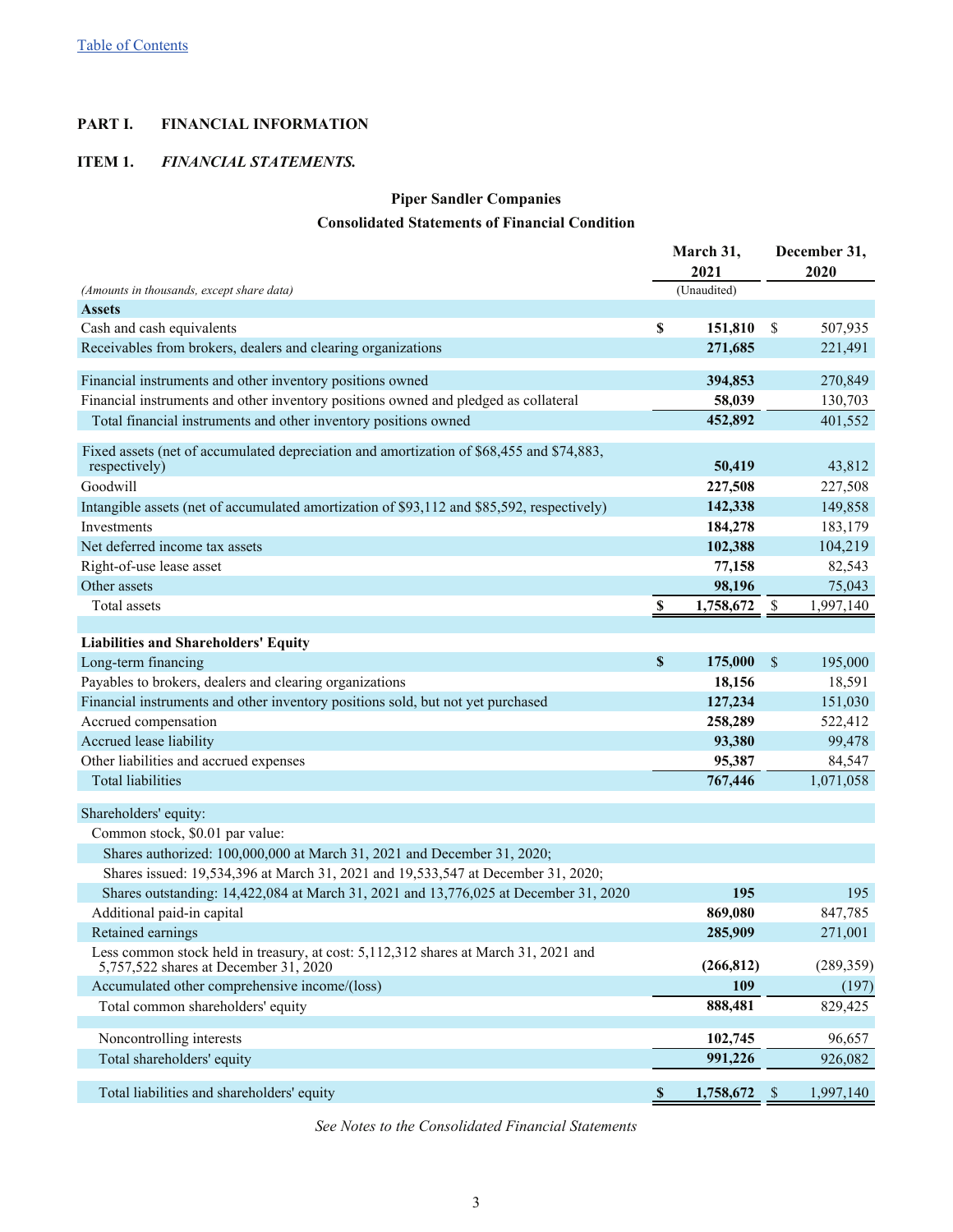### <span id="page-2-0"></span>**PART I. FINANCIAL INFORMATION**

### **ITEM 1.** *FINANCIAL STATEMENTS.*

## **Piper Sandler Companies**

### **Consolidated Statements of Financial Condition**

|                                                                                                                              |                           | March 31,   |                           | December 31, |
|------------------------------------------------------------------------------------------------------------------------------|---------------------------|-------------|---------------------------|--------------|
|                                                                                                                              |                           | 2021        |                           | 2020         |
| (Amounts in thousands, except share data)                                                                                    |                           | (Unaudited) |                           |              |
| <b>Assets</b>                                                                                                                |                           |             |                           |              |
| Cash and cash equivalents                                                                                                    | \$                        | 151,810     | $\mathbb{S}$              | 507,935      |
| Receivables from brokers, dealers and clearing organizations                                                                 |                           | 271,685     |                           | 221,491      |
| Financial instruments and other inventory positions owned                                                                    |                           | 394,853     |                           | 270,849      |
| Financial instruments and other inventory positions owned and pledged as collateral                                          |                           | 58,039      |                           | 130,703      |
| Total financial instruments and other inventory positions owned                                                              |                           | 452,892     |                           | 401,552      |
|                                                                                                                              |                           |             |                           |              |
| Fixed assets (net of accumulated depreciation and amortization of \$68,455 and \$74,883,<br>respectively)                    |                           | 50,419      |                           | 43,812       |
| Goodwill                                                                                                                     |                           | 227,508     |                           | 227,508      |
| Intangible assets (net of accumulated amortization of \$93,112 and \$85,592, respectively)                                   |                           | 142,338     |                           | 149,858      |
| Investments                                                                                                                  |                           | 184,278     |                           | 183,179      |
| Net deferred income tax assets                                                                                               |                           | 102,388     |                           | 104,219      |
| Right-of-use lease asset                                                                                                     |                           | 77,158      |                           | 82,543       |
| Other assets                                                                                                                 |                           | 98,196      |                           | 75,043       |
| Total assets                                                                                                                 | $\boldsymbol{\mathsf{S}}$ | 1,758,672   | $\boldsymbol{\mathsf{S}}$ | 1,997,140    |
|                                                                                                                              |                           |             |                           |              |
| <b>Liabilities and Shareholders' Equity</b>                                                                                  |                           |             |                           |              |
| Long-term financing                                                                                                          | $\boldsymbol{\mathsf{S}}$ | 175,000     | \$                        | 195,000      |
| Payables to brokers, dealers and clearing organizations                                                                      |                           | 18,156      |                           | 18,591       |
| Financial instruments and other inventory positions sold, but not yet purchased                                              |                           | 127,234     |                           | 151,030      |
| Accrued compensation                                                                                                         |                           | 258,289     |                           | 522,412      |
| Accrued lease liability                                                                                                      |                           | 93,380      |                           | 99,478       |
| Other liabilities and accrued expenses                                                                                       |                           | 95,387      |                           | 84,547       |
| <b>Total liabilities</b>                                                                                                     |                           | 767,446     |                           | 1,071,058    |
| Shareholders' equity:                                                                                                        |                           |             |                           |              |
| Common stock, \$0.01 par value:                                                                                              |                           |             |                           |              |
| Shares authorized: 100,000,000 at March 31, 2021 and December 31, 2020;                                                      |                           |             |                           |              |
| Shares issued: 19,534,396 at March 31, 2021 and 19,533,547 at December 31, 2020;                                             |                           |             |                           |              |
| Shares outstanding: 14,422,084 at March 31, 2021 and 13,776,025 at December 31, 2020                                         |                           | 195         |                           | 195          |
| Additional paid-in capital                                                                                                   |                           | 869,080     |                           | 847,785      |
| Retained earnings                                                                                                            |                           | 285,909     |                           | 271,001      |
| Less common stock held in treasury, at cost: 5,112,312 shares at March 31, 2021 and<br>5,757,522 shares at December 31, 2020 |                           | (266, 812)  |                           | (289, 359)   |
| Accumulated other comprehensive income/(loss)                                                                                |                           | 109         |                           | (197)        |
| Total common shareholders' equity                                                                                            |                           | 888,481     |                           | 829,425      |
|                                                                                                                              |                           |             |                           |              |
| Noncontrolling interests                                                                                                     |                           | 102,745     |                           | 96,657       |
| Total shareholders' equity                                                                                                   |                           | 991,226     |                           | 926,082      |
| Total liabilities and shareholders' equity                                                                                   | $\mathbf{\$}$             | 1,758,672   | $\mathcal{S}$             | 1,997,140    |
|                                                                                                                              |                           |             |                           |              |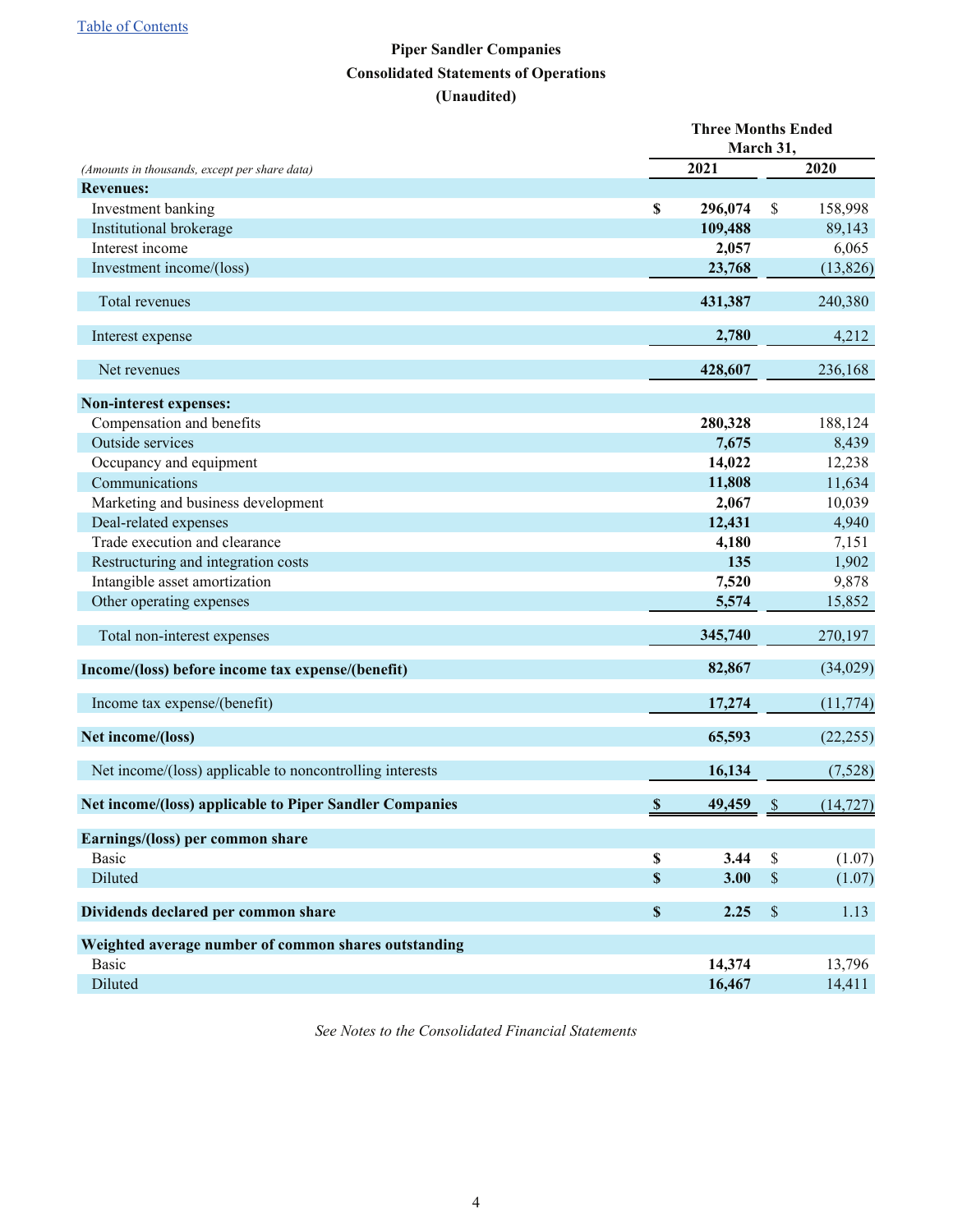## **Piper Sandler Companies Consolidated Statements of Operations (Unaudited)**

<span id="page-3-0"></span>

|                                                          | <b>Three Months Ended</b>           | March 31,     |           |
|----------------------------------------------------------|-------------------------------------|---------------|-----------|
| (Amounts in thousands, except per share data)            | 2021                                |               | 2020      |
| <b>Revenues:</b>                                         |                                     |               |           |
| Investment banking                                       | \$<br>296,074                       | \$            | 158,998   |
| Institutional brokerage                                  | 109,488                             |               | 89,143    |
| Interest income                                          | 2,057                               |               | 6,065     |
| Investment income/(loss)                                 | 23,768                              |               | (13, 826) |
| Total revenues                                           | 431,387                             |               | 240,380   |
| Interest expense                                         | 2,780                               |               | 4,212     |
| Net revenues                                             | 428,607                             |               | 236,168   |
| Non-interest expenses:                                   |                                     |               |           |
| Compensation and benefits                                | 280,328                             |               | 188,124   |
| Outside services                                         | 7,675                               |               | 8,439     |
| Occupancy and equipment                                  | 14,022                              |               | 12,238    |
| Communications                                           | 11,808                              |               | 11,634    |
| Marketing and business development                       | 2,067                               |               | 10,039    |
| Deal-related expenses                                    | 12,431                              |               | 4,940     |
| Trade execution and clearance                            | 4,180                               |               | 7,151     |
| Restructuring and integration costs                      | 135                                 |               | 1,902     |
| Intangible asset amortization                            | 7,520                               |               | 9,878     |
| Other operating expenses                                 | 5,574                               |               | 15,852    |
| Total non-interest expenses                              | 345,740                             |               | 270,197   |
| Income/(loss) before income tax expense/(benefit)        | 82,867                              |               | (34,029)  |
| Income tax expense/(benefit)                             | 17,274                              |               | (11, 774) |
| Net income/(loss)                                        | 65,593                              |               | (22, 255) |
| Net income/(loss) applicable to noncontrolling interests | 16,134                              |               | (7,528)   |
| Net income/(loss) applicable to Piper Sandler Companies  | $\boldsymbol{\mathsf{S}}$<br>49,459 | $\mathcal{S}$ | (14, 727) |
| Earnings/(loss) per common share                         |                                     |               |           |
| <b>Basic</b>                                             | \$<br>3.44                          | \$            | (1.07)    |
| Diluted                                                  | \$<br>3.00                          | \$            | (1.07)    |
| Dividends declared per common share                      | \$<br>2.25                          | \$            | 1.13      |
| Weighted average number of common shares outstanding     |                                     |               |           |
| <b>Basic</b>                                             | 14,374                              |               | 13,796    |
| Diluted                                                  | 16,467                              |               | 14,411    |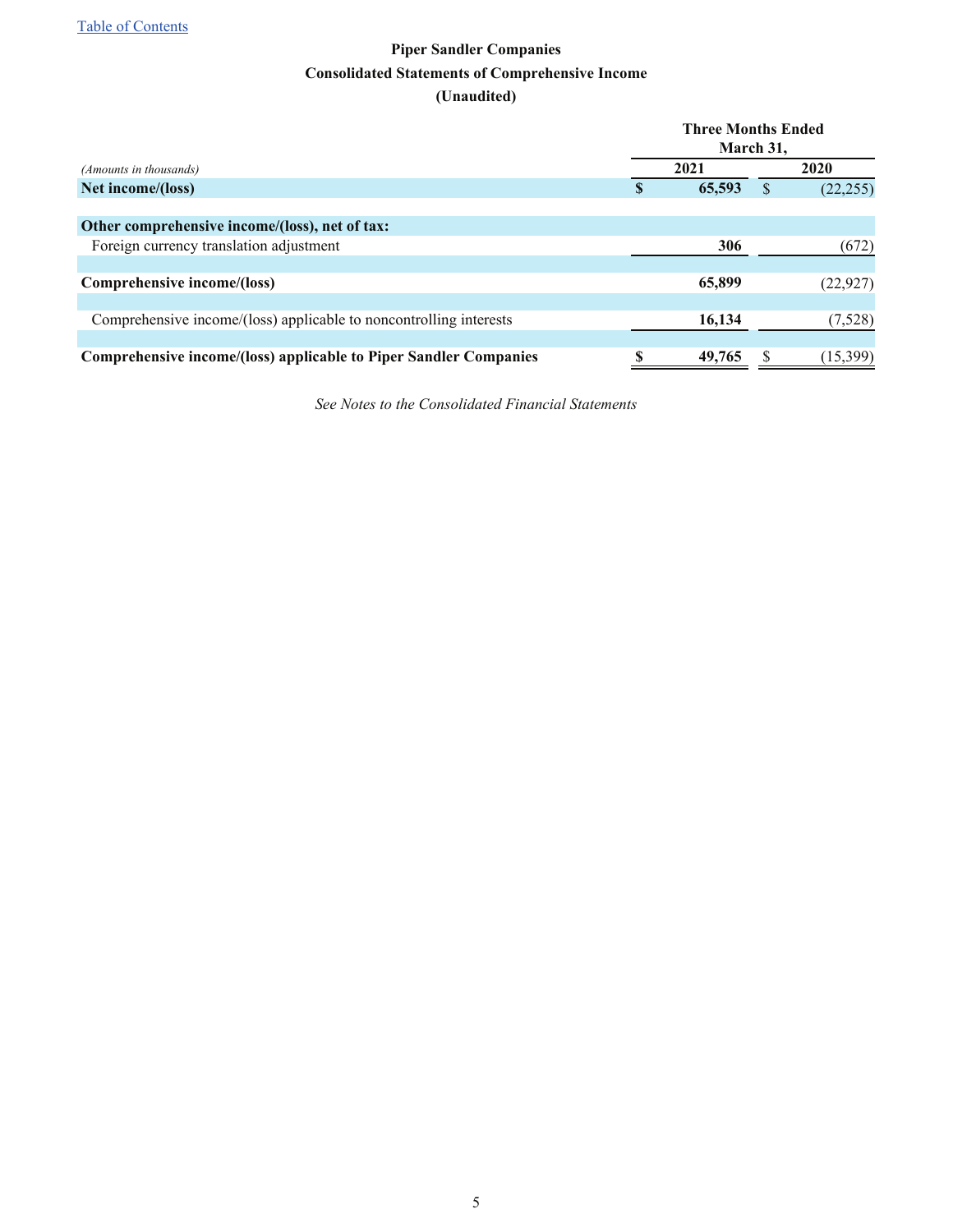## **Piper Sandler Companies Consolidated Statements of Comprehensive Income (Unaudited)**

<span id="page-4-0"></span>

|                                                                    | <b>Three Months Ended</b><br>March 31, |        |  |           |  |  |  |
|--------------------------------------------------------------------|----------------------------------------|--------|--|-----------|--|--|--|
| (Amounts in thousands)                                             |                                        | 2021   |  | 2020      |  |  |  |
| Net income/(loss)                                                  | S                                      | 65,593 |  | (22, 255) |  |  |  |
|                                                                    |                                        |        |  |           |  |  |  |
| Other comprehensive income/(loss), net of tax:                     |                                        |        |  |           |  |  |  |
| Foreign currency translation adjustment                            |                                        | 306    |  | (672)     |  |  |  |
|                                                                    |                                        |        |  |           |  |  |  |
| Comprehensive income/(loss)                                        |                                        | 65,899 |  | (22, 927) |  |  |  |
|                                                                    |                                        |        |  |           |  |  |  |
| Comprehensive income/(loss) applicable to noncontrolling interests |                                        | 16,134 |  | (7,528)   |  |  |  |
|                                                                    |                                        |        |  |           |  |  |  |
| Comprehensive income/(loss) applicable to Piper Sandler Companies  | S                                      | 49,765 |  | (15, 399) |  |  |  |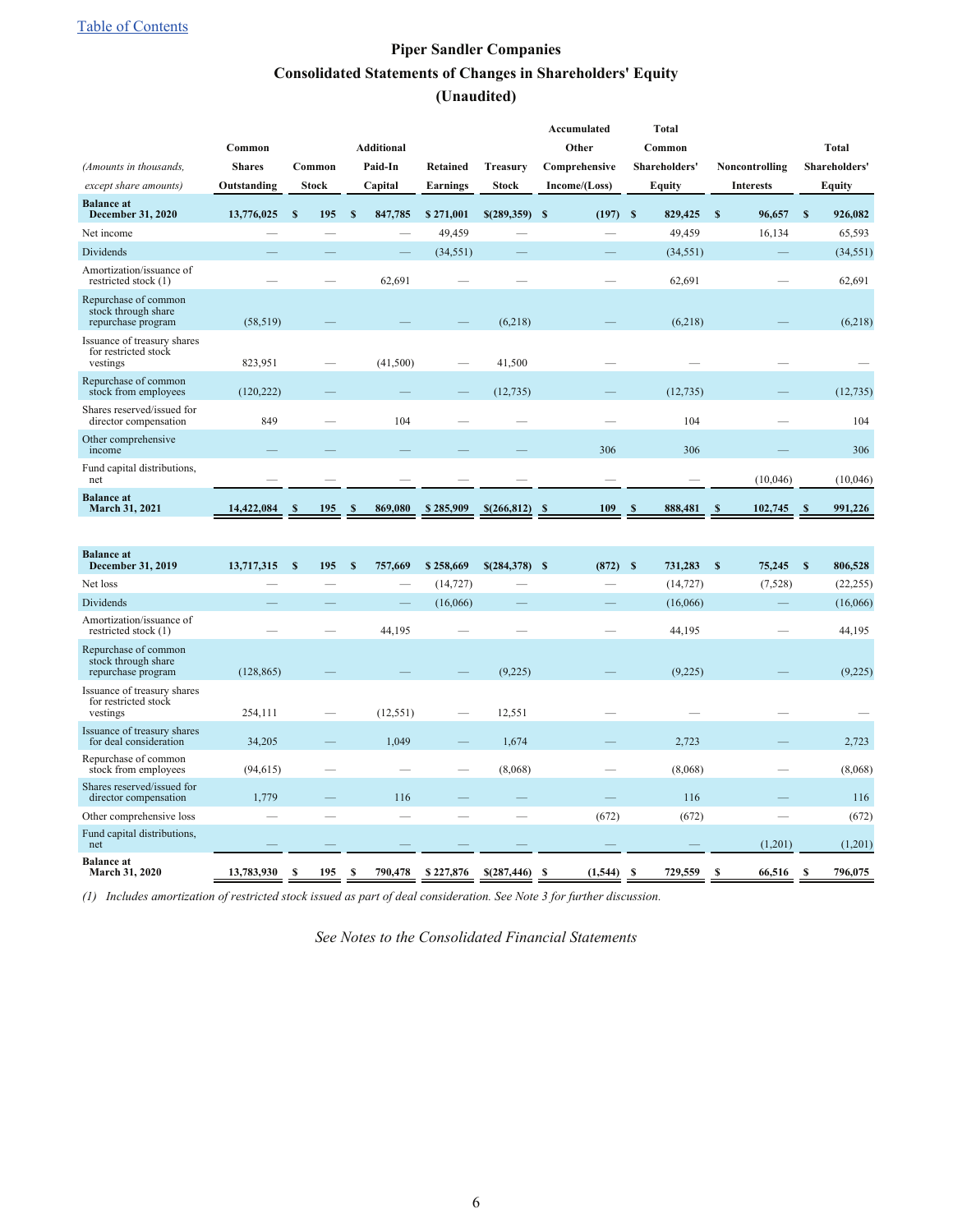## **Piper Sandler Companies Consolidated Statements of Changes in Shareholders' Equity (Unaudited)**

<span id="page-5-0"></span>

|                                                                   |               |              |    |                   |                 |                  | <b>Accumulated</b> |     | <b>Total</b>         |              |                  |                         |
|-------------------------------------------------------------------|---------------|--------------|----|-------------------|-----------------|------------------|--------------------|-----|----------------------|--------------|------------------|-------------------------|
|                                                                   | Common        |              |    | <b>Additional</b> |                 |                  | Other              |     | Common               |              |                  | <b>Total</b>            |
| (Amounts in thousands,                                            | <b>Shares</b> | Common       |    | Paid-In           | <b>Retained</b> | <b>Treasury</b>  | Comprehensive      |     | <b>Shareholders'</b> |              | Noncontrolling   | Shareholders'           |
| except share amounts)                                             | Outstanding   | <b>Stock</b> |    | Capital           | <b>Earnings</b> | <b>Stock</b>     | Income/(Loss)      |     | <b>Equity</b>        |              | <b>Interests</b> | <b>Equity</b>           |
| <b>Balance</b> at<br><b>December 31, 2020</b>                     | 13,776,025    | S<br>195     | S  | 847,785           | \$271,001       | $$$ (289,359) \$ | $(197)$ \$         |     | 829,425              | $\mathbf{s}$ | 96,657           | $\mathbf{s}$<br>926,082 |
| Net income                                                        |               | —            |    | —                 | 49,459          |                  |                    |     | 49,459               |              | 16,134           | 65,593                  |
| <b>Dividends</b>                                                  |               |              |    | -                 | (34, 551)       |                  |                    |     | (34, 551)            |              |                  | (34, 551)               |
| Amortization/issuance of<br>restricted stock (1)                  |               |              |    | 62,691            |                 |                  |                    |     | 62,691               |              |                  | 62,691                  |
| Repurchase of common<br>stock through share<br>repurchase program | (58, 519)     |              |    |                   |                 | (6,218)          |                    |     | (6,218)              |              |                  | (6,218)                 |
| Issuance of treasury shares<br>for restricted stock<br>vestings   | 823,951       |              |    | (41,500)          |                 | 41,500           |                    |     |                      |              |                  |                         |
| Repurchase of common<br>stock from employees                      | (120, 222)    |              |    |                   |                 | (12, 735)        |                    |     | (12, 735)            |              |                  | (12, 735)               |
| Shares reserved/issued for<br>director compensation               | 849           |              |    | 104               |                 |                  |                    |     | 104                  |              |                  | 104                     |
| Other comprehensive<br>income                                     |               |              |    |                   |                 |                  | 306                |     | 306                  |              |                  | 306                     |
| Fund capital distributions,<br>net                                |               |              |    |                   |                 |                  |                    |     |                      |              | (10,046)         | (10,046)                |
| <b>Balance at</b><br>March 31, 2021                               | 14,422,084    | 195<br>- S   | -S | 869,080           | \$285,909       | $$(266,812)$ \$  | 109                | - 8 | 888,481              | -8           | 102,745          | 991,226<br>- \$         |
|                                                                   |               |              |    |                   |                 |                  |                    |     |                      |              |                  |                         |

| <b>Balance</b> at<br>December 31, 2019                            | 13,717,315 | 195<br>S | S  | 757,669   | \$258,669 | $$(284,378)$ \$ |      | $(872)$ \$ | 731,283         | 75,245<br>S | 806,528<br>S |
|-------------------------------------------------------------------|------------|----------|----|-----------|-----------|-----------------|------|------------|-----------------|-------------|--------------|
| Net loss                                                          |            |          |    | —         | (14, 727) |                 |      |            | (14, 727)       | (7,528)     | (22, 255)    |
| <b>Dividends</b>                                                  |            |          |    |           | (16,066)  |                 |      |            | (16,066)        |             | (16,066)     |
| Amortization/issuance of<br>restricted stock (1)                  |            |          |    | 44,195    |           |                 |      |            | 44,195          |             | 44,195       |
| Repurchase of common<br>stock through share<br>repurchase program | (128, 865) |          |    |           |           | (9,225)         |      |            | (9,225)         |             | (9,225)      |
| Issuance of treasury shares<br>for restricted stock<br>vestings   | 254,111    |          |    | (12, 551) |           | 12,551          |      |            |                 |             |              |
| Issuance of treasury shares<br>for deal consideration             | 34,205     |          |    | 1,049     | --        | 1,674           |      |            | 2,723           |             | 2,723        |
| Repurchase of common<br>stock from employees                      | (94, 615)  |          |    |           |           | (8,068)         |      |            | (8,068)         |             | (8,068)      |
| Shares reserved/issued for<br>director compensation               | 1,779      |          |    | 116       |           |                 |      |            | 116             |             | 116          |
| Other comprehensive loss                                          |            |          |    |           |           |                 |      | (672)      | (672)           |             | (672)        |
| Fund capital distributions,<br>net                                |            |          |    |           |           |                 |      |            |                 | (1,201)     | (1,201)      |
| <b>Balance</b> at<br>March 31, 2020                               | 13,783,930 | 195<br>S | -S | 790,478   | \$227,876 | \$(287,446)     | - \$ | (1, 544)   | 729,559<br>- \$ | 66,516      | 796,075      |

*(1) Includes amortization of restricted stock issued as part of deal consideration. See Note 3 for further discussion.*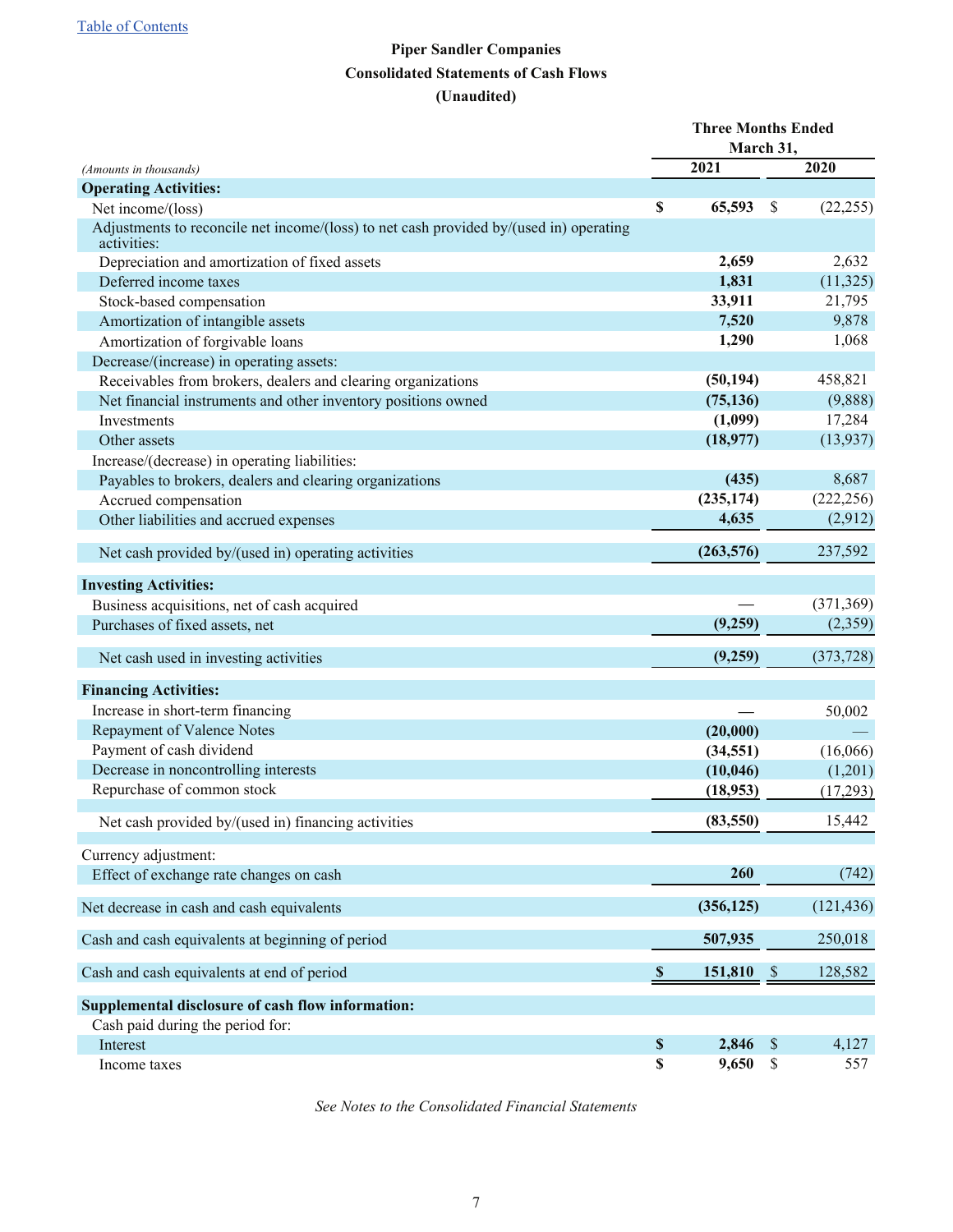## **Piper Sandler Companies Consolidated Statements of Cash Flows (Unaudited)**

<span id="page-6-0"></span>

|                                                                                                       | <b>Three Months Ended</b> |            |               |            |
|-------------------------------------------------------------------------------------------------------|---------------------------|------------|---------------|------------|
|                                                                                                       |                           | March 31,  |               |            |
| (Amounts in thousands)                                                                                |                           | 2021       |               | 2020       |
| <b>Operating Activities:</b>                                                                          |                           |            |               |            |
| Net income/(loss)                                                                                     | \$                        | 65,593     | \$            | (22, 255)  |
| Adjustments to reconcile net income/(loss) to net cash provided by/(used in) operating<br>activities: |                           |            |               |            |
| Depreciation and amortization of fixed assets                                                         |                           | 2,659      |               | 2,632      |
| Deferred income taxes                                                                                 |                           | 1,831      |               | (11, 325)  |
| Stock-based compensation                                                                              |                           | 33,911     |               | 21,795     |
| Amortization of intangible assets                                                                     |                           | 7,520      |               | 9,878      |
| Amortization of forgivable loans                                                                      |                           | 1,290      |               | 1,068      |
| Decrease/(increase) in operating assets:                                                              |                           |            |               |            |
| Receivables from brokers, dealers and clearing organizations                                          |                           | (50, 194)  |               | 458,821    |
| Net financial instruments and other inventory positions owned                                         |                           | (75, 136)  |               | (9,888)    |
| Investments                                                                                           |                           | (1,099)    |               | 17,284     |
| Other assets                                                                                          |                           | (18,977)   |               | (13, 937)  |
| Increase/(decrease) in operating liabilities:                                                         |                           |            |               |            |
| Payables to brokers, dealers and clearing organizations                                               |                           | (435)      |               | 8,687      |
| Accrued compensation                                                                                  |                           | (235, 174) |               | (222, 256) |
| Other liabilities and accrued expenses                                                                |                           | 4,635      |               | (2,912)    |
| Net cash provided by/(used in) operating activities                                                   |                           | (263, 576) |               | 237,592    |
| <b>Investing Activities:</b>                                                                          |                           |            |               |            |
| Business acquisitions, net of cash acquired                                                           |                           |            |               | (371, 369) |
| Purchases of fixed assets, net                                                                        |                           | (9,259)    |               | (2,359)    |
| Net cash used in investing activities                                                                 |                           | (9,259)    |               | (373, 728) |
|                                                                                                       |                           |            |               |            |
| <b>Financing Activities:</b>                                                                          |                           |            |               |            |
| Increase in short-term financing                                                                      |                           |            |               | 50,002     |
| <b>Repayment of Valence Notes</b>                                                                     |                           | (20,000)   |               |            |
| Payment of cash dividend                                                                              |                           | (34, 551)  |               | (16,066)   |
| Decrease in noncontrolling interests                                                                  |                           | (10, 046)  |               | (1,201)    |
| Repurchase of common stock                                                                            |                           | (18,953)   |               | (17,293)   |
| Net cash provided by/(used in) financing activities                                                   |                           | (83, 550)  |               | 15,442     |
| Currency adjustment:                                                                                  |                           |            |               |            |
| Effect of exchange rate changes on cash                                                               |                           | 260        |               | (742)      |
| Net decrease in cash and cash equivalents                                                             |                           | (356, 125) |               | (121, 436) |
| Cash and cash equivalents at beginning of period                                                      |                           | 507,935    |               | 250,018    |
| Cash and cash equivalents at end of period                                                            | $\boldsymbol{\mathsf{s}}$ | 151,810    | $\mathcal{S}$ | 128,582    |
| Supplemental disclosure of cash flow information:                                                     |                           |            |               |            |
| Cash paid during the period for:                                                                      |                           |            |               |            |
| Interest                                                                                              | \$                        | 2,846      | $\mathcal{S}$ | 4,127      |
| Income taxes                                                                                          | \$                        | 9,650      | $\mathbb{S}$  | 557        |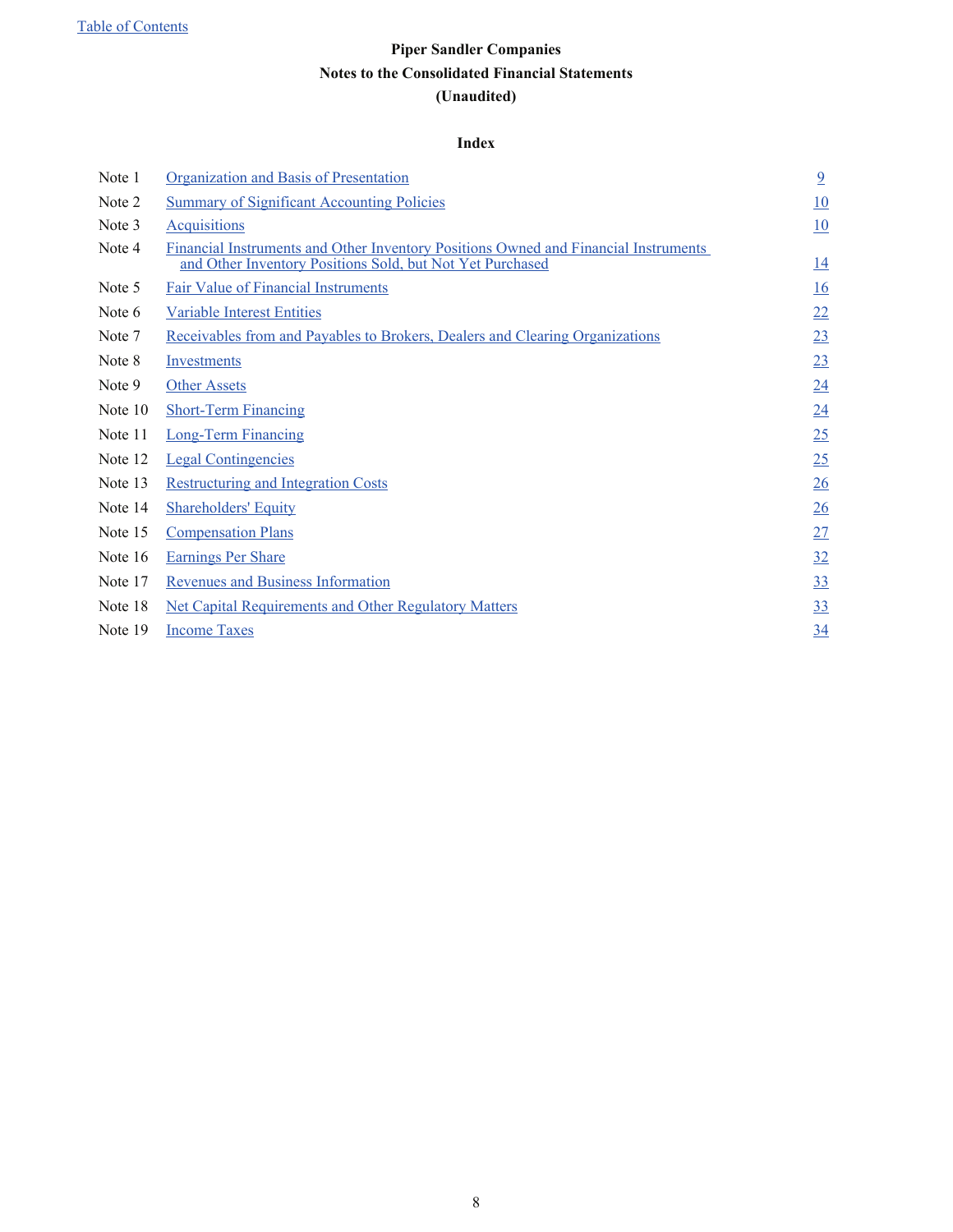#### **Index**

<span id="page-7-0"></span>

| Note 1  | Organization and Basis of Presentation                                                                                                           | $\overline{9}$ |
|---------|--------------------------------------------------------------------------------------------------------------------------------------------------|----------------|
| Note 2  | <b>Summary of Significant Accounting Policies</b>                                                                                                | 10             |
| Note 3  | <b>Acquisitions</b>                                                                                                                              | 10             |
| Note 4  | Financial Instruments and Other Inventory Positions Owned and Financial Instruments<br>and Other Inventory Positions Sold, but Not Yet Purchased | 14             |
| Note 5  | <b>Fair Value of Financial Instruments</b>                                                                                                       | 16             |
| Note 6  | <b>Variable Interest Entities</b>                                                                                                                | 22             |
| Note 7  | <u>Receivables from and Payables to Brokers, Dealers and Clearing Organizations</u>                                                              | 23             |
| Note 8  | <b>Investments</b>                                                                                                                               | 23             |
| Note 9  | <b>Other Assets</b>                                                                                                                              | 24             |
| Note 10 | <b>Short-Term Financing</b>                                                                                                                      | 24             |
| Note 11 | <b>Long-Term Financing</b>                                                                                                                       | 25             |
| Note 12 | <b>Legal Contingencies</b>                                                                                                                       | 25             |
| Note 13 | <b>Restructuring and Integration Costs</b>                                                                                                       | 26             |
| Note 14 | <b>Shareholders' Equity</b>                                                                                                                      | 26             |
| Note 15 | <b>Compensation Plans</b>                                                                                                                        | 27             |
| Note 16 | <b>Earnings Per Share</b>                                                                                                                        | 32             |
| Note 17 | <b>Revenues and Business Information</b>                                                                                                         | 33             |
| Note 18 | <b>Net Capital Requirements and Other Regulatory Matters</b>                                                                                     | 33             |
| Note 19 | <b>Income Taxes</b>                                                                                                                              | 34             |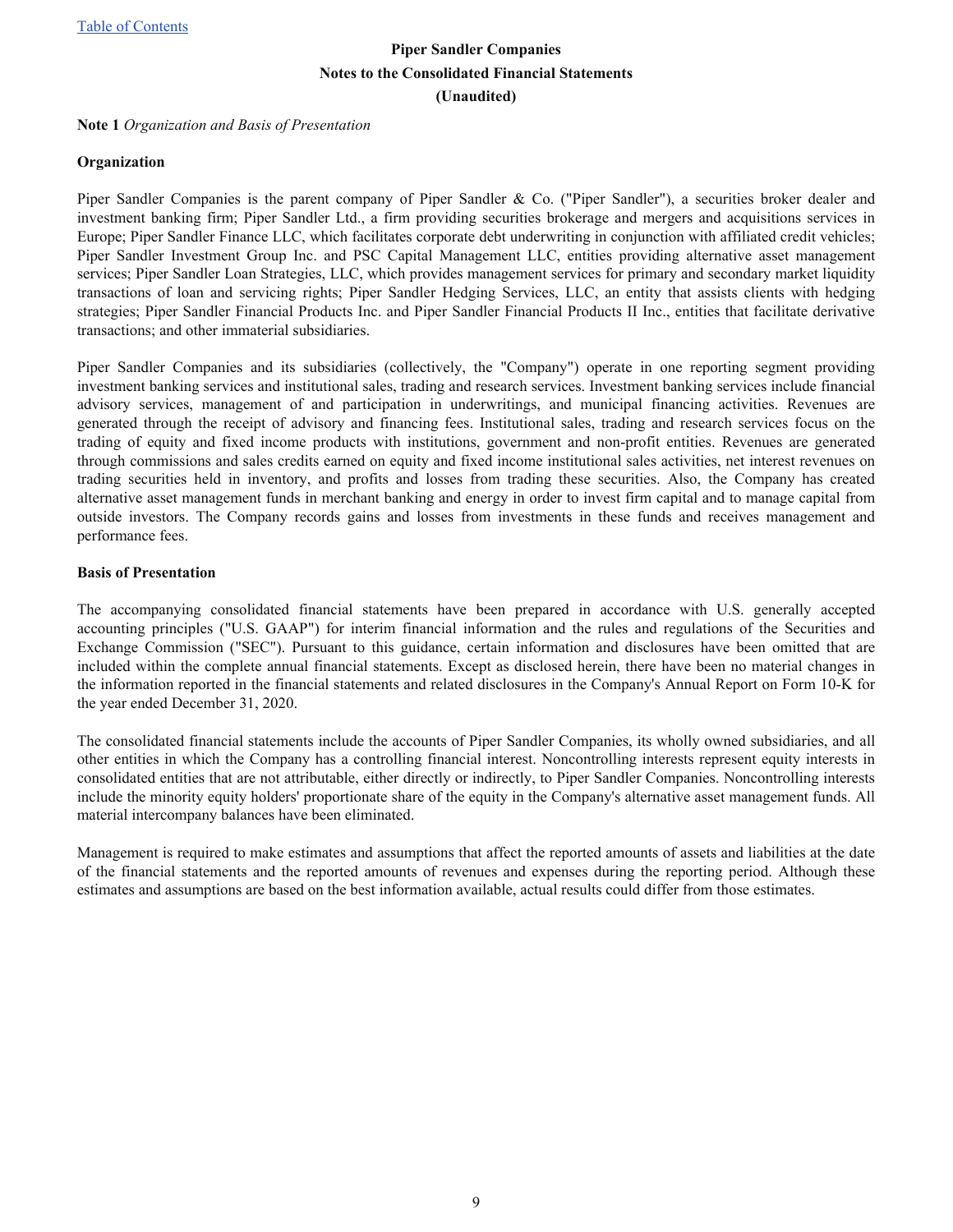<span id="page-8-0"></span>**Note 1** *Organization and Basis of Presentation*

#### **Organization**

Piper Sandler Companies is the parent company of Piper Sandler & Co. ("Piper Sandler"), a securities broker dealer and investment banking firm; Piper Sandler Ltd., a firm providing securities brokerage and mergers and acquisitions services in Europe; Piper Sandler Finance LLC, which facilitates corporate debt underwriting in conjunction with affiliated credit vehicles; Piper Sandler Investment Group Inc. and PSC Capital Management LLC, entities providing alternative asset management services; Piper Sandler Loan Strategies, LLC, which provides management services for primary and secondary market liquidity transactions of loan and servicing rights; Piper Sandler Hedging Services, LLC, an entity that assists clients with hedging strategies; Piper Sandler Financial Products Inc. and Piper Sandler Financial Products II Inc., entities that facilitate derivative transactions; and other immaterial subsidiaries.

Piper Sandler Companies and its subsidiaries (collectively, the "Company") operate in one reporting segment providing investment banking services and institutional sales, trading and research services. Investment banking services include financial advisory services, management of and participation in underwritings, and municipal financing activities. Revenues are generated through the receipt of advisory and financing fees. Institutional sales, trading and research services focus on the trading of equity and fixed income products with institutions, government and non-profit entities. Revenues are generated through commissions and sales credits earned on equity and fixed income institutional sales activities, net interest revenues on trading securities held in inventory, and profits and losses from trading these securities. Also, the Company has created alternative asset management funds in merchant banking and energy in order to invest firm capital and to manage capital from outside investors. The Company records gains and losses from investments in these funds and receives management and performance fees.

#### **Basis of Presentation**

The accompanying consolidated financial statements have been prepared in accordance with U.S. generally accepted accounting principles ("U.S. GAAP") for interim financial information and the rules and regulations of the Securities and Exchange Commission ("SEC"). Pursuant to this guidance, certain information and disclosures have been omitted that are included within the complete annual financial statements. Except as disclosed herein, there have been no material changes in the information reported in the financial statements and related disclosures in the Company's Annual Report on Form 10-K for the year ended December 31, 2020.

The consolidated financial statements include the accounts of Piper Sandler Companies, its wholly owned subsidiaries, and all other entities in which the Company has a controlling financial interest. Noncontrolling interests represent equity interests in consolidated entities that are not attributable, either directly or indirectly, to Piper Sandler Companies. Noncontrolling interests include the minority equity holders' proportionate share of the equity in the Company's alternative asset management funds. All material intercompany balances have been eliminated.

Management is required to make estimates and assumptions that affect the reported amounts of assets and liabilities at the date of the financial statements and the reported amounts of revenues and expenses during the reporting period. Although these estimates and assumptions are based on the best information available, actual results could differ from those estimates.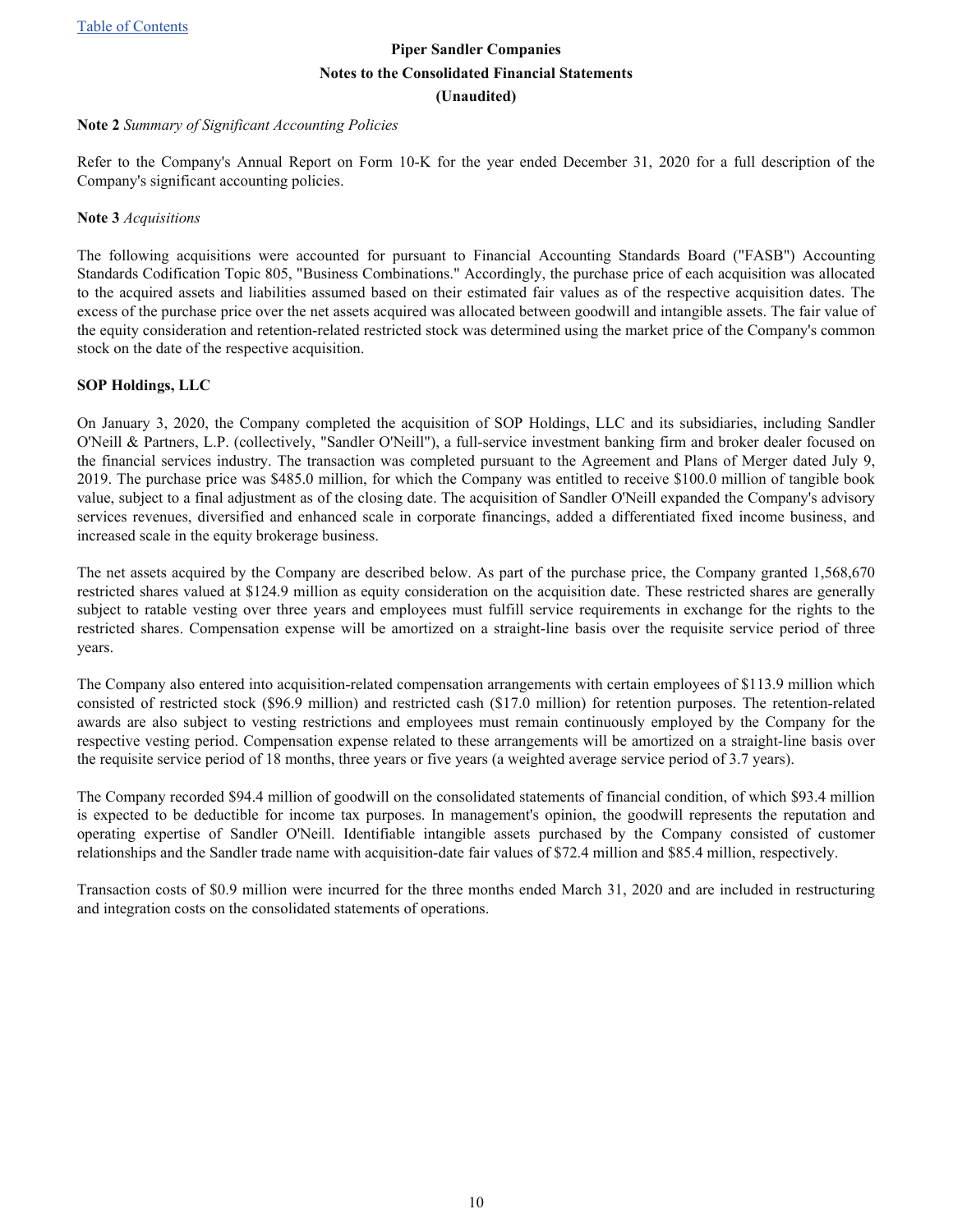#### <span id="page-9-0"></span>**Note 2** *Summary of Significant Accounting Policies*

Refer to the Company's Annual Report on Form 10-K for the year ended December 31, 2020 for a full description of the Company's significant accounting policies.

#### **Note 3** *Acquisitions*

The following acquisitions were accounted for pursuant to Financial Accounting Standards Board ("FASB") Accounting Standards Codification Topic 805, "Business Combinations." Accordingly, the purchase price of each acquisition was allocated to the acquired assets and liabilities assumed based on their estimated fair values as of the respective acquisition dates. The excess of the purchase price over the net assets acquired was allocated between goodwill and intangible assets. The fair value of the equity consideration and retention-related restricted stock was determined using the market price of the Company's common stock on the date of the respective acquisition.

#### **SOP Holdings, LLC**

On January 3, 2020, the Company completed the acquisition of SOP Holdings, LLC and its subsidiaries, including Sandler O'Neill & Partners, L.P. (collectively, "Sandler O'Neill"), a full-service investment banking firm and broker dealer focused on the financial services industry. The transaction was completed pursuant to the Agreement and Plans of Merger dated July 9, 2019. The purchase price was \$485.0 million, for which the Company was entitled to receive \$100.0 million of tangible book value, subject to a final adjustment as of the closing date. The acquisition of Sandler O'Neill expanded the Company's advisory services revenues, diversified and enhanced scale in corporate financings, added a differentiated fixed income business, and increased scale in the equity brokerage business.

The net assets acquired by the Company are described below. As part of the purchase price, the Company granted 1,568,670 restricted shares valued at \$124.9 million as equity consideration on the acquisition date. These restricted shares are generally subject to ratable vesting over three years and employees must fulfill service requirements in exchange for the rights to the restricted shares. Compensation expense will be amortized on a straight-line basis over the requisite service period of three years.

The Company also entered into acquisition-related compensation arrangements with certain employees of \$113.9 million which consisted of restricted stock (\$96.9 million) and restricted cash (\$17.0 million) for retention purposes. The retention-related awards are also subject to vesting restrictions and employees must remain continuously employed by the Company for the respective vesting period. Compensation expense related to these arrangements will be amortized on a straight-line basis over the requisite service period of 18 months, three years or five years (a weighted average service period of 3.7 years).

The Company recorded \$94.4 million of goodwill on the consolidated statements of financial condition, of which \$93.4 million is expected to be deductible for income tax purposes. In management's opinion, the goodwill represents the reputation and operating expertise of Sandler O'Neill. Identifiable intangible assets purchased by the Company consisted of customer relationships and the Sandler trade name with acquisition-date fair values of \$72.4 million and \$85.4 million, respectively.

Transaction costs of \$0.9 million were incurred for the three months ended March 31, 2020 and are included in restructuring and integration costs on the consolidated statements of operations.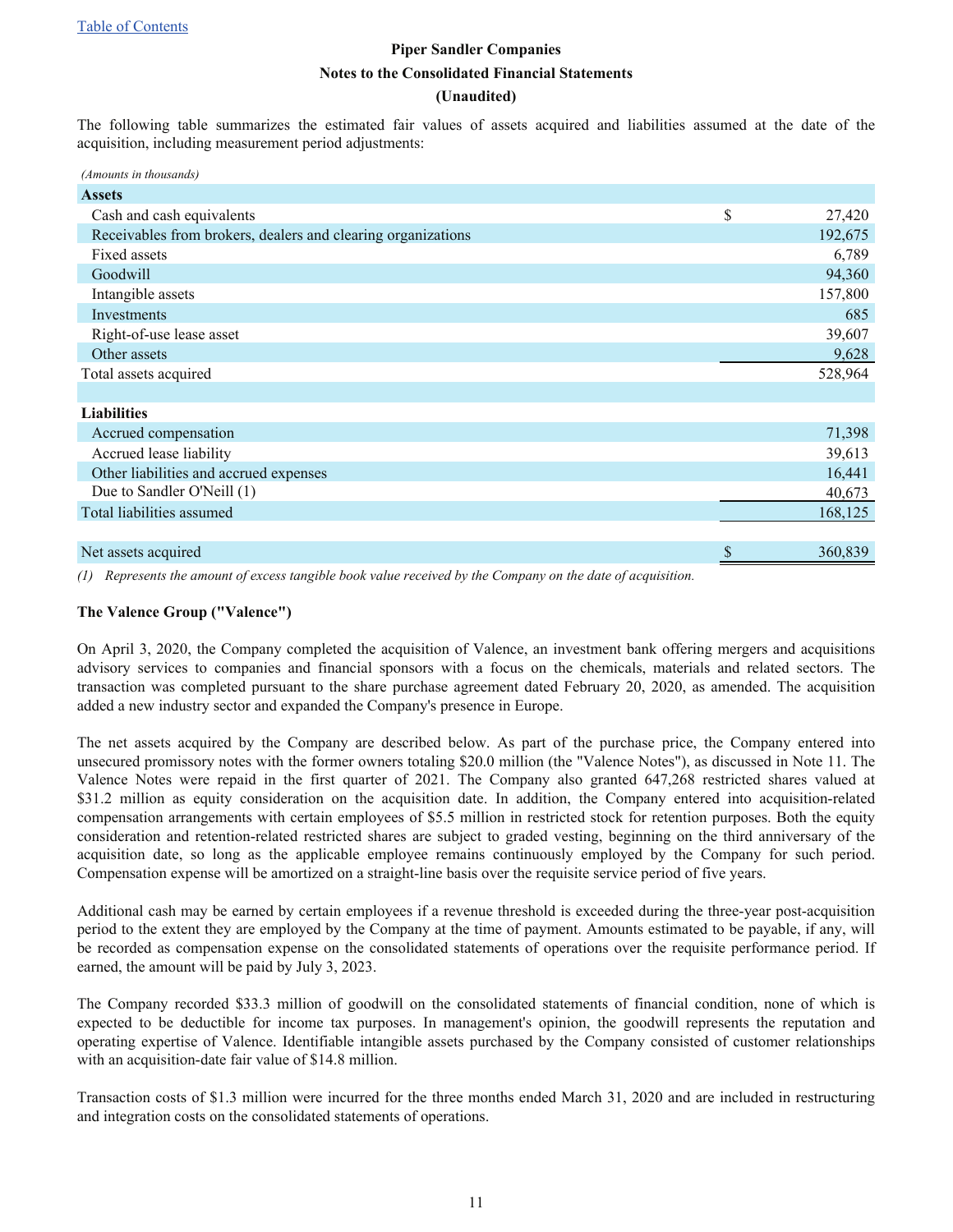#### **(Unaudited)**

The following table summarizes the estimated fair values of assets acquired and liabilities assumed at the date of the acquisition, including measurement period adjustments:

| (Amounts in thousands)                                       |              |
|--------------------------------------------------------------|--------------|
| <b>Assets</b>                                                |              |
| Cash and cash equivalents                                    | \$<br>27,420 |
| Receivables from brokers, dealers and clearing organizations | 192,675      |
| Fixed assets                                                 | 6,789        |
| Goodwill                                                     | 94,360       |
| Intangible assets                                            | 157,800      |
| Investments                                                  | 685          |
| Right-of-use lease asset                                     | 39,607       |
| Other assets                                                 | 9,628        |
| Total assets acquired                                        | 528,964      |
|                                                              |              |
| <b>Liabilities</b>                                           |              |
| Accrued compensation                                         | 71,398       |
| Accrued lease liability                                      | 39,613       |
| Other liabilities and accrued expenses                       | 16,441       |
| Due to Sandler O'Neill (1)                                   | 40,673       |
| Total liabilities assumed                                    | 168,125      |
|                                                              |              |
| Net assets acquired                                          | 360,839      |
|                                                              |              |

*(1) Represents the amount of excess tangible book value received by the Company on the date of acquisition.*

#### **The Valence Group ("Valence")**

On April 3, 2020, the Company completed the acquisition of Valence, an investment bank offering mergers and acquisitions advisory services to companies and financial sponsors with a focus on the chemicals, materials and related sectors. The transaction was completed pursuant to the share purchase agreement dated February 20, 2020, as amended. The acquisition added a new industry sector and expanded the Company's presence in Europe.

The net assets acquired by the Company are described below. As part of the purchase price, the Company entered into unsecured promissory notes with the former owners totaling \$20.0 million (the "Valence Notes"), as discussed in Note 11. The Valence Notes were repaid in the first quarter of 2021. The Company also granted 647,268 restricted shares valued at \$31.2 million as equity consideration on the acquisition date. In addition, the Company entered into acquisition-related compensation arrangements with certain employees of \$5.5 million in restricted stock for retention purposes. Both the equity consideration and retention-related restricted shares are subject to graded vesting, beginning on the third anniversary of the acquisition date, so long as the applicable employee remains continuously employed by the Company for such period. Compensation expense will be amortized on a straight-line basis over the requisite service period of five years.

Additional cash may be earned by certain employees if a revenue threshold is exceeded during the three-year post-acquisition period to the extent they are employed by the Company at the time of payment. Amounts estimated to be payable, if any, will be recorded as compensation expense on the consolidated statements of operations over the requisite performance period. If earned, the amount will be paid by July 3, 2023.

The Company recorded \$33.3 million of goodwill on the consolidated statements of financial condition, none of which is expected to be deductible for income tax purposes. In management's opinion, the goodwill represents the reputation and operating expertise of Valence. Identifiable intangible assets purchased by the Company consisted of customer relationships with an acquisition-date fair value of \$14.8 million.

Transaction costs of \$1.3 million were incurred for the three months ended March 31, 2020 and are included in restructuring and integration costs on the consolidated statements of operations.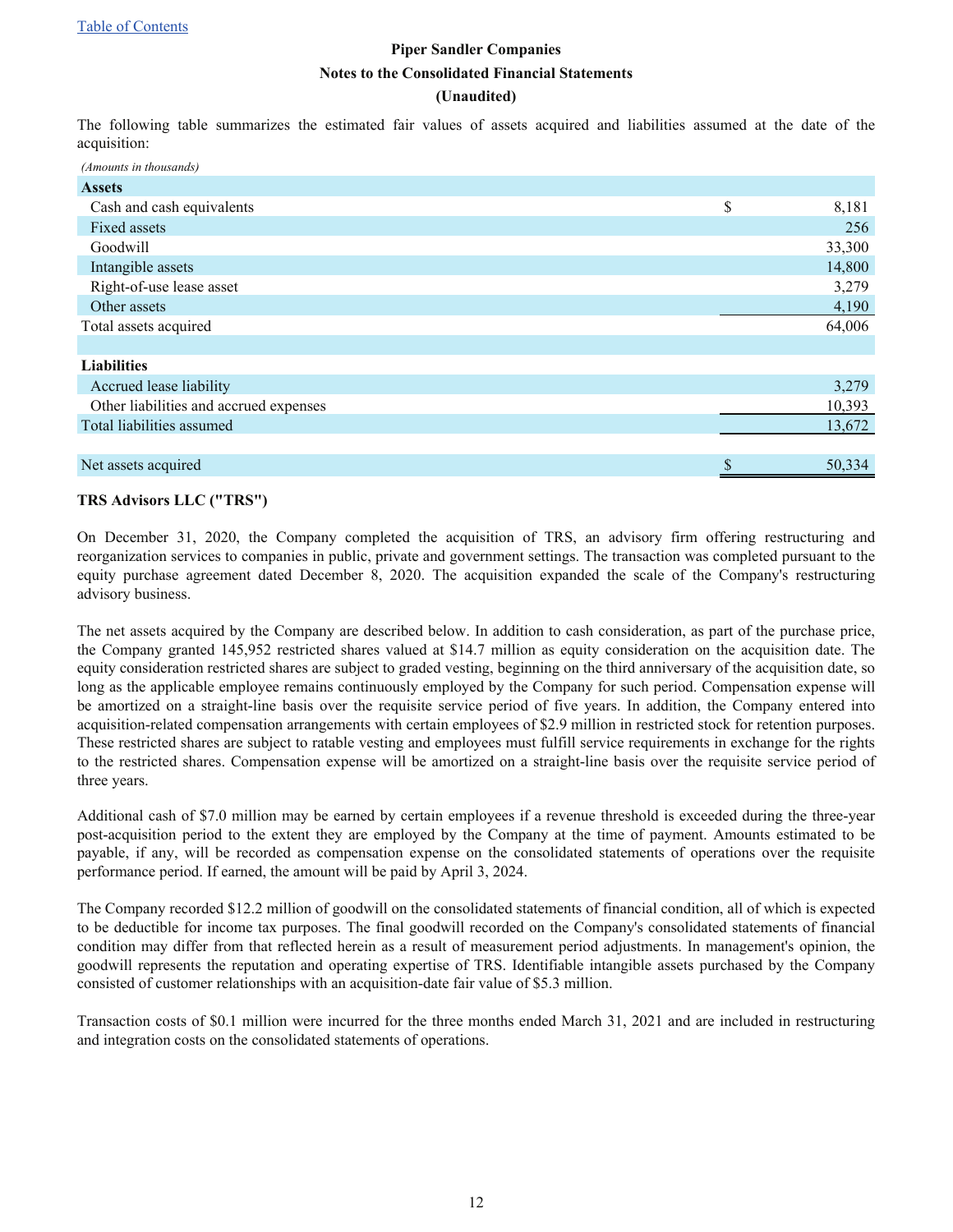#### **(Unaudited)**

The following table summarizes the estimated fair values of assets acquired and liabilities assumed at the date of the acquisition:

| (Amounts in thousands)                 |              |
|----------------------------------------|--------------|
| <b>Assets</b>                          |              |
| Cash and cash equivalents              | \$<br>8,181  |
| Fixed assets                           | 256          |
| Goodwill                               | 33,300       |
| Intangible assets                      | 14,800       |
| Right-of-use lease asset               | 3,279        |
| Other assets                           | 4,190        |
| Total assets acquired                  | 64,006       |
|                                        |              |
| <b>Liabilities</b>                     |              |
| Accrued lease liability                | 3,279        |
| Other liabilities and accrued expenses | 10,393       |
| Total liabilities assumed              | 13,672       |
|                                        |              |
| Net assets acquired                    | \$<br>50,334 |

#### **TRS Advisors LLC ("TRS")**

On December 31, 2020, the Company completed the acquisition of TRS, an advisory firm offering restructuring and reorganization services to companies in public, private and government settings. The transaction was completed pursuant to the equity purchase agreement dated December 8, 2020. The acquisition expanded the scale of the Company's restructuring advisory business.

The net assets acquired by the Company are described below. In addition to cash consideration, as part of the purchase price, the Company granted 145,952 restricted shares valued at \$14.7 million as equity consideration on the acquisition date. The equity consideration restricted shares are subject to graded vesting, beginning on the third anniversary of the acquisition date, so long as the applicable employee remains continuously employed by the Company for such period. Compensation expense will be amortized on a straight-line basis over the requisite service period of five years. In addition, the Company entered into acquisition-related compensation arrangements with certain employees of \$2.9 million in restricted stock for retention purposes. These restricted shares are subject to ratable vesting and employees must fulfill service requirements in exchange for the rights to the restricted shares. Compensation expense will be amortized on a straight-line basis over the requisite service period of three years.

Additional cash of \$7.0 million may be earned by certain employees if a revenue threshold is exceeded during the three-year post-acquisition period to the extent they are employed by the Company at the time of payment. Amounts estimated to be payable, if any, will be recorded as compensation expense on the consolidated statements of operations over the requisite performance period. If earned, the amount will be paid by April 3, 2024.

The Company recorded \$12.2 million of goodwill on the consolidated statements of financial condition, all of which is expected to be deductible for income tax purposes. The final goodwill recorded on the Company's consolidated statements of financial condition may differ from that reflected herein as a result of measurement period adjustments. In management's opinion, the goodwill represents the reputation and operating expertise of TRS. Identifiable intangible assets purchased by the Company consisted of customer relationships with an acquisition-date fair value of \$5.3 million.

Transaction costs of \$0.1 million were incurred for the three months ended March 31, 2021 and are included in restructuring and integration costs on the consolidated statements of operations.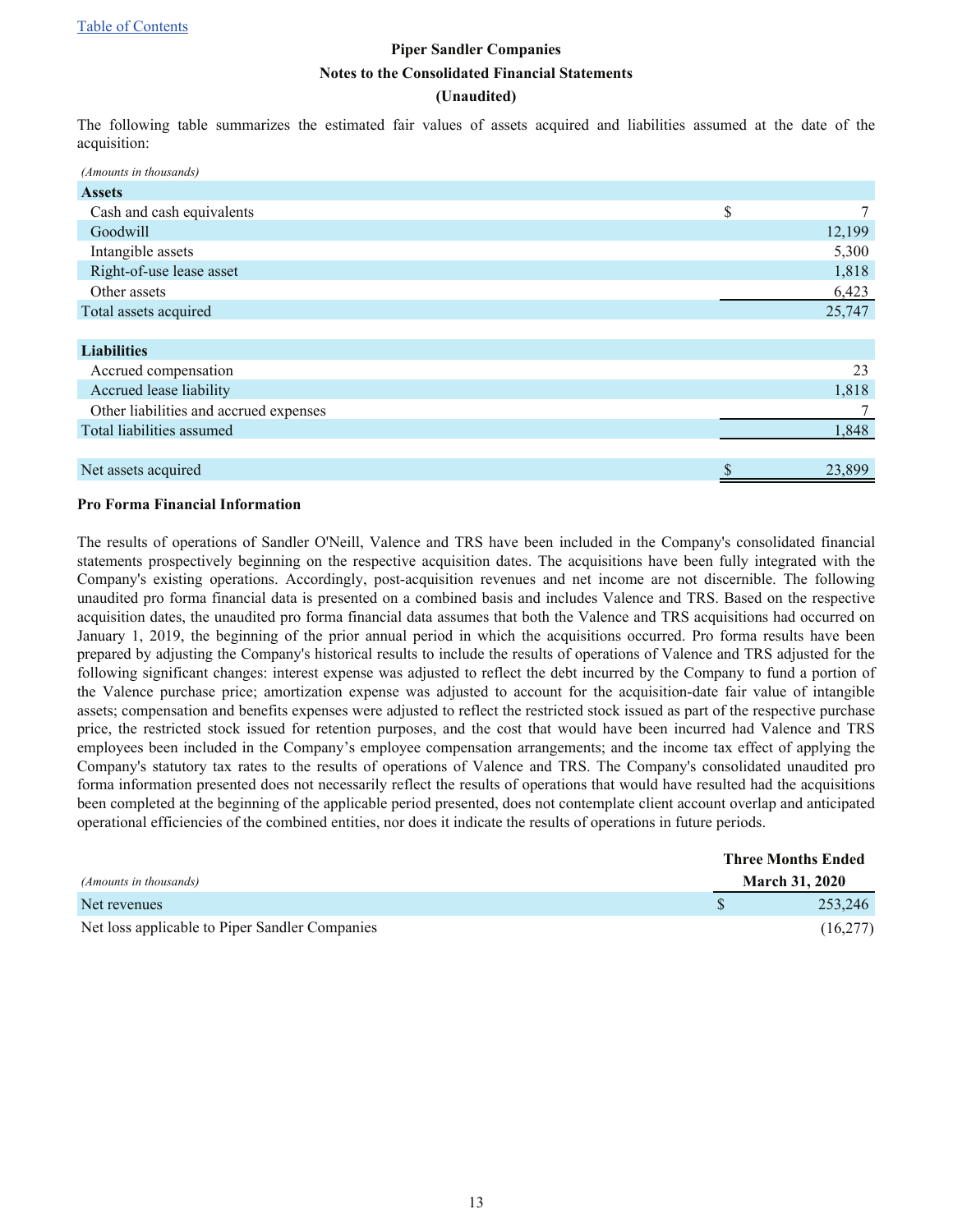#### **(Unaudited)**

The following table summarizes the estimated fair values of assets acquired and liabilities assumed at the date of the acquisition:

| (Amounts in thousands)                 |              |
|----------------------------------------|--------------|
| <b>Assets</b>                          |              |
| Cash and cash equivalents              | \$<br>7      |
| Goodwill                               | 12,199       |
| Intangible assets                      | 5,300        |
| Right-of-use lease asset               | 1,818        |
| Other assets                           | 6,423        |
| Total assets acquired                  | 25,747       |
|                                        |              |
| <b>Liabilities</b>                     |              |
| Accrued compensation                   | 23           |
| Accrued lease liability                | 1,818        |
| Other liabilities and accrued expenses |              |
| Total liabilities assumed              | 1,848        |
|                                        |              |
| Net assets acquired                    | \$<br>23,899 |

#### **Pro Forma Financial Information**

The results of operations of Sandler O'Neill, Valence and TRS have been included in the Company's consolidated financial statements prospectively beginning on the respective acquisition dates. The acquisitions have been fully integrated with the Company's existing operations. Accordingly, post-acquisition revenues and net income are not discernible. The following unaudited pro forma financial data is presented on a combined basis and includes Valence and TRS. Based on the respective acquisition dates, the unaudited pro forma financial data assumes that both the Valence and TRS acquisitions had occurred on January 1, 2019, the beginning of the prior annual period in which the acquisitions occurred. Pro forma results have been prepared by adjusting the Company's historical results to include the results of operations of Valence and TRS adjusted for the following significant changes: interest expense was adjusted to reflect the debt incurred by the Company to fund a portion of the Valence purchase price; amortization expense was adjusted to account for the acquisition-date fair value of intangible assets; compensation and benefits expenses were adjusted to reflect the restricted stock issued as part of the respective purchase price, the restricted stock issued for retention purposes, and the cost that would have been incurred had Valence and TRS employees been included in the Company's employee compensation arrangements; and the income tax effect of applying the Company's statutory tax rates to the results of operations of Valence and TRS. The Company's consolidated unaudited pro forma information presented does not necessarily reflect the results of operations that would have resulted had the acquisitions been completed at the beginning of the applicable period presented, does not contemplate client account overlap and anticipated operational efficiencies of the combined entities, nor does it indicate the results of operations in future periods.

|                                                | <b>Three Months Ended</b> |
|------------------------------------------------|---------------------------|
| (Amounts in thousands)                         | <b>March 31, 2020</b>     |
| Net revenues                                   | 253,246                   |
| Net loss applicable to Piper Sandler Companies | (16,277)                  |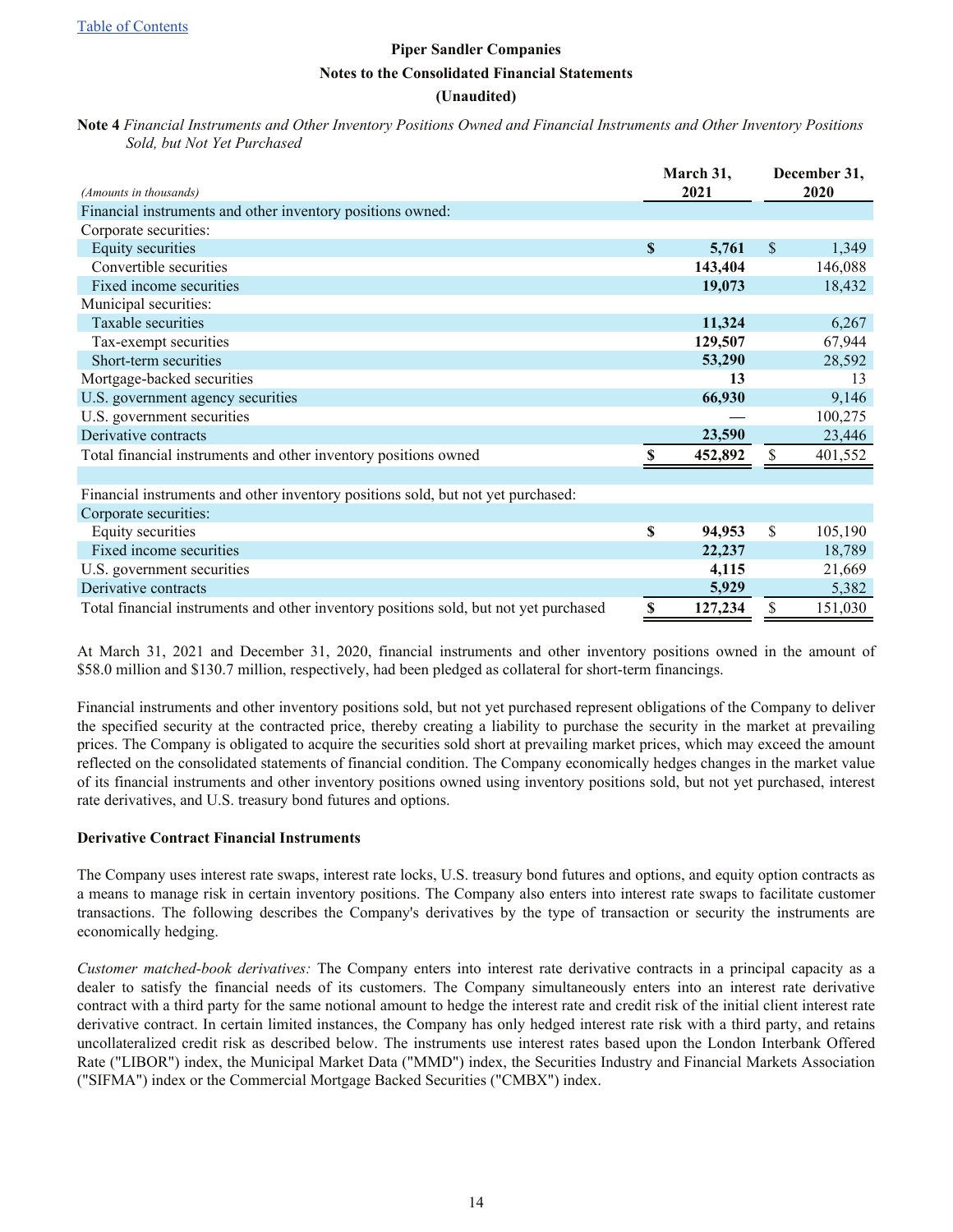#### **(Unaudited)**

<span id="page-13-0"></span>**Note 4** *Financial Instruments and Other Inventory Positions Owned and Financial Instruments and Other Inventory Positions Sold, but Not Yet Purchased*

| (Amounts in thousands)                                                                |             | March 31,<br>2021 | December 31,<br>2020 |  |
|---------------------------------------------------------------------------------------|-------------|-------------------|----------------------|--|
| Financial instruments and other inventory positions owned:                            |             |                   |                      |  |
| Corporate securities:                                                                 |             |                   |                      |  |
| <b>Equity securities</b>                                                              | $\mathbf S$ | 5,761             | \$<br>1,349          |  |
| Convertible securities                                                                |             | 143,404           | 146,088              |  |
| Fixed income securities                                                               |             | 19,073            | 18,432               |  |
| Municipal securities:                                                                 |             |                   |                      |  |
| Taxable securities                                                                    |             | 11,324            | 6,267                |  |
| Tax-exempt securities                                                                 |             | 129,507           | 67,944               |  |
| Short-term securities                                                                 |             | 53,290            | 28,592               |  |
| Mortgage-backed securities                                                            |             | 13                | 13                   |  |
| U.S. government agency securities                                                     |             | 66,930            | 9,146                |  |
| U.S. government securities                                                            |             |                   | 100,275              |  |
| Derivative contracts                                                                  |             | 23,590            | 23,446               |  |
| Total financial instruments and other inventory positions owned                       | \$          | 452,892           | \$<br>401,552        |  |
|                                                                                       |             |                   |                      |  |
| Financial instruments and other inventory positions sold, but not yet purchased:      |             |                   |                      |  |
| Corporate securities:                                                                 |             |                   |                      |  |
| Equity securities                                                                     | \$          | 94,953            | \$<br>105,190        |  |
| Fixed income securities                                                               |             | 22,237            | 18,789               |  |
| U.S. government securities                                                            |             | 4,115             | 21,669               |  |
| Derivative contracts                                                                  |             | 5,929             | 5,382                |  |
| Total financial instruments and other inventory positions sold, but not yet purchased |             | 127,234           | 151,030              |  |

At March 31, 2021 and December 31, 2020, financial instruments and other inventory positions owned in the amount of \$58.0 million and \$130.7 million, respectively, had been pledged as collateral for short-term financings.

Financial instruments and other inventory positions sold, but not yet purchased represent obligations of the Company to deliver the specified security at the contracted price, thereby creating a liability to purchase the security in the market at prevailing prices. The Company is obligated to acquire the securities sold short at prevailing market prices, which may exceed the amount reflected on the consolidated statements of financial condition. The Company economically hedges changes in the market value of its financial instruments and other inventory positions owned using inventory positions sold, but not yet purchased, interest rate derivatives, and U.S. treasury bond futures and options.

#### **Derivative Contract Financial Instruments**

The Company uses interest rate swaps, interest rate locks, U.S. treasury bond futures and options, and equity option contracts as a means to manage risk in certain inventory positions. The Company also enters into interest rate swaps to facilitate customer transactions. The following describes the Company's derivatives by the type of transaction or security the instruments are economically hedging.

*Customer matched-book derivatives:* The Company enters into interest rate derivative contracts in a principal capacity as a dealer to satisfy the financial needs of its customers. The Company simultaneously enters into an interest rate derivative contract with a third party for the same notional amount to hedge the interest rate and credit risk of the initial client interest rate derivative contract. In certain limited instances, the Company has only hedged interest rate risk with a third party, and retains uncollateralized credit risk as described below. The instruments use interest rates based upon the London Interbank Offered Rate ("LIBOR") index, the Municipal Market Data ("MMD") index, the Securities Industry and Financial Markets Association ("SIFMA") index or the Commercial Mortgage Backed Securities ("CMBX") index.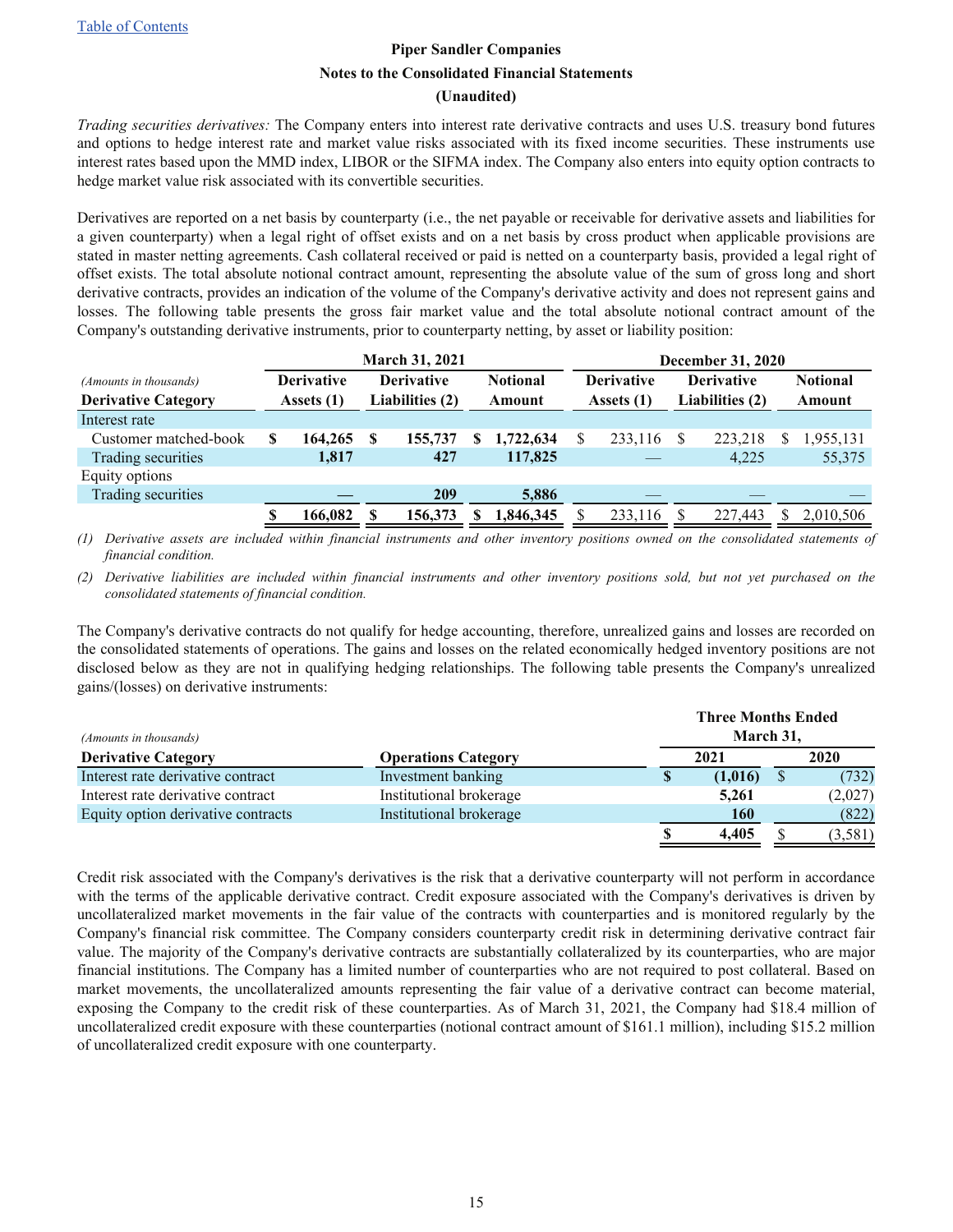#### **(Unaudited)**

*Trading securities derivatives:* The Company enters into interest rate derivative contracts and uses U.S. treasury bond futures and options to hedge interest rate and market value risks associated with its fixed income securities. These instruments use interest rates based upon the MMD index, LIBOR or the SIFMA index. The Company also enters into equity option contracts to hedge market value risk associated with its convertible securities.

Derivatives are reported on a net basis by counterparty (i.e., the net payable or receivable for derivative assets and liabilities for a given counterparty) when a legal right of offset exists and on a net basis by cross product when applicable provisions are stated in master netting agreements. Cash collateral received or paid is netted on a counterparty basis, provided a legal right of offset exists. The total absolute notional contract amount, representing the absolute value of the sum of gross long and short derivative contracts, provides an indication of the volume of the Company's derivative activity and does not represent gains and losses. The following table presents the gross fair market value and the total absolute notional contract amount of the Company's outstanding derivative instruments, prior to counterparty netting, by asset or liability position:

|                            |     |                   |                                      | <b>March 31, 2021</b> |                   |           |                   | <b>December 31, 2020</b> |                 |  |           |  |  |
|----------------------------|-----|-------------------|--------------------------------------|-----------------------|-------------------|-----------|-------------------|--------------------------|-----------------|--|-----------|--|--|
| (Amounts in thousands)     |     | <b>Derivative</b> | <b>Derivative</b><br><b>Notional</b> |                       | <b>Derivative</b> |           | <b>Derivative</b> |                          | <b>Notional</b> |  |           |  |  |
| <b>Derivative Category</b> |     | Assets (1)        | Liabilities (2)                      |                       |                   | Amount    | Assets (1)        | Liabilities (2)          |                 |  | Amount    |  |  |
| Interest rate              |     |                   |                                      |                       |                   |           |                   |                          |                 |  |           |  |  |
| Customer matched-book      | S   | 164,265           |                                      | 155,737               |                   | 1,722,634 | 233,116           |                          | 223,218         |  | 1,955,131 |  |  |
| Trading securities         |     | 1,817             |                                      | 427                   |                   | 117,825   |                   |                          | 4,225           |  | 55,375    |  |  |
| Equity options             |     |                   |                                      |                       |                   |           |                   |                          |                 |  |           |  |  |
| Trading securities         |     |                   |                                      | 209                   |                   | 5,886     |                   |                          |                 |  |           |  |  |
|                            | \$. | 166,082           | S                                    | 156,373               |                   | 1,846,345 | 233,116           |                          | 227,443         |  | 2,010,506 |  |  |

*(1) Derivative assets are included within financial instruments and other inventory positions owned on the consolidated statements of financial condition.*

*(2) Derivative liabilities are included within financial instruments and other inventory positions sold, but not yet purchased on the consolidated statements of financial condition.*

The Company's derivative contracts do not qualify for hedge accounting, therefore, unrealized gains and losses are recorded on the consolidated statements of operations. The gains and losses on the related economically hedged inventory positions are not disclosed below as they are not in qualifying hedging relationships. The following table presents the Company's unrealized gains/(losses) on derivative instruments:

| (Amounts in thousands)             |                                    |  | <b>Three Months Ended</b><br>March 31, |    |         |  |
|------------------------------------|------------------------------------|--|----------------------------------------|----|---------|--|
| <b>Derivative Category</b>         | 2021<br><b>Operations Category</b> |  |                                        |    | 2020    |  |
| Interest rate derivative contract  | Investment banking                 |  | (1,016)                                | \$ | (732)   |  |
| Interest rate derivative contract  | Institutional brokerage            |  | 5,261                                  |    | (2,027) |  |
| Equity option derivative contracts | Institutional brokerage            |  | <b>160</b>                             |    | (822)   |  |
|                                    |                                    |  | 4,405                                  |    | (3,581) |  |

Credit risk associated with the Company's derivatives is the risk that a derivative counterparty will not perform in accordance with the terms of the applicable derivative contract. Credit exposure associated with the Company's derivatives is driven by uncollateralized market movements in the fair value of the contracts with counterparties and is monitored regularly by the Company's financial risk committee. The Company considers counterparty credit risk in determining derivative contract fair value. The majority of the Company's derivative contracts are substantially collateralized by its counterparties, who are major financial institutions. The Company has a limited number of counterparties who are not required to post collateral. Based on market movements, the uncollateralized amounts representing the fair value of a derivative contract can become material, exposing the Company to the credit risk of these counterparties. As of March 31, 2021, the Company had \$18.4 million of uncollateralized credit exposure with these counterparties (notional contract amount of \$161.1 million), including \$15.2 million of uncollateralized credit exposure with one counterparty.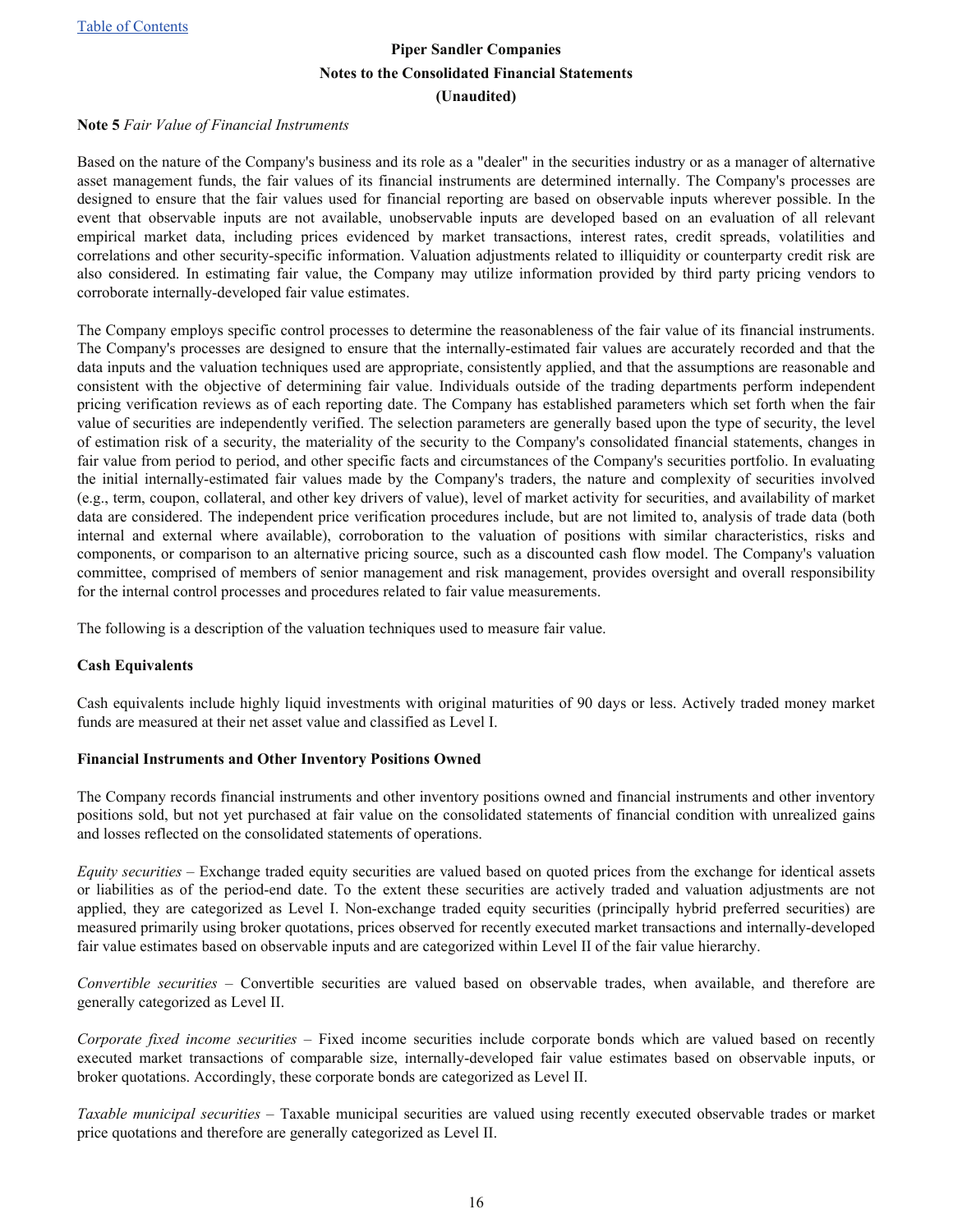#### <span id="page-15-0"></span>**Note 5** *Fair Value of Financial Instruments*

Based on the nature of the Company's business and its role as a "dealer" in the securities industry or as a manager of alternative asset management funds, the fair values of its financial instruments are determined internally. The Company's processes are designed to ensure that the fair values used for financial reporting are based on observable inputs wherever possible. In the event that observable inputs are not available, unobservable inputs are developed based on an evaluation of all relevant empirical market data, including prices evidenced by market transactions, interest rates, credit spreads, volatilities and correlations and other security-specific information. Valuation adjustments related to illiquidity or counterparty credit risk are also considered. In estimating fair value, the Company may utilize information provided by third party pricing vendors to corroborate internally-developed fair value estimates.

The Company employs specific control processes to determine the reasonableness of the fair value of its financial instruments. The Company's processes are designed to ensure that the internally-estimated fair values are accurately recorded and that the data inputs and the valuation techniques used are appropriate, consistently applied, and that the assumptions are reasonable and consistent with the objective of determining fair value. Individuals outside of the trading departments perform independent pricing verification reviews as of each reporting date. The Company has established parameters which set forth when the fair value of securities are independently verified. The selection parameters are generally based upon the type of security, the level of estimation risk of a security, the materiality of the security to the Company's consolidated financial statements, changes in fair value from period to period, and other specific facts and circumstances of the Company's securities portfolio. In evaluating the initial internally-estimated fair values made by the Company's traders, the nature and complexity of securities involved (e.g., term, coupon, collateral, and other key drivers of value), level of market activity for securities, and availability of market data are considered. The independent price verification procedures include, but are not limited to, analysis of trade data (both internal and external where available), corroboration to the valuation of positions with similar characteristics, risks and components, or comparison to an alternative pricing source, such as a discounted cash flow model. The Company's valuation committee, comprised of members of senior management and risk management, provides oversight and overall responsibility for the internal control processes and procedures related to fair value measurements.

The following is a description of the valuation techniques used to measure fair value.

#### **Cash Equivalents**

Cash equivalents include highly liquid investments with original maturities of 90 days or less. Actively traded money market funds are measured at their net asset value and classified as Level I.

#### **Financial Instruments and Other Inventory Positions Owned**

The Company records financial instruments and other inventory positions owned and financial instruments and other inventory positions sold, but not yet purchased at fair value on the consolidated statements of financial condition with unrealized gains and losses reflected on the consolidated statements of operations.

*Equity securities –* Exchange traded equity securities are valued based on quoted prices from the exchange for identical assets or liabilities as of the period-end date. To the extent these securities are actively traded and valuation adjustments are not applied, they are categorized as Level I. Non-exchange traded equity securities (principally hybrid preferred securities) are measured primarily using broker quotations, prices observed for recently executed market transactions and internally-developed fair value estimates based on observable inputs and are categorized within Level II of the fair value hierarchy.

*Convertible securities –* Convertible securities are valued based on observable trades, when available, and therefore are generally categorized as Level II.

*Corporate fixed income securities –* Fixed income securities include corporate bonds which are valued based on recently executed market transactions of comparable size, internally-developed fair value estimates based on observable inputs, or broker quotations. Accordingly, these corporate bonds are categorized as Level II.

*Taxable municipal securities –* Taxable municipal securities are valued using recently executed observable trades or market price quotations and therefore are generally categorized as Level II.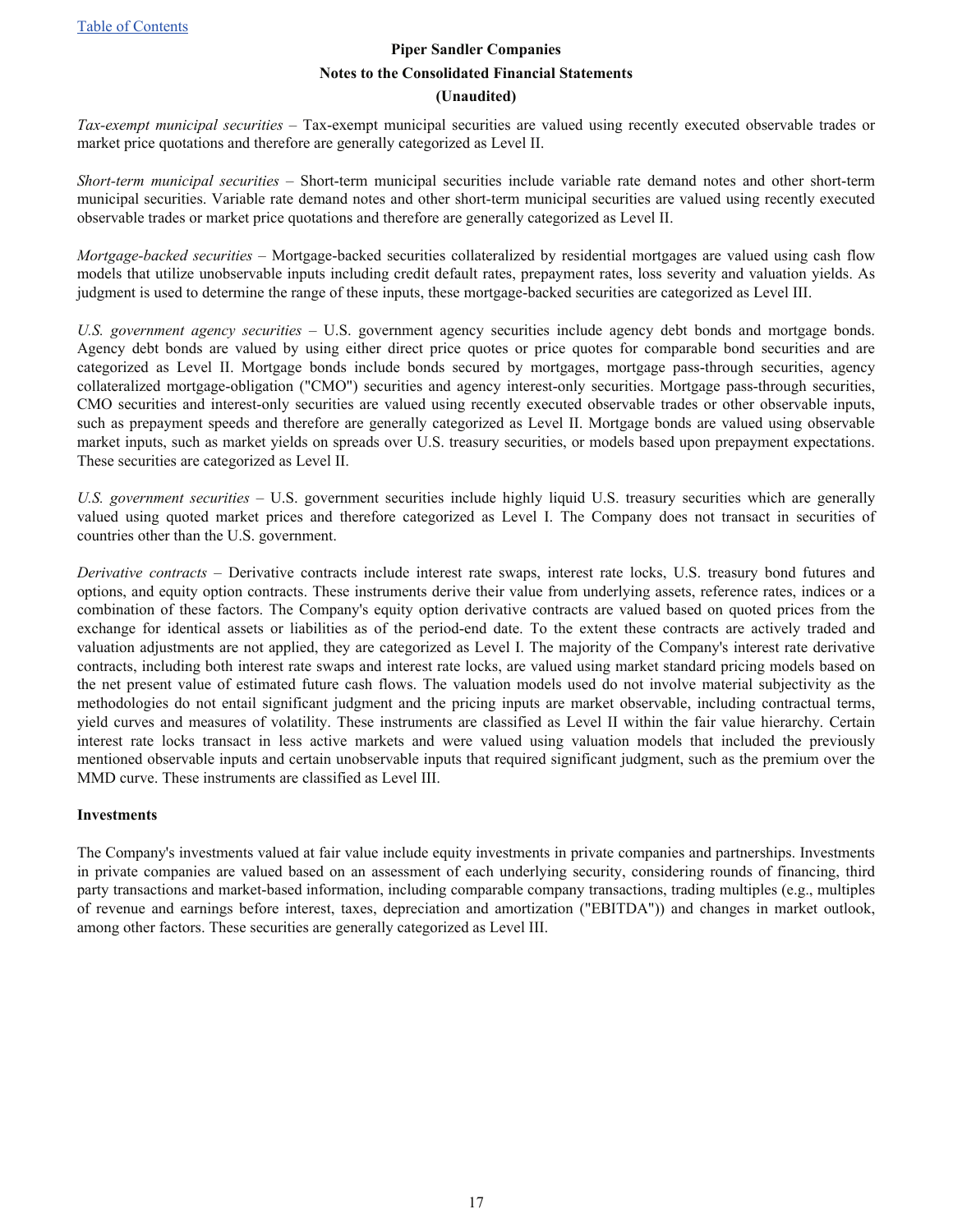*Tax-exempt municipal securities –* Tax-exempt municipal securities are valued using recently executed observable trades or market price quotations and therefore are generally categorized as Level II.

*Short-term municipal securities –* Short-term municipal securities include variable rate demand notes and other short-term municipal securities. Variable rate demand notes and other short-term municipal securities are valued using recently executed observable trades or market price quotations and therefore are generally categorized as Level II.

*Mortgage-backed securities –* Mortgage-backed securities collateralized by residential mortgages are valued using cash flow models that utilize unobservable inputs including credit default rates, prepayment rates, loss severity and valuation yields. As judgment is used to determine the range of these inputs, these mortgage-backed securities are categorized as Level III.

*U.S. government agency securities –* U.S. government agency securities include agency debt bonds and mortgage bonds. Agency debt bonds are valued by using either direct price quotes or price quotes for comparable bond securities and are categorized as Level II. Mortgage bonds include bonds secured by mortgages, mortgage pass-through securities, agency collateralized mortgage-obligation ("CMO") securities and agency interest-only securities. Mortgage pass-through securities, CMO securities and interest-only securities are valued using recently executed observable trades or other observable inputs, such as prepayment speeds and therefore are generally categorized as Level II. Mortgage bonds are valued using observable market inputs, such as market yields on spreads over U.S. treasury securities, or models based upon prepayment expectations. These securities are categorized as Level II.

*U.S. government securities –* U.S. government securities include highly liquid U.S. treasury securities which are generally valued using quoted market prices and therefore categorized as Level I. The Company does not transact in securities of countries other than the U.S. government.

*Derivative contracts –* Derivative contracts include interest rate swaps, interest rate locks, U.S. treasury bond futures and options, and equity option contracts. These instruments derive their value from underlying assets, reference rates, indices or a combination of these factors. The Company's equity option derivative contracts are valued based on quoted prices from the exchange for identical assets or liabilities as of the period-end date. To the extent these contracts are actively traded and valuation adjustments are not applied, they are categorized as Level I. The majority of the Company's interest rate derivative contracts, including both interest rate swaps and interest rate locks, are valued using market standard pricing models based on the net present value of estimated future cash flows. The valuation models used do not involve material subjectivity as the methodologies do not entail significant judgment and the pricing inputs are market observable, including contractual terms, yield curves and measures of volatility. These instruments are classified as Level II within the fair value hierarchy. Certain interest rate locks transact in less active markets and were valued using valuation models that included the previously mentioned observable inputs and certain unobservable inputs that required significant judgment, such as the premium over the MMD curve. These instruments are classified as Level III.

#### **Investments**

The Company's investments valued at fair value include equity investments in private companies and partnerships. Investments in private companies are valued based on an assessment of each underlying security, considering rounds of financing, third party transactions and market-based information, including comparable company transactions, trading multiples (e.g., multiples of revenue and earnings before interest, taxes, depreciation and amortization ("EBITDA")) and changes in market outlook, among other factors. These securities are generally categorized as Level III.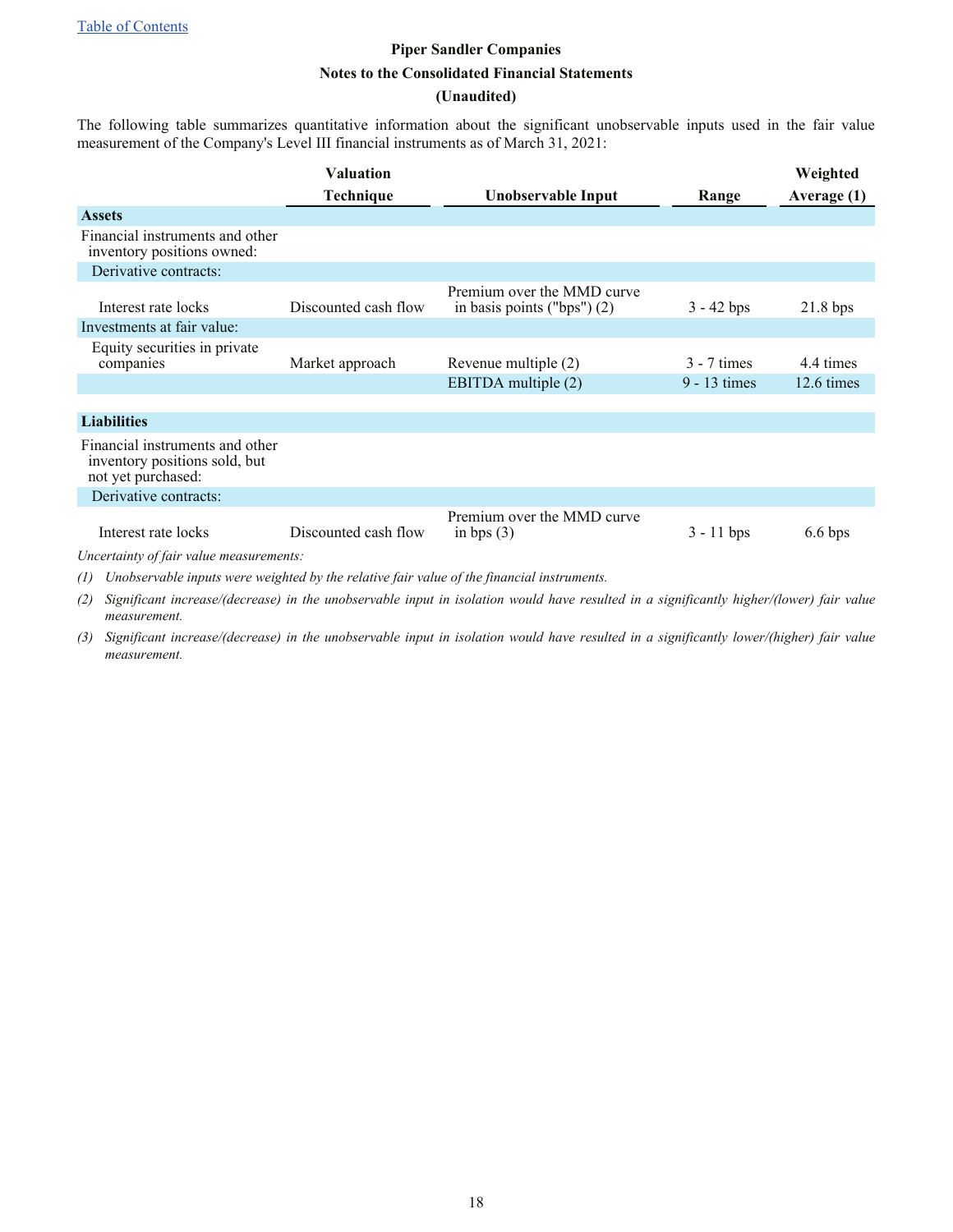#### **(Unaudited)**

The following table summarizes quantitative information about the significant unobservable inputs used in the fair value measurement of the Company's Level III financial instruments as of March 31, 2021:

|                                                                                        | <b>Valuation</b>     |                                                             |                | Weighted          |
|----------------------------------------------------------------------------------------|----------------------|-------------------------------------------------------------|----------------|-------------------|
|                                                                                        | Technique            | Unobservable Input                                          | Range          | Average (1)       |
| <b>Assets</b>                                                                          |                      |                                                             |                |                   |
| Financial instruments and other<br>inventory positions owned:                          |                      |                                                             |                |                   |
| Derivative contracts:                                                                  |                      |                                                             |                |                   |
| Interest rate locks                                                                    | Discounted cash flow | Premium over the MMD curve<br>in basis points ("bps") $(2)$ | $3 - 42$ bps   | $21.8$ bps        |
| Investments at fair value:                                                             |                      |                                                             |                |                   |
| Equity securities in private<br>companies                                              | Market approach      | Revenue multiple (2)                                        | $3 - 7$ times  | 4.4 times         |
|                                                                                        |                      | EBITDA multiple (2)                                         | $9 - 13$ times | 12.6 times        |
|                                                                                        |                      |                                                             |                |                   |
| <b>Liabilities</b>                                                                     |                      |                                                             |                |                   |
| Financial instruments and other<br>inventory positions sold, but<br>not yet purchased: |                      |                                                             |                |                   |
| Derivative contracts:                                                                  |                      |                                                             |                |                   |
| Interest rate locks                                                                    | Discounted cash flow | Premium over the MMD curve<br>in bps $(3)$                  | $3 - 11$ bps   | $6.6 \text{ bps}$ |
| Uncertainty of fair value measurements:                                                |                      |                                                             |                |                   |

*(1) Unobservable inputs were weighted by the relative fair value of the financial instruments.*

*(2) Significant increase/(decrease) in the unobservable input in isolation would have resulted in a significantly higher/(lower) fair value measurement.*

*(3) Significant increase/(decrease) in the unobservable input in isolation would have resulted in a significantly lower/(higher) fair value measurement.*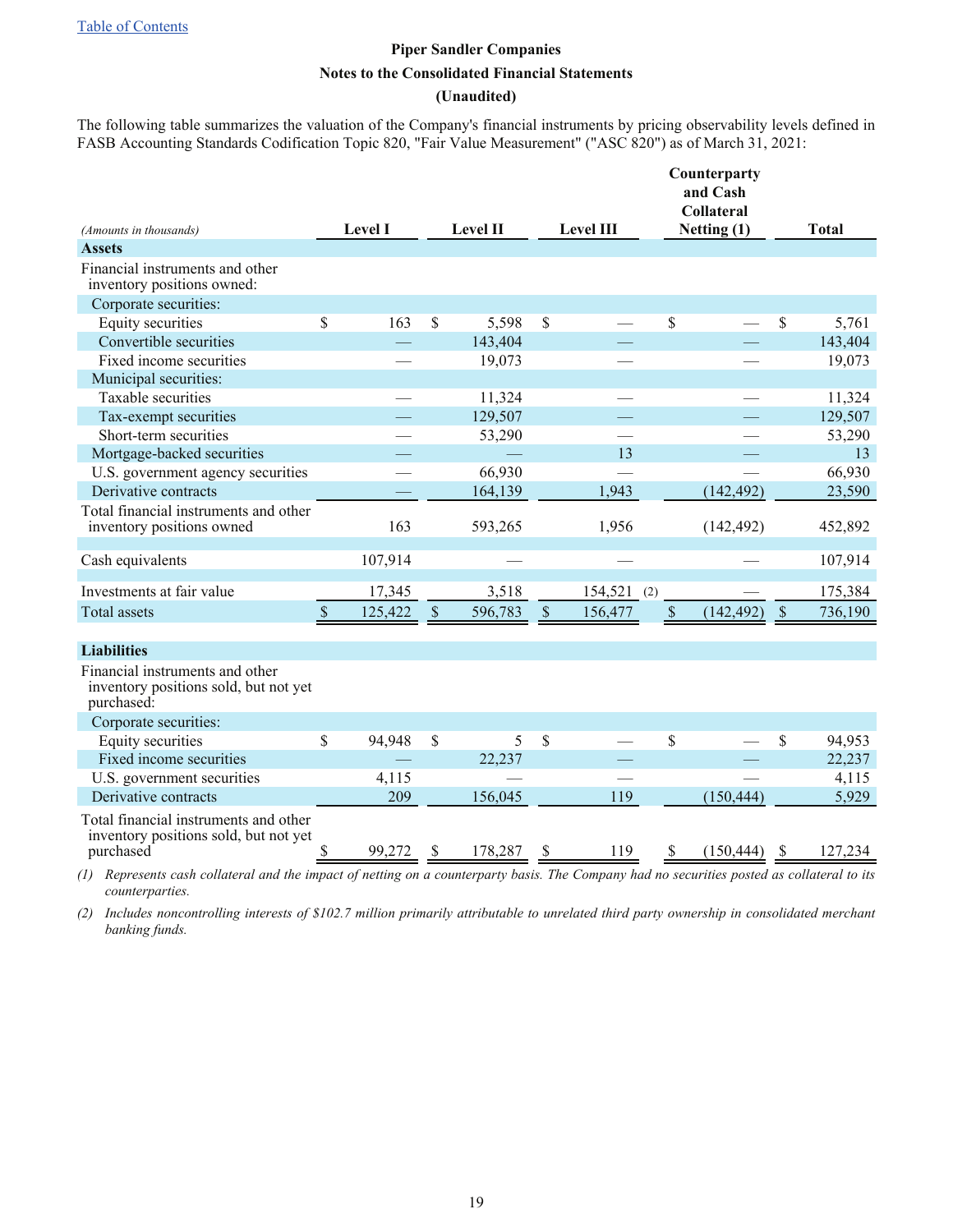**(Unaudited)**

The following table summarizes the valuation of the Company's financial instruments by pricing observability levels defined in FASB Accounting Standards Codification Topic 820, "Fair Value Measurement" ("ASC 820") as of March 31, 2021:

|                                                                                             |               |                |                 |         |               |                  |             | Counterparty<br>and Cash<br><b>Collateral</b> |              |         |  |
|---------------------------------------------------------------------------------------------|---------------|----------------|-----------------|---------|---------------|------------------|-------------|-----------------------------------------------|--------------|---------|--|
| (Amounts in thousands)                                                                      |               | <b>Level I</b> | <b>Level II</b> |         |               | <b>Level III</b> |             | Netting (1)                                   | <b>Total</b> |         |  |
| <b>Assets</b>                                                                               |               |                |                 |         |               |                  |             |                                               |              |         |  |
| Financial instruments and other<br>inventory positions owned:                               |               |                |                 |         |               |                  |             |                                               |              |         |  |
| Corporate securities:                                                                       |               |                |                 |         |               |                  |             |                                               |              |         |  |
| Equity securities                                                                           | \$            | 163            | \$              | 5,598   | \$            |                  | \$          |                                               | \$           | 5,761   |  |
| Convertible securities                                                                      |               |                |                 | 143,404 |               |                  |             |                                               |              | 143,404 |  |
| Fixed income securities                                                                     |               |                |                 | 19,073  |               |                  |             |                                               |              | 19,073  |  |
| Municipal securities:                                                                       |               |                |                 |         |               |                  |             |                                               |              |         |  |
| Taxable securities                                                                          |               |                |                 | 11,324  |               |                  |             |                                               |              | 11,324  |  |
| Tax-exempt securities                                                                       |               |                |                 | 129,507 |               |                  |             |                                               |              | 129,507 |  |
| Short-term securities                                                                       |               |                |                 | 53,290  |               |                  |             |                                               |              | 53,290  |  |
| Mortgage-backed securities                                                                  |               |                |                 |         |               | 13               |             |                                               |              | 13      |  |
| U.S. government agency securities                                                           |               |                |                 | 66,930  |               |                  |             |                                               |              | 66,930  |  |
| Derivative contracts                                                                        |               |                |                 | 164,139 |               | 1,943            |             | (142, 492)                                    |              | 23,590  |  |
| Total financial instruments and other<br>inventory positions owned                          |               | 163            |                 | 593,265 |               | 1,956            |             | (142, 492)                                    |              | 452,892 |  |
| Cash equivalents                                                                            |               | 107,914        |                 |         |               |                  |             |                                               |              | 107,914 |  |
|                                                                                             |               |                |                 |         |               |                  |             |                                               |              |         |  |
| Investments at fair value                                                                   |               | 17,345         |                 | 3,518   |               | 154,521<br>(2)   |             |                                               |              | 175,384 |  |
| <b>Total assets</b>                                                                         | $\mathcal{S}$ | 125,422        | $\sqrt{\ }$     | 596,783 | $\mathcal{S}$ | 156,477          | $\sqrt{\ }$ | (142, 492)                                    | $\sqrt{\ }$  | 736,190 |  |
| <b>Liabilities</b>                                                                          |               |                |                 |         |               |                  |             |                                               |              |         |  |
| Financial instruments and other<br>inventory positions sold, but not yet<br>purchased:      |               |                |                 |         |               |                  |             |                                               |              |         |  |
| Corporate securities:                                                                       |               |                |                 |         |               |                  |             |                                               |              |         |  |
| Equity securities                                                                           | \$            | 94,948         | \$              | 5       | \$            |                  | \$          |                                               | \$           | 94,953  |  |
| Fixed income securities                                                                     |               |                |                 | 22,237  |               |                  |             |                                               |              | 22,237  |  |
| U.S. government securities                                                                  |               | 4,115          |                 |         |               |                  |             |                                               |              | 4,115   |  |
| Derivative contracts                                                                        |               | 209            |                 | 156,045 |               | 119              |             | (150, 444)                                    |              | 5,929   |  |
| Total financial instruments and other<br>inventory positions sold, but not yet<br>purchased | \$            | 99,272         |                 | 178,287 |               | 119              | S.          | (150, 444)                                    |              | 127,234 |  |
|                                                                                             |               |                |                 |         |               |                  |             |                                               |              |         |  |

*(1) Represents cash collateral and the impact of netting on a counterparty basis. The Company had no securities posted as collateral to its counterparties.*

*(2) Includes noncontrolling interests of \$102.7 million primarily attributable to unrelated third party ownership in consolidated merchant banking funds.*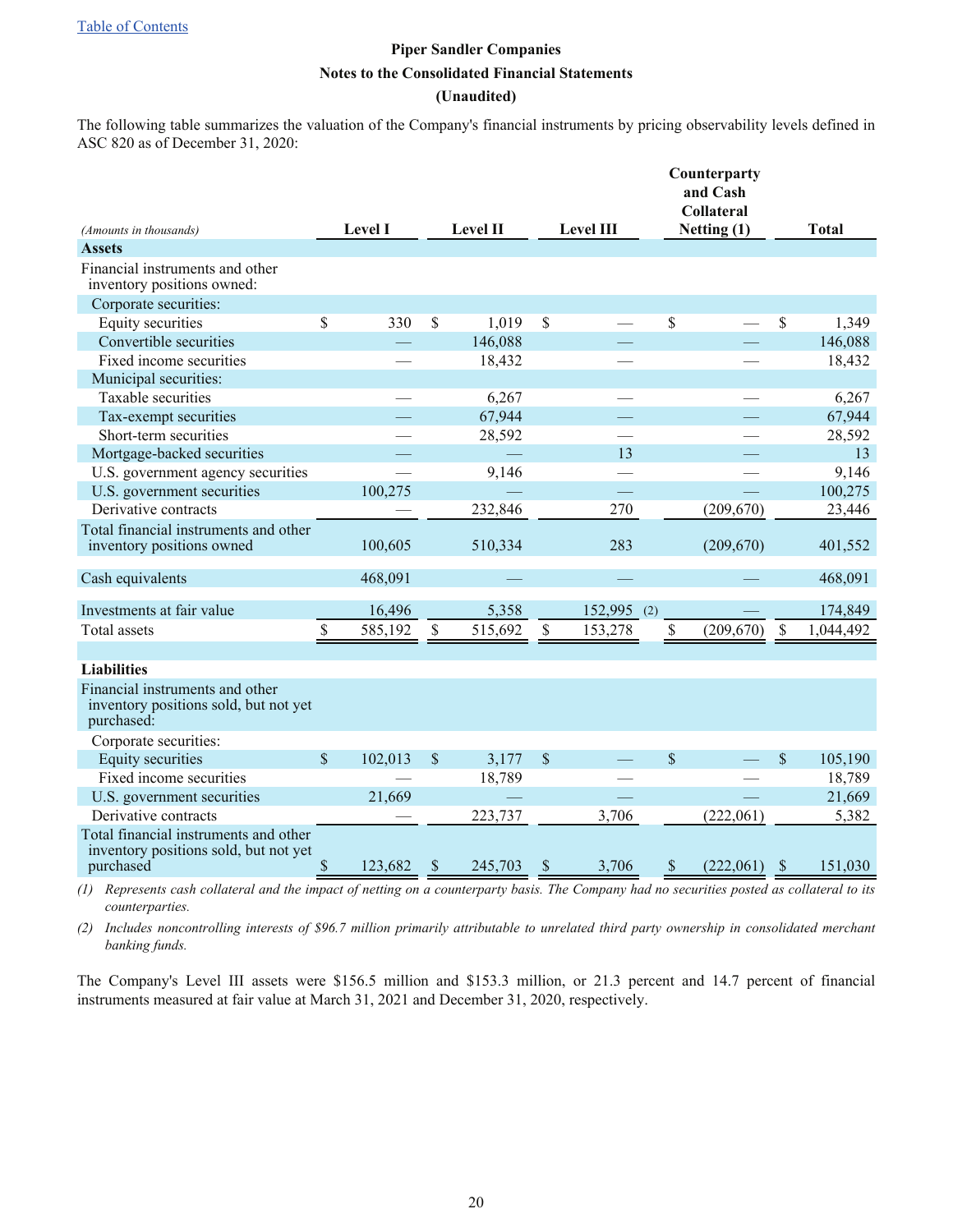[Table of Contents](#page-1-0)

## **Piper Sandler Companies Notes to the Consolidated Financial Statements (Unaudited)**

The following table summarizes the valuation of the Company's financial instruments by pricing observability levels defined in ASC 820 as of December 31, 2020:

|                                                                                        |               |                |              |                 |               |                  | Counterparty<br>and Cash<br><b>Collateral</b> |               |              |
|----------------------------------------------------------------------------------------|---------------|----------------|--------------|-----------------|---------------|------------------|-----------------------------------------------|---------------|--------------|
| (Amounts in thousands)                                                                 |               | <b>Level I</b> |              | <b>Level II</b> |               | <b>Level III</b> | Netting (1)                                   |               | <b>Total</b> |
| <b>Assets</b>                                                                          |               |                |              |                 |               |                  |                                               |               |              |
| Financial instruments and other<br>inventory positions owned:                          |               |                |              |                 |               |                  |                                               |               |              |
| Corporate securities:                                                                  |               |                |              |                 |               |                  |                                               |               |              |
| Equity securities                                                                      | \$            | 330            | \$           | 1,019           | \$            |                  | \$                                            | \$            | 1,349        |
| Convertible securities                                                                 |               |                |              | 146,088         |               |                  |                                               |               | 146,088      |
| Fixed income securities                                                                |               |                |              | 18,432          |               |                  |                                               |               | 18,432       |
| Municipal securities:                                                                  |               |                |              |                 |               |                  |                                               |               |              |
| Taxable securities                                                                     |               |                |              | 6,267           |               |                  |                                               |               | 6,267        |
| Tax-exempt securities                                                                  |               |                |              | 67,944          |               |                  |                                               |               | 67,944       |
| Short-term securities                                                                  |               |                |              | 28,592          |               |                  |                                               |               | 28,592       |
| Mortgage-backed securities                                                             |               |                |              |                 |               | 13               |                                               |               | 13           |
| U.S. government agency securities                                                      |               |                |              | 9,146           |               |                  |                                               |               | 9,146        |
| U.S. government securities                                                             |               | 100,275        |              |                 |               |                  |                                               |               | 100,275      |
| Derivative contracts                                                                   |               |                |              | 232,846         |               | 270              | (209, 670)                                    |               | 23,446       |
| Total financial instruments and other<br>inventory positions owned                     |               | 100,605        |              | 510,334         |               | 283              | (209,670)                                     |               | 401,552      |
| Cash equivalents                                                                       |               | 468,091        |              |                 |               |                  |                                               |               | 468,091      |
| Investments at fair value                                                              |               | 16,496         |              | 5,358           |               | 152,995 (2)      |                                               |               | 174,849      |
| <b>Total assets</b>                                                                    | \$            | 585,192        | \$           | 515,692         | \$            | 153,278          | \$<br>(209, 670)                              | $\mathcal{S}$ | 1,044,492    |
| <b>Liabilities</b>                                                                     |               |                |              |                 |               |                  |                                               |               |              |
|                                                                                        |               |                |              |                 |               |                  |                                               |               |              |
| Financial instruments and other<br>inventory positions sold, but not yet<br>purchased: |               |                |              |                 |               |                  |                                               |               |              |
| Corporate securities:                                                                  |               |                |              |                 |               |                  |                                               |               |              |
| Equity securities                                                                      | $\mathcal{S}$ | 102,013        | \$           | 3,177           | $\mathcal{S}$ |                  | $\mathcal{S}$                                 | \$            | 105,190      |
| Fixed income securities                                                                |               |                |              | 18,789          |               |                  |                                               |               | 18,789       |
| U.S. government securities                                                             |               | 21,669         |              |                 |               |                  |                                               |               | 21,669       |
| Derivative contracts                                                                   |               |                |              | 223,737         |               | 3,706            | (222,061)                                     |               | 5,382        |
| Total financial instruments and other<br>inventory positions sold, but not yet         |               |                |              |                 |               |                  |                                               |               |              |
| purchased                                                                              | \$            | 123,682        | <sup>S</sup> | 245,703         | S             | 3,706            | (222,061)<br><sup>S</sup>                     | <sup>S</sup>  | 151,030      |

*(1) Represents cash collateral and the impact of netting on a counterparty basis. The Company had no securities posted as collateral to its counterparties.*

*(2) Includes noncontrolling interests of \$96.7 million primarily attributable to unrelated third party ownership in consolidated merchant banking funds.*

The Company's Level III assets were \$156.5 million and \$153.3 million, or 21.3 percent and 14.7 percent of financial instruments measured at fair value at March 31, 2021 and December 31, 2020, respectively.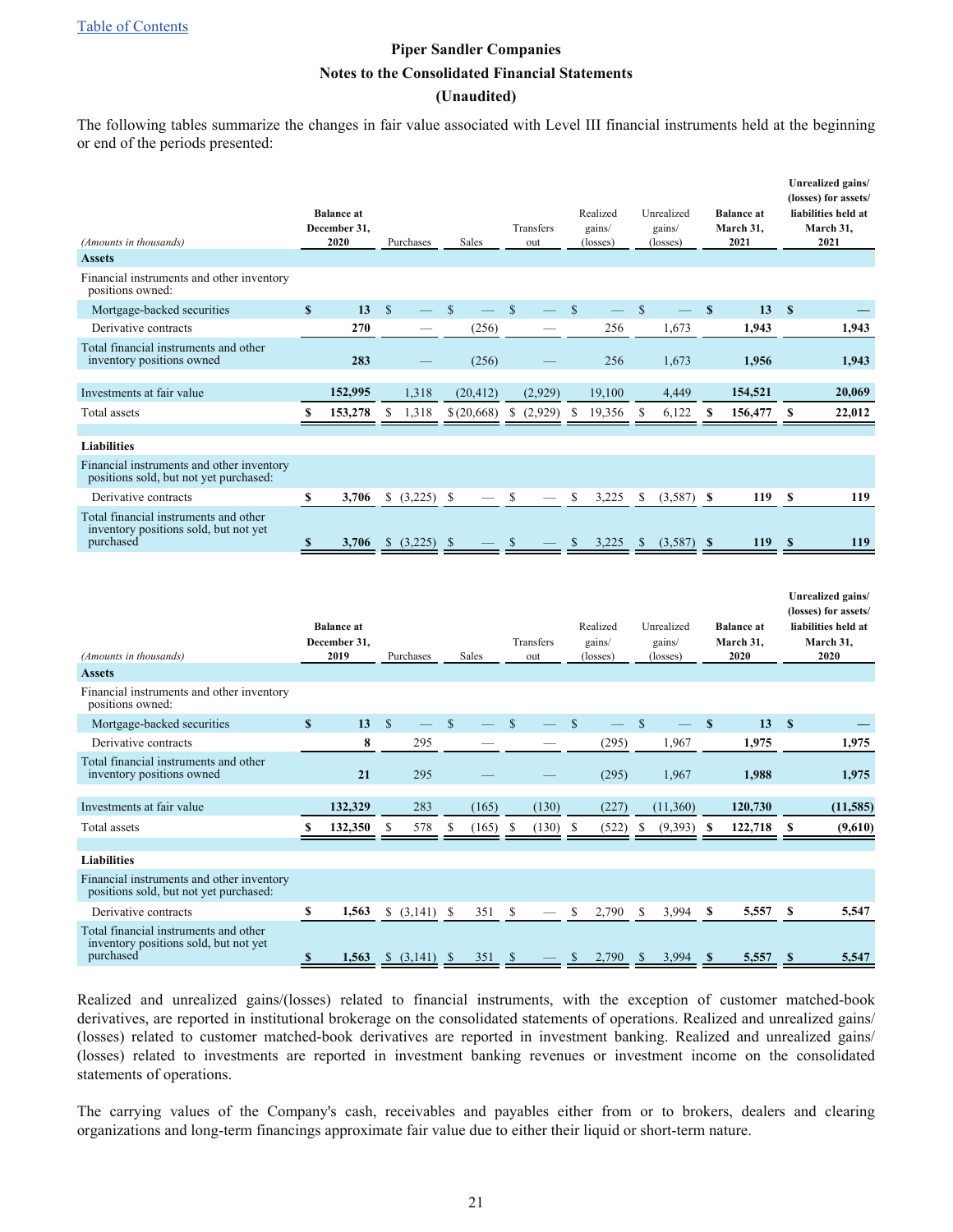[Table of Contents](#page-1-0)

## **Piper Sandler Companies Notes to the Consolidated Financial Statements (Unaudited)**

The following tables summarize the changes in fair value associated with Level III financial instruments held at the beginning or end of the periods presented:

| (Amounts in thousands)                                                                      |              | <b>Balance</b> at<br>December 31,<br>2020 |              | Purchases |               | <b>Sales</b> |               | Transfers<br>out |               | Realized<br>gains/<br>(losses) |               | Unrealized<br>gains/<br>(losses) |              | <b>Balance</b> at<br>March 31.<br>2021 |                           | Unrealized gains/<br>(losses) for assets/<br>liabilities held at<br>March 31,<br>2021 |
|---------------------------------------------------------------------------------------------|--------------|-------------------------------------------|--------------|-----------|---------------|--------------|---------------|------------------|---------------|--------------------------------|---------------|----------------------------------|--------------|----------------------------------------|---------------------------|---------------------------------------------------------------------------------------|
| <b>Assets</b>                                                                               |              |                                           |              |           |               |              |               |                  |               |                                |               |                                  |              |                                        |                           |                                                                                       |
| Financial instruments and other inventory<br>positions owned:                               |              |                                           |              |           |               |              |               |                  |               |                                |               |                                  |              |                                        |                           |                                                                                       |
| Mortgage-backed securities                                                                  | $\mathbf{s}$ | 13                                        | $\mathbf S$  |           | $\mathbf S$   |              | $\mathbf S$   |                  | $\mathbf S$   |                                | <sup>S</sup>  |                                  | $\mathbf{s}$ | 13                                     | $\mathbf{s}$              |                                                                                       |
| Derivative contracts                                                                        |              | 270                                       |              |           |               | (256)        |               |                  |               | 256                            |               | 1,673                            |              | 1,943                                  |                           | 1,943                                                                                 |
| Total financial instruments and other<br>inventory positions owned                          |              | 283                                       |              |           |               | (256)        |               |                  |               | 256                            |               | 1,673                            |              | 1,956                                  |                           | 1,943                                                                                 |
| Investments at fair value                                                                   |              | 152,995                                   |              | 1,318     |               | (20, 412)    |               | (2,929)          |               | 19,100                         |               | 4,449                            |              | 154,521                                |                           | 20,069                                                                                |
| Total assets                                                                                | \$           | 153,278                                   | \$           | 1,318     |               | \$(20,668)   | \$            | (2,929)          | \$            | 19,356                         | S             | 6,122                            | \$           | 156,477                                | \$                        | 22,012                                                                                |
|                                                                                             |              |                                           |              |           |               |              |               |                  |               |                                |               |                                  |              |                                        |                           |                                                                                       |
| <b>Liabilities</b>                                                                          |              |                                           |              |           |               |              |               |                  |               |                                |               |                                  |              |                                        |                           |                                                                                       |
| Financial instruments and other inventory<br>positions sold, but not yet purchased:         |              |                                           |              |           |               |              |               |                  |               |                                |               |                                  |              |                                        |                           |                                                                                       |
| Derivative contracts                                                                        | \$           | 3,706                                     |              | (3,225)   | \$            |              | \$            |                  | \$            | 3,225                          | \$            | (3,587)                          | \$           | 119                                    | \$                        | 119                                                                                   |
| Total financial instruments and other<br>inventory positions sold, but not yet<br>purchased | S            | 3,706                                     |              | (3,225)   | - \$          |              |               |                  | \$            | 3,225                          | <sup>\$</sup> | (3,587)                          | - \$         | 119                                    | $\boldsymbol{\mathsf{s}}$ | 119                                                                                   |
| (Amounts in thousands)                                                                      |              | <b>Balance</b> at<br>December 31,<br>2019 |              | Purchases |               | Sales        |               | Transfers<br>out |               | Realized<br>gains/<br>(losses) |               | Unrealized<br>gains/<br>(losses) |              | <b>Balance</b> at<br>March 31,<br>2020 |                           | Unrealized gains/<br>(losses) for assets/<br>liabilities held at<br>March 31,<br>2020 |
| <b>Assets</b>                                                                               |              |                                           |              |           |               |              |               |                  |               |                                |               |                                  |              |                                        |                           |                                                                                       |
| Financial instruments and other inventory<br>positions owned:                               |              |                                           |              |           |               |              |               |                  |               |                                |               |                                  |              |                                        |                           |                                                                                       |
| Mortgage-backed securities                                                                  | $\mathbf{s}$ | 13                                        | $\mathbb{S}$ |           | $\mathbb{S}$  |              | $\mathcal{S}$ |                  | \$            |                                | $\mathcal{S}$ |                                  | $\mathbf{s}$ | 13                                     | \$                        |                                                                                       |
| Derivative contracts                                                                        |              | 8                                         |              | 295       |               |              |               |                  |               | (295)                          |               | 1,967                            |              | 1,975                                  |                           | 1,975                                                                                 |
| Total financial instruments and other<br>inventory positions owned                          |              | 21                                        |              | 295       |               |              |               |                  |               | (295)                          |               | 1,967                            |              | 1,988                                  |                           | 1,975                                                                                 |
| Investments at fair value                                                                   |              | 132.329                                   |              | 283       |               | (165)        |               | (130)            |               | (227)                          |               | (11,360)                         |              | 120,730                                |                           | (11, 585)                                                                             |
| Total assets                                                                                | \$           | 132,350                                   | \$           | 578       | \$            | (165)        | \$            | (130)            | <sup>\$</sup> | (522)                          | S             | (9,393)                          | \$           | 122,718                                | \$                        | (9,610)                                                                               |
|                                                                                             |              |                                           |              |           |               |              |               |                  |               |                                |               |                                  |              |                                        |                           |                                                                                       |
| <b>Liabilities</b>                                                                          |              |                                           |              |           |               |              |               |                  |               |                                |               |                                  |              |                                        |                           |                                                                                       |
| Financial instruments and other inventory<br>positions sold, but not yet purchased:         |              |                                           |              |           |               |              |               |                  |               |                                |               |                                  |              |                                        |                           |                                                                                       |
| Derivative contracts                                                                        | S            | 1,563                                     |              | (3,141)   | -S            | 351          | \$            |                  | \$            | 2,790                          | S             | 3,994                            | \$           | 5,557                                  | \$                        | 5,547                                                                                 |
| Total financial instruments and other<br>inventory positions sold, but not yet<br>purchased | \$           | 1,563                                     | \$           | (3,141)   | $\mathcal{S}$ | 351          | S             |                  | \$            | 2.790                          |               | 3.994                            | S            | 5,557                                  | \$                        | 5,547                                                                                 |

Realized and unrealized gains/(losses) related to financial instruments, with the exception of customer matched-book derivatives, are reported in institutional brokerage on the consolidated statements of operations. Realized and unrealized gains/ (losses) related to customer matched-book derivatives are reported in investment banking. Realized and unrealized gains/ (losses) related to investments are reported in investment banking revenues or investment income on the consolidated statements of operations.

The carrying values of the Company's cash, receivables and payables either from or to brokers, dealers and clearing organizations and long-term financings approximate fair value due to either their liquid or short-term nature.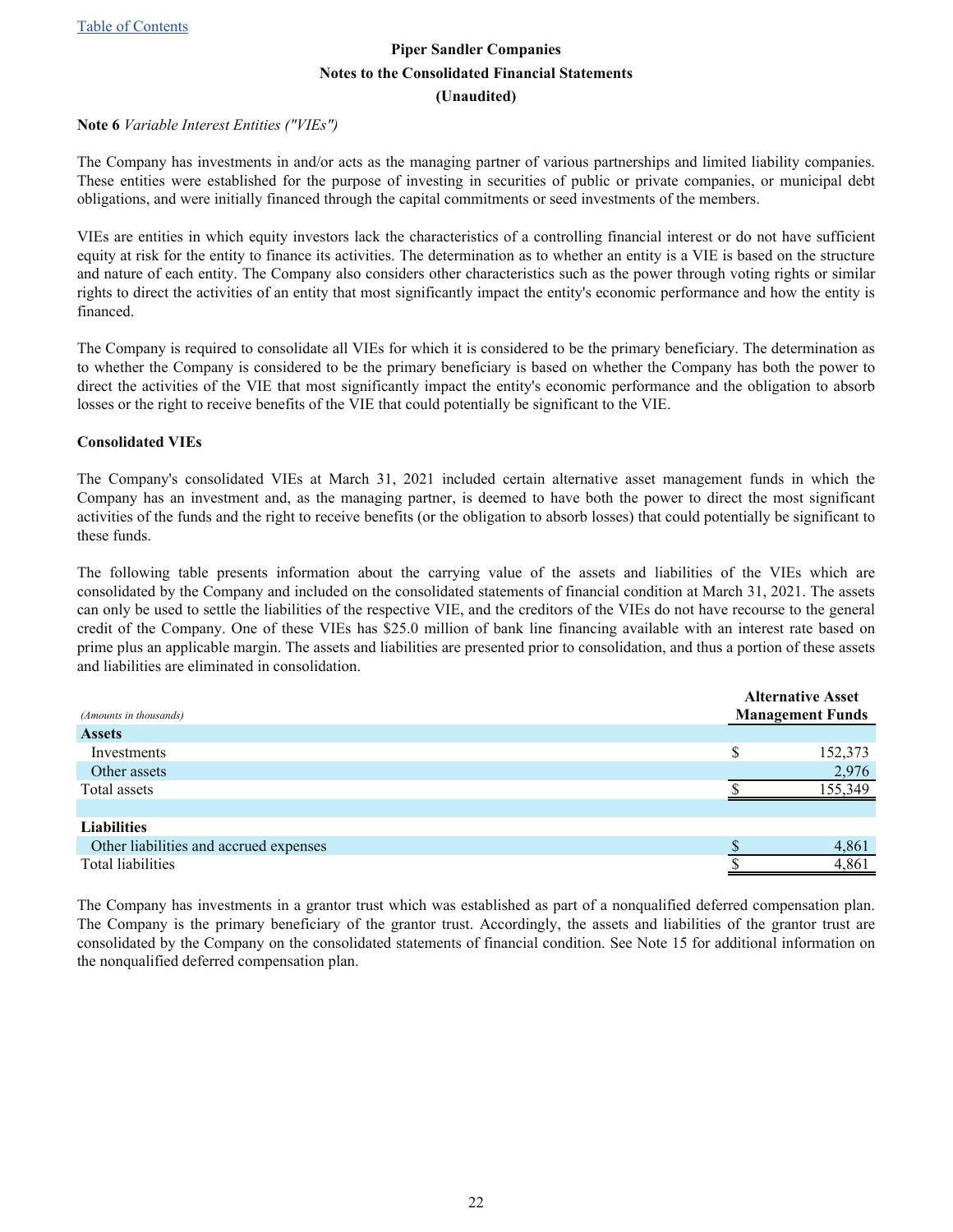#### <span id="page-21-0"></span>**Note 6** *Variable Interest Entities ("VIEs")*

The Company has investments in and/or acts as the managing partner of various partnerships and limited liability companies. These entities were established for the purpose of investing in securities of public or private companies, or municipal debt obligations, and were initially financed through the capital commitments or seed investments of the members.

VIEs are entities in which equity investors lack the characteristics of a controlling financial interest or do not have sufficient equity at risk for the entity to finance its activities. The determination as to whether an entity is a VIE is based on the structure and nature of each entity. The Company also considers other characteristics such as the power through voting rights or similar rights to direct the activities of an entity that most significantly impact the entity's economic performance and how the entity is financed.

The Company is required to consolidate all VIEs for which it is considered to be the primary beneficiary. The determination as to whether the Company is considered to be the primary beneficiary is based on whether the Company has both the power to direct the activities of the VIE that most significantly impact the entity's economic performance and the obligation to absorb losses or the right to receive benefits of the VIE that could potentially be significant to the VIE.

#### **Consolidated VIEs**

The Company's consolidated VIEs at March 31, 2021 included certain alternative asset management funds in which the Company has an investment and, as the managing partner, is deemed to have both the power to direct the most significant activities of the funds and the right to receive benefits (or the obligation to absorb losses) that could potentially be significant to these funds.

The following table presents information about the carrying value of the assets and liabilities of the VIEs which are consolidated by the Company and included on the consolidated statements of financial condition at March 31, 2021. The assets can only be used to settle the liabilities of the respective VIE, and the creditors of the VIEs do not have recourse to the general credit of the Company. One of these VIEs has \$25.0 million of bank line financing available with an interest rate based on prime plus an applicable margin. The assets and liabilities are presented prior to consolidation, and thus a portion of these assets and liabilities are eliminated in consolidation.

|                                        | <b>Alternative Asset</b> |
|----------------------------------------|--------------------------|
| (Amounts in thousands)                 | <b>Management Funds</b>  |
| <b>Assets</b>                          |                          |
| Investments                            | 152,373                  |
| Other assets                           | 2,976                    |
| Total assets                           | 155.349                  |
|                                        |                          |
| <b>Liabilities</b>                     |                          |
| Other liabilities and accrued expenses | 4,861                    |
| Total liabilities                      | 4,861                    |
|                                        |                          |

The Company has investments in a grantor trust which was established as part of a nonqualified deferred compensation plan. The Company is the primary beneficiary of the grantor trust. Accordingly, the assets and liabilities of the grantor trust are consolidated by the Company on the consolidated statements of financial condition. See Note 15 for additional information on the nonqualified deferred compensation plan.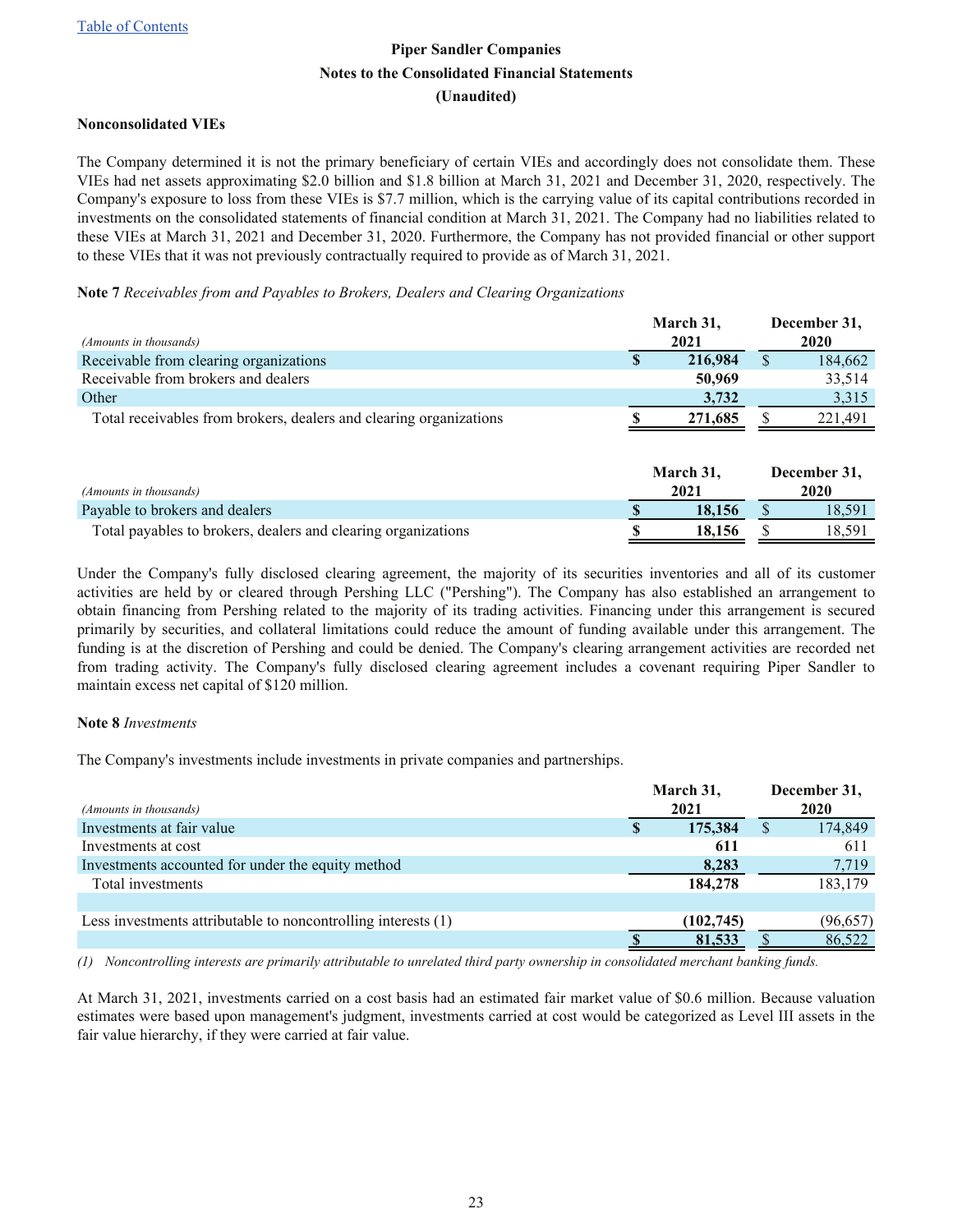#### <span id="page-22-0"></span>**Nonconsolidated VIEs**

The Company determined it is not the primary beneficiary of certain VIEs and accordingly does not consolidate them. These VIEs had net assets approximating \$2.0 billion and \$1.8 billion at March 31, 2021 and December 31, 2020, respectively. The Company's exposure to loss from these VIEs is \$7.7 million, which is the carrying value of its capital contributions recorded in investments on the consolidated statements of financial condition at March 31, 2021. The Company had no liabilities related to these VIEs at March 31, 2021 and December 31, 2020. Furthermore, the Company has not provided financial or other support to these VIEs that it was not previously contractually required to provide as of March 31, 2021.

#### **Note 7** *Receivables from and Payables to Brokers, Dealers and Clearing Organizations*

|                                                                    |   | March 31, | December 31, |
|--------------------------------------------------------------------|---|-----------|--------------|
| (Amounts in thousands)                                             |   | 2021      | <b>2020</b>  |
| Receivable from clearing organizations                             | S | 216,984   | 184,662      |
| Receivable from brokers and dealers                                |   | 50,969    | 33,514       |
| Other                                                              |   | 3,732     | 3,315        |
| Total receivables from brokers, dealers and clearing organizations |   | 271,685   | 221,491      |
|                                                                    |   | March 31, | December 31, |
| (Amounts in thousands)                                             |   | 2021      | 2020         |
| Payable to brokers and dealers                                     |   | 18,156    | 18,591       |

Total payables to brokers, dealers and clearing organizations **\$** 18,156 \$ 18,591

Under the Company's fully disclosed clearing agreement, the majority of its securities inventories and all of its customer activities are held by or cleared through Pershing LLC ("Pershing"). The Company has also established an arrangement to obtain financing from Pershing related to the majority of its trading activities. Financing under this arrangement is secured primarily by securities, and collateral limitations could reduce the amount of funding available under this arrangement. The funding is at the discretion of Pershing and could be denied. The Company's clearing arrangement activities are recorded net from trading activity. The Company's fully disclosed clearing agreement includes a covenant requiring Piper Sandler to maintain excess net capital of \$120 million.

#### **Note 8** *Investments*

The Company's investments include investments in private companies and partnerships.

| <i>(Amounts in thousands)</i>                                 | March 31,<br>2021 |            | December 31,<br>2020 |          |
|---------------------------------------------------------------|-------------------|------------|----------------------|----------|
| Investments at fair value                                     | S                 | 175,384    | <sup>S</sup>         | 174,849  |
| Investments at cost                                           |                   | 611        |                      | 611      |
| Investments accounted for under the equity method             |                   | 8,283      |                      | 7,719    |
| Total investments                                             |                   | 184,278    |                      | 183,179  |
|                                                               |                   |            |                      |          |
| Less investments attributable to noncontrolling interests (1) |                   | (102, 745) |                      | (96,657) |
|                                                               |                   | 81,533     |                      | 86,522   |

*(1) Noncontrolling interests are primarily attributable to unrelated third party ownership in consolidated merchant banking funds.*

At March 31, 2021, investments carried on a cost basis had an estimated fair market value of \$0.6 million. Because valuation estimates were based upon management's judgment, investments carried at cost would be categorized as Level III assets in the fair value hierarchy, if they were carried at fair value.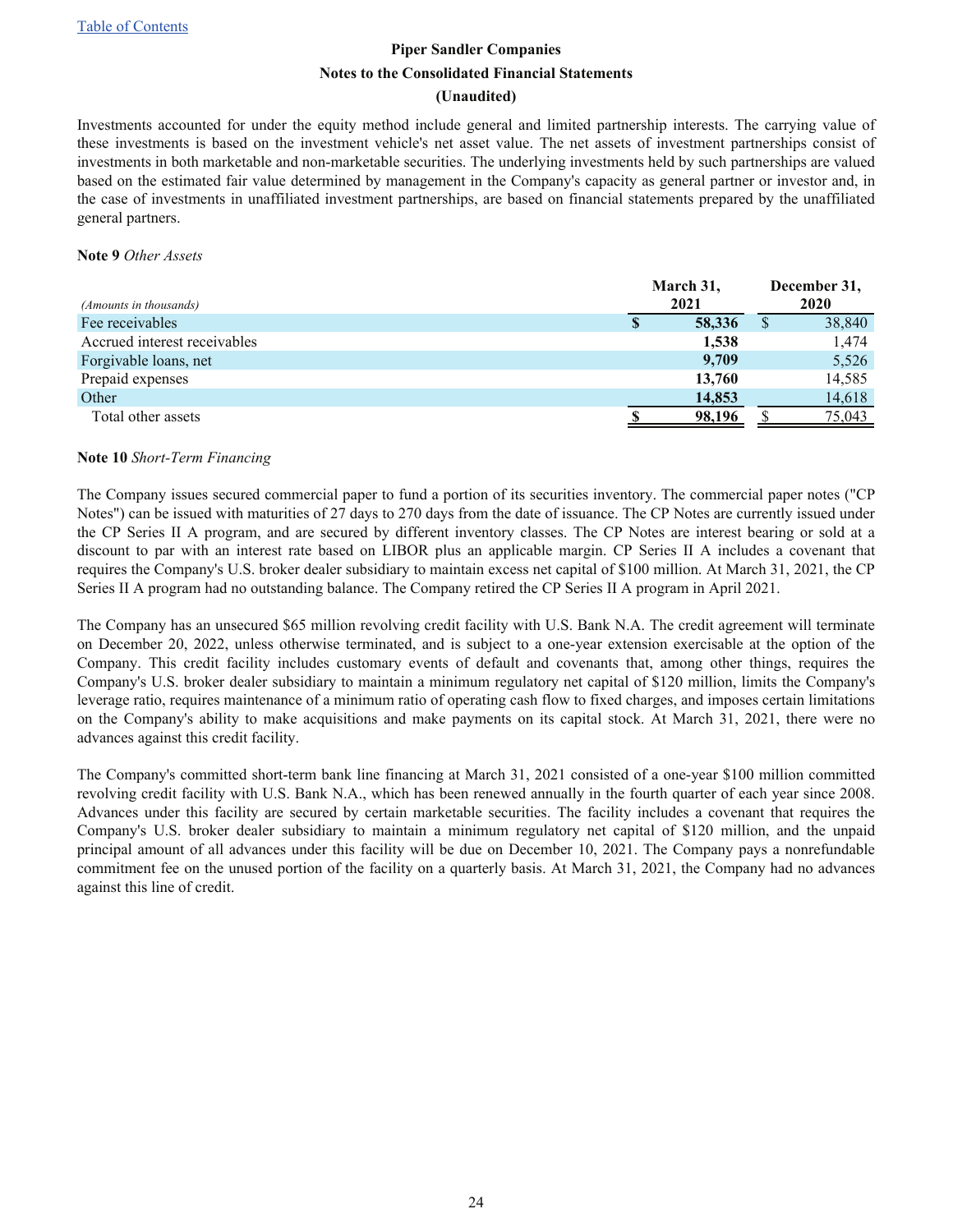#### **(Unaudited)**

<span id="page-23-0"></span>Investments accounted for under the equity method include general and limited partnership interests. The carrying value of these investments is based on the investment vehicle's net asset value. The net assets of investment partnerships consist of investments in both marketable and non-marketable securities. The underlying investments held by such partnerships are valued based on the estimated fair value determined by management in the Company's capacity as general partner or investor and, in the case of investments in unaffiliated investment partnerships, are based on financial statements prepared by the unaffiliated general partners.

#### **Note 9** *Other Assets*

| (Amounts in thousands)       |   | March 31,<br>2021 |  | December 31,<br>2020 |
|------------------------------|---|-------------------|--|----------------------|
| Fee receivables              | S | 58,336            |  | 38,840               |
| Accrued interest receivables |   | 1,538             |  | 1,474                |
| Forgivable loans, net        |   | 9,709             |  | 5,526                |
| Prepaid expenses             |   | 13,760            |  | 14,585               |
| Other                        |   | 14,853            |  | 14,618               |
| Total other assets           |   | 98,196            |  | 75,043               |

#### **Note 10** *Short-Term Financing*

The Company issues secured commercial paper to fund a portion of its securities inventory. The commercial paper notes ("CP Notes") can be issued with maturities of 27 days to 270 days from the date of issuance. The CP Notes are currently issued under the CP Series II A program, and are secured by different inventory classes. The CP Notes are interest bearing or sold at a discount to par with an interest rate based on LIBOR plus an applicable margin. CP Series II A includes a covenant that requires the Company's U.S. broker dealer subsidiary to maintain excess net capital of \$100 million. At March 31, 2021, the CP Series II A program had no outstanding balance. The Company retired the CP Series II A program in April 2021.

The Company has an unsecured \$65 million revolving credit facility with U.S. Bank N.A. The credit agreement will terminate on December 20, 2022, unless otherwise terminated, and is subject to a one-year extension exercisable at the option of the Company. This credit facility includes customary events of default and covenants that, among other things, requires the Company's U.S. broker dealer subsidiary to maintain a minimum regulatory net capital of \$120 million, limits the Company's leverage ratio, requires maintenance of a minimum ratio of operating cash flow to fixed charges, and imposes certain limitations on the Company's ability to make acquisitions and make payments on its capital stock. At March 31, 2021, there were no advances against this credit facility.

The Company's committed short-term bank line financing at March 31, 2021 consisted of a one-year \$100 million committed revolving credit facility with U.S. Bank N.A., which has been renewed annually in the fourth quarter of each year since 2008. Advances under this facility are secured by certain marketable securities. The facility includes a covenant that requires the Company's U.S. broker dealer subsidiary to maintain a minimum regulatory net capital of \$120 million, and the unpaid principal amount of all advances under this facility will be due on December 10, 2021. The Company pays a nonrefundable commitment fee on the unused portion of the facility on a quarterly basis. At March 31, 2021, the Company had no advances against this line of credit.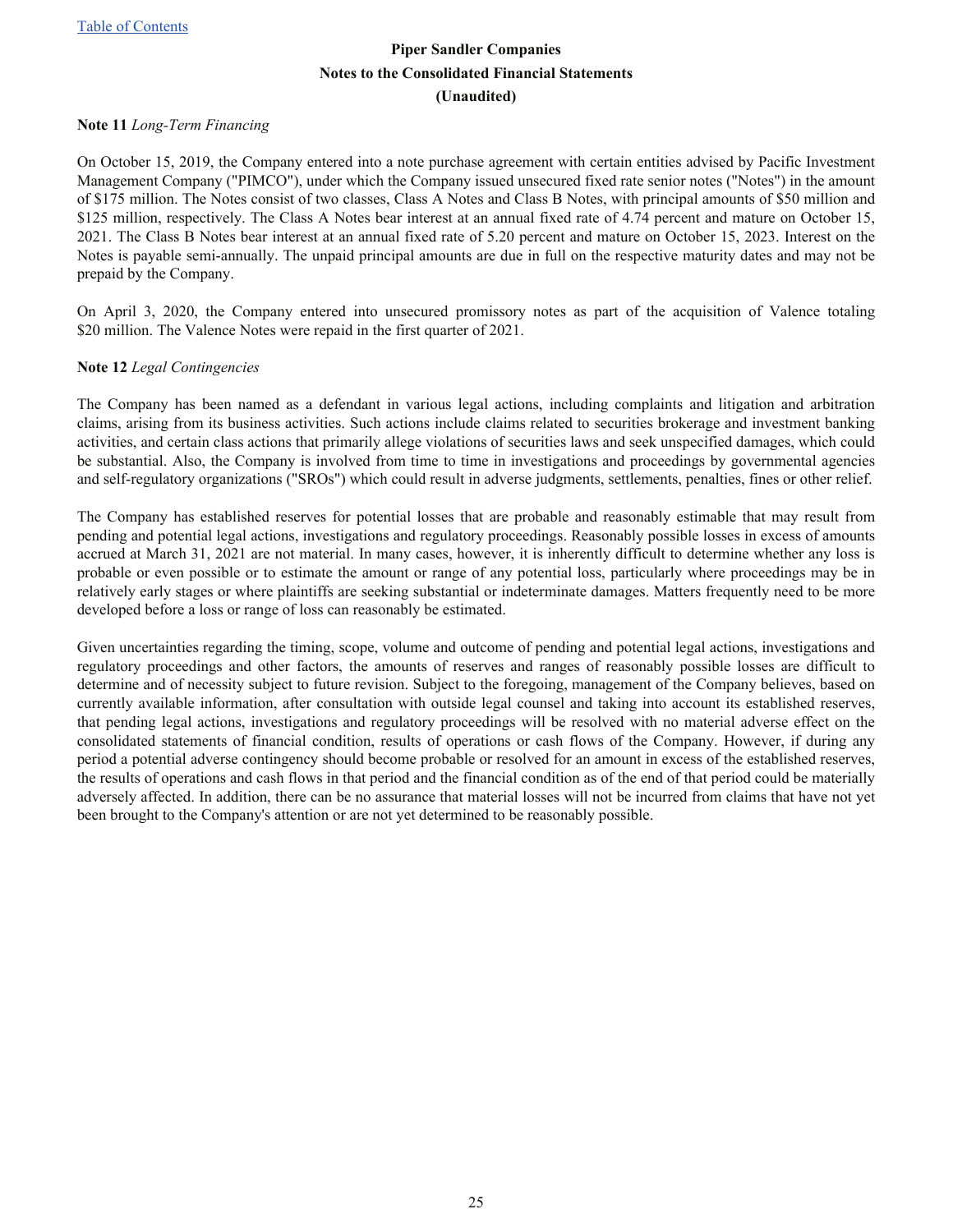#### <span id="page-24-0"></span>**Note 11** *Long-Term Financing*

On October 15, 2019, the Company entered into a note purchase agreement with certain entities advised by Pacific Investment Management Company ("PIMCO"), under which the Company issued unsecured fixed rate senior notes ("Notes") in the amount of \$175 million. The Notes consist of two classes, Class A Notes and Class B Notes, with principal amounts of \$50 million and \$125 million, respectively. The Class A Notes bear interest at an annual fixed rate of 4.74 percent and mature on October 15, 2021. The Class B Notes bear interest at an annual fixed rate of 5.20 percent and mature on October 15, 2023. Interest on the Notes is payable semi-annually. The unpaid principal amounts are due in full on the respective maturity dates and may not be prepaid by the Company.

On April 3, 2020, the Company entered into unsecured promissory notes as part of the acquisition of Valence totaling \$20 million. The Valence Notes were repaid in the first quarter of 2021.

#### **Note 12** *Legal Contingencies*

The Company has been named as a defendant in various legal actions, including complaints and litigation and arbitration claims, arising from its business activities. Such actions include claims related to securities brokerage and investment banking activities, and certain class actions that primarily allege violations of securities laws and seek unspecified damages, which could be substantial. Also, the Company is involved from time to time in investigations and proceedings by governmental agencies and self-regulatory organizations ("SROs") which could result in adverse judgments, settlements, penalties, fines or other relief.

The Company has established reserves for potential losses that are probable and reasonably estimable that may result from pending and potential legal actions, investigations and regulatory proceedings. Reasonably possible losses in excess of amounts accrued at March 31, 2021 are not material. In many cases, however, it is inherently difficult to determine whether any loss is probable or even possible or to estimate the amount or range of any potential loss, particularly where proceedings may be in relatively early stages or where plaintiffs are seeking substantial or indeterminate damages. Matters frequently need to be more developed before a loss or range of loss can reasonably be estimated.

Given uncertainties regarding the timing, scope, volume and outcome of pending and potential legal actions, investigations and regulatory proceedings and other factors, the amounts of reserves and ranges of reasonably possible losses are difficult to determine and of necessity subject to future revision. Subject to the foregoing, management of the Company believes, based on currently available information, after consultation with outside legal counsel and taking into account its established reserves, that pending legal actions, investigations and regulatory proceedings will be resolved with no material adverse effect on the consolidated statements of financial condition, results of operations or cash flows of the Company. However, if during any period a potential adverse contingency should become probable or resolved for an amount in excess of the established reserves, the results of operations and cash flows in that period and the financial condition as of the end of that period could be materially adversely affected. In addition, there can be no assurance that material losses will not be incurred from claims that have not yet been brought to the Company's attention or are not yet determined to be reasonably possible.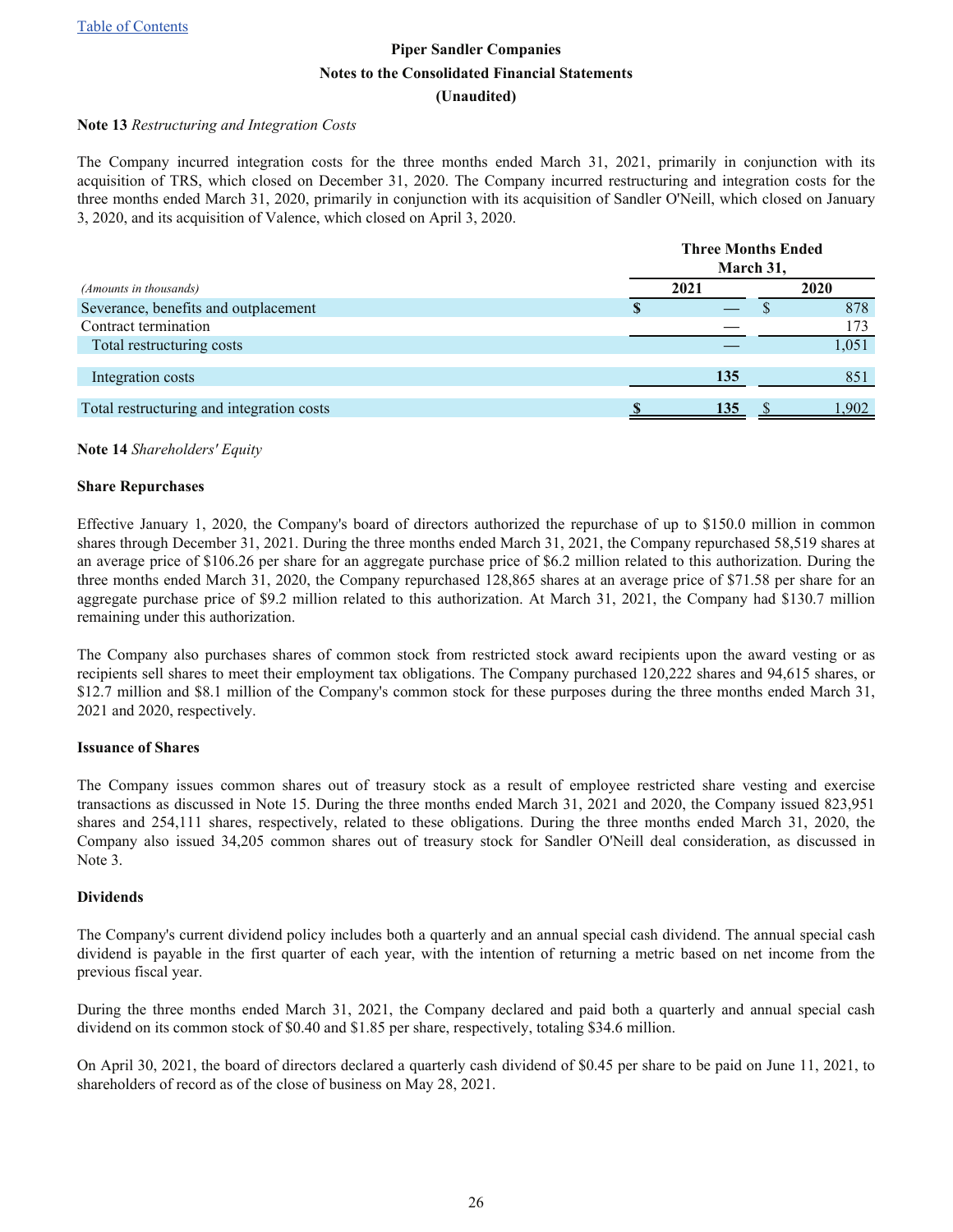#### <span id="page-25-0"></span>**Note 13** *Restructuring and Integration Costs*

The Company incurred integration costs for the three months ended March 31, 2021, primarily in conjunction with its acquisition of TRS, which closed on December 31, 2020. The Company incurred restructuring and integration costs for the three months ended March 31, 2020, primarily in conjunction with its acquisition of Sandler O'Neill, which closed on January 3, 2020, and its acquisition of Valence, which closed on April 3, 2020.

|                                           | <b>Three Months Ended</b><br>March 31, |      |  |       |  |  |
|-------------------------------------------|----------------------------------------|------|--|-------|--|--|
| (Amounts in thousands)                    |                                        | 2021 |  | 2020  |  |  |
| Severance, benefits and outplacement      | S                                      |      |  | 878   |  |  |
| Contract termination                      |                                        |      |  | 173   |  |  |
| Total restructuring costs                 |                                        |      |  | 1,051 |  |  |
| Integration costs                         |                                        | 135  |  | 851   |  |  |
| Total restructuring and integration costs |                                        | 135  |  | 1.902 |  |  |

#### **Note 14** *Shareholders' Equity*

#### **Share Repurchases**

Effective January 1, 2020, the Company's board of directors authorized the repurchase of up to \$150.0 million in common shares through December 31, 2021. During the three months ended March 31, 2021, the Company repurchased 58,519 shares at an average price of \$106.26 per share for an aggregate purchase price of \$6.2 million related to this authorization. During the three months ended March 31, 2020, the Company repurchased 128,865 shares at an average price of \$71.58 per share for an aggregate purchase price of \$9.2 million related to this authorization. At March 31, 2021, the Company had \$130.7 million remaining under this authorization.

The Company also purchases shares of common stock from restricted stock award recipients upon the award vesting or as recipients sell shares to meet their employment tax obligations. The Company purchased 120,222 shares and 94,615 shares, or \$12.7 million and \$8.1 million of the Company's common stock for these purposes during the three months ended March 31, 2021 and 2020, respectively.

#### **Issuance of Shares**

The Company issues common shares out of treasury stock as a result of employee restricted share vesting and exercise transactions as discussed in Note 15. During the three months ended March 31, 2021 and 2020, the Company issued 823,951 shares and 254,111 shares, respectively, related to these obligations. During the three months ended March 31, 2020, the Company also issued 34,205 common shares out of treasury stock for Sandler O'Neill deal consideration, as discussed in Note 3.

#### **Dividends**

The Company's current dividend policy includes both a quarterly and an annual special cash dividend. The annual special cash dividend is payable in the first quarter of each year, with the intention of returning a metric based on net income from the previous fiscal year.

During the three months ended March 31, 2021, the Company declared and paid both a quarterly and annual special cash dividend on its common stock of \$0.40 and \$1.85 per share, respectively, totaling \$34.6 million.

On April 30, 2021, the board of directors declared a quarterly cash dividend of \$0.45 per share to be paid on June 11, 2021, to shareholders of record as of the close of business on May 28, 2021.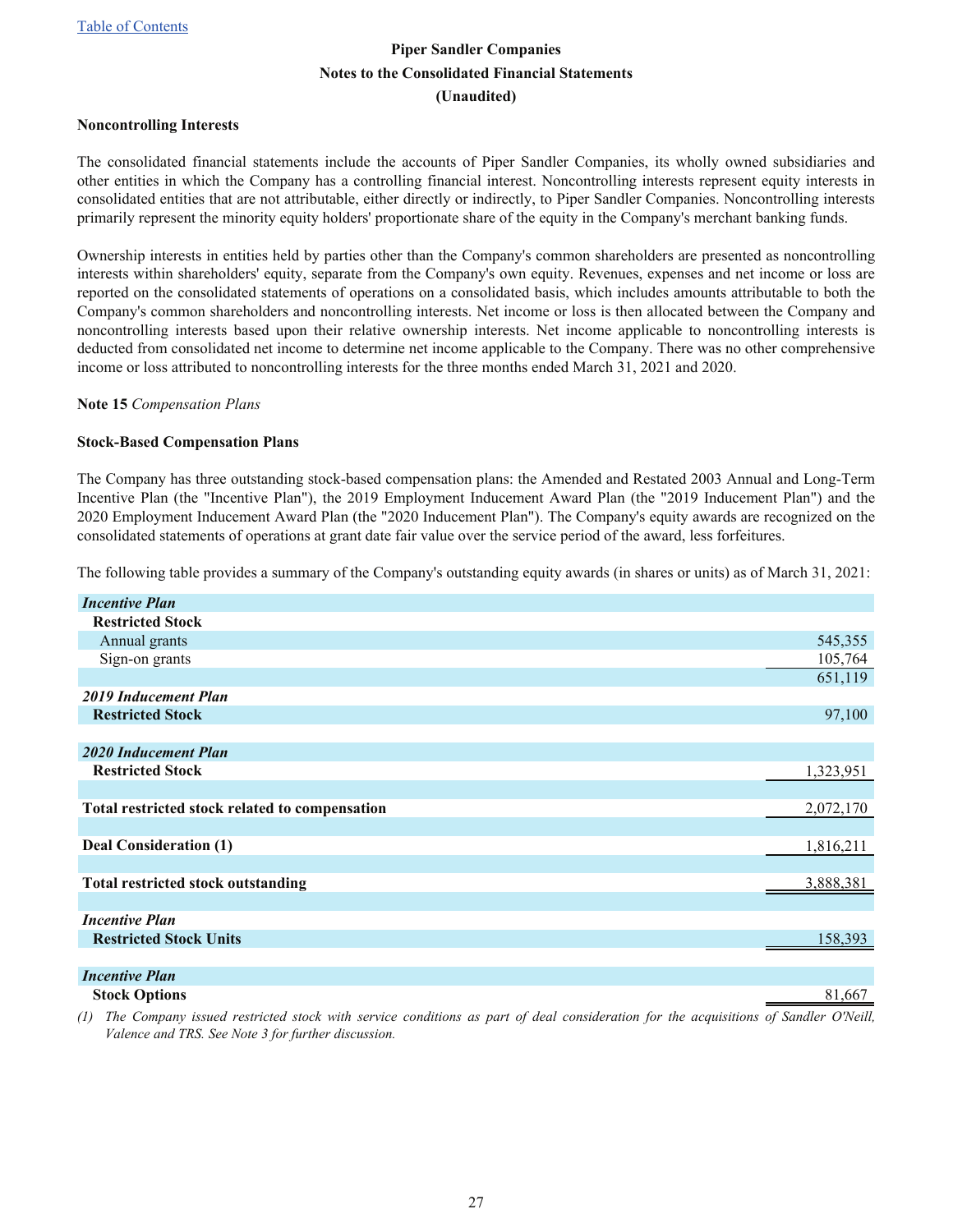#### <span id="page-26-0"></span>**Noncontrolling Interests**

The consolidated financial statements include the accounts of Piper Sandler Companies, its wholly owned subsidiaries and other entities in which the Company has a controlling financial interest. Noncontrolling interests represent equity interests in consolidated entities that are not attributable, either directly or indirectly, to Piper Sandler Companies. Noncontrolling interests primarily represent the minority equity holders' proportionate share of the equity in the Company's merchant banking funds.

Ownership interests in entities held by parties other than the Company's common shareholders are presented as noncontrolling interests within shareholders' equity, separate from the Company's own equity. Revenues, expenses and net income or loss are reported on the consolidated statements of operations on a consolidated basis, which includes amounts attributable to both the Company's common shareholders and noncontrolling interests. Net income or loss is then allocated between the Company and noncontrolling interests based upon their relative ownership interests. Net income applicable to noncontrolling interests is deducted from consolidated net income to determine net income applicable to the Company. There was no other comprehensive income or loss attributed to noncontrolling interests for the three months ended March 31, 2021 and 2020.

**Note 15** *Compensation Plans*

#### **Stock-Based Compensation Plans**

The Company has three outstanding stock-based compensation plans: the Amended and Restated 2003 Annual and Long-Term Incentive Plan (the "Incentive Plan"), the 2019 Employment Inducement Award Plan (the "2019 Inducement Plan") and the 2020 Employment Inducement Award Plan (the "2020 Inducement Plan"). The Company's equity awards are recognized on the consolidated statements of operations at grant date fair value over the service period of the award, less forfeitures.

The following table provides a summary of the Company's outstanding equity awards (in shares or units) as of March 31, 2021:

| <b>Incentive Plan</b>                          |           |
|------------------------------------------------|-----------|
| <b>Restricted Stock</b>                        |           |
| Annual grants                                  | 545,355   |
| Sign-on grants                                 | 105,764   |
|                                                | 651,119   |
| 2019 Inducement Plan                           |           |
| <b>Restricted Stock</b>                        | 97,100    |
|                                                |           |
| 2020 Inducement Plan                           |           |
| <b>Restricted Stock</b>                        | 1,323,951 |
|                                                |           |
| Total restricted stock related to compensation | 2,072,170 |
|                                                |           |
| Deal Consideration (1)                         | 1,816,211 |
|                                                |           |
| <b>Total restricted stock outstanding</b>      | 3,888,381 |
|                                                |           |
| <b>Incentive Plan</b>                          |           |
| <b>Restricted Stock Units</b>                  | 158,393   |
|                                                |           |
| Ingenting Dlan                                 |           |

*Incentive Plan* **Stock Options** 81,667

*(1) The Company issued restricted stock with service conditions as part of deal consideration for the acquisitions of Sandler O'Neill, Valence and TRS. See Note 3 for further discussion.*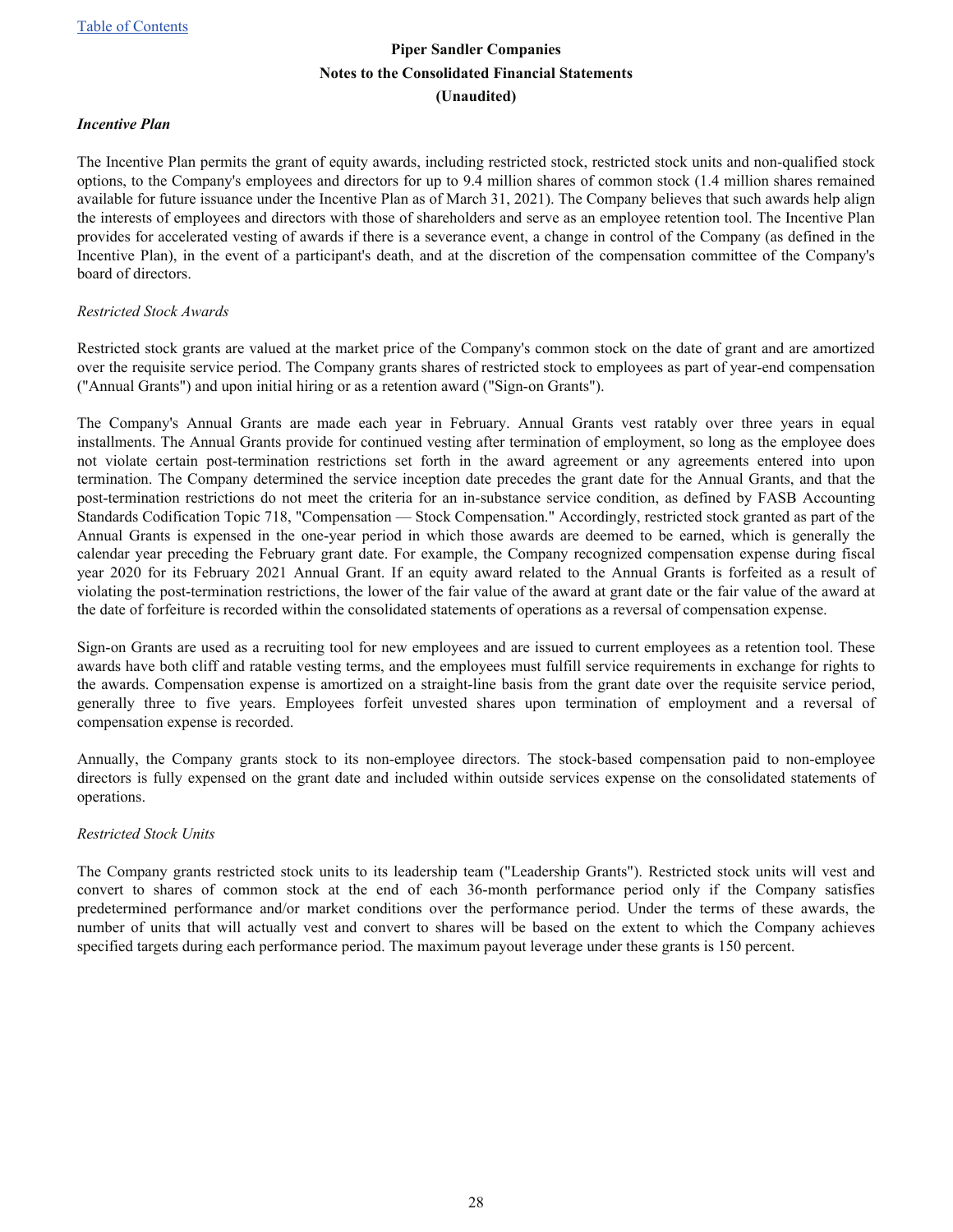#### *Incentive Plan*

The Incentive Plan permits the grant of equity awards, including restricted stock, restricted stock units and non-qualified stock options, to the Company's employees and directors for up to 9.4 million shares of common stock (1.4 million shares remained available for future issuance under the Incentive Plan as of March 31, 2021). The Company believes that such awards help align the interests of employees and directors with those of shareholders and serve as an employee retention tool. The Incentive Plan provides for accelerated vesting of awards if there is a severance event, a change in control of the Company (as defined in the Incentive Plan), in the event of a participant's death, and at the discretion of the compensation committee of the Company's board of directors.

#### *Restricted Stock Awards*

Restricted stock grants are valued at the market price of the Company's common stock on the date of grant and are amortized over the requisite service period. The Company grants shares of restricted stock to employees as part of year-end compensation ("Annual Grants") and upon initial hiring or as a retention award ("Sign-on Grants").

The Company's Annual Grants are made each year in February. Annual Grants vest ratably over three years in equal installments. The Annual Grants provide for continued vesting after termination of employment, so long as the employee does not violate certain post-termination restrictions set forth in the award agreement or any agreements entered into upon termination. The Company determined the service inception date precedes the grant date for the Annual Grants, and that the post-termination restrictions do not meet the criteria for an in-substance service condition, as defined by FASB Accounting Standards Codification Topic 718, "Compensation — Stock Compensation." Accordingly, restricted stock granted as part of the Annual Grants is expensed in the one-year period in which those awards are deemed to be earned, which is generally the calendar year preceding the February grant date. For example, the Company recognized compensation expense during fiscal year 2020 for its February 2021 Annual Grant. If an equity award related to the Annual Grants is forfeited as a result of violating the post-termination restrictions, the lower of the fair value of the award at grant date or the fair value of the award at the date of forfeiture is recorded within the consolidated statements of operations as a reversal of compensation expense.

Sign-on Grants are used as a recruiting tool for new employees and are issued to current employees as a retention tool. These awards have both cliff and ratable vesting terms, and the employees must fulfill service requirements in exchange for rights to the awards. Compensation expense is amortized on a straight-line basis from the grant date over the requisite service period, generally three to five years. Employees forfeit unvested shares upon termination of employment and a reversal of compensation expense is recorded.

Annually, the Company grants stock to its non-employee directors. The stock-based compensation paid to non-employee directors is fully expensed on the grant date and included within outside services expense on the consolidated statements of operations.

#### *Restricted Stock Units*

The Company grants restricted stock units to its leadership team ("Leadership Grants"). Restricted stock units will vest and convert to shares of common stock at the end of each 36-month performance period only if the Company satisfies predetermined performance and/or market conditions over the performance period. Under the terms of these awards, the number of units that will actually vest and convert to shares will be based on the extent to which the Company achieves specified targets during each performance period. The maximum payout leverage under these grants is 150 percent.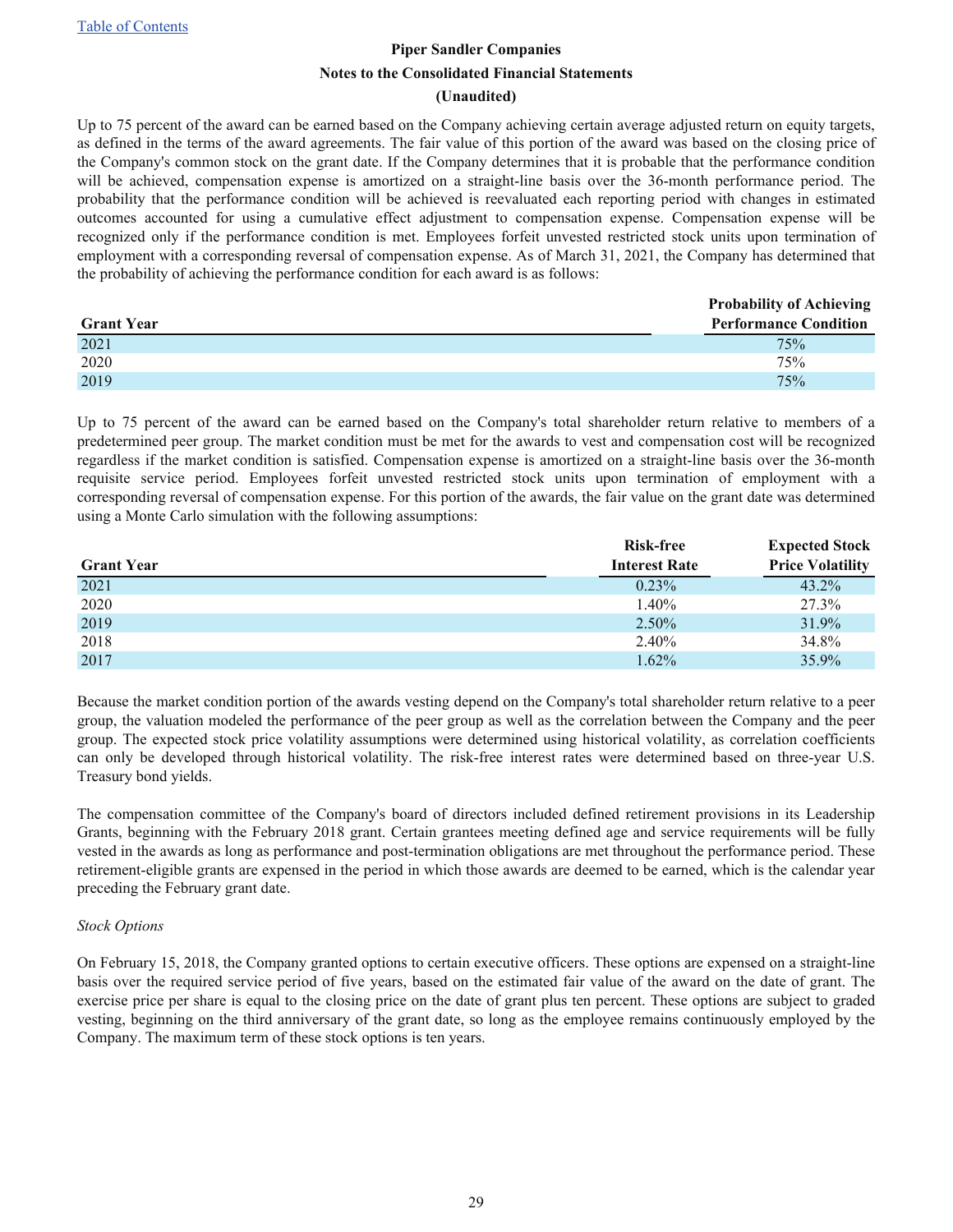#### **(Unaudited)**

Up to 75 percent of the award can be earned based on the Company achieving certain average adjusted return on equity targets, as defined in the terms of the award agreements. The fair value of this portion of the award was based on the closing price of the Company's common stock on the grant date. If the Company determines that it is probable that the performance condition will be achieved, compensation expense is amortized on a straight-line basis over the 36-month performance period. The probability that the performance condition will be achieved is reevaluated each reporting period with changes in estimated outcomes accounted for using a cumulative effect adjustment to compensation expense. Compensation expense will be recognized only if the performance condition is met. Employees forfeit unvested restricted stock units upon termination of employment with a corresponding reversal of compensation expense. As of March 31, 2021, the Company has determined that the probability of achieving the performance condition for each award is as follows:

|                   | <b>Probability of Achieving</b> |
|-------------------|---------------------------------|
| <b>Grant Year</b> | <b>Performance Condition</b>    |
| 2021              | 75%                             |
| 2020              | 75%                             |
| 2019              | 75%                             |

Up to 75 percent of the award can be earned based on the Company's total shareholder return relative to members of a predetermined peer group. The market condition must be met for the awards to vest and compensation cost will be recognized regardless if the market condition is satisfied. Compensation expense is amortized on a straight-line basis over the 36-month requisite service period. Employees forfeit unvested restricted stock units upon termination of employment with a corresponding reversal of compensation expense. For this portion of the awards, the fair value on the grant date was determined using a Monte Carlo simulation with the following assumptions:

|                   | <b>Risk-free</b>     | <b>Expected Stock</b>   |
|-------------------|----------------------|-------------------------|
| <b>Grant Year</b> | <b>Interest Rate</b> | <b>Price Volatility</b> |
| 2021              | $0.23\%$             | $43.2\%$                |
| 2020              | 1.40%                | 27.3%                   |
| 2019              | $2.50\%$             | 31.9%                   |
| 2018              | 2.40%                | 34.8%                   |
| 2017              | 1.62%                | 35.9%                   |

Because the market condition portion of the awards vesting depend on the Company's total shareholder return relative to a peer group, the valuation modeled the performance of the peer group as well as the correlation between the Company and the peer group. The expected stock price volatility assumptions were determined using historical volatility, as correlation coefficients can only be developed through historical volatility. The risk-free interest rates were determined based on three-year U.S. Treasury bond yields.

The compensation committee of the Company's board of directors included defined retirement provisions in its Leadership Grants, beginning with the February 2018 grant. Certain grantees meeting defined age and service requirements will be fully vested in the awards as long as performance and post-termination obligations are met throughout the performance period. These retirement-eligible grants are expensed in the period in which those awards are deemed to be earned, which is the calendar year preceding the February grant date.

#### *Stock Options*

On February 15, 2018, the Company granted options to certain executive officers. These options are expensed on a straight-line basis over the required service period of five years, based on the estimated fair value of the award on the date of grant. The exercise price per share is equal to the closing price on the date of grant plus ten percent. These options are subject to graded vesting, beginning on the third anniversary of the grant date, so long as the employee remains continuously employed by the Company. The maximum term of these stock options is ten years.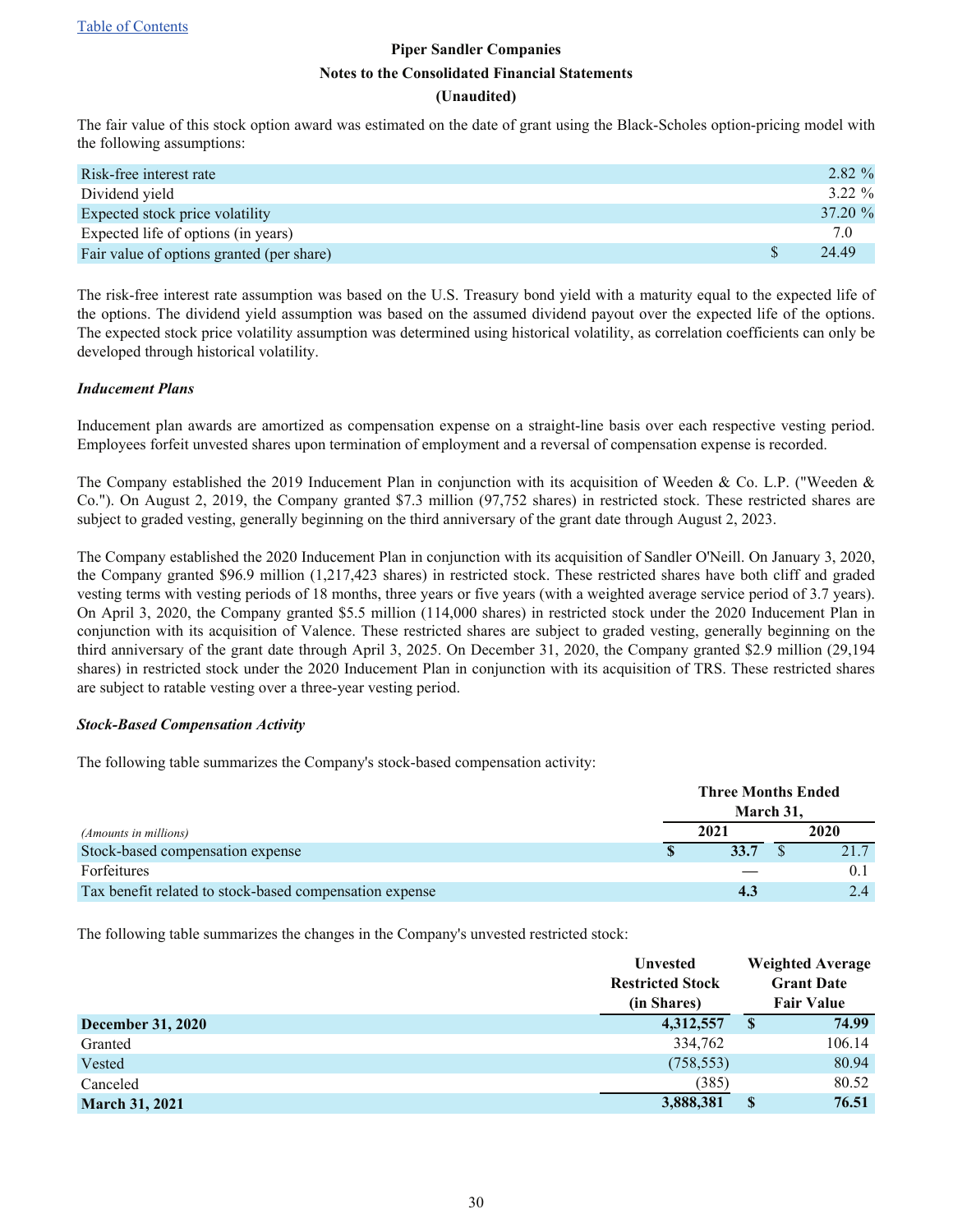#### **(Unaudited)**

The fair value of this stock option award was estimated on the date of grant using the Black-Scholes option-pricing model with the following assumptions:

| Risk-free interest rate                   | 2.82 %     |
|-------------------------------------------|------------|
| Dividend yield                            | $3.22 \%$  |
| Expected stock price volatility           | $37.20 \%$ |
| Expected life of options (in years)       | 7.0        |
| Fair value of options granted (per share) | 24 49      |

The risk-free interest rate assumption was based on the U.S. Treasury bond yield with a maturity equal to the expected life of the options. The dividend yield assumption was based on the assumed dividend payout over the expected life of the options. The expected stock price volatility assumption was determined using historical volatility, as correlation coefficients can only be developed through historical volatility.

#### *Inducement Plans*

Inducement plan awards are amortized as compensation expense on a straight-line basis over each respective vesting period. Employees forfeit unvested shares upon termination of employment and a reversal of compensation expense is recorded.

The Company established the 2019 Inducement Plan in conjunction with its acquisition of Weeden & Co. L.P. ("Weeden & Co."). On August 2, 2019, the Company granted \$7.3 million (97,752 shares) in restricted stock. These restricted shares are subject to graded vesting, generally beginning on the third anniversary of the grant date through August 2, 2023.

The Company established the 2020 Inducement Plan in conjunction with its acquisition of Sandler O'Neill. On January 3, 2020, the Company granted \$96.9 million (1,217,423 shares) in restricted stock. These restricted shares have both cliff and graded vesting terms with vesting periods of 18 months, three years or five years (with a weighted average service period of 3.7 years). On April 3, 2020, the Company granted \$5.5 million (114,000 shares) in restricted stock under the 2020 Inducement Plan in conjunction with its acquisition of Valence. These restricted shares are subject to graded vesting, generally beginning on the third anniversary of the grant date through April 3, 2025. On December 31, 2020, the Company granted \$2.9 million (29,194 shares) in restricted stock under the 2020 Inducement Plan in conjunction with its acquisition of TRS. These restricted shares are subject to ratable vesting over a three-year vesting period.

#### *Stock-Based Compensation Activity*

The following table summarizes the Company's stock-based compensation activity:

|                                                         | <b>Three Months Ended</b><br>March 31, |      |  |      |
|---------------------------------------------------------|----------------------------------------|------|--|------|
| (Amounts in millions)                                   |                                        | 2021 |  | 2020 |
| Stock-based compensation expense                        |                                        | 33.7 |  | 21.7 |
| <b>Forfeitures</b>                                      |                                        |      |  | 0.1  |
| Tax benefit related to stock-based compensation expense |                                        | 4.3  |  | 2.4  |

The following table summarizes the changes in the Company's unvested restricted stock:

|                          | <b>Unvested</b><br><b>Restricted Stock</b> |   | <b>Weighted Average</b><br><b>Grant Date</b> |
|--------------------------|--------------------------------------------|---|----------------------------------------------|
|                          | (in Shares)                                |   | <b>Fair Value</b>                            |
| <b>December 31, 2020</b> | 4,312,557                                  | S | 74.99                                        |
| Granted                  | 334,762                                    |   | 106.14                                       |
| Vested                   | (758, 553)                                 |   | 80.94                                        |
| Canceled                 | (385)                                      |   | 80.52                                        |
| <b>March 31, 2021</b>    | 3,888,381                                  |   | 76.51                                        |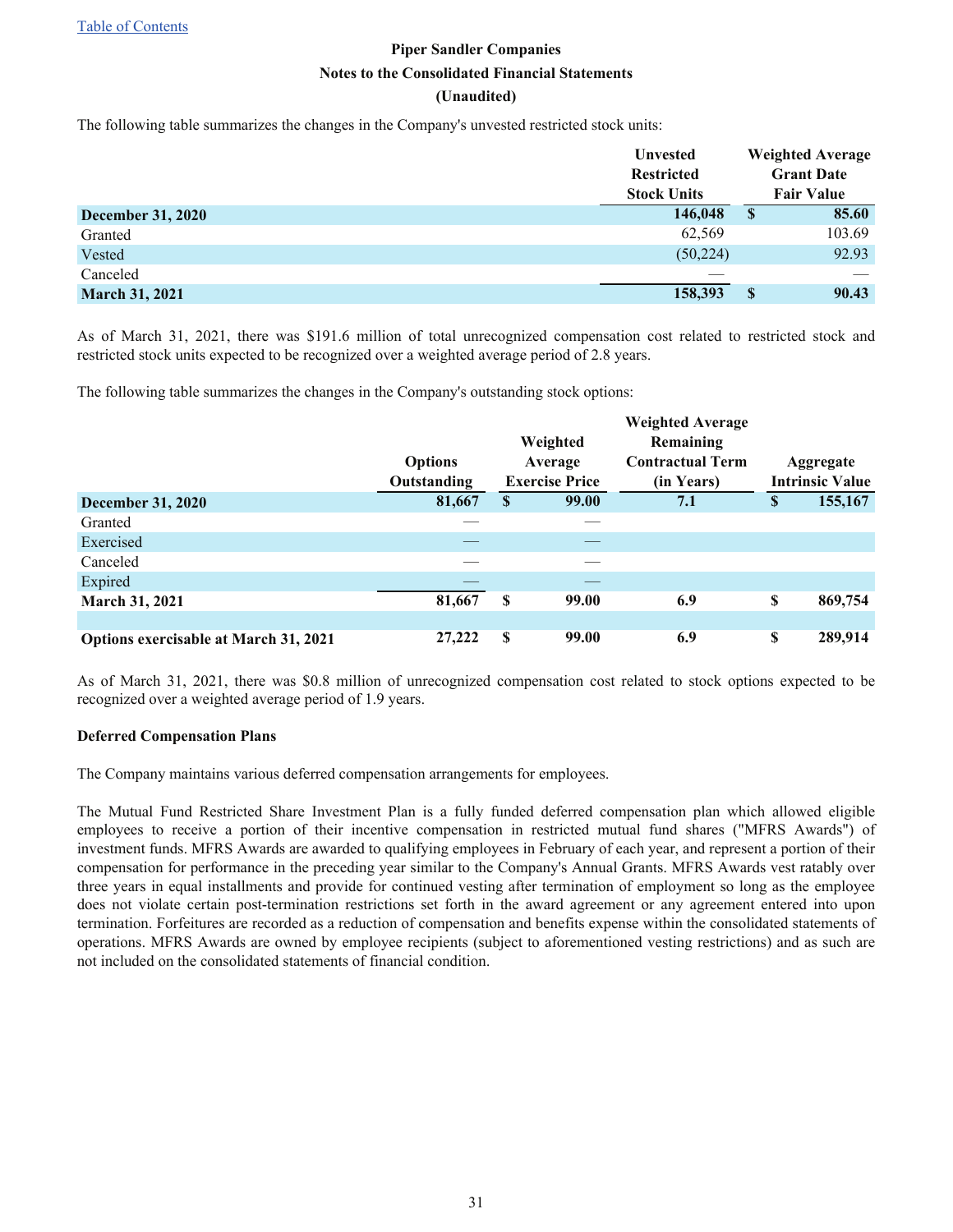[Table of Contents](#page-1-0)

## **Piper Sandler Companies Notes to the Consolidated Financial Statements (Unaudited)**

The following table summarizes the changes in the Company's unvested restricted stock units:

|                          | <b>Unvested</b><br><b>Restricted</b><br><b>Stock Units</b> |    | <b>Weighted Average</b><br><b>Grant Date</b><br><b>Fair Value</b> |
|--------------------------|------------------------------------------------------------|----|-------------------------------------------------------------------|
| <b>December 31, 2020</b> | 146,048                                                    | \$ | 85.60                                                             |
| Granted                  | 62,569                                                     |    | 103.69                                                            |
| Vested                   | (50, 224)                                                  |    | 92.93                                                             |
| Canceled                 |                                                            |    |                                                                   |
| <b>March 31, 2021</b>    | 158,393                                                    | S  | 90.43                                                             |

As of March 31, 2021, there was \$191.6 million of total unrecognized compensation cost related to restricted stock and restricted stock units expected to be recognized over a weighted average period of 2.8 years.

The following table summarizes the changes in the Company's outstanding stock options:

|                                       | <b>Options</b><br>Outstanding |          | Weighted<br>Average<br><b>Exercise Price</b> | <b>Weighted Average</b><br>Remaining<br><b>Contractual Term</b><br>(in Years) | Aggregate<br><b>Intrinsic Value</b> |
|---------------------------------------|-------------------------------|----------|----------------------------------------------|-------------------------------------------------------------------------------|-------------------------------------|
| <b>December 31, 2020</b>              | 81,667                        | \$       | 99.00                                        | 7.1                                                                           | \$<br>155,167                       |
| Granted                               |                               |          |                                              |                                                                               |                                     |
| Exercised                             |                               |          |                                              |                                                                               |                                     |
| Canceled                              |                               |          |                                              |                                                                               |                                     |
| Expired                               |                               |          |                                              |                                                                               |                                     |
| <b>March 31, 2021</b>                 | 81,667                        | \$       | 99.00                                        | 6.9                                                                           | \$<br>869,754                       |
|                                       |                               |          |                                              |                                                                               |                                     |
| Options exercisable at March 31, 2021 | 27,222                        | <b>S</b> | 99.00                                        | 6.9                                                                           | \$<br>289,914                       |

As of March 31, 2021, there was \$0.8 million of unrecognized compensation cost related to stock options expected to be recognized over a weighted average period of 1.9 years.

#### **Deferred Compensation Plans**

The Company maintains various deferred compensation arrangements for employees.

The Mutual Fund Restricted Share Investment Plan is a fully funded deferred compensation plan which allowed eligible employees to receive a portion of their incentive compensation in restricted mutual fund shares ("MFRS Awards") of investment funds. MFRS Awards are awarded to qualifying employees in February of each year, and represent a portion of their compensation for performance in the preceding year similar to the Company's Annual Grants. MFRS Awards vest ratably over three years in equal installments and provide for continued vesting after termination of employment so long as the employee does not violate certain post-termination restrictions set forth in the award agreement or any agreement entered into upon termination. Forfeitures are recorded as a reduction of compensation and benefits expense within the consolidated statements of operations. MFRS Awards are owned by employee recipients (subject to aforementioned vesting restrictions) and as such are not included on the consolidated statements of financial condition.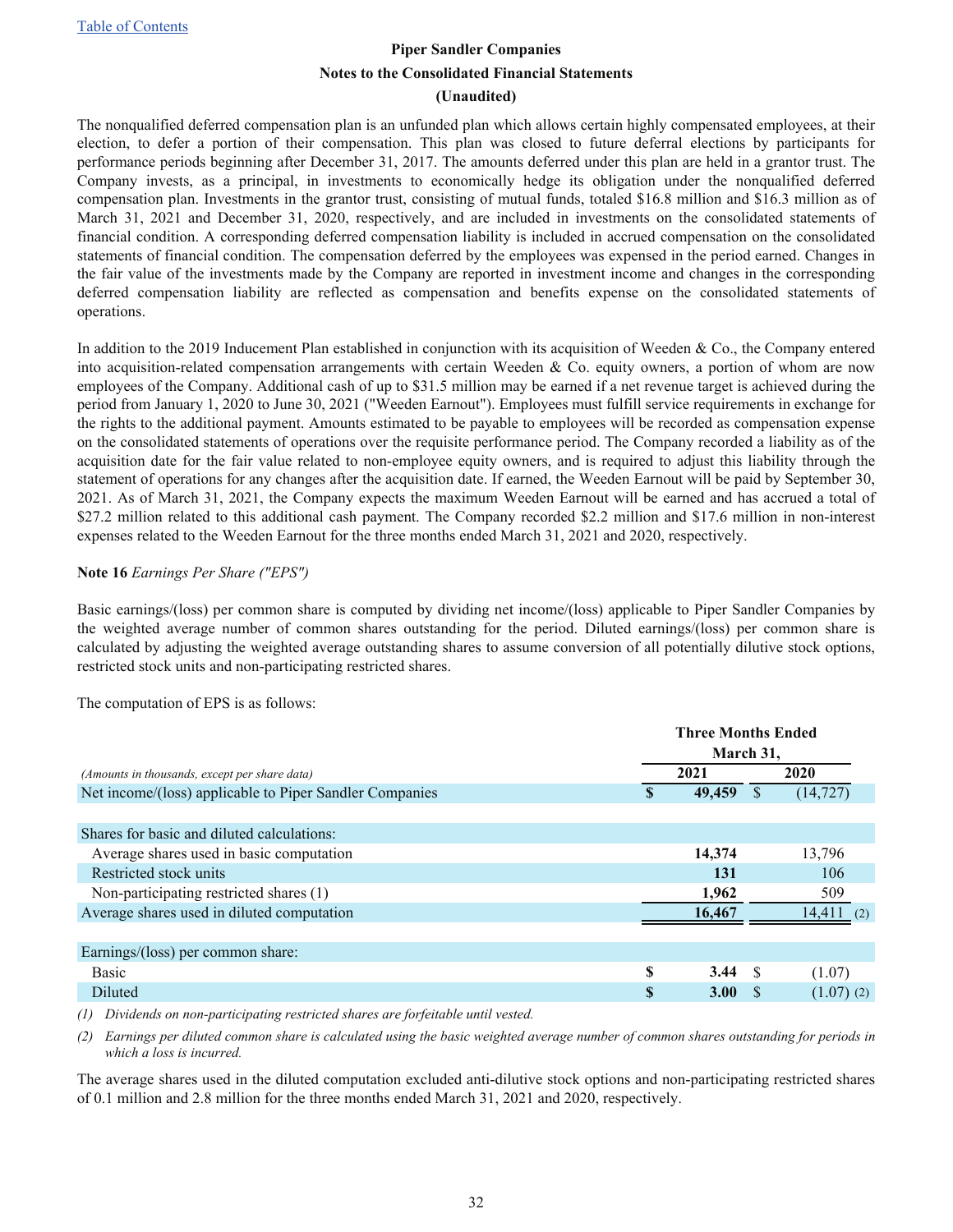#### **(Unaudited)**

<span id="page-31-0"></span>The nonqualified deferred compensation plan is an unfunded plan which allows certain highly compensated employees, at their election, to defer a portion of their compensation. This plan was closed to future deferral elections by participants for performance periods beginning after December 31, 2017. The amounts deferred under this plan are held in a grantor trust. The Company invests, as a principal, in investments to economically hedge its obligation under the nonqualified deferred compensation plan. Investments in the grantor trust, consisting of mutual funds, totaled \$16.8 million and \$16.3 million as of March 31, 2021 and December 31, 2020, respectively, and are included in investments on the consolidated statements of financial condition. A corresponding deferred compensation liability is included in accrued compensation on the consolidated statements of financial condition. The compensation deferred by the employees was expensed in the period earned. Changes in the fair value of the investments made by the Company are reported in investment income and changes in the corresponding deferred compensation liability are reflected as compensation and benefits expense on the consolidated statements of operations.

In addition to the 2019 Inducement Plan established in conjunction with its acquisition of Weeden  $\&$  Co., the Company entered into acquisition-related compensation arrangements with certain Weeden & Co. equity owners, a portion of whom are now employees of the Company. Additional cash of up to \$31.5 million may be earned if a net revenue target is achieved during the period from January 1, 2020 to June 30, 2021 ("Weeden Earnout"). Employees must fulfill service requirements in exchange for the rights to the additional payment. Amounts estimated to be payable to employees will be recorded as compensation expense on the consolidated statements of operations over the requisite performance period. The Company recorded a liability as of the acquisition date for the fair value related to non-employee equity owners, and is required to adjust this liability through the statement of operations for any changes after the acquisition date. If earned, the Weeden Earnout will be paid by September 30, 2021. As of March 31, 2021, the Company expects the maximum Weeden Earnout will be earned and has accrued a total of \$27.2 million related to this additional cash payment. The Company recorded \$2.2 million and \$17.6 million in non-interest expenses related to the Weeden Earnout for the three months ended March 31, 2021 and 2020, respectively.

#### **Note 16** *Earnings Per Share ("EPS")*

Basic earnings/(loss) per common share is computed by dividing net income/(loss) applicable to Piper Sandler Companies by the weighted average number of common shares outstanding for the period. Diluted earnings/(loss) per common share is calculated by adjusting the weighted average outstanding shares to assume conversion of all potentially dilutive stock options, restricted stock units and non-participating restricted shares.

|                                                         |   | <b>Three Months Ended</b><br>March 31, |    |              |  |  |
|---------------------------------------------------------|---|----------------------------------------|----|--------------|--|--|
| (Amounts in thousands, except per share data)           |   | 2021                                   |    | 2020         |  |  |
| Net income/(loss) applicable to Piper Sandler Companies | S | 49,459<br><sup>\$</sup>                |    | (14, 727)    |  |  |
|                                                         |   |                                        |    |              |  |  |
| Shares for basic and diluted calculations:              |   |                                        |    |              |  |  |
| Average shares used in basic computation                |   | 14,374                                 |    | 13,796       |  |  |
| Restricted stock units                                  |   | 131                                    |    | 106          |  |  |
| Non-participating restricted shares (1)                 |   | 1,962                                  |    | 509          |  |  |
| Average shares used in diluted computation              |   | 16,467                                 |    | $14,411$ (2) |  |  |
|                                                         |   |                                        |    |              |  |  |
| Earnings/(loss) per common share:                       |   |                                        |    |              |  |  |
| <b>Basic</b>                                            | S | 3.44                                   | -S | (1.07)       |  |  |
| Diluted                                                 | S | <b>3.00</b>                            | -S | $(1.07)$ (2) |  |  |
|                                                         |   |                                        |    |              |  |  |

The computation of EPS is as follows:

*(1) Dividends on non-participating restricted shares are forfeitable until vested.*

*(2) Earnings per diluted common share is calculated using the basic weighted average number of common shares outstanding for periods in which a loss is incurred.*

The average shares used in the diluted computation excluded anti-dilutive stock options and non-participating restricted shares of 0.1 million and 2.8 million for the three months ended March 31, 2021 and 2020, respectively.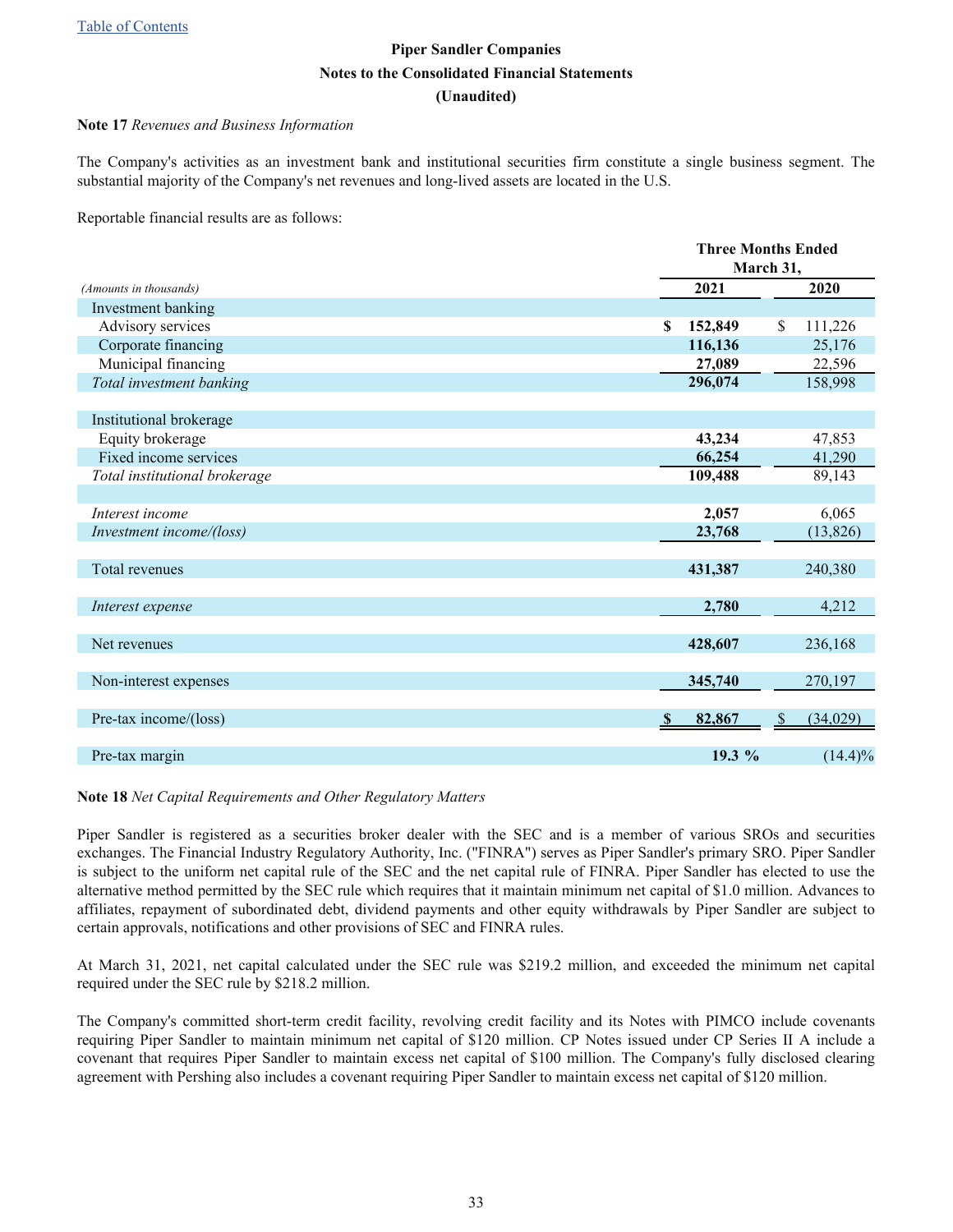#### <span id="page-32-0"></span>**Note 17** *Revenues and Business Information*

The Company's activities as an investment bank and institutional securities firm constitute a single business segment. The substantial majority of the Company's net revenues and long-lived assets are located in the U.S.

Reportable financial results are as follows:

| 2021<br>2020<br>(Amounts in thousands)<br>Investment banking<br>Advisory services<br>152,849<br>\$<br>111,226<br>\$<br>Corporate financing<br>116,136<br>25,176<br>Municipal financing<br>27,089<br>22,596<br>Total investment banking<br>296,074<br>158,998<br>Institutional brokerage<br>Equity brokerage<br>43,234<br>47,853<br>Fixed income services<br>66,254<br>41,290<br>Total institutional brokerage<br>109,488<br>89,143<br>2,057<br>Interest income<br>6,065<br>Investment income/(loss)<br>23,768<br>(13, 826)<br>Total revenues<br>431,387<br>240,380 |
|--------------------------------------------------------------------------------------------------------------------------------------------------------------------------------------------------------------------------------------------------------------------------------------------------------------------------------------------------------------------------------------------------------------------------------------------------------------------------------------------------------------------------------------------------------------------|
|                                                                                                                                                                                                                                                                                                                                                                                                                                                                                                                                                                    |
|                                                                                                                                                                                                                                                                                                                                                                                                                                                                                                                                                                    |
|                                                                                                                                                                                                                                                                                                                                                                                                                                                                                                                                                                    |
|                                                                                                                                                                                                                                                                                                                                                                                                                                                                                                                                                                    |
|                                                                                                                                                                                                                                                                                                                                                                                                                                                                                                                                                                    |
|                                                                                                                                                                                                                                                                                                                                                                                                                                                                                                                                                                    |
|                                                                                                                                                                                                                                                                                                                                                                                                                                                                                                                                                                    |
|                                                                                                                                                                                                                                                                                                                                                                                                                                                                                                                                                                    |
|                                                                                                                                                                                                                                                                                                                                                                                                                                                                                                                                                                    |
|                                                                                                                                                                                                                                                                                                                                                                                                                                                                                                                                                                    |
|                                                                                                                                                                                                                                                                                                                                                                                                                                                                                                                                                                    |
|                                                                                                                                                                                                                                                                                                                                                                                                                                                                                                                                                                    |
|                                                                                                                                                                                                                                                                                                                                                                                                                                                                                                                                                                    |
|                                                                                                                                                                                                                                                                                                                                                                                                                                                                                                                                                                    |
|                                                                                                                                                                                                                                                                                                                                                                                                                                                                                                                                                                    |
|                                                                                                                                                                                                                                                                                                                                                                                                                                                                                                                                                                    |
|                                                                                                                                                                                                                                                                                                                                                                                                                                                                                                                                                                    |
| 2,780<br>4,212<br>Interest expense                                                                                                                                                                                                                                                                                                                                                                                                                                                                                                                                 |
|                                                                                                                                                                                                                                                                                                                                                                                                                                                                                                                                                                    |
| 428,607<br>236,168<br>Net revenues                                                                                                                                                                                                                                                                                                                                                                                                                                                                                                                                 |
|                                                                                                                                                                                                                                                                                                                                                                                                                                                                                                                                                                    |
| Non-interest expenses<br>345,740<br>270,197                                                                                                                                                                                                                                                                                                                                                                                                                                                                                                                        |
|                                                                                                                                                                                                                                                                                                                                                                                                                                                                                                                                                                    |
| Pre-tax income/(loss)<br>82,867<br>(34,029)<br><sup>S</sup><br>-S                                                                                                                                                                                                                                                                                                                                                                                                                                                                                                  |
| 19.3 %<br>$(14.4)\%$<br>Pre-tax margin                                                                                                                                                                                                                                                                                                                                                                                                                                                                                                                             |

#### **Note 18** *Net Capital Requirements and Other Regulatory Matters*

Piper Sandler is registered as a securities broker dealer with the SEC and is a member of various SROs and securities exchanges. The Financial Industry Regulatory Authority, Inc. ("FINRA") serves as Piper Sandler's primary SRO. Piper Sandler is subject to the uniform net capital rule of the SEC and the net capital rule of FINRA. Piper Sandler has elected to use the alternative method permitted by the SEC rule which requires that it maintain minimum net capital of \$1.0 million. Advances to affiliates, repayment of subordinated debt, dividend payments and other equity withdrawals by Piper Sandler are subject to certain approvals, notifications and other provisions of SEC and FINRA rules.

At March 31, 2021, net capital calculated under the SEC rule was \$219.2 million, and exceeded the minimum net capital required under the SEC rule by \$218.2 million.

The Company's committed short-term credit facility, revolving credit facility and its Notes with PIMCO include covenants requiring Piper Sandler to maintain minimum net capital of \$120 million. CP Notes issued under CP Series II A include a covenant that requires Piper Sandler to maintain excess net capital of \$100 million. The Company's fully disclosed clearing agreement with Pershing also includes a covenant requiring Piper Sandler to maintain excess net capital of \$120 million.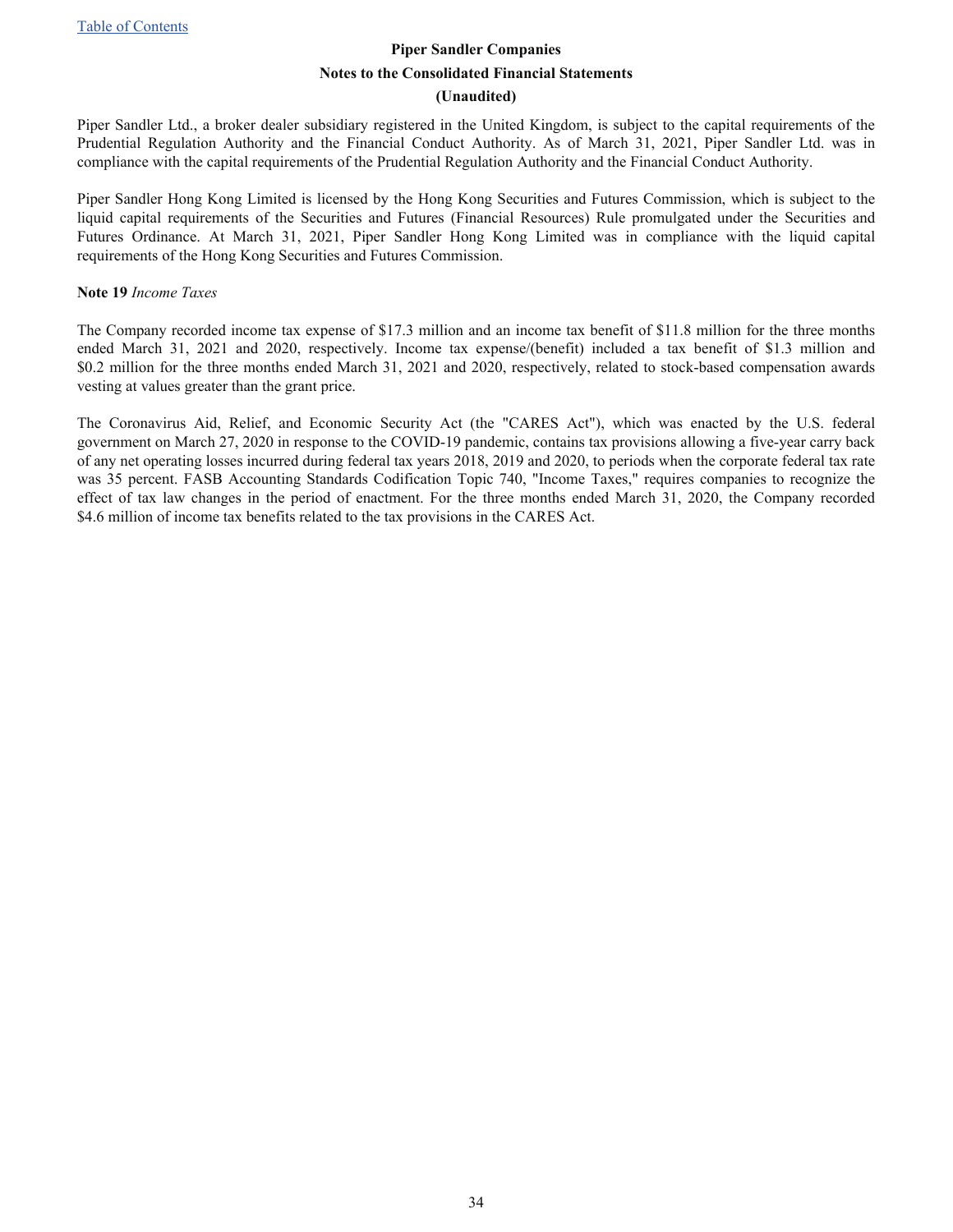#### **(Unaudited)**

<span id="page-33-0"></span>Piper Sandler Ltd., a broker dealer subsidiary registered in the United Kingdom, is subject to the capital requirements of the Prudential Regulation Authority and the Financial Conduct Authority. As of March 31, 2021, Piper Sandler Ltd. was in compliance with the capital requirements of the Prudential Regulation Authority and the Financial Conduct Authority.

Piper Sandler Hong Kong Limited is licensed by the Hong Kong Securities and Futures Commission, which is subject to the liquid capital requirements of the Securities and Futures (Financial Resources) Rule promulgated under the Securities and Futures Ordinance. At March 31, 2021, Piper Sandler Hong Kong Limited was in compliance with the liquid capital requirements of the Hong Kong Securities and Futures Commission.

#### **Note 19** *Income Taxes*

The Company recorded income tax expense of \$17.3 million and an income tax benefit of \$11.8 million for the three months ended March 31, 2021 and 2020, respectively. Income tax expense/(benefit) included a tax benefit of \$1.3 million and \$0.2 million for the three months ended March 31, 2021 and 2020, respectively, related to stock-based compensation awards vesting at values greater than the grant price.

The Coronavirus Aid, Relief, and Economic Security Act (the "CARES Act"), which was enacted by the U.S. federal government on March 27, 2020 in response to the COVID-19 pandemic, contains tax provisions allowing a five-year carry back of any net operating losses incurred during federal tax years 2018, 2019 and 2020, to periods when the corporate federal tax rate was 35 percent. FASB Accounting Standards Codification Topic 740, "Income Taxes," requires companies to recognize the effect of tax law changes in the period of enactment. For the three months ended March 31, 2020, the Company recorded \$4.6 million of income tax benefits related to the tax provisions in the CARES Act.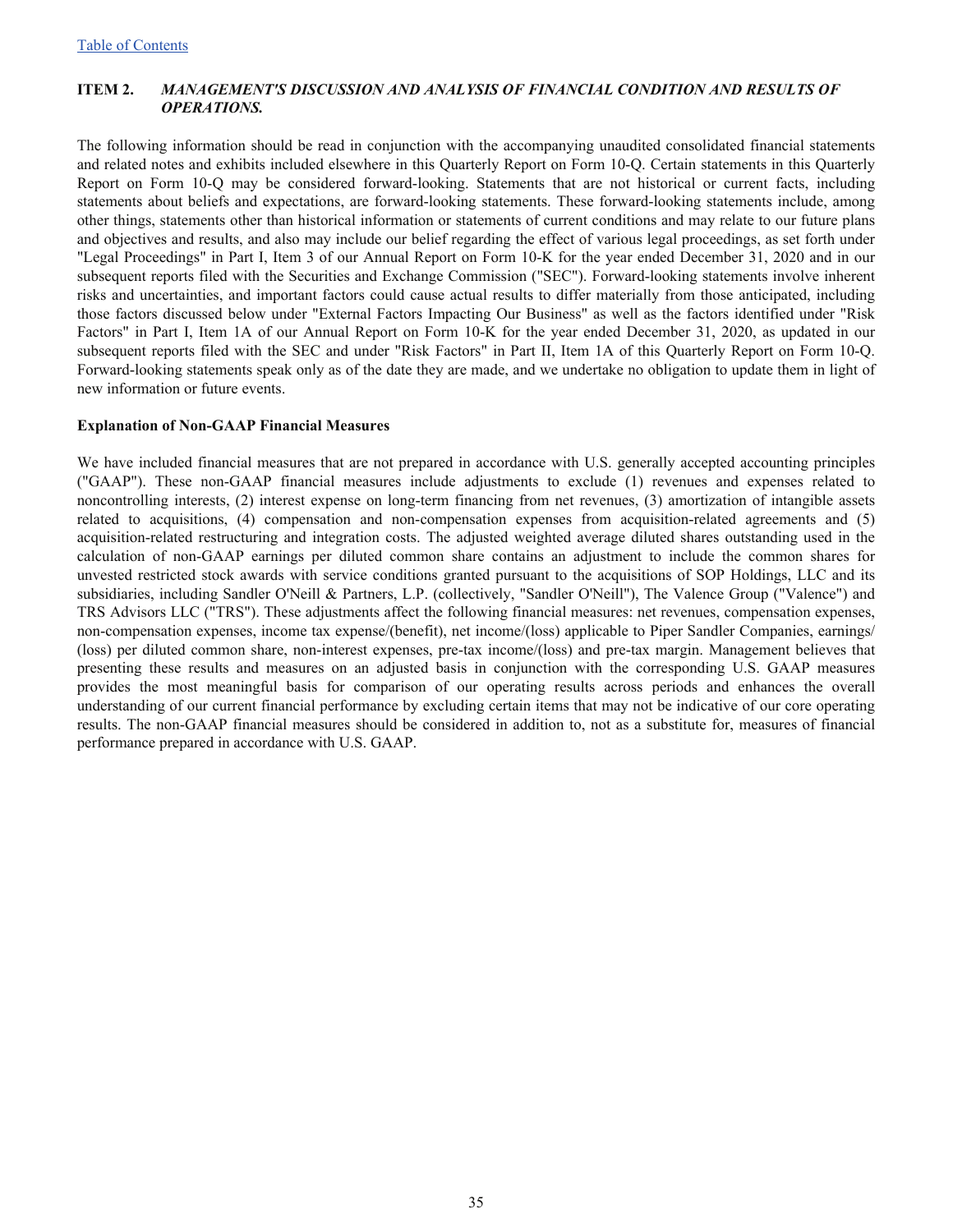#### <span id="page-34-0"></span>**ITEM 2.** *MANAGEMENT'S DISCUSSION AND ANALYSIS OF FINANCIAL CONDITION AND RESULTS OF OPERATIONS.*

The following information should be read in conjunction with the accompanying unaudited consolidated financial statements and related notes and exhibits included elsewhere in this Quarterly Report on Form 10-Q. Certain statements in this Quarterly Report on Form 10-Q may be considered forward-looking. Statements that are not historical or current facts, including statements about beliefs and expectations, are forward-looking statements. These forward-looking statements include, among other things, statements other than historical information or statements of current conditions and may relate to our future plans and objectives and results, and also may include our belief regarding the effect of various legal proceedings, as set forth under "Legal Proceedings" in Part I, Item 3 of our Annual Report on Form 10-K for the year ended December 31, 2020 and in our subsequent reports filed with the Securities and Exchange Commission ("SEC"). Forward-looking statements involve inherent risks and uncertainties, and important factors could cause actual results to differ materially from those anticipated, including those factors discussed below under "External Factors Impacting Our Business" as well as the factors identified under "Risk Factors" in Part I, Item 1A of our Annual Report on Form 10-K for the year ended December 31, 2020, as updated in our subsequent reports filed with the SEC and under "Risk Factors" in Part II, Item 1A of this Quarterly Report on Form 10-Q. Forward-looking statements speak only as of the date they are made, and we undertake no obligation to update them in light of new information or future events.

#### **Explanation of Non-GAAP Financial Measures**

We have included financial measures that are not prepared in accordance with U.S. generally accepted accounting principles ("GAAP"). These non-GAAP financial measures include adjustments to exclude (1) revenues and expenses related to noncontrolling interests, (2) interest expense on long-term financing from net revenues, (3) amortization of intangible assets related to acquisitions, (4) compensation and non-compensation expenses from acquisition-related agreements and (5) acquisition-related restructuring and integration costs. The adjusted weighted average diluted shares outstanding used in the calculation of non-GAAP earnings per diluted common share contains an adjustment to include the common shares for unvested restricted stock awards with service conditions granted pursuant to the acquisitions of SOP Holdings, LLC and its subsidiaries, including Sandler O'Neill & Partners, L.P. (collectively, "Sandler O'Neill"), The Valence Group ("Valence") and TRS Advisors LLC ("TRS"). These adjustments affect the following financial measures: net revenues, compensation expenses, non-compensation expenses, income tax expense/(benefit), net income/(loss) applicable to Piper Sandler Companies, earnings/ (loss) per diluted common share, non-interest expenses, pre-tax income/(loss) and pre-tax margin. Management believes that presenting these results and measures on an adjusted basis in conjunction with the corresponding U.S. GAAP measures provides the most meaningful basis for comparison of our operating results across periods and enhances the overall understanding of our current financial performance by excluding certain items that may not be indicative of our core operating results. The non-GAAP financial measures should be considered in addition to, not as a substitute for, measures of financial performance prepared in accordance with U.S. GAAP.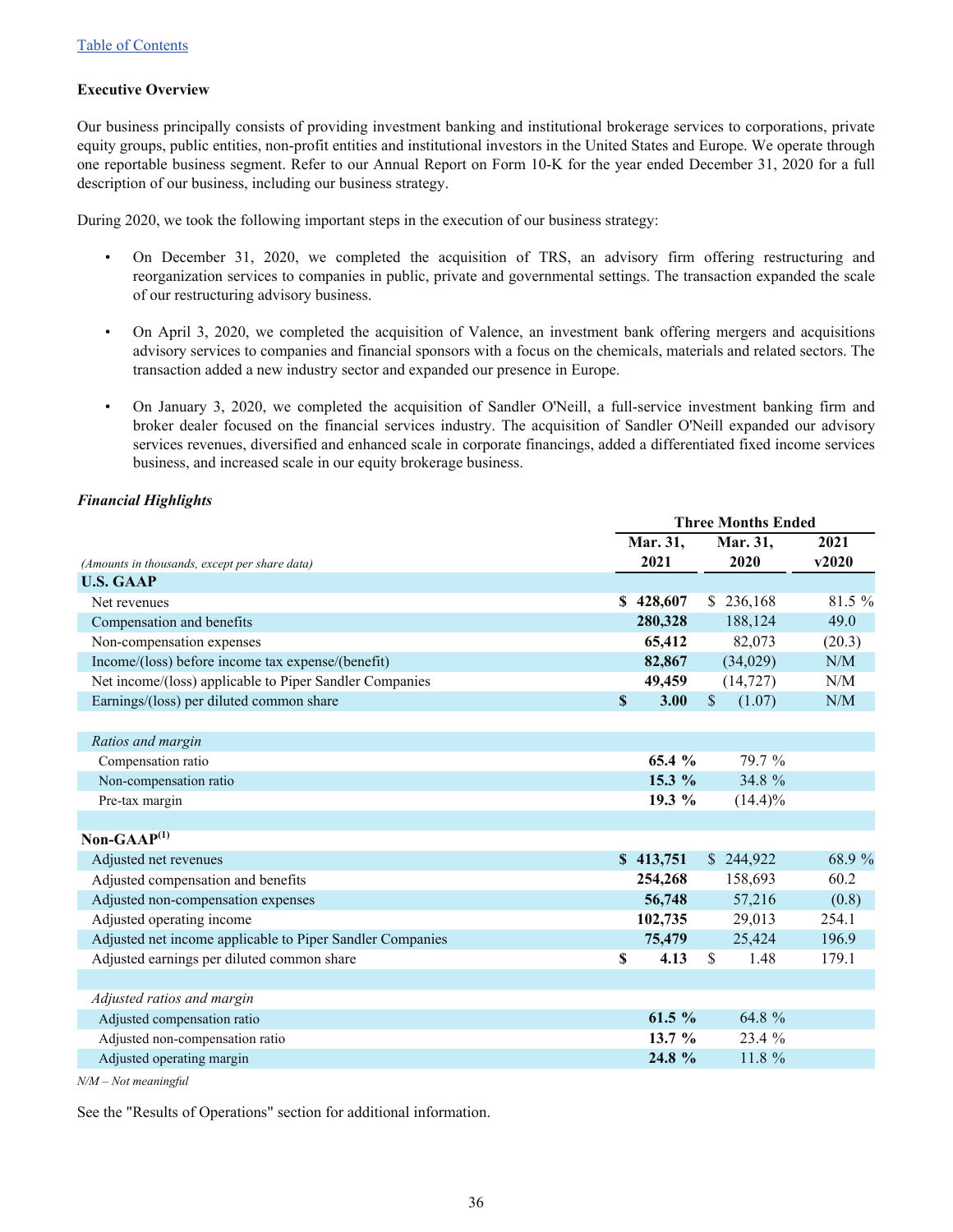#### **Executive Overview**

Our business principally consists of providing investment banking and institutional brokerage services to corporations, private equity groups, public entities, non-profit entities and institutional investors in the United States and Europe. We operate through one reportable business segment. Refer to our Annual Report on Form 10-K for the year ended December 31, 2020 for a full description of our business, including our business strategy.

During 2020, we took the following important steps in the execution of our business strategy:

- On December 31, 2020, we completed the acquisition of TRS, an advisory firm offering restructuring and reorganization services to companies in public, private and governmental settings. The transaction expanded the scale of our restructuring advisory business.
- On April 3, 2020, we completed the acquisition of Valence, an investment bank offering mergers and acquisitions advisory services to companies and financial sponsors with a focus on the chemicals, materials and related sectors. The transaction added a new industry sector and expanded our presence in Europe.
- On January 3, 2020, we completed the acquisition of Sandler O'Neill, a full-service investment banking firm and broker dealer focused on the financial services industry. The acquisition of Sandler O'Neill expanded our advisory services revenues, diversified and enhanced scale in corporate financings, added a differentiated fixed income services business, and increased scale in our equity brokerage business.

#### *Financial Highlights*

|                                                           | <b>Three Months Ended</b> |           |              |            |        |
|-----------------------------------------------------------|---------------------------|-----------|--------------|------------|--------|
|                                                           |                           | Mar. 31,  |              | Mar. 31,   | 2021   |
| (Amounts in thousands, except per share data)             |                           | 2021      |              | 2020       | v2020  |
| <b>U.S. GAAP</b>                                          |                           |           |              |            |        |
| Net revenues                                              |                           | \$428,607 |              | \$236,168  | 81.5%  |
| Compensation and benefits                                 |                           | 280,328   |              | 188,124    | 49.0   |
| Non-compensation expenses                                 |                           | 65,412    |              | 82,073     | (20.3) |
| Income/(loss) before income tax expense/(benefit)         |                           | 82,867    |              | (34,029)   | N/M    |
| Net income/(loss) applicable to Piper Sandler Companies   |                           | 49,459    |              | (14, 727)  | N/M    |
| Earnings/(loss) per diluted common share                  | $\mathbf S$               | 3.00      | $\mathbb{S}$ | (1.07)     | N/M    |
|                                                           |                           |           |              |            |        |
| Ratios and margin                                         |                           |           |              |            |        |
| Compensation ratio                                        |                           | 65.4 %    |              | 79.7 %     |        |
| Non-compensation ratio                                    |                           | 15.3 %    |              | 34.8 %     |        |
| Pre-tax margin                                            |                           | 19.3 $%$  |              | $(14.4)\%$ |        |
|                                                           |                           |           |              |            |        |
| Non-GAA $P^{(1)}$                                         |                           |           |              |            |        |
| Adjusted net revenues                                     |                           | \$413,751 |              | \$244,922  | 68.9 % |
| Adjusted compensation and benefits                        |                           | 254,268   |              | 158,693    | 60.2   |
| Adjusted non-compensation expenses                        |                           | 56,748    |              | 57,216     | (0.8)  |
| Adjusted operating income                                 |                           | 102,735   |              | 29,013     | 254.1  |
| Adjusted net income applicable to Piper Sandler Companies |                           | 75,479    |              | 25,424     | 196.9  |
| Adjusted earnings per diluted common share                | \$                        | 4.13      | \$           | 1.48       | 179.1  |
|                                                           |                           |           |              |            |        |
| Adjusted ratios and margin                                |                           |           |              |            |        |
| Adjusted compensation ratio                               |                           | 61.5 $%$  |              | 64.8 %     |        |
| Adjusted non-compensation ratio                           |                           | 13.7 $%$  |              | 23.4 %     |        |
| Adjusted operating margin                                 |                           | 24.8 %    |              | 11.8 %     |        |

*N/M – Not meaningful*

See the "Results of Operations" section for additional information.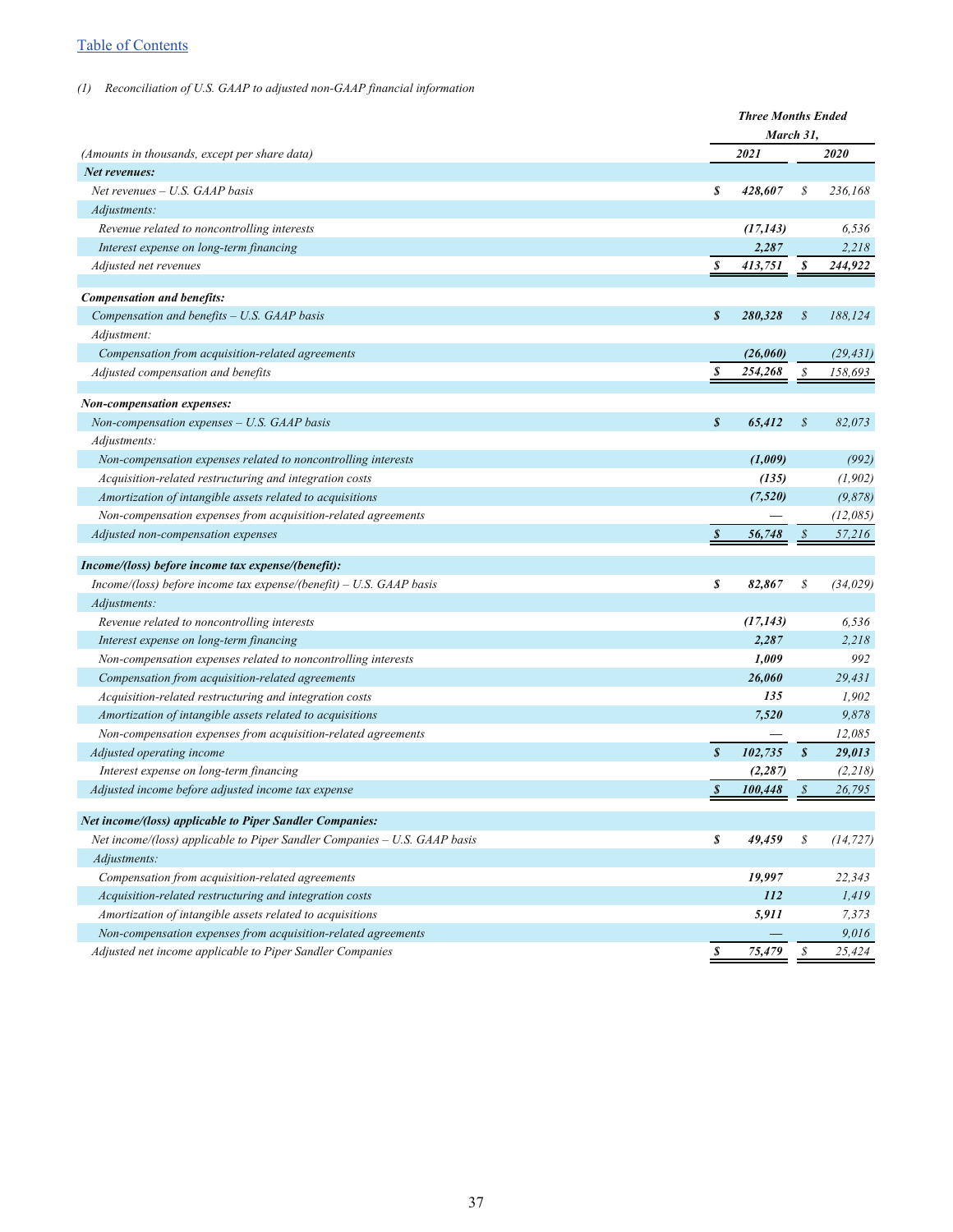## [Table of Contents](#page-1-0)

#### *(1) Reconciliation of U.S. GAAP to adjusted non-GAAP financial information*

|                                                                           |                  | <b>Three Months Ended</b> |                  |           |
|---------------------------------------------------------------------------|------------------|---------------------------|------------------|-----------|
|                                                                           |                  | March 31,                 |                  |           |
| (Amounts in thousands, except per share data)                             |                  | 2021                      |                  | 2020      |
| Net revenues:                                                             |                  |                           |                  |           |
| Net revenues - U.S. GAAP basis                                            | \$               | 428,607                   | S                | 236,168   |
| Adjustments:                                                              |                  |                           |                  |           |
| Revenue related to noncontrolling interests                               |                  | (17, 143)                 |                  | 6,536     |
| Interest expense on long-term financing                                   |                  | 2,287                     |                  | 2,218     |
| Adjusted net revenues                                                     | S                | 413,751                   | S                | 244,922   |
|                                                                           |                  |                           |                  |           |
| <b>Compensation and benefits:</b>                                         |                  |                           |                  |           |
| Compensation and benefits - U.S. GAAP basis                               | S                | 280,328                   | $\mathcal{S}$    | 188,124   |
| Adjustment:                                                               |                  |                           |                  |           |
| Compensation from acquisition-related agreements                          |                  | (26,060)                  |                  | (29, 431) |
| Adjusted compensation and benefits                                        | S                | 254,268                   | \$               | 158,693   |
| Non-compensation expenses:                                                |                  |                           |                  |           |
| Non-compensation expenses - U.S. GAAP basis                               | $\boldsymbol{s}$ | 65,412                    | \$               | 82,073    |
| Adjustments:                                                              |                  |                           |                  |           |
| Non-compensation expenses related to noncontrolling interests             |                  | (1,009)                   |                  | (992)     |
| Acquisition-related restructuring and integration costs                   |                  | (135)                     |                  | (1, 902)  |
| Amortization of intangible assets related to acquisitions                 |                  | (7,520)                   |                  | (9,878)   |
| Non-compensation expenses from acquisition-related agreements             |                  |                           |                  | (12,085)  |
| Adjusted non-compensation expenses                                        | $\boldsymbol{s}$ | 56,748                    | $\mathcal S$     | 57,216    |
|                                                                           |                  |                           |                  |           |
| Income/(loss) before income tax expense/(benefit):                        |                  |                           |                  |           |
| $Income/(loss)$ before income tax expense/(benefit) – U.S. GAAP basis     | \$               | 82,867                    | \$               | (34, 029) |
| Adjustments:                                                              |                  |                           |                  |           |
| Revenue related to noncontrolling interests                               |                  | (17, 143)                 |                  | 6,536     |
| Interest expense on long-term financing                                   |                  | 2,287                     |                  | 2,218     |
| Non-compensation expenses related to noncontrolling interests             |                  | 1,009                     |                  | 992       |
| Compensation from acquisition-related agreements                          |                  | 26,060                    |                  | 29,431    |
| Acquisition-related restructuring and integration costs                   |                  | 135                       |                  | 1,902     |
| Amortization of intangible assets related to acquisitions                 |                  | 7,520                     |                  | 9,878     |
| Non-compensation expenses from acquisition-related agreements             |                  |                           |                  | 12,085    |
| Adjusted operating income                                                 | $\boldsymbol{s}$ | 102,735                   | $\boldsymbol{s}$ | 29,013    |
| Interest expense on long-term financing                                   |                  | (2, 287)                  |                  | (2,218)   |
| Adjusted income before adjusted income tax expense                        | \$               | 100,448                   |                  | 26,795    |
| <b>Net income/(loss) applicable to Piper Sandler Companies:</b>           |                  |                           |                  |           |
| Net income/(loss) applicable to Piper Sandler Companies - U.S. GAAP basis | \$               | 49,459                    | \$               | (14, 727) |
| Adjustments:                                                              |                  |                           |                  |           |
| Compensation from acquisition-related agreements                          |                  | 19,997                    |                  | 22,343    |
| Acquisition-related restructuring and integration costs                   |                  | 112                       |                  | 1,419     |
| Amortization of intangible assets related to acquisitions                 |                  | 5,911                     |                  | 7,373     |
| Non-compensation expenses from acquisition-related agreements             |                  |                           |                  | 9,016     |
| Adjusted net income applicable to Piper Sandler Companies                 | \$               | 75,479                    | $\mathcal S$     | 25,424    |
|                                                                           |                  |                           |                  |           |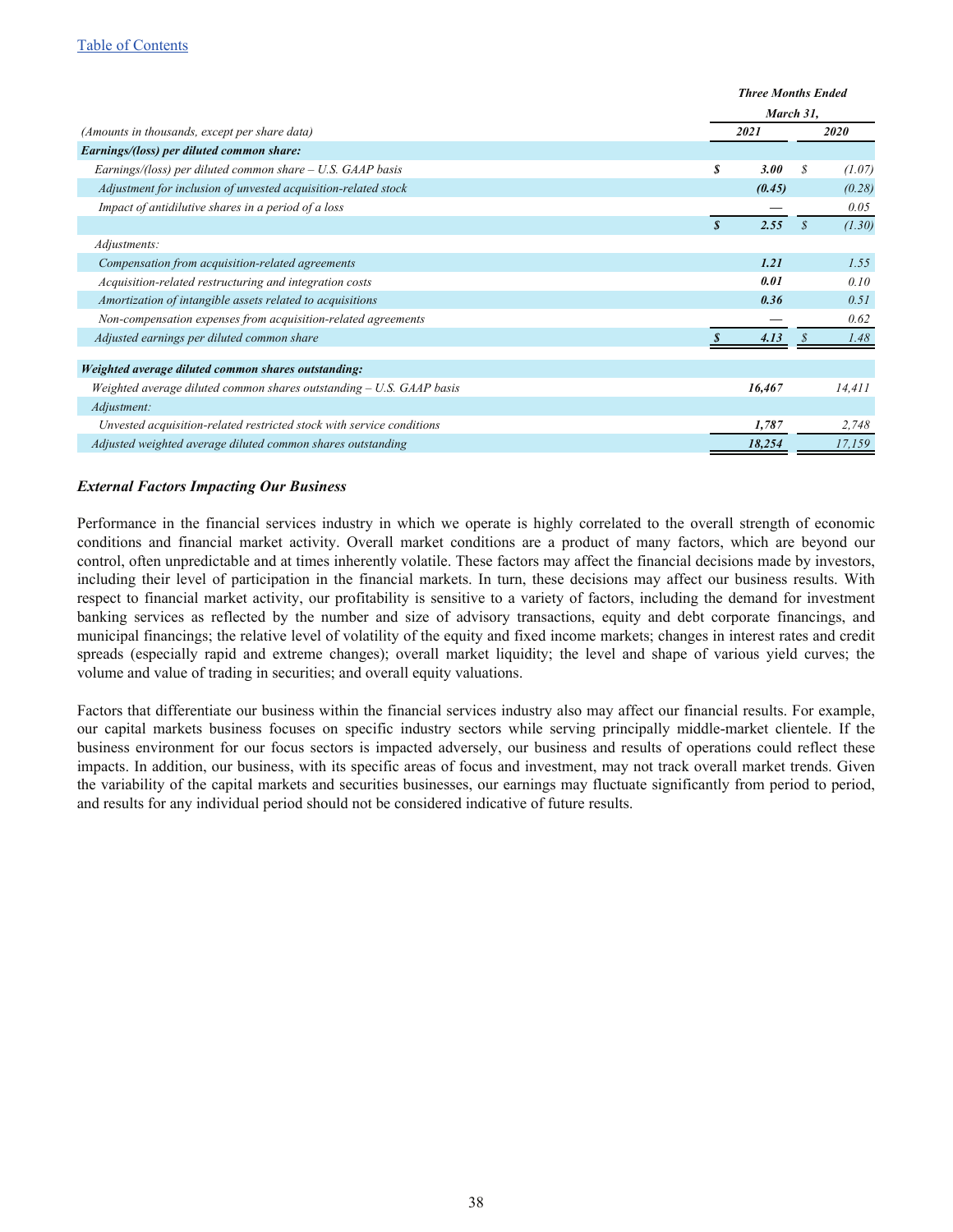|                                                                       |                  | <b>Three Months Ended</b> |                   |             |  |
|-----------------------------------------------------------------------|------------------|---------------------------|-------------------|-------------|--|
|                                                                       |                  | March 31,                 |                   |             |  |
| (Amounts in thousands, except per share data)                         |                  | 2021                      |                   | <i>2020</i> |  |
| Earnings/(loss) per diluted common share:                             |                  |                           |                   |             |  |
| Earnings/(loss) per diluted common share $- U.S. GAP$ basis           | S                | 3.00                      | S                 | (1.07)      |  |
| Adjustment for inclusion of unvested acquisition-related stock        |                  | (0.45)                    |                   | (0.28)      |  |
| Impact of antidilutive shares in a period of a loss                   |                  |                           |                   | 0.05        |  |
|                                                                       | $\boldsymbol{s}$ | 2.55                      | $\mathcal{S}_{0}$ | (1.30)      |  |
| Adjustments:                                                          |                  |                           |                   |             |  |
| Compensation from acquisition-related agreements                      |                  | 1.21                      |                   | 1.55        |  |
| Acquisition-related restructuring and integration costs               |                  | 0.01                      |                   | 0.10        |  |
| Amortization of intangible assets related to acquisitions             |                  | 0.36                      |                   | 0.51        |  |
| Non-compensation expenses from acquisition-related agreements         |                  |                           |                   | 0.62        |  |
| Adjusted earnings per diluted common share                            |                  | 4.13                      |                   | 1.48        |  |
|                                                                       |                  |                           |                   |             |  |
| Weighted average diluted common shares outstanding:                   |                  |                           |                   |             |  |
| Weighted average diluted common shares outstanding $- U.S. GAP$ basis |                  | 16,467                    |                   | 14,411      |  |
| Adjustment:                                                           |                  |                           |                   |             |  |
| Unvested acquisition-related restricted stock with service conditions |                  | 1,787                     |                   | 2,748       |  |
| Adjusted weighted average diluted common shares outstanding           |                  | 18,254                    |                   | 17,159      |  |

#### *External Factors Impacting Our Business*

Performance in the financial services industry in which we operate is highly correlated to the overall strength of economic conditions and financial market activity. Overall market conditions are a product of many factors, which are beyond our control, often unpredictable and at times inherently volatile. These factors may affect the financial decisions made by investors, including their level of participation in the financial markets. In turn, these decisions may affect our business results. With respect to financial market activity, our profitability is sensitive to a variety of factors, including the demand for investment banking services as reflected by the number and size of advisory transactions, equity and debt corporate financings, and municipal financings; the relative level of volatility of the equity and fixed income markets; changes in interest rates and credit spreads (especially rapid and extreme changes); overall market liquidity; the level and shape of various yield curves; the volume and value of trading in securities; and overall equity valuations.

Factors that differentiate our business within the financial services industry also may affect our financial results. For example, our capital markets business focuses on specific industry sectors while serving principally middle-market clientele. If the business environment for our focus sectors is impacted adversely, our business and results of operations could reflect these impacts. In addition, our business, with its specific areas of focus and investment, may not track overall market trends. Given the variability of the capital markets and securities businesses, our earnings may fluctuate significantly from period to period, and results for any individual period should not be considered indicative of future results.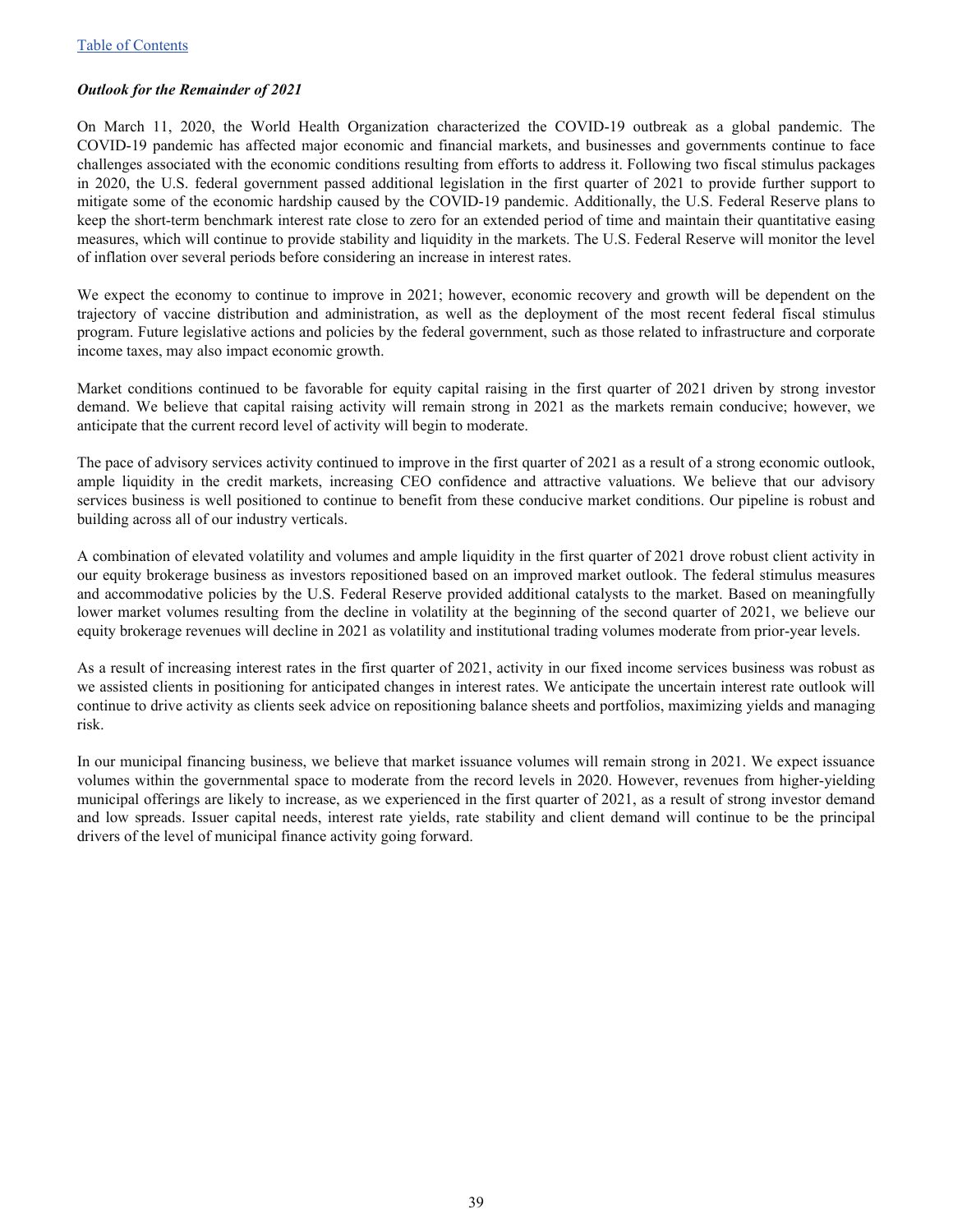#### *Outlook for the Remainder of 2021*

On March 11, 2020, the World Health Organization characterized the COVID-19 outbreak as a global pandemic. The COVID-19 pandemic has affected major economic and financial markets, and businesses and governments continue to face challenges associated with the economic conditions resulting from efforts to address it. Following two fiscal stimulus packages in 2020, the U.S. federal government passed additional legislation in the first quarter of 2021 to provide further support to mitigate some of the economic hardship caused by the COVID-19 pandemic. Additionally, the U.S. Federal Reserve plans to keep the short-term benchmark interest rate close to zero for an extended period of time and maintain their quantitative easing measures, which will continue to provide stability and liquidity in the markets. The U.S. Federal Reserve will monitor the level of inflation over several periods before considering an increase in interest rates.

We expect the economy to continue to improve in 2021; however, economic recovery and growth will be dependent on the trajectory of vaccine distribution and administration, as well as the deployment of the most recent federal fiscal stimulus program. Future legislative actions and policies by the federal government, such as those related to infrastructure and corporate income taxes, may also impact economic growth.

Market conditions continued to be favorable for equity capital raising in the first quarter of 2021 driven by strong investor demand. We believe that capital raising activity will remain strong in 2021 as the markets remain conducive; however, we anticipate that the current record level of activity will begin to moderate.

The pace of advisory services activity continued to improve in the first quarter of 2021 as a result of a strong economic outlook, ample liquidity in the credit markets, increasing CEO confidence and attractive valuations. We believe that our advisory services business is well positioned to continue to benefit from these conducive market conditions. Our pipeline is robust and building across all of our industry verticals.

A combination of elevated volatility and volumes and ample liquidity in the first quarter of 2021 drove robust client activity in our equity brokerage business as investors repositioned based on an improved market outlook. The federal stimulus measures and accommodative policies by the U.S. Federal Reserve provided additional catalysts to the market. Based on meaningfully lower market volumes resulting from the decline in volatility at the beginning of the second quarter of 2021, we believe our equity brokerage revenues will decline in 2021 as volatility and institutional trading volumes moderate from prior-year levels.

As a result of increasing interest rates in the first quarter of 2021, activity in our fixed income services business was robust as we assisted clients in positioning for anticipated changes in interest rates. We anticipate the uncertain interest rate outlook will continue to drive activity as clients seek advice on repositioning balance sheets and portfolios, maximizing yields and managing risk.

In our municipal financing business, we believe that market issuance volumes will remain strong in 2021. We expect issuance volumes within the governmental space to moderate from the record levels in 2020. However, revenues from higher-yielding municipal offerings are likely to increase, as we experienced in the first quarter of 2021, as a result of strong investor demand and low spreads. Issuer capital needs, interest rate yields, rate stability and client demand will continue to be the principal drivers of the level of municipal finance activity going forward.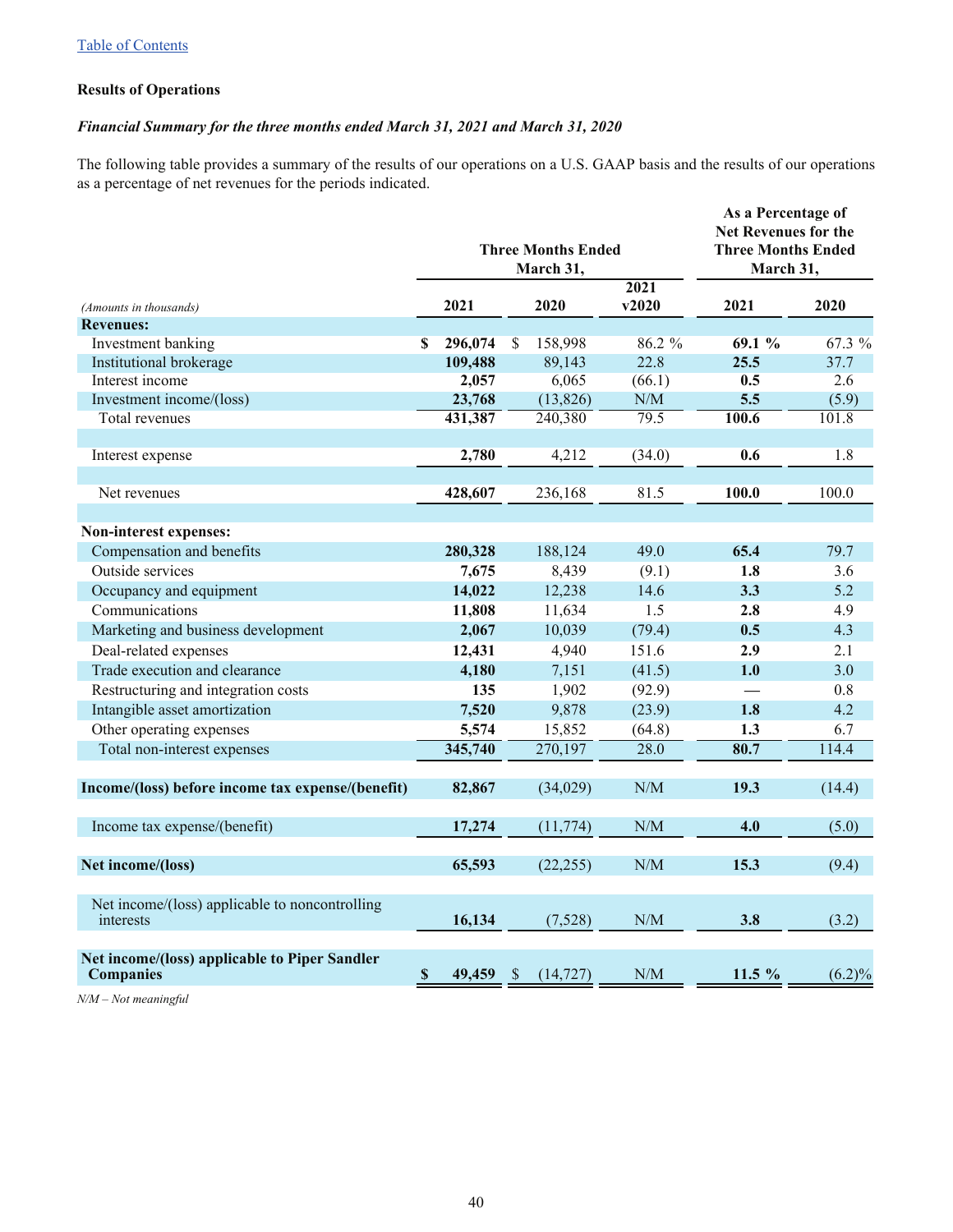#### **Results of Operations**

## *Financial Summary for the three months ended March 31, 2021 and March 31, 2020*

The following table provides a summary of the results of our operations on a U.S. GAAP basis and the results of our operations as a percentage of net revenues for the periods indicated.

|                                                                   | <b>Three Months Ended</b><br>March 31, |         |               |           |        | As a Percentage of<br><b>Net Revenues for the</b><br><b>Three Months Ended</b><br>March 31, |        |  |  |
|-------------------------------------------------------------------|----------------------------------------|---------|---------------|-----------|--------|---------------------------------------------------------------------------------------------|--------|--|--|
|                                                                   |                                        |         |               |           | 2021   |                                                                                             |        |  |  |
| (Amounts in thousands)<br><b>Revenues:</b>                        |                                        | 2021    |               | 2020      | v2020  | 2021                                                                                        | 2020   |  |  |
| Investment banking                                                | S                                      | 296,074 | <sup>\$</sup> | 158,998   | 86.2 % | 69.1%                                                                                       | 67.3 % |  |  |
| Institutional brokerage                                           |                                        | 109,488 |               | 89,143    | 22.8   | 25.5                                                                                        | 37.7   |  |  |
| Interest income                                                   |                                        | 2,057   |               | 6,065     | (66.1) | 0.5                                                                                         | 2.6    |  |  |
| Investment income/(loss)                                          |                                        | 23,768  |               | (13,826)  | N/M    | 5.5                                                                                         | (5.9)  |  |  |
| Total revenues                                                    |                                        | 431,387 |               | 240,380   | 79.5   | 100.6                                                                                       | 101.8  |  |  |
|                                                                   |                                        |         |               |           |        |                                                                                             |        |  |  |
| Interest expense                                                  |                                        | 2,780   |               | 4,212     | (34.0) | 0.6                                                                                         | 1.8    |  |  |
|                                                                   |                                        |         |               |           |        |                                                                                             |        |  |  |
| Net revenues                                                      |                                        | 428,607 |               | 236,168   | 81.5   | 100.0                                                                                       | 100.0  |  |  |
|                                                                   |                                        |         |               |           |        |                                                                                             |        |  |  |
| Non-interest expenses:                                            |                                        |         |               |           |        |                                                                                             |        |  |  |
| Compensation and benefits                                         |                                        | 280,328 |               | 188,124   | 49.0   | 65.4                                                                                        | 79.7   |  |  |
| Outside services                                                  |                                        | 7,675   |               | 8,439     | (9.1)  | 1.8                                                                                         | 3.6    |  |  |
| Occupancy and equipment                                           |                                        | 14,022  |               | 12,238    | 14.6   | 3.3                                                                                         | 5.2    |  |  |
| Communications                                                    |                                        | 11,808  |               | 11,634    | 1.5    | 2.8                                                                                         | 4.9    |  |  |
| Marketing and business development                                |                                        | 2,067   |               | 10,039    | (79.4) | 0.5                                                                                         | 4.3    |  |  |
| Deal-related expenses                                             |                                        | 12,431  |               | 4,940     | 151.6  | 2.9                                                                                         | 2.1    |  |  |
| Trade execution and clearance                                     |                                        | 4,180   |               | 7,151     | (41.5) | 1.0                                                                                         | 3.0    |  |  |
| Restructuring and integration costs                               |                                        | 135     |               | 1,902     | (92.9) |                                                                                             | 0.8    |  |  |
| Intangible asset amortization                                     |                                        | 7,520   |               | 9,878     | (23.9) | 1.8                                                                                         | 4.2    |  |  |
| Other operating expenses                                          |                                        | 5,574   |               | 15,852    | (64.8) | 1.3                                                                                         | 6.7    |  |  |
| Total non-interest expenses                                       |                                        | 345,740 |               | 270,197   | 28.0   | 80.7                                                                                        | 114.4  |  |  |
| Income/(loss) before income tax expense/(benefit)                 |                                        | 82,867  |               | (34,029)  | N/M    | 19.3                                                                                        | (14.4) |  |  |
| Income tax expense/(benefit)                                      |                                        | 17,274  |               | (11, 774) | N/M    | 4.0                                                                                         | (5.0)  |  |  |
|                                                                   |                                        |         |               |           |        |                                                                                             |        |  |  |
| Net income/(loss)                                                 |                                        | 65,593  |               | (22, 255) | N/M    | 15.3                                                                                        | (9.4)  |  |  |
| Net income/(loss) applicable to noncontrolling<br>interests       |                                        | 16,134  |               | (7,528)   | N/M    | 3.8                                                                                         | (3.2)  |  |  |
| Net income/(loss) applicable to Piper Sandler<br><b>Companies</b> | $\mathbb S$                            | 49,459  | $\mathcal{S}$ | (14, 727) | N/M    | 11.5 %                                                                                      | (6.2)% |  |  |

*N/M – Not meaningful*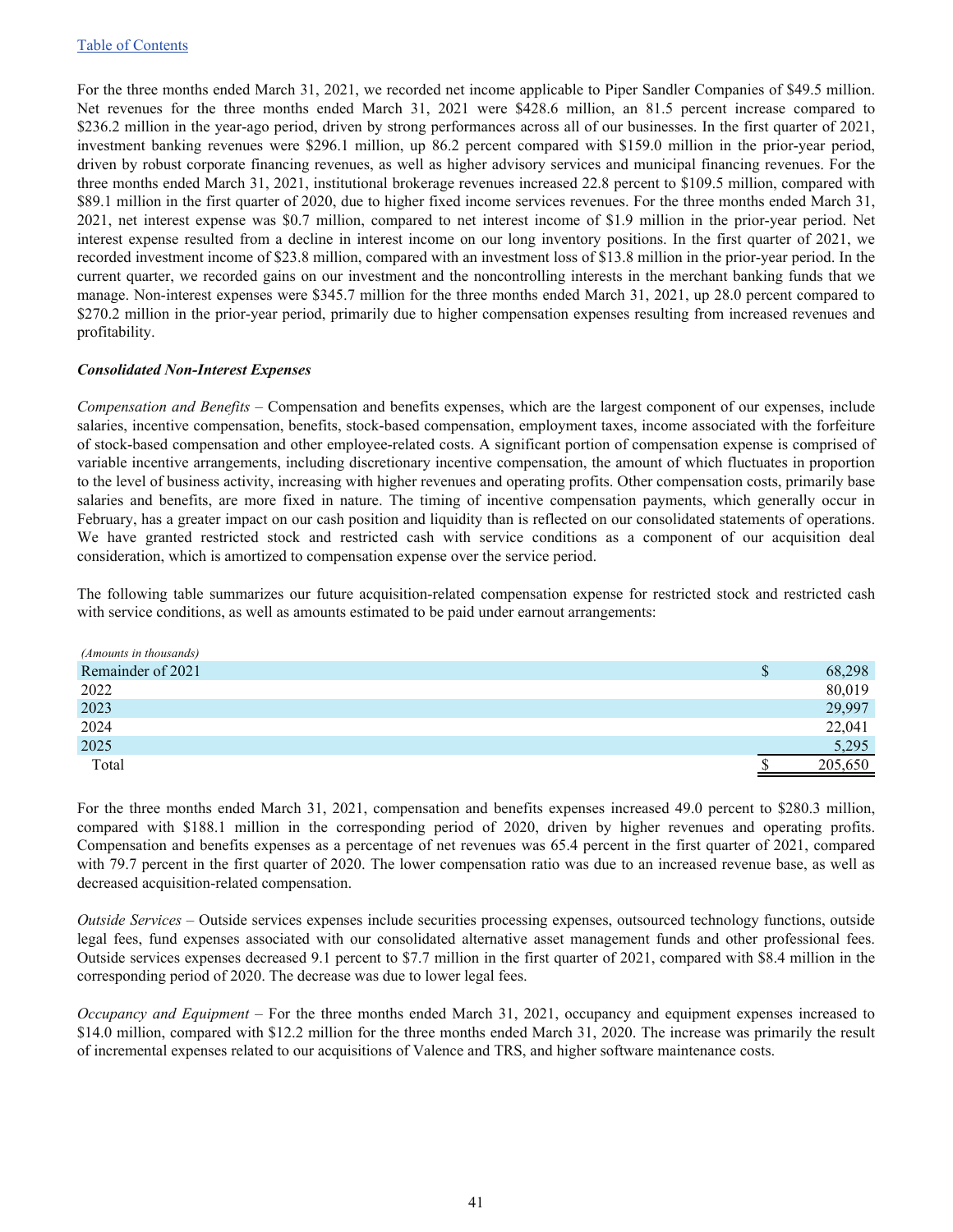For the three months ended March 31, 2021, we recorded net income applicable to Piper Sandler Companies of \$49.5 million. Net revenues for the three months ended March 31, 2021 were \$428.6 million, an 81.5 percent increase compared to \$236.2 million in the year-ago period, driven by strong performances across all of our businesses. In the first quarter of 2021, investment banking revenues were \$296.1 million, up 86.2 percent compared with \$159.0 million in the prior-year period, driven by robust corporate financing revenues, as well as higher advisory services and municipal financing revenues. For the three months ended March 31, 2021, institutional brokerage revenues increased 22.8 percent to \$109.5 million, compared with \$89.1 million in the first quarter of 2020, due to higher fixed income services revenues. For the three months ended March 31, 2021, net interest expense was \$0.7 million, compared to net interest income of \$1.9 million in the prior-year period. Net interest expense resulted from a decline in interest income on our long inventory positions. In the first quarter of 2021, we recorded investment income of \$23.8 million, compared with an investment loss of \$13.8 million in the prior-year period. In the current quarter, we recorded gains on our investment and the noncontrolling interests in the merchant banking funds that we manage. Non-interest expenses were \$345.7 million for the three months ended March 31, 2021, up 28.0 percent compared to \$270.2 million in the prior-year period, primarily due to higher compensation expenses resulting from increased revenues and profitability.

#### *Consolidated Non-Interest Expenses*

*Compensation and Benefits* – Compensation and benefits expenses, which are the largest component of our expenses, include salaries, incentive compensation, benefits, stock-based compensation, employment taxes, income associated with the forfeiture of stock-based compensation and other employee-related costs. A significant portion of compensation expense is comprised of variable incentive arrangements, including discretionary incentive compensation, the amount of which fluctuates in proportion to the level of business activity, increasing with higher revenues and operating profits. Other compensation costs, primarily base salaries and benefits, are more fixed in nature. The timing of incentive compensation payments, which generally occur in February, has a greater impact on our cash position and liquidity than is reflected on our consolidated statements of operations. We have granted restricted stock and restricted cash with service conditions as a component of our acquisition deal consideration, which is amortized to compensation expense over the service period.

The following table summarizes our future acquisition-related compensation expense for restricted stock and restricted cash with service conditions, as well as amounts estimated to be paid under earnout arrangements:

| (Amounts in thousands) |              |         |
|------------------------|--------------|---------|
| Remainder of 2021      | <sup>S</sup> | 68,298  |
| 2022                   |              | 80,019  |
| 2023                   |              | 29,997  |
| 2024                   |              | 22,041  |
| 2025                   |              | 5,295   |
| Total                  |              | 205,650 |

For the three months ended March 31, 2021, compensation and benefits expenses increased 49.0 percent to \$280.3 million, compared with \$188.1 million in the corresponding period of 2020, driven by higher revenues and operating profits. Compensation and benefits expenses as a percentage of net revenues was 65.4 percent in the first quarter of 2021, compared with 79.7 percent in the first quarter of 2020. The lower compensation ratio was due to an increased revenue base, as well as decreased acquisition-related compensation.

*Outside Services –* Outside services expenses include securities processing expenses, outsourced technology functions, outside legal fees, fund expenses associated with our consolidated alternative asset management funds and other professional fees. Outside services expenses decreased 9.1 percent to \$7.7 million in the first quarter of 2021, compared with \$8.4 million in the corresponding period of 2020. The decrease was due to lower legal fees.

*Occupancy and Equipment –* For the three months ended March 31, 2021, occupancy and equipment expenses increased to \$14.0 million, compared with \$12.2 million for the three months ended March 31, 2020. The increase was primarily the result of incremental expenses related to our acquisitions of Valence and TRS, and higher software maintenance costs.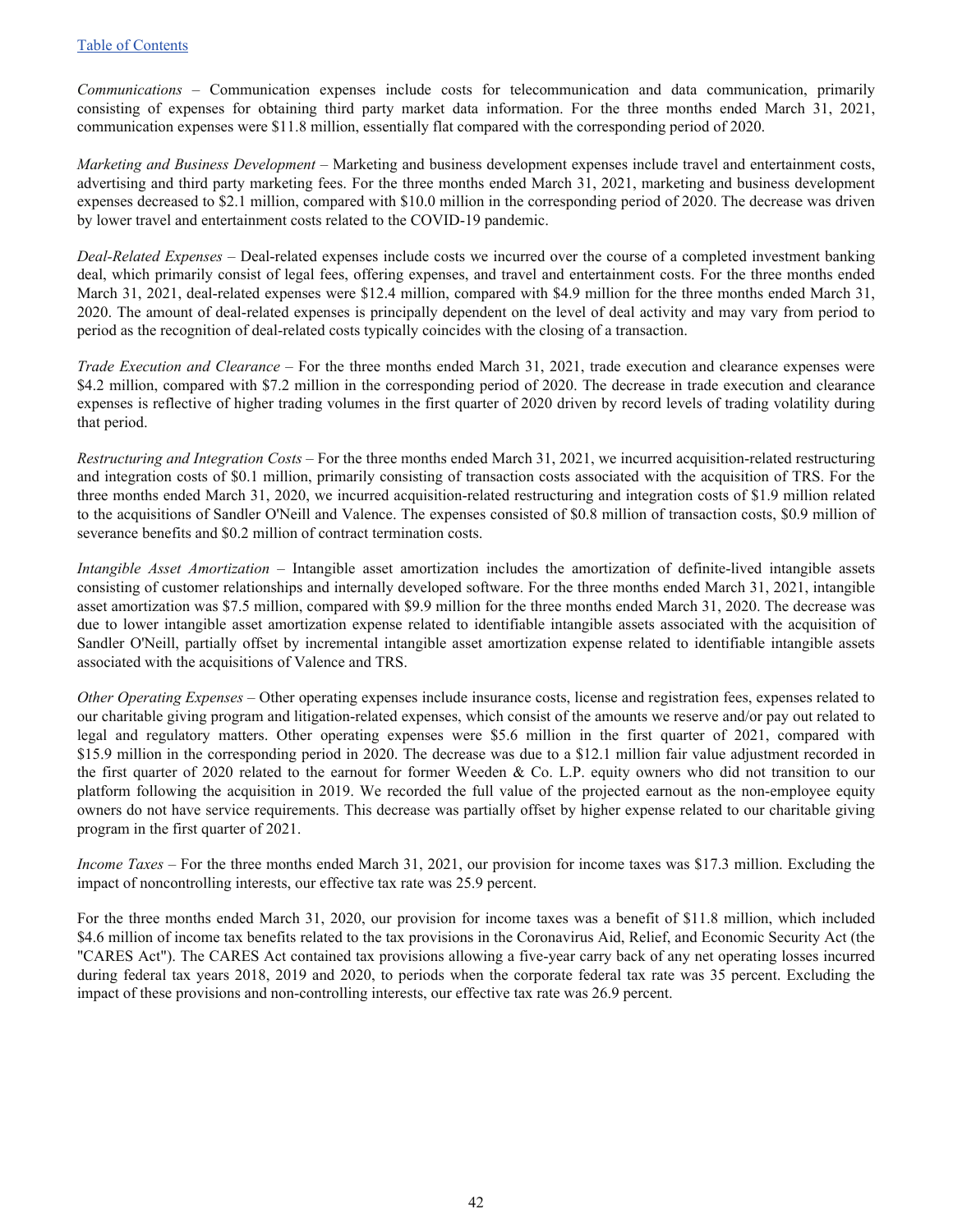*Communications –* Communication expenses include costs for telecommunication and data communication, primarily consisting of expenses for obtaining third party market data information. For the three months ended March 31, 2021, communication expenses were \$11.8 million, essentially flat compared with the corresponding period of 2020.

*Marketing and Business Development –* Marketing and business development expenses include travel and entertainment costs, advertising and third party marketing fees. For the three months ended March 31, 2021, marketing and business development expenses decreased to \$2.1 million, compared with \$10.0 million in the corresponding period of 2020. The decrease was driven by lower travel and entertainment costs related to the COVID-19 pandemic.

*Deal-Related Expenses –* Deal-related expenses include costs we incurred over the course of a completed investment banking deal, which primarily consist of legal fees, offering expenses, and travel and entertainment costs. For the three months ended March 31, 2021, deal-related expenses were \$12.4 million, compared with \$4.9 million for the three months ended March 31, 2020. The amount of deal-related expenses is principally dependent on the level of deal activity and may vary from period to period as the recognition of deal-related costs typically coincides with the closing of a transaction.

*Trade Execution and Clearance –* For the three months ended March 31, 2021, trade execution and clearance expenses were \$4.2 million, compared with \$7.2 million in the corresponding period of 2020. The decrease in trade execution and clearance expenses is reflective of higher trading volumes in the first quarter of 2020 driven by record levels of trading volatility during that period.

*Restructuring and Integration Costs* – For the three months ended March 31, 2021, we incurred acquisition-related restructuring and integration costs of \$0.1 million, primarily consisting of transaction costs associated with the acquisition of TRS. For the three months ended March 31, 2020, we incurred acquisition-related restructuring and integration costs of \$1.9 million related to the acquisitions of Sandler O'Neill and Valence. The expenses consisted of \$0.8 million of transaction costs, \$0.9 million of severance benefits and \$0.2 million of contract termination costs.

*Intangible Asset Amortization –* Intangible asset amortization includes the amortization of definite-lived intangible assets consisting of customer relationships and internally developed software. For the three months ended March 31, 2021, intangible asset amortization was \$7.5 million, compared with \$9.9 million for the three months ended March 31, 2020. The decrease was due to lower intangible asset amortization expense related to identifiable intangible assets associated with the acquisition of Sandler O'Neill, partially offset by incremental intangible asset amortization expense related to identifiable intangible assets associated with the acquisitions of Valence and TRS.

*Other Operating Expenses –* Other operating expenses include insurance costs, license and registration fees, expenses related to our charitable giving program and litigation-related expenses, which consist of the amounts we reserve and/or pay out related to legal and regulatory matters. Other operating expenses were \$5.6 million in the first quarter of 2021, compared with \$15.9 million in the corresponding period in 2020. The decrease was due to a \$12.1 million fair value adjustment recorded in the first quarter of 2020 related to the earnout for former Weeden & Co. L.P. equity owners who did not transition to our platform following the acquisition in 2019. We recorded the full value of the projected earnout as the non-employee equity owners do not have service requirements. This decrease was partially offset by higher expense related to our charitable giving program in the first quarter of 2021.

*Income Taxes –* For the three months ended March 31, 2021, our provision for income taxes was \$17.3 million. Excluding the impact of noncontrolling interests, our effective tax rate was 25.9 percent.

For the three months ended March 31, 2020, our provision for income taxes was a benefit of \$11.8 million, which included \$4.6 million of income tax benefits related to the tax provisions in the Coronavirus Aid, Relief, and Economic Security Act (the "CARES Act"). The CARES Act contained tax provisions allowing a five-year carry back of any net operating losses incurred during federal tax years 2018, 2019 and 2020, to periods when the corporate federal tax rate was 35 percent. Excluding the impact of these provisions and non-controlling interests, our effective tax rate was 26.9 percent.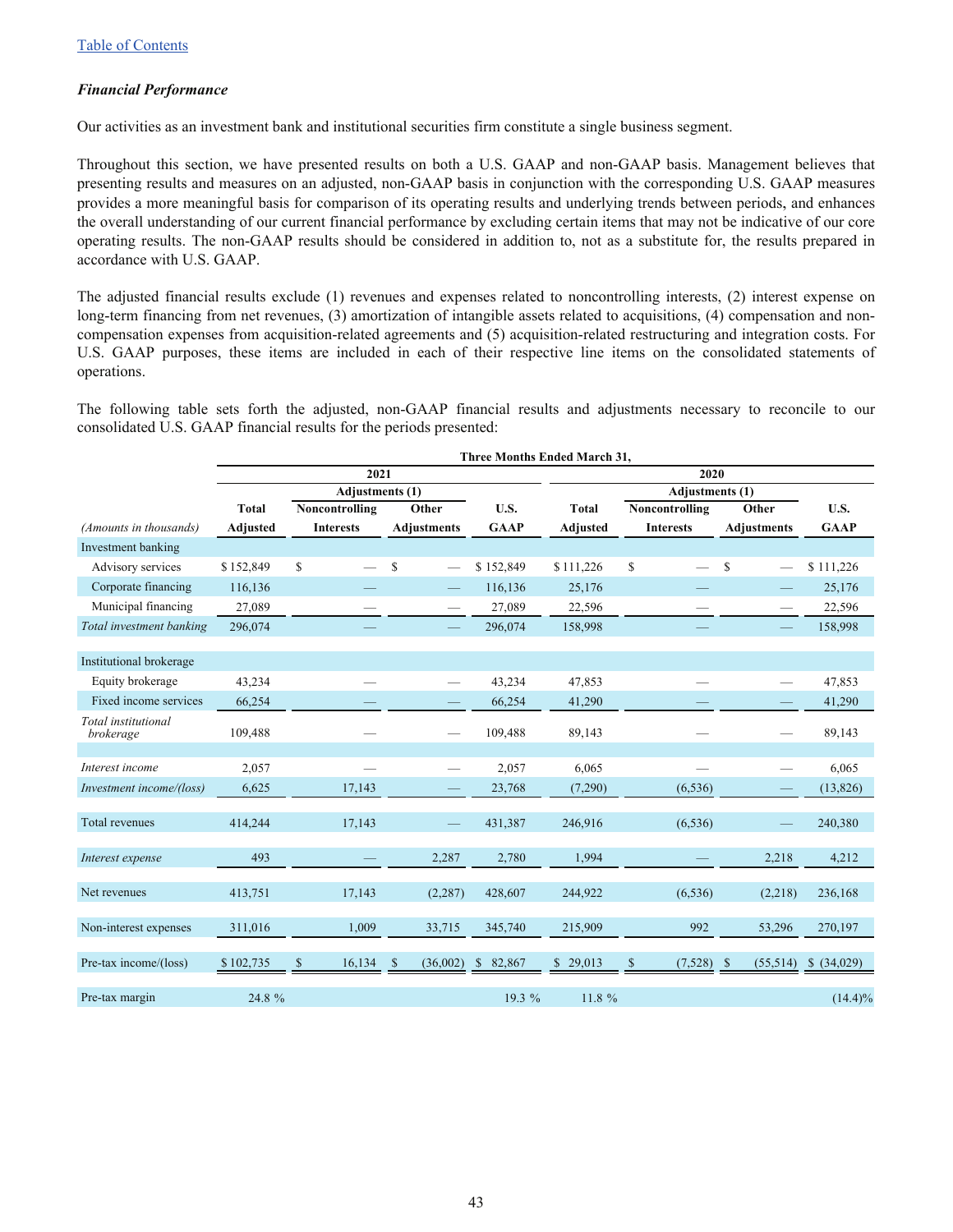#### *Financial Performance*

Our activities as an investment bank and institutional securities firm constitute a single business segment.

Throughout this section, we have presented results on both a U.S. GAAP and non-GAAP basis. Management believes that presenting results and measures on an adjusted, non-GAAP basis in conjunction with the corresponding U.S. GAAP measures provides a more meaningful basis for comparison of its operating results and underlying trends between periods, and enhances the overall understanding of our current financial performance by excluding certain items that may not be indicative of our core operating results. The non-GAAP results should be considered in addition to, not as a substitute for, the results prepared in accordance with U.S. GAAP.

The adjusted financial results exclude (1) revenues and expenses related to noncontrolling interests, (2) interest expense on long-term financing from net revenues, (3) amortization of intangible assets related to acquisitions, (4) compensation and noncompensation expenses from acquisition-related agreements and (5) acquisition-related restructuring and integration costs. For U.S. GAAP purposes, these items are included in each of their respective line items on the consolidated statements of operations.

The following table sets forth the adjusted, non-GAAP financial results and adjustments necessary to reconcile to our consolidated U.S. GAAP financial results for the periods presented:

|                                  | <b>Three Months Ended March 31,</b> |                  |                          |                         |                 |                    |                                     |             |  |  |  |
|----------------------------------|-------------------------------------|------------------|--------------------------|-------------------------|-----------------|--------------------|-------------------------------------|-------------|--|--|--|
|                                  |                                     | 2021             |                          |                         | 2020            |                    |                                     |             |  |  |  |
|                                  |                                     |                  | <b>Adjustments</b> (1)   |                         |                 | Adjustments (1)    |                                     |             |  |  |  |
|                                  | <b>Total</b>                        | Noncontrolling   | Other                    | U.S.                    | <b>Total</b>    | Noncontrolling     | Other                               | U.S.        |  |  |  |
| (Amounts in thousands)           | <b>Adjusted</b>                     | <b>Interests</b> | <b>Adjustments</b>       | <b>GAAP</b>             | <b>Adjusted</b> | <b>Interests</b>   | <b>Adjustments</b>                  | <b>GAAP</b> |  |  |  |
| Investment banking               |                                     |                  |                          |                         |                 |                    |                                     |             |  |  |  |
| Advisory services                | \$152,849                           | \$               | \$                       | \$152,849               | \$111,226       | $\mathbb{S}$       | \$<br>$\overbrace{\phantom{aaaaa}}$ | \$111,226   |  |  |  |
| Corporate financing              | 116,136                             |                  |                          | 116,136                 | 25,176          |                    | —                                   | 25,176      |  |  |  |
| Municipal financing              | 27,089                              |                  |                          | 27,089                  | 22,596          |                    |                                     | 22,596      |  |  |  |
| Total investment banking         | 296,074                             |                  |                          | 296,074                 | 158,998         |                    |                                     | 158,998     |  |  |  |
|                                  |                                     |                  |                          |                         |                 |                    |                                     |             |  |  |  |
| Institutional brokerage          |                                     |                  |                          |                         |                 |                    |                                     |             |  |  |  |
| Equity brokerage                 | 43,234                              |                  | $\overline{\phantom{0}}$ | 43,234                  | 47,853          |                    |                                     | 47,853      |  |  |  |
| Fixed income services            | 66,254                              |                  |                          | 66,254                  | 41,290          |                    |                                     | 41,290      |  |  |  |
| Total institutional<br>brokerage | 109,488                             |                  |                          | 109,488                 | 89,143          |                    |                                     | 89,143      |  |  |  |
| Interest income                  | 2,057                               |                  |                          | 2,057                   | 6,065           |                    |                                     | 6,065       |  |  |  |
|                                  |                                     |                  | $\overline{\phantom{0}}$ |                         |                 |                    | —                                   |             |  |  |  |
| Investment income/(loss)         | 6,625                               | 17,143           | $\qquad \qquad -$        | 23,768                  | (7,290)         | (6, 536)           | -                                   | (13, 826)   |  |  |  |
| Total revenues                   | 414,244                             | 17,143           |                          | 431,387                 | 246,916         | (6, 536)           | -                                   | 240,380     |  |  |  |
| Interest expense                 | 493                                 |                  | 2,287                    | 2,780                   | 1,994           |                    | 2,218                               | 4,212       |  |  |  |
| Net revenues                     | 413,751                             | 17,143           | (2, 287)                 | 428,607                 | 244,922         | (6, 536)           | (2,218)                             | 236,168     |  |  |  |
| Non-interest expenses            | 311,016                             | 1,009            | 33,715                   | 345,740                 | 215,909         | 992                | 53,296                              | 270,197     |  |  |  |
| Pre-tax income/(loss)            | \$102,735                           | 16,134<br>S      | (36,002)<br>-S           | 82,867<br><sup>\$</sup> | \$29,013        | $(7,528)$ \$<br>\$ | (55,514)                            | \$ (34,029) |  |  |  |
| Pre-tax margin                   | 24.8 %                              |                  |                          | 19.3 %                  | 11.8 %          |                    |                                     | $(14.4)\%$  |  |  |  |

43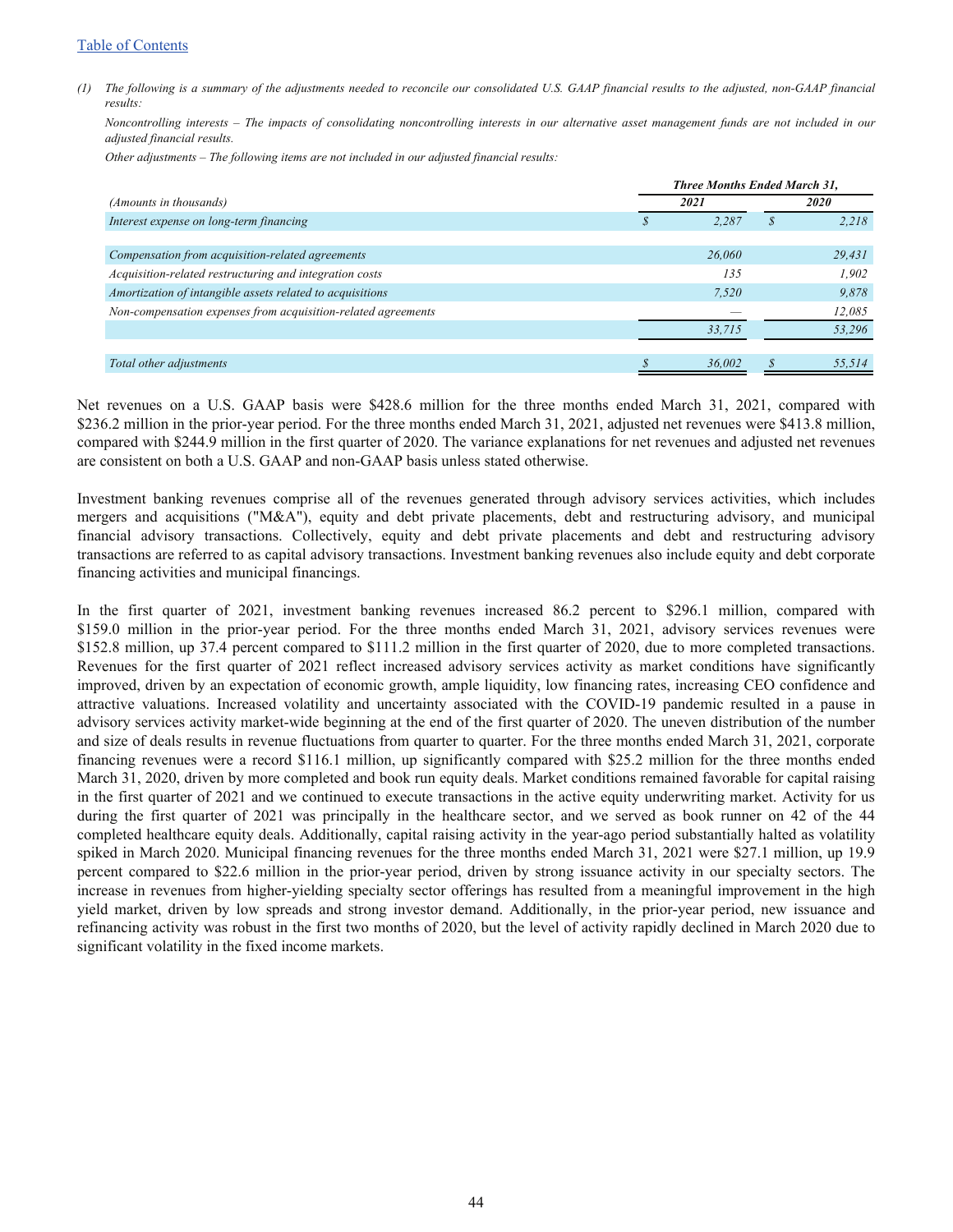#### [Table of Contents](#page-1-0)

*(1) The following is a summary of the adjustments needed to reconcile our consolidated U.S. GAAP financial results to the adjusted, non-GAAP financial results:* 

*Noncontrolling interests – The impacts of consolidating noncontrolling interests in our alternative asset management funds are not included in our adjusted financial results.* 

*Other adjustments – The following items are not included in our adjusted financial results:* 

|                                                               | <b>Three Months Ended March 31,</b> |             |        |  |  |
|---------------------------------------------------------------|-------------------------------------|-------------|--------|--|--|
| (Amounts in thousands)                                        | 2021                                | <i>2020</i> |        |  |  |
| Interest expense on long-term financing                       | 2.287                               |             | 2.218  |  |  |
|                                                               |                                     |             |        |  |  |
| Compensation from acquisition-related agreements              | 26,060                              |             | 29,431 |  |  |
| Acquisition-related restructuring and integration costs       | 135                                 |             | 1.902  |  |  |
| Amortization of intangible assets related to acquisitions     | 7.520                               |             | 9.878  |  |  |
| Non-compensation expenses from acquisition-related agreements |                                     |             | 12,085 |  |  |
|                                                               | 33,715                              |             | 53,296 |  |  |
|                                                               |                                     |             |        |  |  |
| Total other adjustments                                       | 36,002                              |             | 55,514 |  |  |

Net revenues on a U.S. GAAP basis were \$428.6 million for the three months ended March 31, 2021, compared with \$236.2 million in the prior-year period. For the three months ended March 31, 2021, adjusted net revenues were \$413.8 million, compared with \$244.9 million in the first quarter of 2020. The variance explanations for net revenues and adjusted net revenues are consistent on both a U.S. GAAP and non-GAAP basis unless stated otherwise.

Investment banking revenues comprise all of the revenues generated through advisory services activities, which includes mergers and acquisitions ("M&A"), equity and debt private placements, debt and restructuring advisory, and municipal financial advisory transactions. Collectively, equity and debt private placements and debt and restructuring advisory transactions are referred to as capital advisory transactions. Investment banking revenues also include equity and debt corporate financing activities and municipal financings.

In the first quarter of 2021, investment banking revenues increased 86.2 percent to \$296.1 million, compared with \$159.0 million in the prior-year period. For the three months ended March 31, 2021, advisory services revenues were \$152.8 million, up 37.4 percent compared to \$111.2 million in the first quarter of 2020, due to more completed transactions. Revenues for the first quarter of 2021 reflect increased advisory services activity as market conditions have significantly improved, driven by an expectation of economic growth, ample liquidity, low financing rates, increasing CEO confidence and attractive valuations. Increased volatility and uncertainty associated with the COVID-19 pandemic resulted in a pause in advisory services activity market-wide beginning at the end of the first quarter of 2020. The uneven distribution of the number and size of deals results in revenue fluctuations from quarter to quarter. For the three months ended March 31, 2021, corporate financing revenues were a record \$116.1 million, up significantly compared with \$25.2 million for the three months ended March 31, 2020, driven by more completed and book run equity deals. Market conditions remained favorable for capital raising in the first quarter of 2021 and we continued to execute transactions in the active equity underwriting market. Activity for us during the first quarter of 2021 was principally in the healthcare sector, and we served as book runner on 42 of the 44 completed healthcare equity deals. Additionally, capital raising activity in the year-ago period substantially halted as volatility spiked in March 2020. Municipal financing revenues for the three months ended March 31, 2021 were \$27.1 million, up 19.9 percent compared to \$22.6 million in the prior-year period, driven by strong issuance activity in our specialty sectors. The increase in revenues from higher-yielding specialty sector offerings has resulted from a meaningful improvement in the high yield market, driven by low spreads and strong investor demand. Additionally, in the prior-year period, new issuance and refinancing activity was robust in the first two months of 2020, but the level of activity rapidly declined in March 2020 due to significant volatility in the fixed income markets.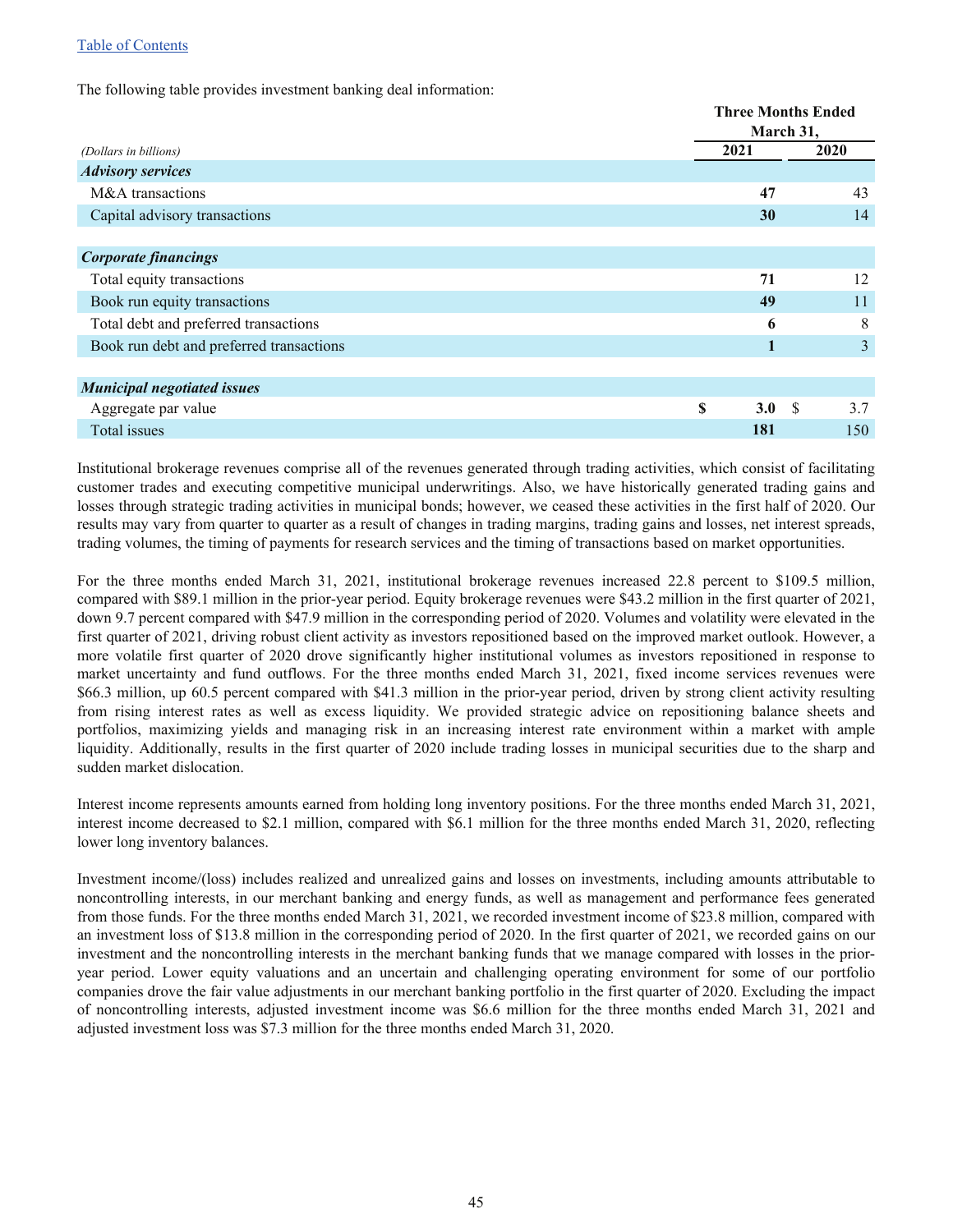#### [Table of Contents](#page-1-0)

The following table provides investment banking deal information:

|                                          |           | <b>Three Months Ended</b> |  |  |  |  |  |
|------------------------------------------|-----------|---------------------------|--|--|--|--|--|
|                                          |           | March 31,                 |  |  |  |  |  |
| (Dollars in billions)                    | 2021      | 2020                      |  |  |  |  |  |
| <b>Advisory services</b>                 |           |                           |  |  |  |  |  |
| M&A transactions                         | 47        | 43                        |  |  |  |  |  |
| Capital advisory transactions            | 30        | 14                        |  |  |  |  |  |
|                                          |           |                           |  |  |  |  |  |
| <b>Corporate financings</b>              |           |                           |  |  |  |  |  |
| Total equity transactions                | 71        | 12                        |  |  |  |  |  |
| Book run equity transactions             | 49        | 11                        |  |  |  |  |  |
| Total debt and preferred transactions    | 6         | 8                         |  |  |  |  |  |
| Book run debt and preferred transactions | 1         | 3                         |  |  |  |  |  |
|                                          |           |                           |  |  |  |  |  |
| <b>Municipal negotiated issues</b>       |           |                           |  |  |  |  |  |
| Aggregate par value                      | \$<br>3.0 | S<br>3.7                  |  |  |  |  |  |
| Total issues                             | 181       | 150                       |  |  |  |  |  |

Institutional brokerage revenues comprise all of the revenues generated through trading activities, which consist of facilitating customer trades and executing competitive municipal underwritings. Also, we have historically generated trading gains and losses through strategic trading activities in municipal bonds; however, we ceased these activities in the first half of 2020. Our results may vary from quarter to quarter as a result of changes in trading margins, trading gains and losses, net interest spreads, trading volumes, the timing of payments for research services and the timing of transactions based on market opportunities.

For the three months ended March 31, 2021, institutional brokerage revenues increased 22.8 percent to \$109.5 million, compared with \$89.1 million in the prior-year period. Equity brokerage revenues were \$43.2 million in the first quarter of 2021, down 9.7 percent compared with \$47.9 million in the corresponding period of 2020. Volumes and volatility were elevated in the first quarter of 2021, driving robust client activity as investors repositioned based on the improved market outlook. However, a more volatile first quarter of 2020 drove significantly higher institutional volumes as investors repositioned in response to market uncertainty and fund outflows. For the three months ended March 31, 2021, fixed income services revenues were \$66.3 million, up 60.5 percent compared with \$41.3 million in the prior-year period, driven by strong client activity resulting from rising interest rates as well as excess liquidity. We provided strategic advice on repositioning balance sheets and portfolios, maximizing yields and managing risk in an increasing interest rate environment within a market with ample liquidity. Additionally, results in the first quarter of 2020 include trading losses in municipal securities due to the sharp and sudden market dislocation.

Interest income represents amounts earned from holding long inventory positions. For the three months ended March 31, 2021, interest income decreased to \$2.1 million, compared with \$6.1 million for the three months ended March 31, 2020, reflecting lower long inventory balances.

Investment income/(loss) includes realized and unrealized gains and losses on investments, including amounts attributable to noncontrolling interests, in our merchant banking and energy funds, as well as management and performance fees generated from those funds. For the three months ended March 31, 2021, we recorded investment income of \$23.8 million, compared with an investment loss of \$13.8 million in the corresponding period of 2020. In the first quarter of 2021, we recorded gains on our investment and the noncontrolling interests in the merchant banking funds that we manage compared with losses in the prioryear period. Lower equity valuations and an uncertain and challenging operating environment for some of our portfolio companies drove the fair value adjustments in our merchant banking portfolio in the first quarter of 2020. Excluding the impact of noncontrolling interests, adjusted investment income was \$6.6 million for the three months ended March 31, 2021 and adjusted investment loss was \$7.3 million for the three months ended March 31, 2020.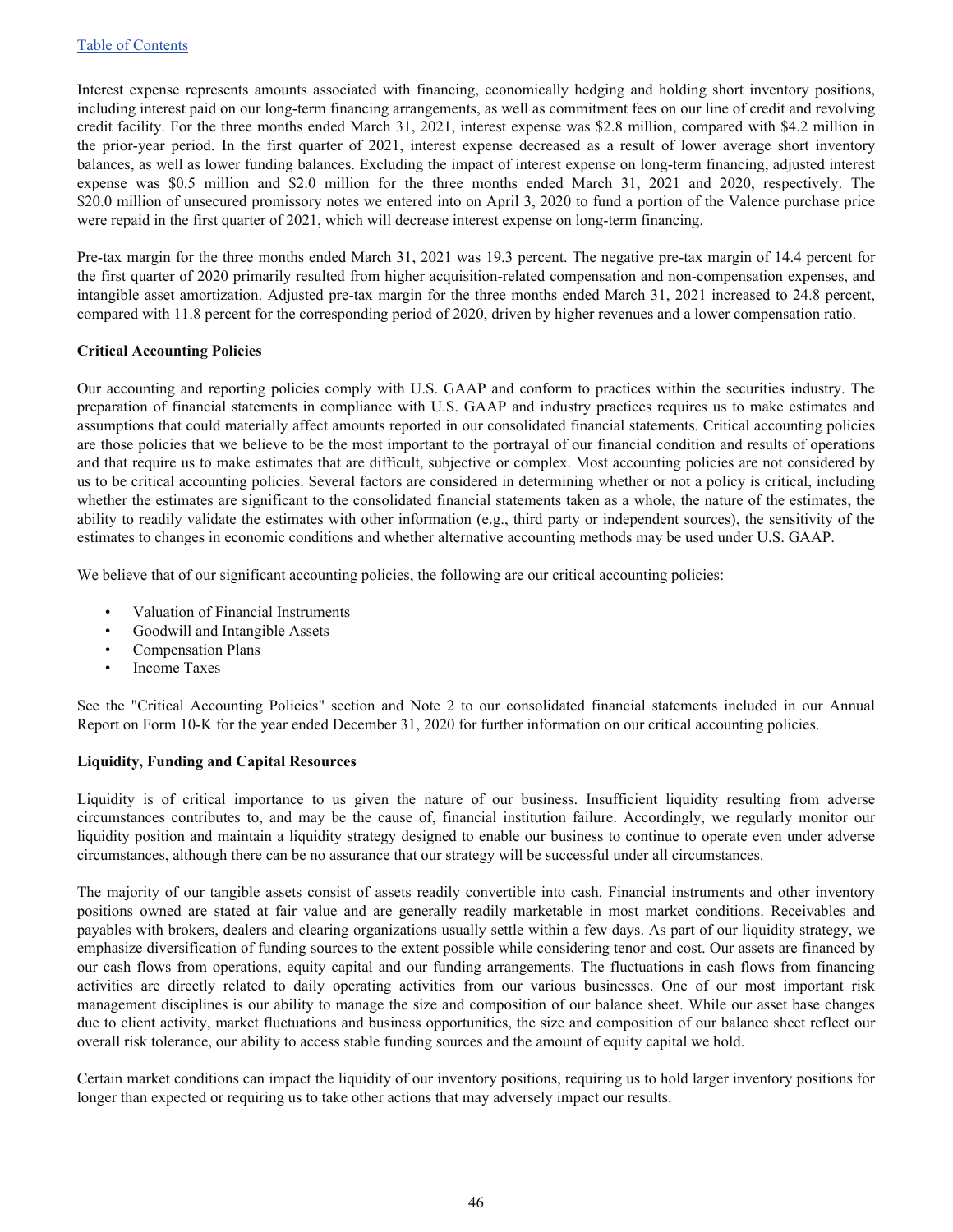Interest expense represents amounts associated with financing, economically hedging and holding short inventory positions, including interest paid on our long-term financing arrangements, as well as commitment fees on our line of credit and revolving credit facility. For the three months ended March 31, 2021, interest expense was \$2.8 million, compared with \$4.2 million in the prior-year period. In the first quarter of 2021, interest expense decreased as a result of lower average short inventory balances, as well as lower funding balances. Excluding the impact of interest expense on long-term financing, adjusted interest expense was \$0.5 million and \$2.0 million for the three months ended March 31, 2021 and 2020, respectively. The \$20.0 million of unsecured promissory notes we entered into on April 3, 2020 to fund a portion of the Valence purchase price were repaid in the first quarter of 2021, which will decrease interest expense on long-term financing.

Pre-tax margin for the three months ended March 31, 2021 was 19.3 percent. The negative pre-tax margin of 14.4 percent for the first quarter of 2020 primarily resulted from higher acquisition-related compensation and non-compensation expenses, and intangible asset amortization. Adjusted pre-tax margin for the three months ended March 31, 2021 increased to 24.8 percent, compared with 11.8 percent for the corresponding period of 2020, driven by higher revenues and a lower compensation ratio.

#### **Critical Accounting Policies**

Our accounting and reporting policies comply with U.S. GAAP and conform to practices within the securities industry. The preparation of financial statements in compliance with U.S. GAAP and industry practices requires us to make estimates and assumptions that could materially affect amounts reported in our consolidated financial statements. Critical accounting policies are those policies that we believe to be the most important to the portrayal of our financial condition and results of operations and that require us to make estimates that are difficult, subjective or complex. Most accounting policies are not considered by us to be critical accounting policies. Several factors are considered in determining whether or not a policy is critical, including whether the estimates are significant to the consolidated financial statements taken as a whole, the nature of the estimates, the ability to readily validate the estimates with other information (e.g., third party or independent sources), the sensitivity of the estimates to changes in economic conditions and whether alternative accounting methods may be used under U.S. GAAP.

We believe that of our significant accounting policies, the following are our critical accounting policies:

- Valuation of Financial Instruments
- Goodwill and Intangible Assets
- Compensation Plans
- Income Taxes

See the "Critical Accounting Policies" section and Note 2 to our consolidated financial statements included in our Annual Report on Form 10-K for the year ended December 31, 2020 for further information on our critical accounting policies.

#### **Liquidity, Funding and Capital Resources**

Liquidity is of critical importance to us given the nature of our business. Insufficient liquidity resulting from adverse circumstances contributes to, and may be the cause of, financial institution failure. Accordingly, we regularly monitor our liquidity position and maintain a liquidity strategy designed to enable our business to continue to operate even under adverse circumstances, although there can be no assurance that our strategy will be successful under all circumstances.

The majority of our tangible assets consist of assets readily convertible into cash. Financial instruments and other inventory positions owned are stated at fair value and are generally readily marketable in most market conditions. Receivables and payables with brokers, dealers and clearing organizations usually settle within a few days. As part of our liquidity strategy, we emphasize diversification of funding sources to the extent possible while considering tenor and cost. Our assets are financed by our cash flows from operations, equity capital and our funding arrangements. The fluctuations in cash flows from financing activities are directly related to daily operating activities from our various businesses. One of our most important risk management disciplines is our ability to manage the size and composition of our balance sheet. While our asset base changes due to client activity, market fluctuations and business opportunities, the size and composition of our balance sheet reflect our overall risk tolerance, our ability to access stable funding sources and the amount of equity capital we hold.

Certain market conditions can impact the liquidity of our inventory positions, requiring us to hold larger inventory positions for longer than expected or requiring us to take other actions that may adversely impact our results.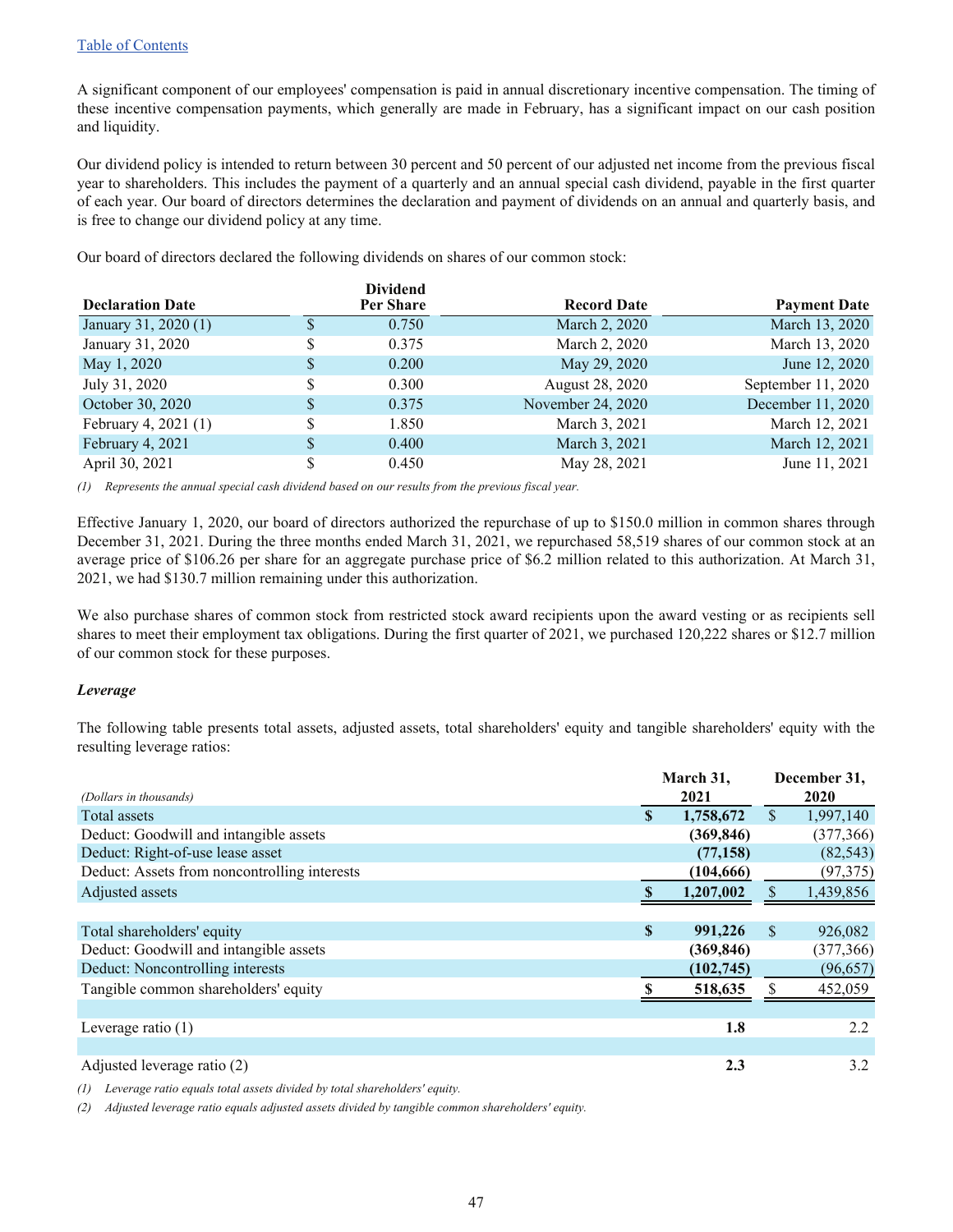A significant component of our employees' compensation is paid in annual discretionary incentive compensation. The timing of these incentive compensation payments, which generally are made in February, has a significant impact on our cash position and liquidity.

Our dividend policy is intended to return between 30 percent and 50 percent of our adjusted net income from the previous fiscal year to shareholders. This includes the payment of a quarterly and an annual special cash dividend, payable in the first quarter of each year. Our board of directors determines the declaration and payment of dividends on an annual and quarterly basis, and is free to change our dividend policy at any time.

Our board of directors declared the following dividends on shares of our common stock:

|                         |    | <b>Dividend</b> |                    |                     |
|-------------------------|----|-----------------|--------------------|---------------------|
| <b>Declaration Date</b> |    | Per Share       | <b>Record Date</b> | <b>Payment Date</b> |
| January 31, 2020 (1)    |    | 0.750           | March 2, 2020      | March 13, 2020      |
| January 31, 2020        | \$ | 0.375           | March 2, 2020      | March 13, 2020      |
| May 1, 2020             |    | 0.200           | May 29, 2020       | June 12, 2020       |
| July 31, 2020           |    | 0.300           | August 28, 2020    | September 11, 2020  |
| October 30, 2020        |    | 0.375           | November 24, 2020  | December 11, 2020   |
| February 4, 2021 (1)    | \$ | 1.850           | March 3, 2021      | March 12, 2021      |
| February 4, 2021        | S  | 0.400           | March 3, 2021      | March 12, 2021      |
| April 30, 2021          |    | 0.450           | May 28, 2021       | June 11, 2021       |

*(1) Represents the annual special cash dividend based on our results from the previous fiscal year.*

Effective January 1, 2020, our board of directors authorized the repurchase of up to \$150.0 million in common shares through December 31, 2021. During the three months ended March 31, 2021, we repurchased 58,519 shares of our common stock at an average price of \$106.26 per share for an aggregate purchase price of \$6.2 million related to this authorization. At March 31, 2021, we had \$130.7 million remaining under this authorization.

We also purchase shares of common stock from restricted stock award recipients upon the award vesting or as recipients sell shares to meet their employment tax obligations. During the first quarter of 2021, we purchased 120,222 shares or \$12.7 million of our common stock for these purposes.

#### *Leverage*

The following table presents total assets, adjusted assets, total shareholders' equity and tangible shareholders' equity with the resulting leverage ratios:

|                                              | March 31,       |              | December 31, |
|----------------------------------------------|-----------------|--------------|--------------|
| (Dollars in thousands)                       | 2021            |              | 2020         |
| Total assets                                 | \$<br>1,758,672 | \$           | 1,997,140    |
| Deduct: Goodwill and intangible assets       | (369, 846)      |              | (377, 366)   |
| Deduct: Right-of-use lease asset             | (77, 158)       |              | (82, 543)    |
| Deduct: Assets from noncontrolling interests | (104, 666)      |              | (97, 375)    |
| Adjusted assets                              | 1,207,002       |              | 1,439,856    |
|                                              |                 |              |              |
| Total shareholders' equity                   | \$<br>991,226   | <sup>S</sup> | 926,082      |
| Deduct: Goodwill and intangible assets       | (369, 846)      |              | (377, 366)   |
| Deduct: Noncontrolling interests             | (102, 745)      |              | (96, 657)    |
| Tangible common shareholders' equity         | 518,635         |              | 452,059      |
|                                              |                 |              |              |
| Leverage ratio $(1)$                         | 1.8             |              | 2.2          |
|                                              |                 |              |              |
| Adjusted leverage ratio (2)                  | 2.3             |              | 3.2          |

*(1) Leverage ratio equals total assets divided by total shareholders' equity.*

*(2) Adjusted leverage ratio equals adjusted assets divided by tangible common shareholders' equity.*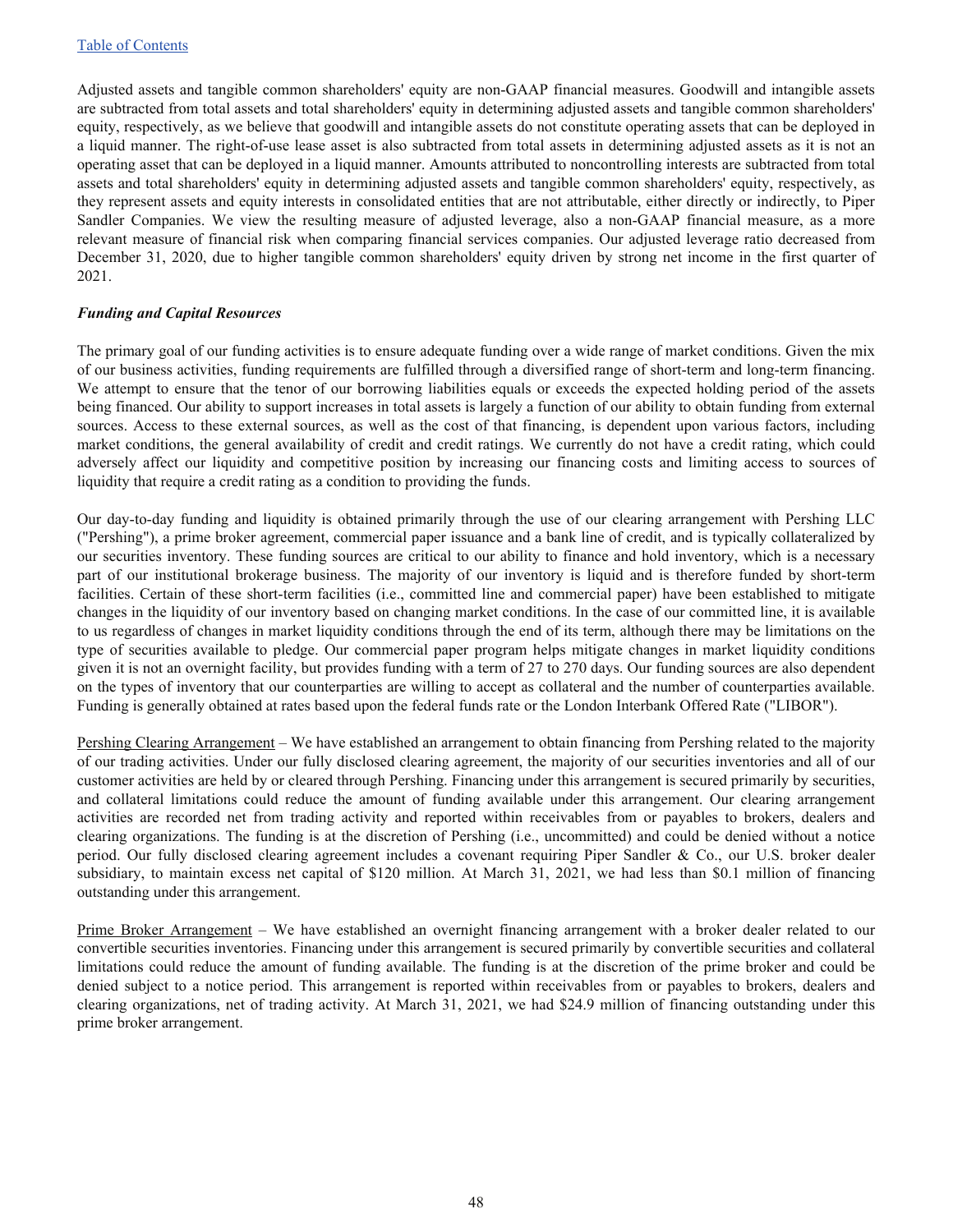Adjusted assets and tangible common shareholders' equity are non-GAAP financial measures. Goodwill and intangible assets are subtracted from total assets and total shareholders' equity in determining adjusted assets and tangible common shareholders' equity, respectively, as we believe that goodwill and intangible assets do not constitute operating assets that can be deployed in a liquid manner. The right-of-use lease asset is also subtracted from total assets in determining adjusted assets as it is not an operating asset that can be deployed in a liquid manner. Amounts attributed to noncontrolling interests are subtracted from total assets and total shareholders' equity in determining adjusted assets and tangible common shareholders' equity, respectively, as they represent assets and equity interests in consolidated entities that are not attributable, either directly or indirectly, to Piper Sandler Companies. We view the resulting measure of adjusted leverage, also a non-GAAP financial measure, as a more relevant measure of financial risk when comparing financial services companies. Our adjusted leverage ratio decreased from December 31, 2020, due to higher tangible common shareholders' equity driven by strong net income in the first quarter of 2021.

#### *Funding and Capital Resources*

The primary goal of our funding activities is to ensure adequate funding over a wide range of market conditions. Given the mix of our business activities, funding requirements are fulfilled through a diversified range of short-term and long-term financing. We attempt to ensure that the tenor of our borrowing liabilities equals or exceeds the expected holding period of the assets being financed. Our ability to support increases in total assets is largely a function of our ability to obtain funding from external sources. Access to these external sources, as well as the cost of that financing, is dependent upon various factors, including market conditions, the general availability of credit and credit ratings. We currently do not have a credit rating, which could adversely affect our liquidity and competitive position by increasing our financing costs and limiting access to sources of liquidity that require a credit rating as a condition to providing the funds.

Our day-to-day funding and liquidity is obtained primarily through the use of our clearing arrangement with Pershing LLC ("Pershing"), a prime broker agreement, commercial paper issuance and a bank line of credit, and is typically collateralized by our securities inventory. These funding sources are critical to our ability to finance and hold inventory, which is a necessary part of our institutional brokerage business. The majority of our inventory is liquid and is therefore funded by short-term facilities. Certain of these short-term facilities (i.e., committed line and commercial paper) have been established to mitigate changes in the liquidity of our inventory based on changing market conditions. In the case of our committed line, it is available to us regardless of changes in market liquidity conditions through the end of its term, although there may be limitations on the type of securities available to pledge. Our commercial paper program helps mitigate changes in market liquidity conditions given it is not an overnight facility, but provides funding with a term of 27 to 270 days. Our funding sources are also dependent on the types of inventory that our counterparties are willing to accept as collateral and the number of counterparties available. Funding is generally obtained at rates based upon the federal funds rate or the London Interbank Offered Rate ("LIBOR").

Pershing Clearing Arrangement – We have established an arrangement to obtain financing from Pershing related to the majority of our trading activities. Under our fully disclosed clearing agreement, the majority of our securities inventories and all of our customer activities are held by or cleared through Pershing. Financing under this arrangement is secured primarily by securities, and collateral limitations could reduce the amount of funding available under this arrangement. Our clearing arrangement activities are recorded net from trading activity and reported within receivables from or payables to brokers, dealers and clearing organizations. The funding is at the discretion of Pershing (i.e., uncommitted) and could be denied without a notice period. Our fully disclosed clearing agreement includes a covenant requiring Piper Sandler & Co., our U.S. broker dealer subsidiary, to maintain excess net capital of \$120 million. At March 31, 2021, we had less than \$0.1 million of financing outstanding under this arrangement.

Prime Broker Arrangement – We have established an overnight financing arrangement with a broker dealer related to our convertible securities inventories. Financing under this arrangement is secured primarily by convertible securities and collateral limitations could reduce the amount of funding available. The funding is at the discretion of the prime broker and could be denied subject to a notice period. This arrangement is reported within receivables from or payables to brokers, dealers and clearing organizations, net of trading activity. At March 31, 2021, we had \$24.9 million of financing outstanding under this prime broker arrangement.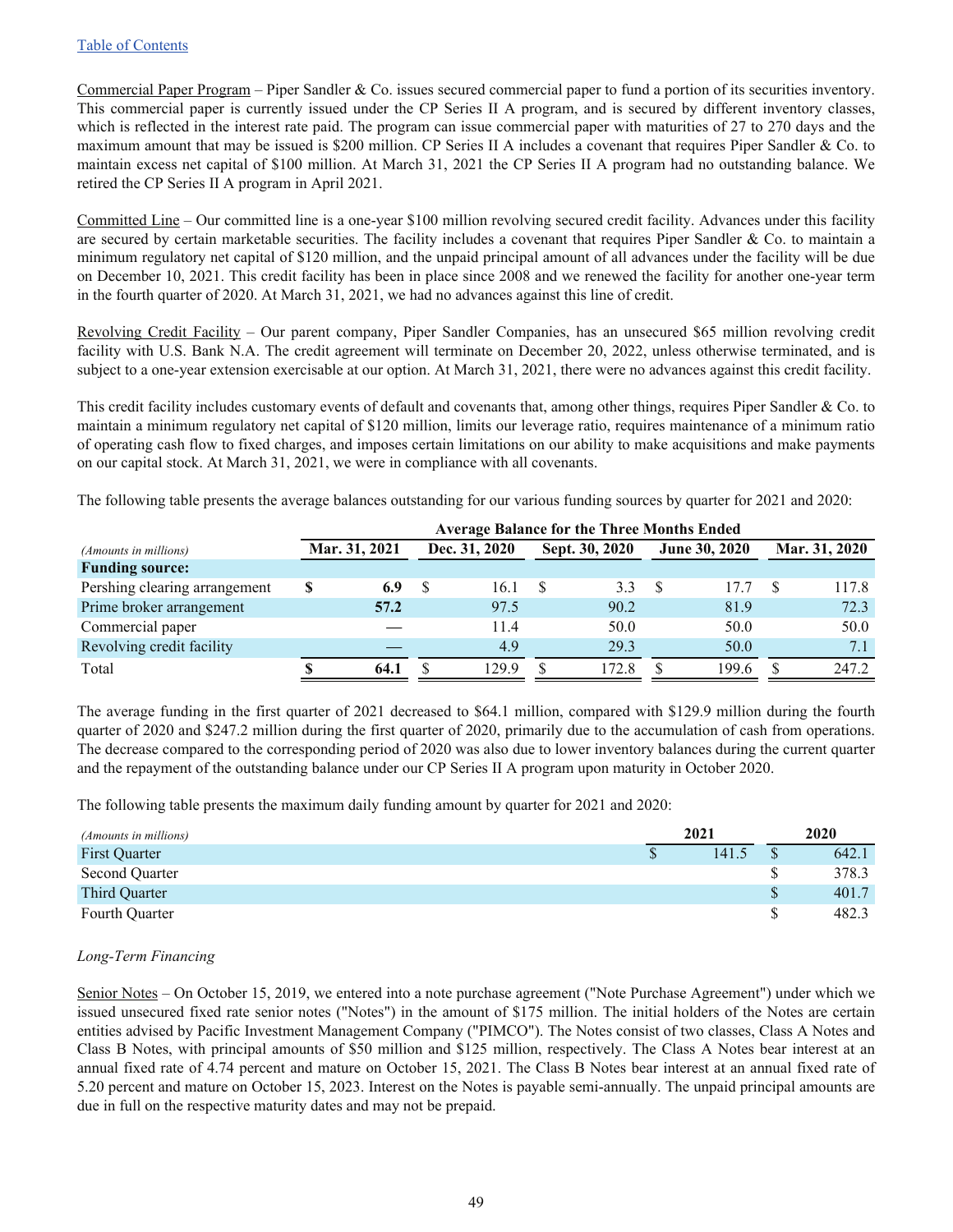Commercial Paper Program – Piper Sandler & Co. issues secured commercial paper to fund a portion of its securities inventory. This commercial paper is currently issued under the CP Series II A program, and is secured by different inventory classes, which is reflected in the interest rate paid. The program can issue commercial paper with maturities of 27 to 270 days and the maximum amount that may be issued is \$200 million. CP Series II A includes a covenant that requires Piper Sandler & Co. to maintain excess net capital of \$100 million. At March 31, 2021 the CP Series II A program had no outstanding balance. We retired the CP Series II A program in April 2021.

Committed Line – Our committed line is a one-year \$100 million revolving secured credit facility. Advances under this facility are secured by certain marketable securities. The facility includes a covenant that requires Piper Sandler  $&$  Co. to maintain a minimum regulatory net capital of \$120 million, and the unpaid principal amount of all advances under the facility will be due on December 10, 2021. This credit facility has been in place since 2008 and we renewed the facility for another one-year term in the fourth quarter of 2020. At March 31, 2021, we had no advances against this line of credit.

Revolving Credit Facility – Our parent company, Piper Sandler Companies, has an unsecured \$65 million revolving credit facility with U.S. Bank N.A. The credit agreement will terminate on December 20, 2022, unless otherwise terminated, and is subject to a one-year extension exercisable at our option. At March 31, 2021, there were no advances against this credit facility.

This credit facility includes customary events of default and covenants that, among other things, requires Piper Sandler & Co. to maintain a minimum regulatory net capital of \$120 million, limits our leverage ratio, requires maintenance of a minimum ratio of operating cash flow to fixed charges, and imposes certain limitations on our ability to make acquisitions and make payments on our capital stock. At March 31, 2021, we were in compliance with all covenants.

The following table presents the average balances outstanding for our various funding sources by quarter for 2021 and 2020:

|                               | <b>Average Balance for the Three Months Ended</b> |               |  |               |  |                |  |               |  |               |
|-------------------------------|---------------------------------------------------|---------------|--|---------------|--|----------------|--|---------------|--|---------------|
| <i>(Amounts in millions)</i>  |                                                   | Mar. 31, 2021 |  | Dec. 31, 2020 |  | Sept. 30, 2020 |  | June 30, 2020 |  | Mar. 31, 2020 |
| <b>Funding source:</b>        |                                                   |               |  |               |  |                |  |               |  |               |
| Pershing clearing arrangement | \$                                                | 6.9           |  | 16.1          |  | 3.3            |  | 17.7          |  | 117.8         |
| Prime broker arrangement      |                                                   | 57.2          |  | 97.5          |  | 90.2           |  | 81.9          |  | 72.3          |
| Commercial paper              |                                                   |               |  | 11.4          |  | 50.0           |  | 50.0          |  | 50.0          |
| Revolving credit facility     |                                                   |               |  | 4.9           |  | 293            |  | 50.0          |  | 7.1           |
| Total                         |                                                   | 64.1          |  | 129.9         |  | 172.8          |  | 199.6         |  | 247.2         |

The average funding in the first quarter of 2021 decreased to \$64.1 million, compared with \$129.9 million during the fourth quarter of 2020 and \$247.2 million during the first quarter of 2020, primarily due to the accumulation of cash from operations. The decrease compared to the corresponding period of 2020 was also due to lower inventory balances during the current quarter and the repayment of the outstanding balance under our CP Series II A program upon maturity in October 2020.

The following table presents the maximum daily funding amount by quarter for 2021 and 2020:

| (Amounts in millions) | 2021 |       |    | 2020  |
|-----------------------|------|-------|----|-------|
| <b>First Quarter</b>  |      | 141.5 |    | 642.1 |
| Second Quarter        |      |       |    | 378.3 |
| Third Quarter         |      |       | \$ | 401.7 |
| Fourth Quarter        |      |       | ሖ  | 482.3 |

#### *Long-Term Financing*

Senior Notes – On October 15, 2019, we entered into a note purchase agreement ("Note Purchase Agreement") under which we issued unsecured fixed rate senior notes ("Notes") in the amount of \$175 million. The initial holders of the Notes are certain entities advised by Pacific Investment Management Company ("PIMCO"). The Notes consist of two classes, Class A Notes and Class B Notes, with principal amounts of \$50 million and \$125 million, respectively. The Class A Notes bear interest at an annual fixed rate of 4.74 percent and mature on October 15, 2021. The Class B Notes bear interest at an annual fixed rate of 5.20 percent and mature on October 15, 2023. Interest on the Notes is payable semi-annually. The unpaid principal amounts are due in full on the respective maturity dates and may not be prepaid.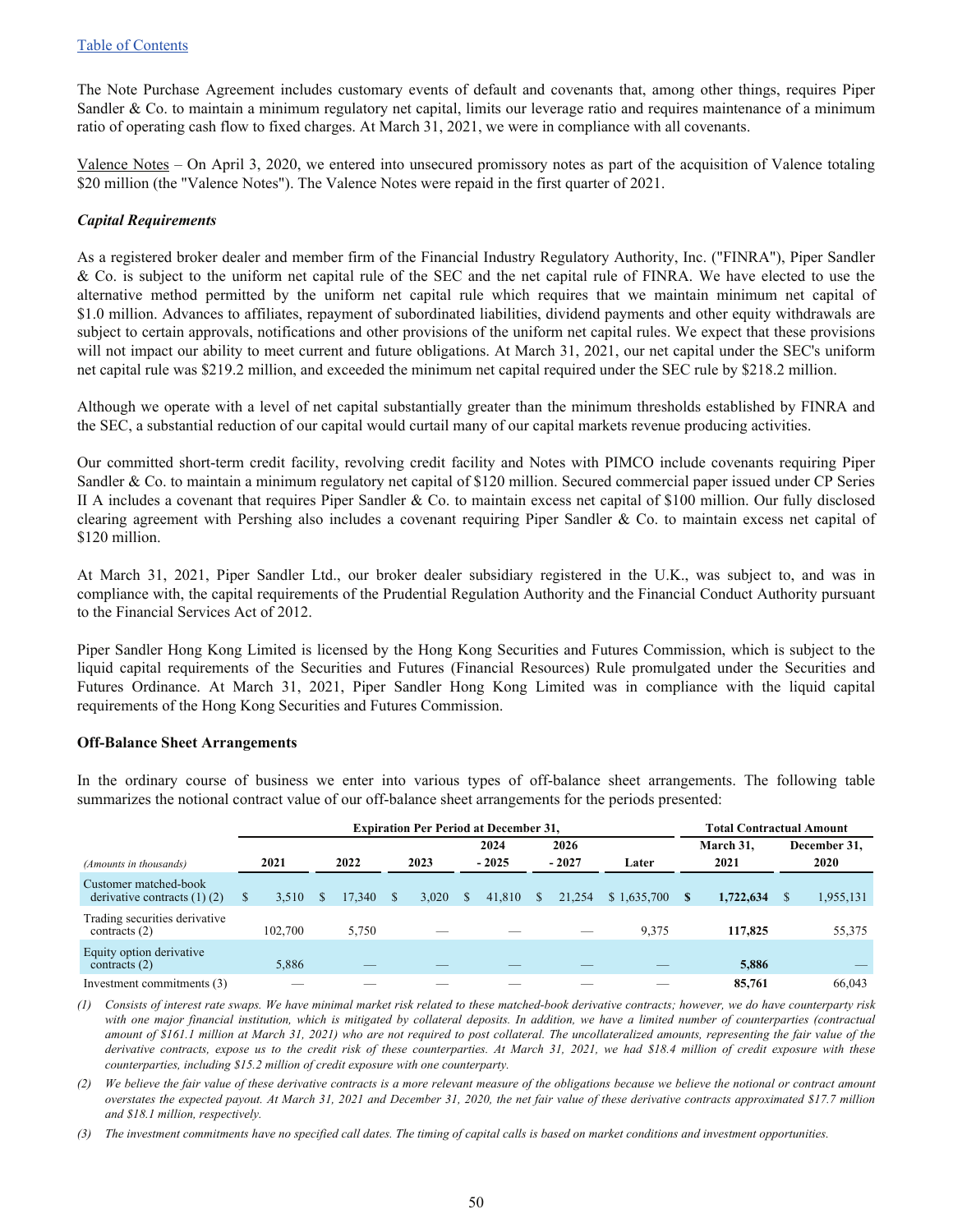The Note Purchase Agreement includes customary events of default and covenants that, among other things, requires Piper Sandler  $& Co.$  to maintain a minimum regulatory net capital, limits our leverage ratio and requires maintenance of a minimum ratio of operating cash flow to fixed charges. At March 31, 2021, we were in compliance with all covenants.

Valence Notes – On April 3, 2020, we entered into unsecured promissory notes as part of the acquisition of Valence totaling \$20 million (the "Valence Notes"). The Valence Notes were repaid in the first quarter of 2021.

#### *Capital Requirements*

As a registered broker dealer and member firm of the Financial Industry Regulatory Authority, Inc. ("FINRA"), Piper Sandler & Co. is subject to the uniform net capital rule of the SEC and the net capital rule of FINRA. We have elected to use the alternative method permitted by the uniform net capital rule which requires that we maintain minimum net capital of \$1.0 million. Advances to affiliates, repayment of subordinated liabilities, dividend payments and other equity withdrawals are subject to certain approvals, notifications and other provisions of the uniform net capital rules. We expect that these provisions will not impact our ability to meet current and future obligations. At March 31, 2021, our net capital under the SEC's uniform net capital rule was \$219.2 million, and exceeded the minimum net capital required under the SEC rule by \$218.2 million.

Although we operate with a level of net capital substantially greater than the minimum thresholds established by FINRA and the SEC, a substantial reduction of our capital would curtail many of our capital markets revenue producing activities.

Our committed short-term credit facility, revolving credit facility and Notes with PIMCO include covenants requiring Piper Sandler & Co. to maintain a minimum regulatory net capital of \$120 million. Secured commercial paper issued under CP Series II A includes a covenant that requires Piper Sandler & Co. to maintain excess net capital of \$100 million. Our fully disclosed clearing agreement with Pershing also includes a covenant requiring Piper Sandler & Co. to maintain excess net capital of \$120 million.

At March 31, 2021, Piper Sandler Ltd., our broker dealer subsidiary registered in the U.K., was subject to, and was in compliance with, the capital requirements of the Prudential Regulation Authority and the Financial Conduct Authority pursuant to the Financial Services Act of 2012.

Piper Sandler Hong Kong Limited is licensed by the Hong Kong Securities and Futures Commission, which is subject to the liquid capital requirements of the Securities and Futures (Financial Resources) Rule promulgated under the Securities and Futures Ordinance. At March 31, 2021, Piper Sandler Hong Kong Limited was in compliance with the liquid capital requirements of the Hong Kong Securities and Futures Commission.

#### **Off-Balance Sheet Arrangements**

In the ordinary course of business we enter into various types of off-balance sheet arrangements. The following table summarizes the notional contract value of our off-balance sheet arrangements for the periods presented:

|                                                           | <b>Expiration Per Period at December 31,</b> |         |  |        |  |       |          |         |    |         |             |               | <b>Total Contractual Amount</b> |  |              |  |
|-----------------------------------------------------------|----------------------------------------------|---------|--|--------|--|-------|----------|---------|----|---------|-------------|---------------|---------------------------------|--|--------------|--|
|                                                           |                                              |         |  |        |  |       |          | 2024    |    | 2026    |             |               | March 31,                       |  | December 31, |  |
| (Amounts in thousands)                                    |                                              | 2021    |  | 2022   |  | 2023  |          | $-2025$ |    | $-2027$ | Later       |               | 2021                            |  | 2020         |  |
| Customer matched-book<br>derivative contracts $(1)$ $(2)$ | S                                            | 3.510   |  | 17.340 |  | 3.020 | <b>S</b> | 41.810  | S. | 21,254  | \$1,635,700 | <sup>\$</sup> | 1,722,634                       |  | 1,955,131    |  |
| Trading securities derivative<br>contracts $(2)$          |                                              | 102.700 |  | 5,750  |  |       |          |         |    |         | 9,375       |               | 117,825                         |  | 55,375       |  |
| Equity option derivative<br>contracts $(2)$               |                                              | 5.886   |  |        |  |       |          |         |    |         |             |               | 5.886                           |  |              |  |
| Investment commitments (3)                                |                                              |         |  |        |  |       |          |         |    |         |             |               | 85,761                          |  | 66.043       |  |

*(1) Consists of interest rate swaps. We have minimal market risk related to these matched-book derivative contracts; however, we do have counterparty risk*  with one major financial institution, which is mitigated by collateral deposits. In addition, we have a limited number of counterparties (contractual *amount of \$161.1 million at March 31, 2021) who are not required to post collateral. The uncollateralized amounts, representing the fair value of the*  derivative contracts, expose us to the credit risk of these counterparties. At March 31, 2021, we had \$18.4 million of credit exposure with these *counterparties, including \$15.2 million of credit exposure with one counterparty.*

*(2) We believe the fair value of these derivative contracts is a more relevant measure of the obligations because we believe the notional or contract amount overstates the expected payout. At March 31, 2021 and December 31, 2020, the net fair value of these derivative contracts approximated \$17.7 million and \$18.1 million, respectively.*

*(3) The investment commitments have no specified call dates. The timing of capital calls is based on market conditions and investment opportunities.*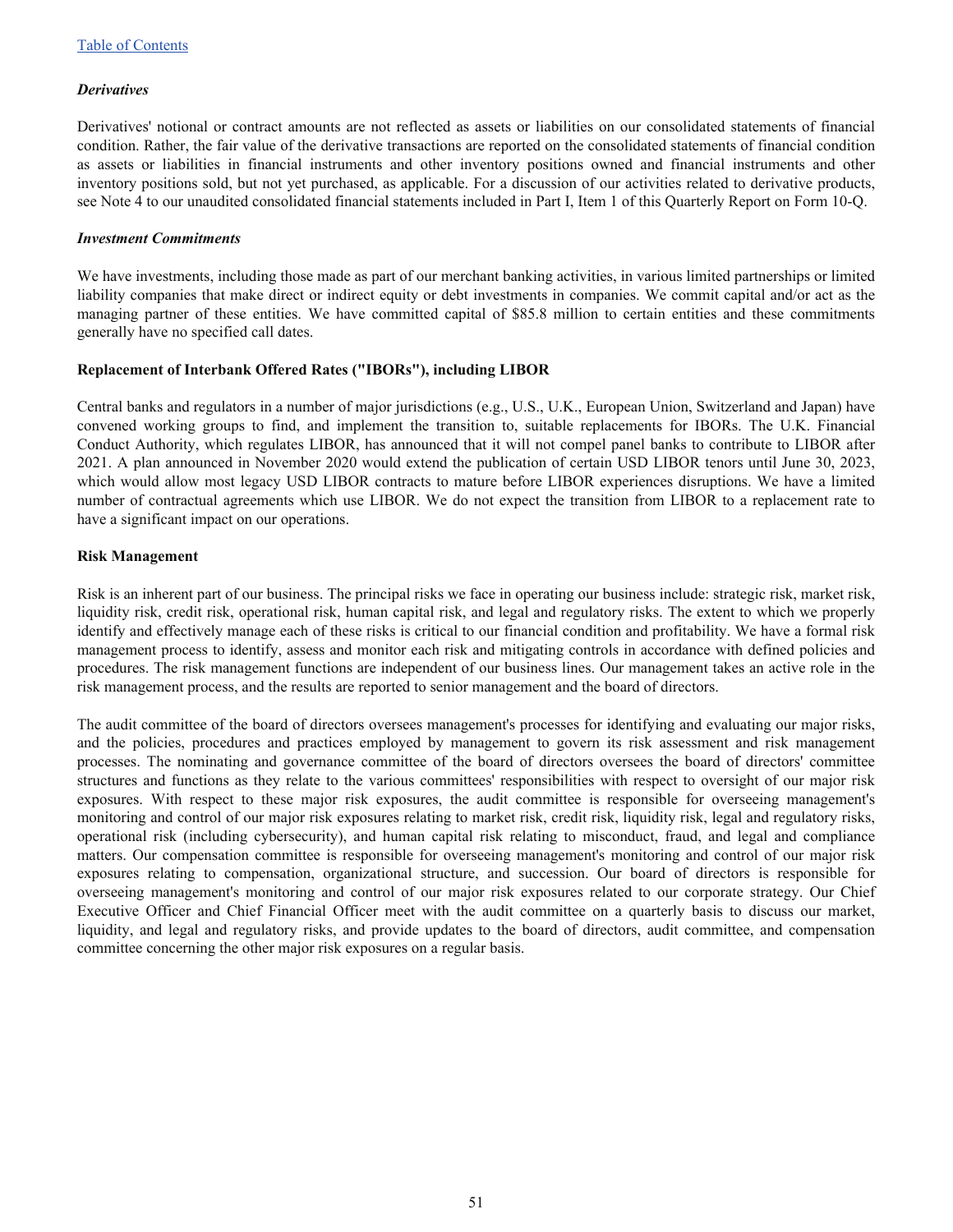#### *Derivatives*

Derivatives' notional or contract amounts are not reflected as assets or liabilities on our consolidated statements of financial condition. Rather, the fair value of the derivative transactions are reported on the consolidated statements of financial condition as assets or liabilities in financial instruments and other inventory positions owned and financial instruments and other inventory positions sold, but not yet purchased, as applicable. For a discussion of our activities related to derivative products, see Note 4 to our unaudited consolidated financial statements included in Part I, Item 1 of this Quarterly Report on Form 10-Q.

#### *Investment Commitments*

We have investments, including those made as part of our merchant banking activities, in various limited partnerships or limited liability companies that make direct or indirect equity or debt investments in companies. We commit capital and/or act as the managing partner of these entities. We have committed capital of \$85.8 million to certain entities and these commitments generally have no specified call dates.

#### **Replacement of Interbank Offered Rates ("IBORs"), including LIBOR**

Central banks and regulators in a number of major jurisdictions (e.g., U.S., U.K., European Union, Switzerland and Japan) have convened working groups to find, and implement the transition to, suitable replacements for IBORs. The U.K. Financial Conduct Authority, which regulates LIBOR, has announced that it will not compel panel banks to contribute to LIBOR after 2021. A plan announced in November 2020 would extend the publication of certain USD LIBOR tenors until June 30, 2023, which would allow most legacy USD LIBOR contracts to mature before LIBOR experiences disruptions. We have a limited number of contractual agreements which use LIBOR. We do not expect the transition from LIBOR to a replacement rate to have a significant impact on our operations.

#### **Risk Management**

Risk is an inherent part of our business. The principal risks we face in operating our business include: strategic risk, market risk, liquidity risk, credit risk, operational risk, human capital risk, and legal and regulatory risks. The extent to which we properly identify and effectively manage each of these risks is critical to our financial condition and profitability. We have a formal risk management process to identify, assess and monitor each risk and mitigating controls in accordance with defined policies and procedures. The risk management functions are independent of our business lines. Our management takes an active role in the risk management process, and the results are reported to senior management and the board of directors.

The audit committee of the board of directors oversees management's processes for identifying and evaluating our major risks, and the policies, procedures and practices employed by management to govern its risk assessment and risk management processes. The nominating and governance committee of the board of directors oversees the board of directors' committee structures and functions as they relate to the various committees' responsibilities with respect to oversight of our major risk exposures. With respect to these major risk exposures, the audit committee is responsible for overseeing management's monitoring and control of our major risk exposures relating to market risk, credit risk, liquidity risk, legal and regulatory risks, operational risk (including cybersecurity), and human capital risk relating to misconduct, fraud, and legal and compliance matters. Our compensation committee is responsible for overseeing management's monitoring and control of our major risk exposures relating to compensation, organizational structure, and succession. Our board of directors is responsible for overseeing management's monitoring and control of our major risk exposures related to our corporate strategy. Our Chief Executive Officer and Chief Financial Officer meet with the audit committee on a quarterly basis to discuss our market, liquidity, and legal and regulatory risks, and provide updates to the board of directors, audit committee, and compensation committee concerning the other major risk exposures on a regular basis.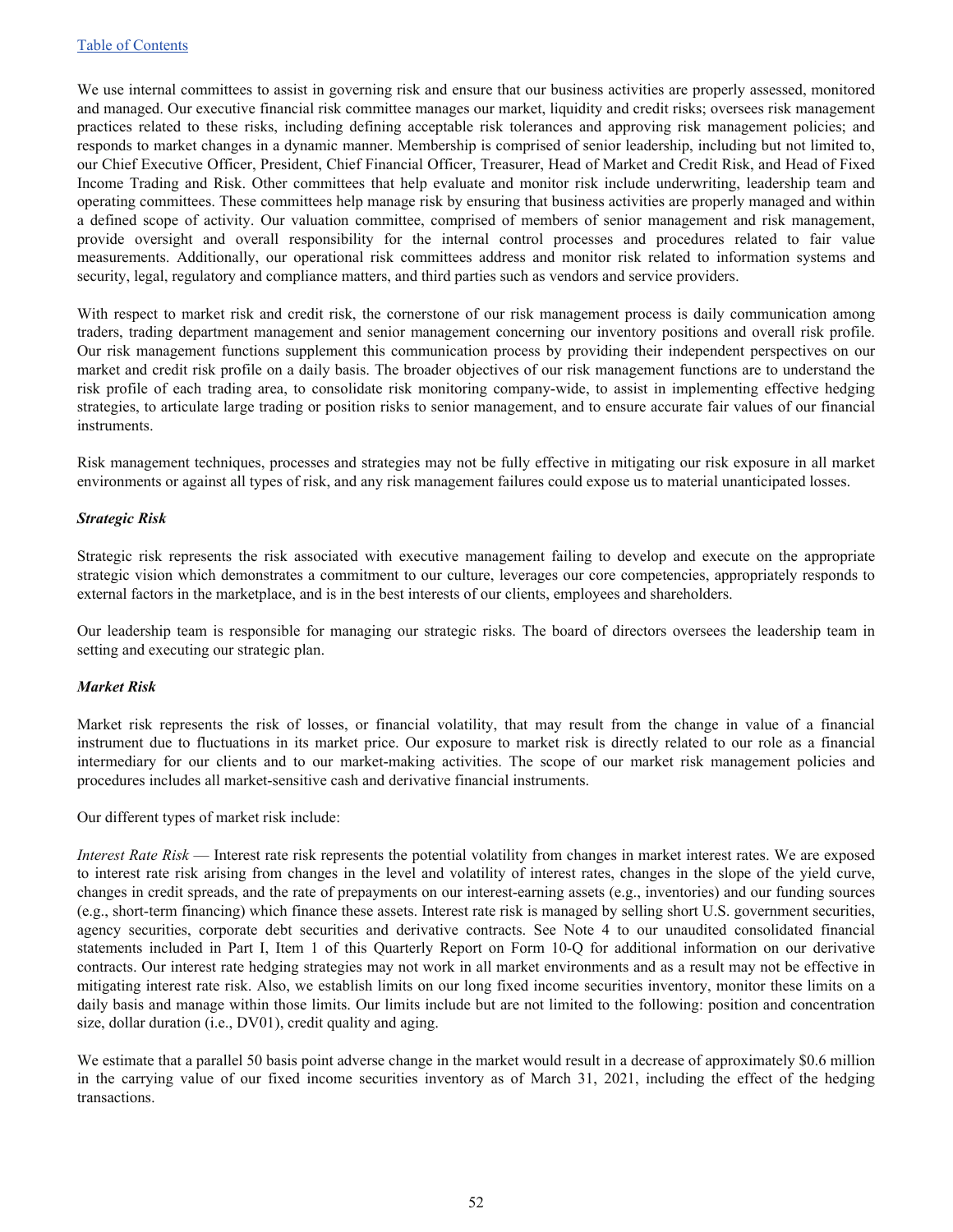We use internal committees to assist in governing risk and ensure that our business activities are properly assessed, monitored and managed. Our executive financial risk committee manages our market, liquidity and credit risks; oversees risk management practices related to these risks, including defining acceptable risk tolerances and approving risk management policies; and responds to market changes in a dynamic manner. Membership is comprised of senior leadership, including but not limited to, our Chief Executive Officer, President, Chief Financial Officer, Treasurer, Head of Market and Credit Risk, and Head of Fixed Income Trading and Risk. Other committees that help evaluate and monitor risk include underwriting, leadership team and operating committees. These committees help manage risk by ensuring that business activities are properly managed and within a defined scope of activity. Our valuation committee, comprised of members of senior management and risk management, provide oversight and overall responsibility for the internal control processes and procedures related to fair value measurements. Additionally, our operational risk committees address and monitor risk related to information systems and security, legal, regulatory and compliance matters, and third parties such as vendors and service providers.

With respect to market risk and credit risk, the cornerstone of our risk management process is daily communication among traders, trading department management and senior management concerning our inventory positions and overall risk profile. Our risk management functions supplement this communication process by providing their independent perspectives on our market and credit risk profile on a daily basis. The broader objectives of our risk management functions are to understand the risk profile of each trading area, to consolidate risk monitoring company-wide, to assist in implementing effective hedging strategies, to articulate large trading or position risks to senior management, and to ensure accurate fair values of our financial instruments.

Risk management techniques, processes and strategies may not be fully effective in mitigating our risk exposure in all market environments or against all types of risk, and any risk management failures could expose us to material unanticipated losses.

#### *Strategic Risk*

Strategic risk represents the risk associated with executive management failing to develop and execute on the appropriate strategic vision which demonstrates a commitment to our culture, leverages our core competencies, appropriately responds to external factors in the marketplace, and is in the best interests of our clients, employees and shareholders.

Our leadership team is responsible for managing our strategic risks. The board of directors oversees the leadership team in setting and executing our strategic plan.

#### *Market Risk*

Market risk represents the risk of losses, or financial volatility, that may result from the change in value of a financial instrument due to fluctuations in its market price. Our exposure to market risk is directly related to our role as a financial intermediary for our clients and to our market-making activities. The scope of our market risk management policies and procedures includes all market-sensitive cash and derivative financial instruments.

Our different types of market risk include:

*Interest Rate Risk* — Interest rate risk represents the potential volatility from changes in market interest rates. We are exposed to interest rate risk arising from changes in the level and volatility of interest rates, changes in the slope of the yield curve, changes in credit spreads, and the rate of prepayments on our interest-earning assets (e.g., inventories) and our funding sources (e.g., short-term financing) which finance these assets. Interest rate risk is managed by selling short U.S. government securities, agency securities, corporate debt securities and derivative contracts. See Note 4 to our unaudited consolidated financial statements included in Part I, Item 1 of this Quarterly Report on Form 10-Q for additional information on our derivative contracts. Our interest rate hedging strategies may not work in all market environments and as a result may not be effective in mitigating interest rate risk. Also, we establish limits on our long fixed income securities inventory, monitor these limits on a daily basis and manage within those limits. Our limits include but are not limited to the following: position and concentration size, dollar duration (i.e., DV01), credit quality and aging.

We estimate that a parallel 50 basis point adverse change in the market would result in a decrease of approximately \$0.6 million in the carrying value of our fixed income securities inventory as of March 31, 2021, including the effect of the hedging transactions.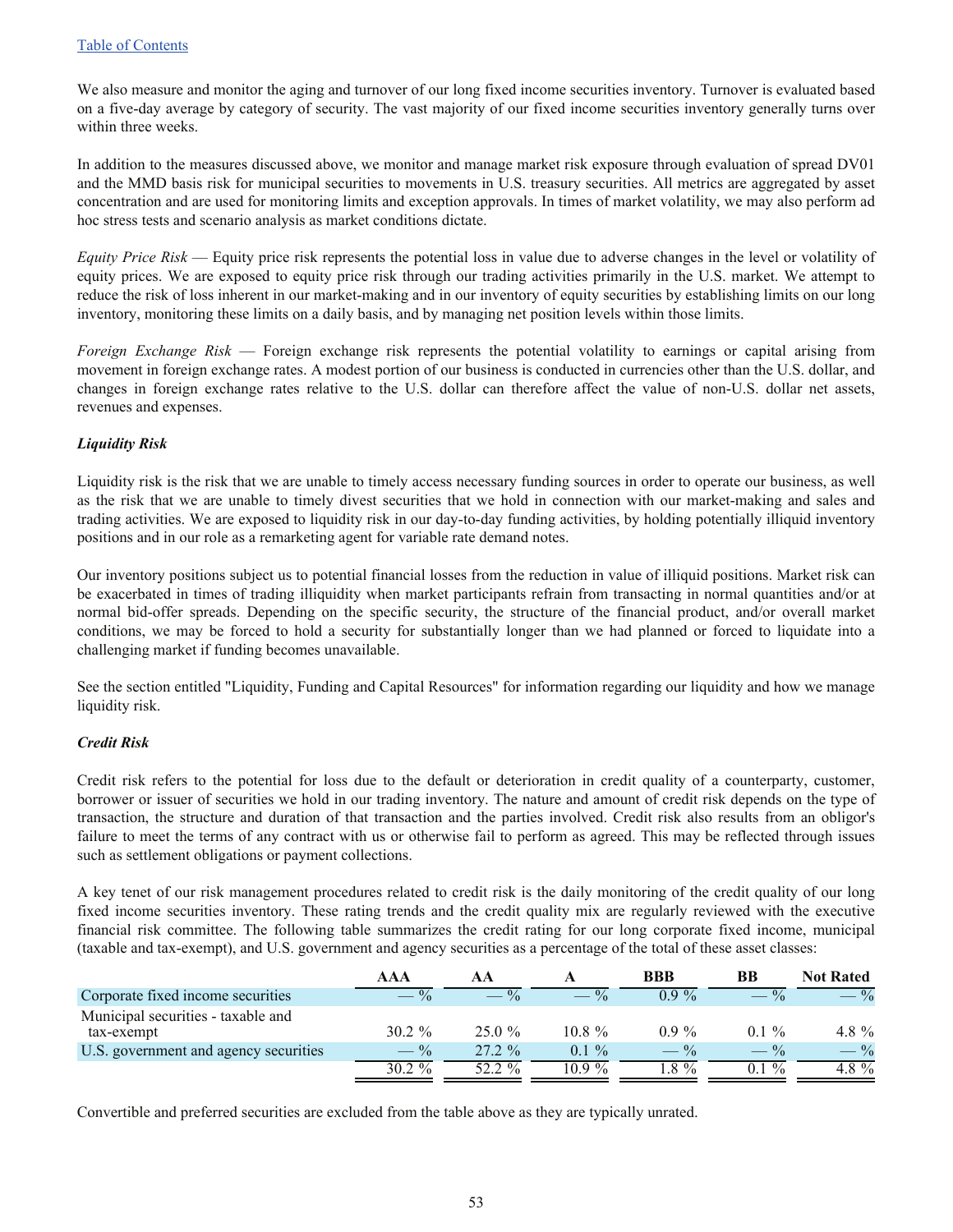We also measure and monitor the aging and turnover of our long fixed income securities inventory. Turnover is evaluated based on a five-day average by category of security. The vast majority of our fixed income securities inventory generally turns over within three weeks.

In addition to the measures discussed above, we monitor and manage market risk exposure through evaluation of spread DV01 and the MMD basis risk for municipal securities to movements in U.S. treasury securities. All metrics are aggregated by asset concentration and are used for monitoring limits and exception approvals. In times of market volatility, we may also perform ad hoc stress tests and scenario analysis as market conditions dictate.

*Equity Price Risk* — Equity price risk represents the potential loss in value due to adverse changes in the level or volatility of equity prices. We are exposed to equity price risk through our trading activities primarily in the U.S. market. We attempt to reduce the risk of loss inherent in our market-making and in our inventory of equity securities by establishing limits on our long inventory, monitoring these limits on a daily basis, and by managing net position levels within those limits.

*Foreign Exchange Risk* — Foreign exchange risk represents the potential volatility to earnings or capital arising from movement in foreign exchange rates. A modest portion of our business is conducted in currencies other than the U.S. dollar, and changes in foreign exchange rates relative to the U.S. dollar can therefore affect the value of non-U.S. dollar net assets, revenues and expenses.

#### *Liquidity Risk*

Liquidity risk is the risk that we are unable to timely access necessary funding sources in order to operate our business, as well as the risk that we are unable to timely divest securities that we hold in connection with our market-making and sales and trading activities. We are exposed to liquidity risk in our day-to-day funding activities, by holding potentially illiquid inventory positions and in our role as a remarketing agent for variable rate demand notes.

Our inventory positions subject us to potential financial losses from the reduction in value of illiquid positions. Market risk can be exacerbated in times of trading illiquidity when market participants refrain from transacting in normal quantities and/or at normal bid-offer spreads. Depending on the specific security, the structure of the financial product, and/or overall market conditions, we may be forced to hold a security for substantially longer than we had planned or forced to liquidate into a challenging market if funding becomes unavailable.

See the section entitled "Liquidity, Funding and Capital Resources" for information regarding our liquidity and how we manage liquidity risk.

#### *Credit Risk*

Credit risk refers to the potential for loss due to the default or deterioration in credit quality of a counterparty, customer, borrower or issuer of securities we hold in our trading inventory. The nature and amount of credit risk depends on the type of transaction, the structure and duration of that transaction and the parties involved. Credit risk also results from an obligor's failure to meet the terms of any contract with us or otherwise fail to perform as agreed. This may be reflected through issues such as settlement obligations or payment collections.

A key tenet of our risk management procedures related to credit risk is the daily monitoring of the credit quality of our long fixed income securities inventory. These rating trends and the credit quality mix are regularly reviewed with the executive financial risk committee. The following table summarizes the credit rating for our long corporate fixed income, municipal (taxable and tax-exempt), and U.S. government and agency securities as a percentage of the total of these asset classes:

|                                                  | AAA             |        |           | <b>BBB</b> | BB                  | <b>Not Rated</b> |
|--------------------------------------------------|-----------------|--------|-----------|------------|---------------------|------------------|
| Corporate fixed income securities                |                 |        |           | $0.9\%$    |                     | $\frac{0}{0}$    |
| Municipal securities - taxable and<br>tax-exempt | $30.2 \%$       | 250%   | $10.8 \%$ | $09\%$     | $0.1 \%$            | 4.8 $%$          |
| U.S. government and agency securities            | $- \frac{0}{6}$ | 272%   | $01\%$    | $-$ %      | $- \frac{9}{6}$     | $- \frac{9}{6}$  |
|                                                  | $30.2 \%$       | 52 2 % | $109\%$   | $8\%$      | $\frac{0}{0}$<br>0. | 4.8%             |

Convertible and preferred securities are excluded from the table above as they are typically unrated.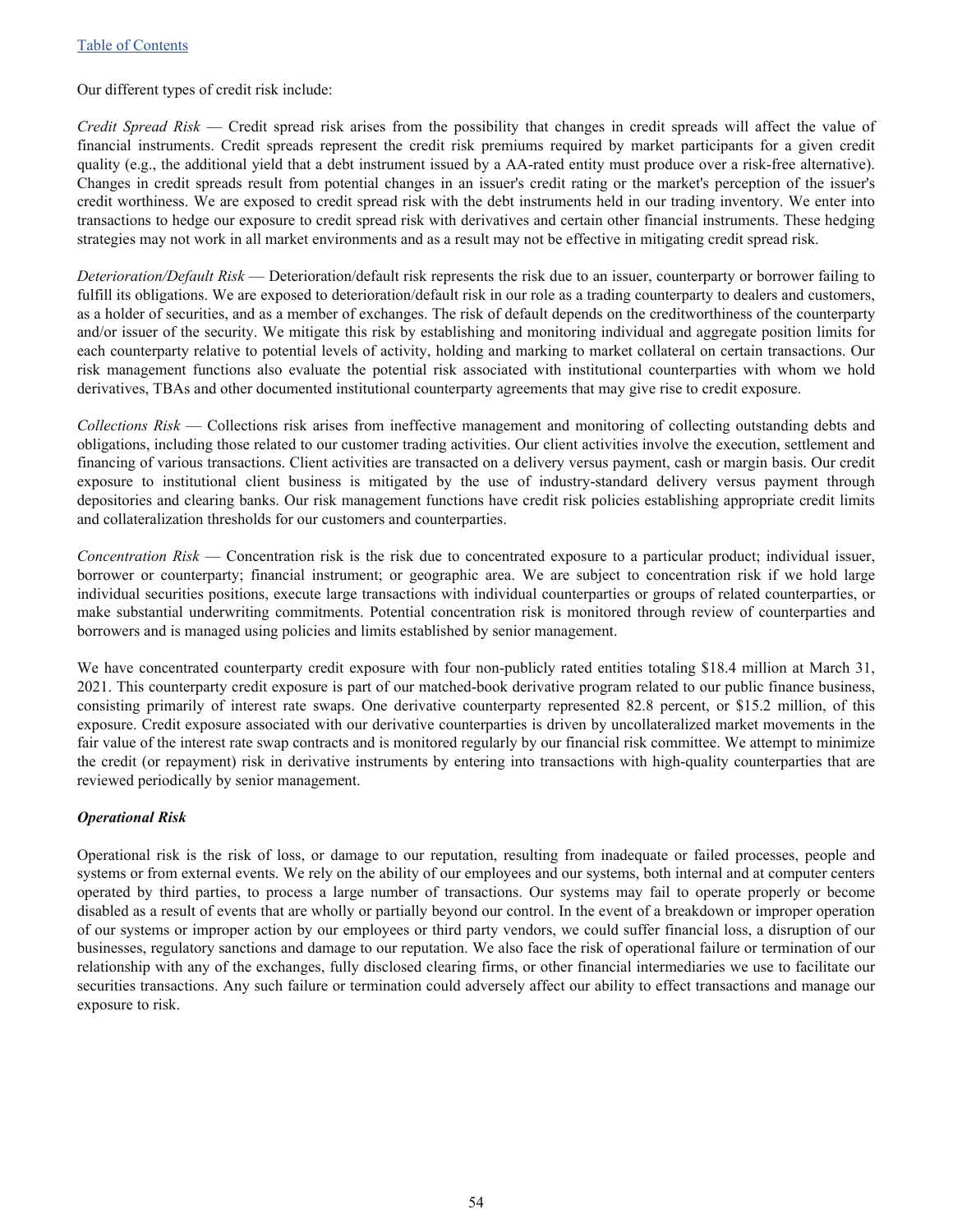#### Our different types of credit risk include:

*Credit Spread Risk* — Credit spread risk arises from the possibility that changes in credit spreads will affect the value of financial instruments. Credit spreads represent the credit risk premiums required by market participants for a given credit quality (e.g., the additional yield that a debt instrument issued by a AA-rated entity must produce over a risk-free alternative). Changes in credit spreads result from potential changes in an issuer's credit rating or the market's perception of the issuer's credit worthiness. We are exposed to credit spread risk with the debt instruments held in our trading inventory. We enter into transactions to hedge our exposure to credit spread risk with derivatives and certain other financial instruments. These hedging strategies may not work in all market environments and as a result may not be effective in mitigating credit spread risk.

*Deterioration/Default Risk* — Deterioration/default risk represents the risk due to an issuer, counterparty or borrower failing to fulfill its obligations. We are exposed to deterioration/default risk in our role as a trading counterparty to dealers and customers, as a holder of securities, and as a member of exchanges. The risk of default depends on the creditworthiness of the counterparty and/or issuer of the security. We mitigate this risk by establishing and monitoring individual and aggregate position limits for each counterparty relative to potential levels of activity, holding and marking to market collateral on certain transactions. Our risk management functions also evaluate the potential risk associated with institutional counterparties with whom we hold derivatives, TBAs and other documented institutional counterparty agreements that may give rise to credit exposure.

*Collections Risk* — Collections risk arises from ineffective management and monitoring of collecting outstanding debts and obligations, including those related to our customer trading activities. Our client activities involve the execution, settlement and financing of various transactions. Client activities are transacted on a delivery versus payment, cash or margin basis. Our credit exposure to institutional client business is mitigated by the use of industry-standard delivery versus payment through depositories and clearing banks. Our risk management functions have credit risk policies establishing appropriate credit limits and collateralization thresholds for our customers and counterparties.

*Concentration Risk* — Concentration risk is the risk due to concentrated exposure to a particular product; individual issuer, borrower or counterparty; financial instrument; or geographic area. We are subject to concentration risk if we hold large individual securities positions, execute large transactions with individual counterparties or groups of related counterparties, or make substantial underwriting commitments. Potential concentration risk is monitored through review of counterparties and borrowers and is managed using policies and limits established by senior management.

We have concentrated counterparty credit exposure with four non-publicly rated entities totaling \$18.4 million at March 31, 2021. This counterparty credit exposure is part of our matched-book derivative program related to our public finance business, consisting primarily of interest rate swaps. One derivative counterparty represented 82.8 percent, or \$15.2 million, of this exposure. Credit exposure associated with our derivative counterparties is driven by uncollateralized market movements in the fair value of the interest rate swap contracts and is monitored regularly by our financial risk committee. We attempt to minimize the credit (or repayment) risk in derivative instruments by entering into transactions with high-quality counterparties that are reviewed periodically by senior management.

#### *Operational Risk*

Operational risk is the risk of loss, or damage to our reputation, resulting from inadequate or failed processes, people and systems or from external events. We rely on the ability of our employees and our systems, both internal and at computer centers operated by third parties, to process a large number of transactions. Our systems may fail to operate properly or become disabled as a result of events that are wholly or partially beyond our control. In the event of a breakdown or improper operation of our systems or improper action by our employees or third party vendors, we could suffer financial loss, a disruption of our businesses, regulatory sanctions and damage to our reputation. We also face the risk of operational failure or termination of our relationship with any of the exchanges, fully disclosed clearing firms, or other financial intermediaries we use to facilitate our securities transactions. Any such failure or termination could adversely affect our ability to effect transactions and manage our exposure to risk.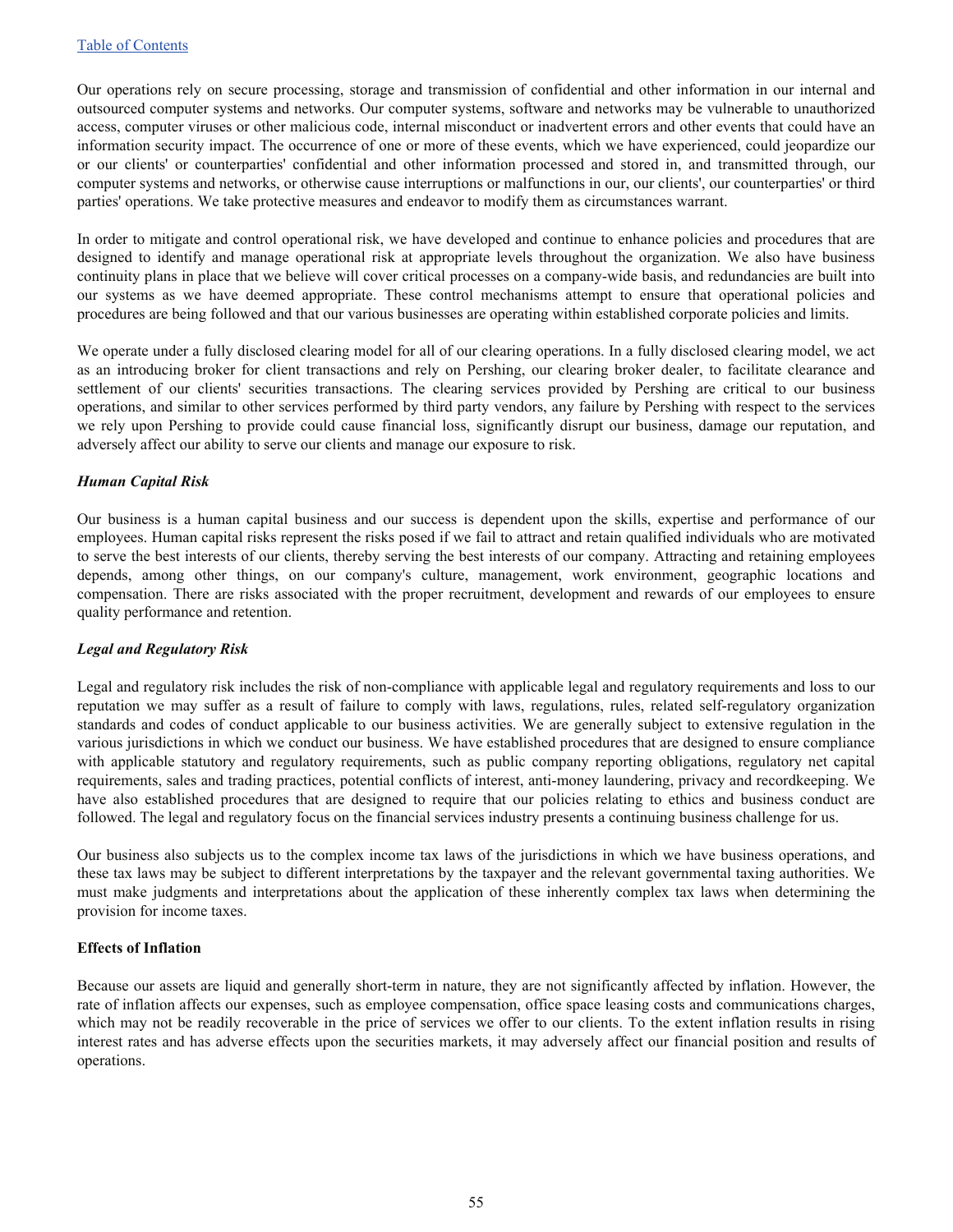Our operations rely on secure processing, storage and transmission of confidential and other information in our internal and outsourced computer systems and networks. Our computer systems, software and networks may be vulnerable to unauthorized access, computer viruses or other malicious code, internal misconduct or inadvertent errors and other events that could have an information security impact. The occurrence of one or more of these events, which we have experienced, could jeopardize our or our clients' or counterparties' confidential and other information processed and stored in, and transmitted through, our computer systems and networks, or otherwise cause interruptions or malfunctions in our, our clients', our counterparties' or third parties' operations. We take protective measures and endeavor to modify them as circumstances warrant.

In order to mitigate and control operational risk, we have developed and continue to enhance policies and procedures that are designed to identify and manage operational risk at appropriate levels throughout the organization. We also have business continuity plans in place that we believe will cover critical processes on a company-wide basis, and redundancies are built into our systems as we have deemed appropriate. These control mechanisms attempt to ensure that operational policies and procedures are being followed and that our various businesses are operating within established corporate policies and limits.

We operate under a fully disclosed clearing model for all of our clearing operations. In a fully disclosed clearing model, we act as an introducing broker for client transactions and rely on Pershing, our clearing broker dealer, to facilitate clearance and settlement of our clients' securities transactions. The clearing services provided by Pershing are critical to our business operations, and similar to other services performed by third party vendors, any failure by Pershing with respect to the services we rely upon Pershing to provide could cause financial loss, significantly disrupt our business, damage our reputation, and adversely affect our ability to serve our clients and manage our exposure to risk.

#### *Human Capital Risk*

Our business is a human capital business and our success is dependent upon the skills, expertise and performance of our employees. Human capital risks represent the risks posed if we fail to attract and retain qualified individuals who are motivated to serve the best interests of our clients, thereby serving the best interests of our company. Attracting and retaining employees depends, among other things, on our company's culture, management, work environment, geographic locations and compensation. There are risks associated with the proper recruitment, development and rewards of our employees to ensure quality performance and retention.

#### *Legal and Regulatory Risk*

Legal and regulatory risk includes the risk of non-compliance with applicable legal and regulatory requirements and loss to our reputation we may suffer as a result of failure to comply with laws, regulations, rules, related self-regulatory organization standards and codes of conduct applicable to our business activities. We are generally subject to extensive regulation in the various jurisdictions in which we conduct our business. We have established procedures that are designed to ensure compliance with applicable statutory and regulatory requirements, such as public company reporting obligations, regulatory net capital requirements, sales and trading practices, potential conflicts of interest, anti-money laundering, privacy and recordkeeping. We have also established procedures that are designed to require that our policies relating to ethics and business conduct are followed. The legal and regulatory focus on the financial services industry presents a continuing business challenge for us.

Our business also subjects us to the complex income tax laws of the jurisdictions in which we have business operations, and these tax laws may be subject to different interpretations by the taxpayer and the relevant governmental taxing authorities. We must make judgments and interpretations about the application of these inherently complex tax laws when determining the provision for income taxes.

#### **Effects of Inflation**

Because our assets are liquid and generally short-term in nature, they are not significantly affected by inflation. However, the rate of inflation affects our expenses, such as employee compensation, office space leasing costs and communications charges, which may not be readily recoverable in the price of services we offer to our clients. To the extent inflation results in rising interest rates and has adverse effects upon the securities markets, it may adversely affect our financial position and results of operations.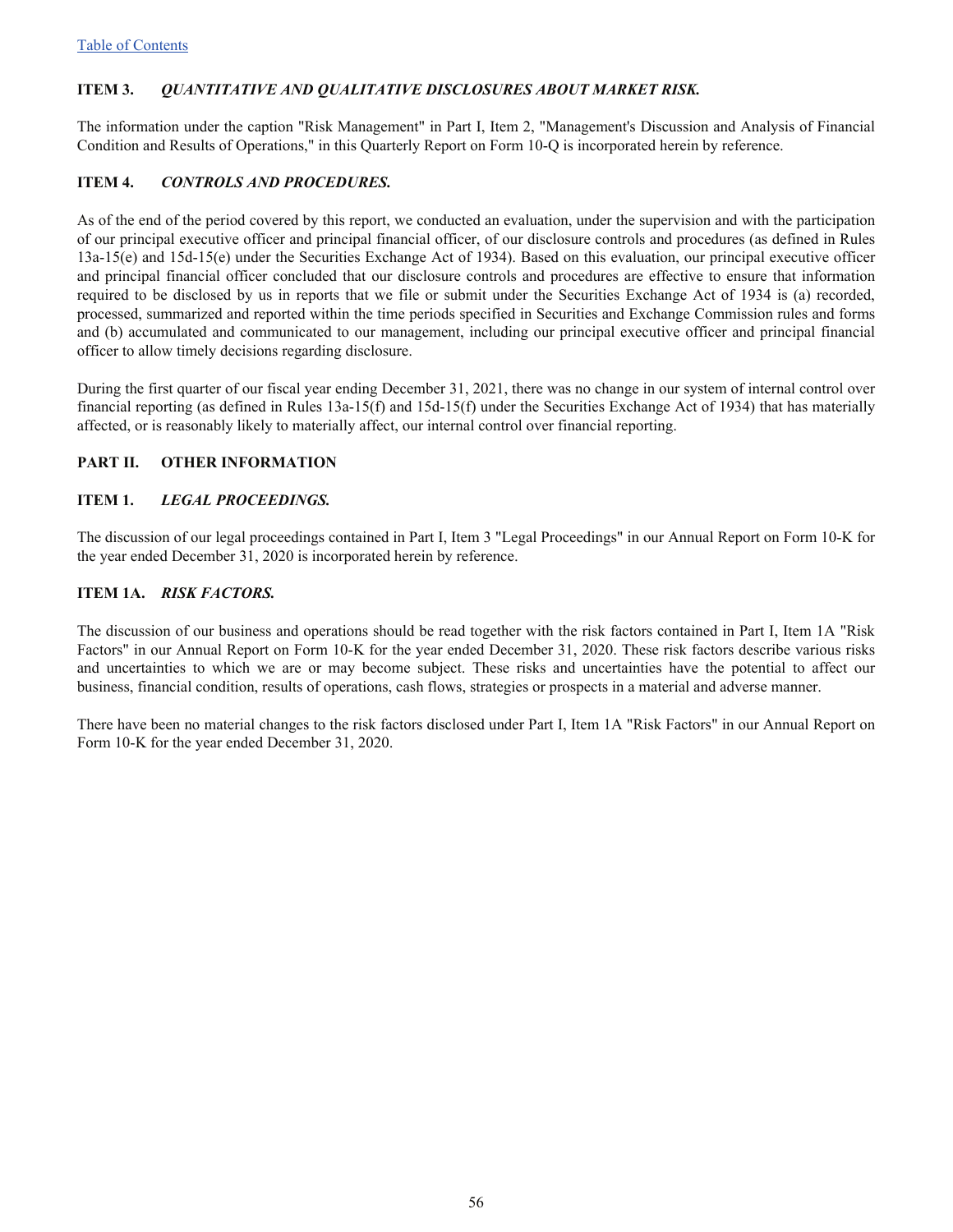### <span id="page-55-0"></span>**ITEM 3.** *QUANTITATIVE AND QUALITATIVE DISCLOSURES ABOUT MARKET RISK.*

The information under the caption "Risk Management" in Part I, Item 2, "Management's Discussion and Analysis of Financial Condition and Results of Operations," in this Quarterly Report on Form 10-Q is incorporated herein by reference.

#### **ITEM 4.** *CONTROLS AND PROCEDURES.*

As of the end of the period covered by this report, we conducted an evaluation, under the supervision and with the participation of our principal executive officer and principal financial officer, of our disclosure controls and procedures (as defined in Rules 13a-15(e) and 15d-15(e) under the Securities Exchange Act of 1934). Based on this evaluation, our principal executive officer and principal financial officer concluded that our disclosure controls and procedures are effective to ensure that information required to be disclosed by us in reports that we file or submit under the Securities Exchange Act of 1934 is (a) recorded, processed, summarized and reported within the time periods specified in Securities and Exchange Commission rules and forms and (b) accumulated and communicated to our management, including our principal executive officer and principal financial officer to allow timely decisions regarding disclosure.

During the first quarter of our fiscal year ending December 31, 2021, there was no change in our system of internal control over financial reporting (as defined in Rules 13a-15(f) and 15d-15(f) under the Securities Exchange Act of 1934) that has materially affected, or is reasonably likely to materially affect, our internal control over financial reporting.

#### **PART II. OTHER INFORMATION**

#### **ITEM 1.** *LEGAL PROCEEDINGS.*

The discussion of our legal proceedings contained in Part I, Item 3 "Legal Proceedings" in our Annual Report on Form 10-K for the year ended December 31, 2020 is incorporated herein by reference.

#### **ITEM 1A.** *RISK FACTORS.*

The discussion of our business and operations should be read together with the risk factors contained in Part I, Item 1A "Risk Factors" in our Annual Report on Form 10-K for the year ended December 31, 2020. These risk factors describe various risks and uncertainties to which we are or may become subject. These risks and uncertainties have the potential to affect our business, financial condition, results of operations, cash flows, strategies or prospects in a material and adverse manner.

There have been no material changes to the risk factors disclosed under Part I, Item 1A "Risk Factors" in our Annual Report on Form 10-K for the year ended December 31, 2020.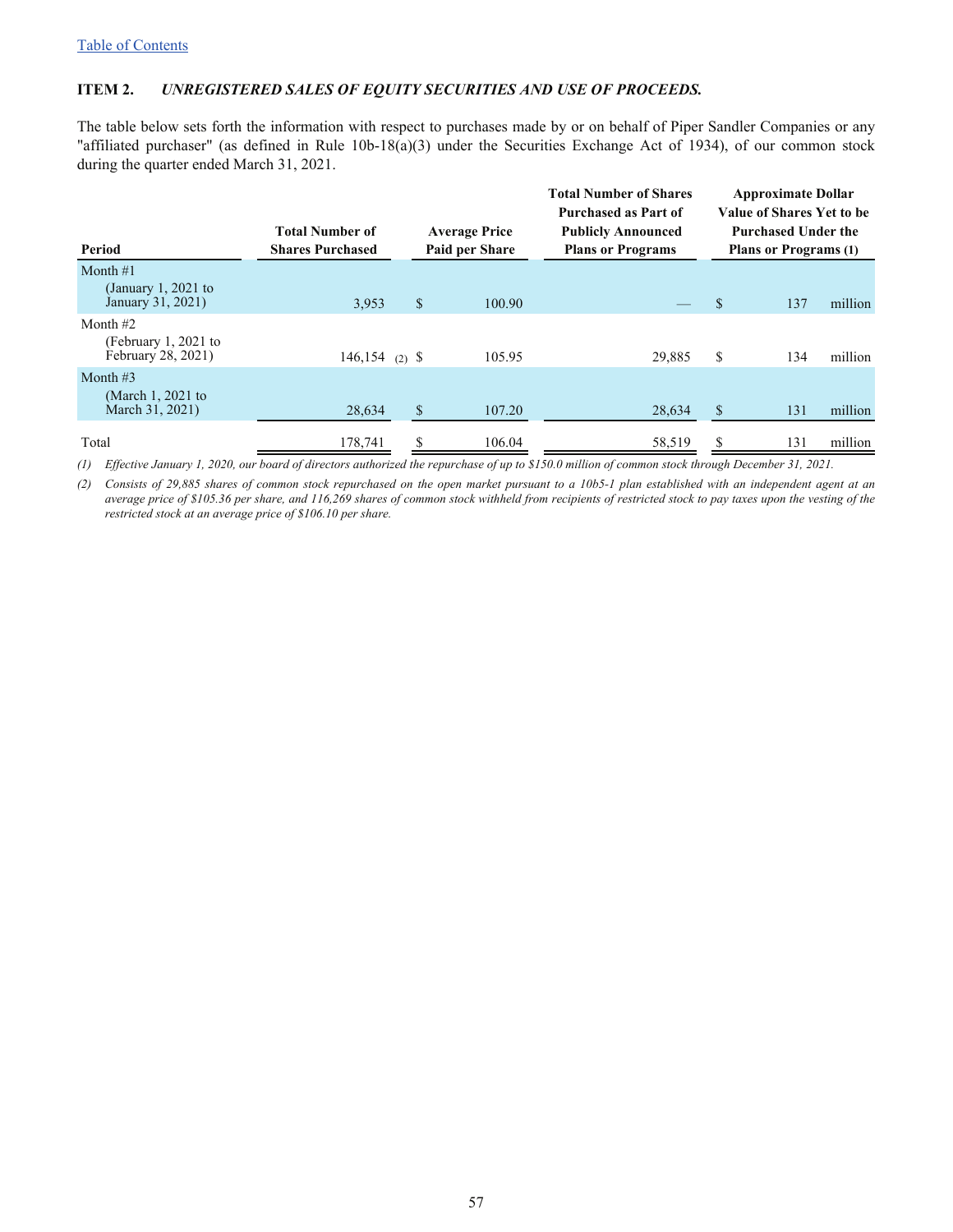#### <span id="page-56-0"></span>**ITEM 2.** *UNREGISTERED SALES OF EQUITY SECURITIES AND USE OF PROCEEDS.*

The table below sets forth the information with respect to purchases made by or on behalf of Piper Sandler Companies or any "affiliated purchaser" (as defined in Rule 10b-18(a)(3) under the Securities Exchange Act of 1934), of our common stock during the quarter ended March 31, 2021.

| Period                                                   | <b>Total Number of</b><br><b>Shares Purchased</b> |              | <b>Average Price</b><br>Paid per Share | <b>Total Number of Shares</b><br><b>Purchased as Part of</b><br><b>Publicly Announced</b><br><b>Plans or Programs</b> |              | <b>Approximate Dollar</b><br>Value of Shares Yet to be<br><b>Purchased Under the</b><br><b>Plans or Programs (1)</b> |         |
|----------------------------------------------------------|---------------------------------------------------|--------------|----------------------------------------|-----------------------------------------------------------------------------------------------------------------------|--------------|----------------------------------------------------------------------------------------------------------------------|---------|
| Month $#1$<br>(January 1, 2021 to<br>January 31, 2021)   | 3,953                                             | $\mathbb{S}$ | 100.90                                 |                                                                                                                       | $\mathbb{S}$ | 137                                                                                                                  | million |
| Month $#2$<br>(February 1, 2021 to<br>February 28, 2021) | $146, 154$ (2) \$                                 |              | 105.95                                 | 29,885                                                                                                                | \$           | 134                                                                                                                  | million |
| Month $#3$<br>(March 1, 2021 to<br>March 31, 2021)       | 28,634                                            | \$           | 107.20                                 | 28,634                                                                                                                | \$           | 131                                                                                                                  | million |
| Total                                                    | 178,741                                           |              | 106.04                                 | 58,519                                                                                                                |              | 131                                                                                                                  | million |

*(1) Effective January 1, 2020, our board of directors authorized the repurchase of up to \$150.0 million of common stock through December 31, 2021.*

*(2) Consists of 29,885 shares of common stock repurchased on the open market pursuant to a 10b5-1 plan established with an independent agent at an average price of \$105.36 per share, and 116,269 shares of common stock withheld from recipients of restricted stock to pay taxes upon the vesting of the restricted stock at an average price of \$106.10 per share.*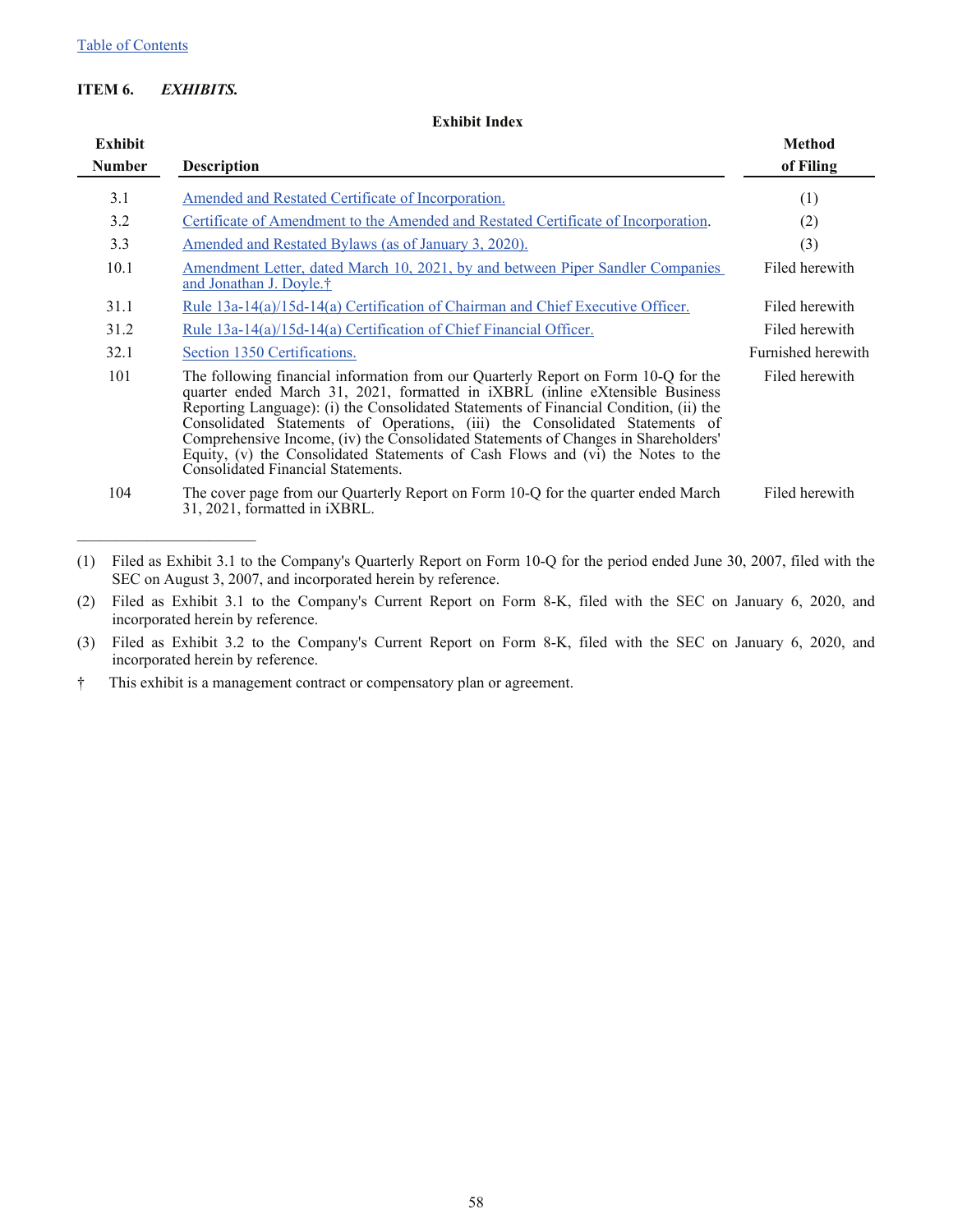### <span id="page-57-0"></span>**ITEM 6.** *EXHIBITS.*

**Exhibit Index**

| Exhibit       |                                                                                                                                                                                                                                                                                                                                                                                                                                                                                                                                                                         | <b>Method</b>      |
|---------------|-------------------------------------------------------------------------------------------------------------------------------------------------------------------------------------------------------------------------------------------------------------------------------------------------------------------------------------------------------------------------------------------------------------------------------------------------------------------------------------------------------------------------------------------------------------------------|--------------------|
| <b>Number</b> | <b>Description</b>                                                                                                                                                                                                                                                                                                                                                                                                                                                                                                                                                      | of Filing          |
| 3.1           | Amended and Restated Certificate of Incorporation.                                                                                                                                                                                                                                                                                                                                                                                                                                                                                                                      | (1)                |
| 3.2           | Certificate of Amendment to the Amended and Restated Certificate of Incorporation.                                                                                                                                                                                                                                                                                                                                                                                                                                                                                      | (2)                |
| 3.3           | <u>Amended and Restated Bylaws (as of January 3, 2020).</u>                                                                                                                                                                                                                                                                                                                                                                                                                                                                                                             | (3)                |
| 10.1          | Amendment Letter, dated March 10, 2021, by and between Piper Sandler Companies<br>and Jonathan J. Doyle. <sup>†</sup>                                                                                                                                                                                                                                                                                                                                                                                                                                                   | Filed herewith     |
| 31.1          | Rule 13a-14(a)/15d-14(a) Certification of Chairman and Chief Executive Officer.                                                                                                                                                                                                                                                                                                                                                                                                                                                                                         | Filed herewith     |
| 31.2          | Rule 13a-14(a)/15d-14(a) Certification of Chief Financial Officer.                                                                                                                                                                                                                                                                                                                                                                                                                                                                                                      | Filed herewith     |
| 32.1          | Section 1350 Certifications.                                                                                                                                                                                                                                                                                                                                                                                                                                                                                                                                            | Furnished herewith |
| 101           | The following financial information from our Quarterly Report on Form 10-Q for the<br>quarter ended March 31, 2021, formatted in <i>iXBRL</i> (inline eXtensible Business<br>Reporting Language): (i) the Consolidated Statements of Financial Condition, (ii) the<br>Consolidated Statements of Operations, (iii) the Consolidated Statements of<br>Comprehensive Income, (iv) the Consolidated Statements of Changes in Shareholders'<br>Equity, (v) the Consolidated Statements of Cash Flows and (vi) the Notes to the<br><b>Consolidated Financial Statements.</b> | Filed herewith     |
| 104           | The cover page from our Quarterly Report on Form 10-Q for the quarter ended March<br>31, 2021, formatted in <i>iXBRL</i> .                                                                                                                                                                                                                                                                                                                                                                                                                                              | Filed herewith     |

(1) Filed as Exhibit 3.1 to the Company's Quarterly Report on Form 10-Q for the period ended June 30, 2007, filed with the SEC on August 3, 2007, and incorporated herein by reference.

(2) Filed as Exhibit 3.1 to the Company's Current Report on Form 8-K, filed with the SEC on January 6, 2020, and incorporated herein by reference.

(3) Filed as Exhibit 3.2 to the Company's Current Report on Form 8-K, filed with the SEC on January 6, 2020, and incorporated herein by reference.

† This exhibit is a management contract or compensatory plan or agreement.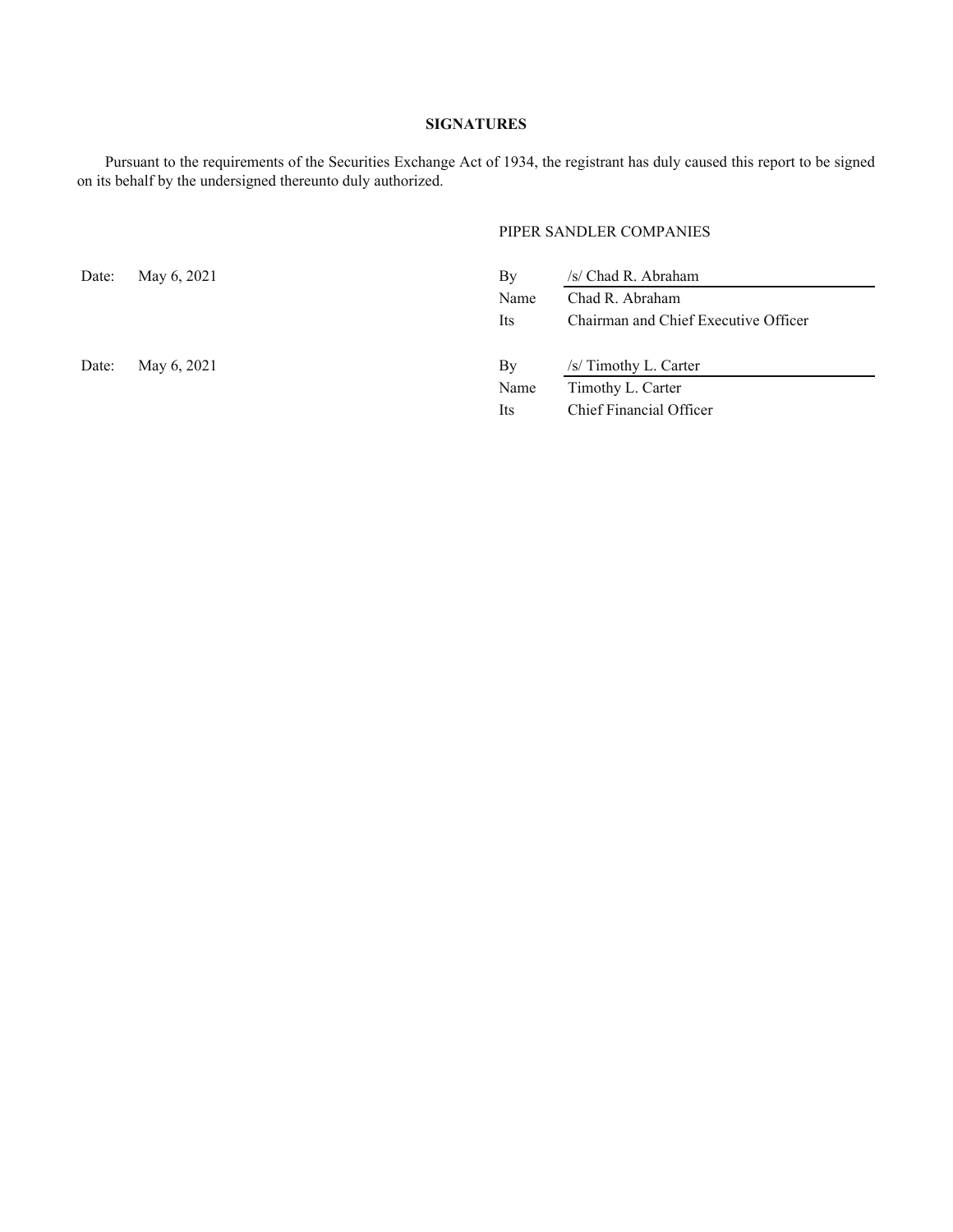#### **SIGNATURES**

<span id="page-58-0"></span>Pursuant to the requirements of the Securities Exchange Act of 1934, the registrant has duly caused this report to be signed on its behalf by the undersigned thereunto duly authorized.

#### PIPER SANDLER COMPANIES

| Date: | May 6, 2021 | By   | /s/ Chad R. Abraham                  |
|-------|-------------|------|--------------------------------------|
|       |             | Name | Chad R. Abraham                      |
|       |             | Its  | Chairman and Chief Executive Officer |
| Date: | May 6, 2021 | By   | /s/ Timothy L. Carter                |
|       |             | Name | Timothy L. Carter                    |
|       |             | Its  | Chief Financial Officer              |
|       |             |      |                                      |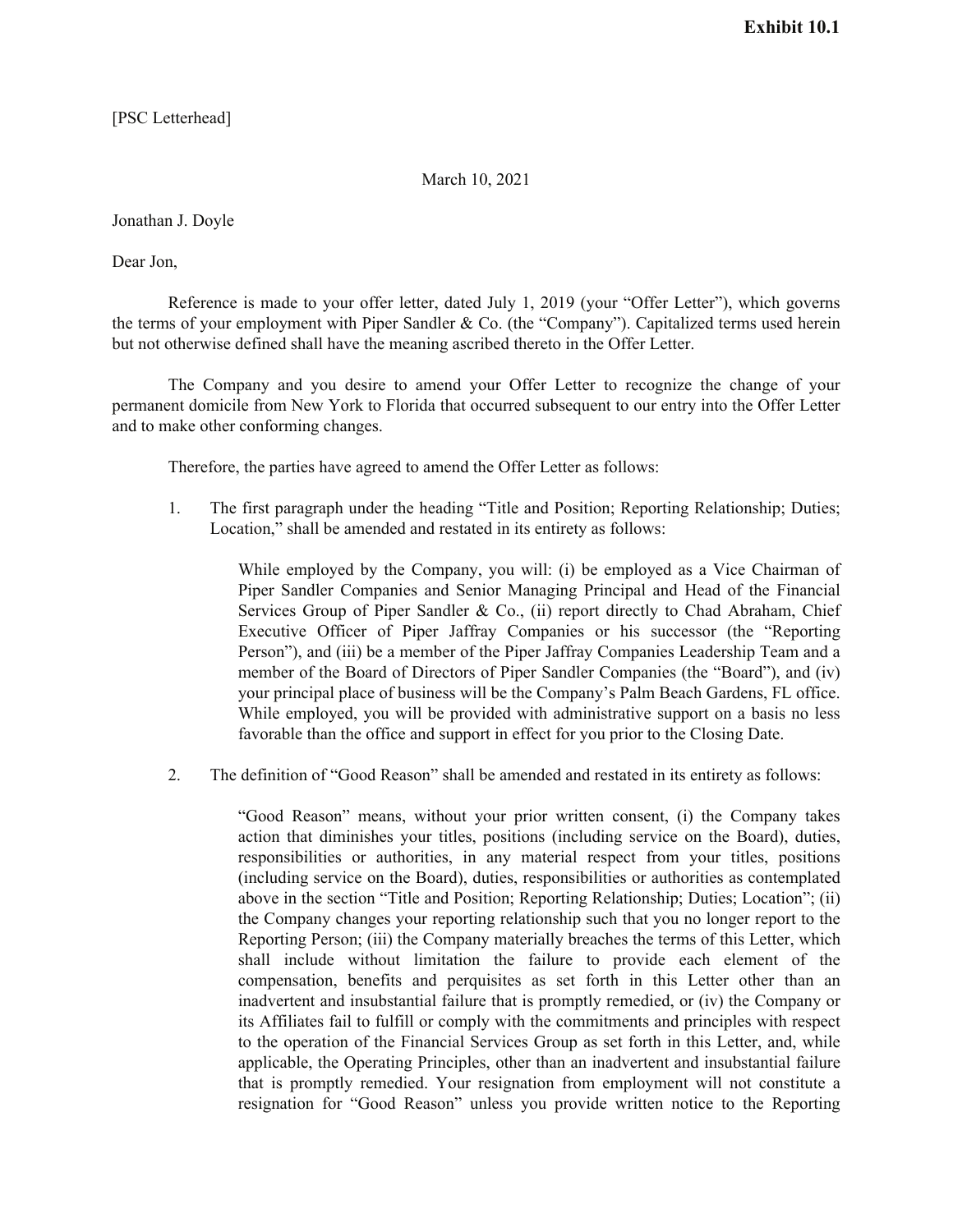[PSC Letterhead]

#### March 10, 2021

Jonathan J. Doyle

Dear Jon,

Reference is made to your offer letter, dated July 1, 2019 (your "Offer Letter"), which governs the terms of your employment with Piper Sandler & Co. (the "Company"). Capitalized terms used herein but not otherwise defined shall have the meaning ascribed thereto in the Offer Letter.

The Company and you desire to amend your Offer Letter to recognize the change of your permanent domicile from New York to Florida that occurred subsequent to our entry into the Offer Letter and to make other conforming changes.

Therefore, the parties have agreed to amend the Offer Letter as follows:

1. The first paragraph under the heading "Title and Position; Reporting Relationship; Duties; Location," shall be amended and restated in its entirety as follows:

> While employed by the Company, you will: (i) be employed as a Vice Chairman of Piper Sandler Companies and Senior Managing Principal and Head of the Financial Services Group of Piper Sandler & Co., (ii) report directly to Chad Abraham, Chief Executive Officer of Piper Jaffray Companies or his successor (the "Reporting Person"), and (iii) be a member of the Piper Jaffray Companies Leadership Team and a member of the Board of Directors of Piper Sandler Companies (the "Board"), and (iv) your principal place of business will be the Company's Palm Beach Gardens, FL office. While employed, you will be provided with administrative support on a basis no less favorable than the office and support in effect for you prior to the Closing Date.

2. The definition of "Good Reason" shall be amended and restated in its entirety as follows:

"Good Reason" means, without your prior written consent, (i) the Company takes action that diminishes your titles, positions (including service on the Board), duties, responsibilities or authorities, in any material respect from your titles, positions (including service on the Board), duties, responsibilities or authorities as contemplated above in the section "Title and Position; Reporting Relationship; Duties; Location"; (ii) the Company changes your reporting relationship such that you no longer report to the Reporting Person; (iii) the Company materially breaches the terms of this Letter, which shall include without limitation the failure to provide each element of the compensation, benefits and perquisites as set forth in this Letter other than an inadvertent and insubstantial failure that is promptly remedied, or (iv) the Company or its Affiliates fail to fulfill or comply with the commitments and principles with respect to the operation of the Financial Services Group as set forth in this Letter, and, while applicable, the Operating Principles, other than an inadvertent and insubstantial failure that is promptly remedied. Your resignation from employment will not constitute a resignation for "Good Reason" unless you provide written notice to the Reporting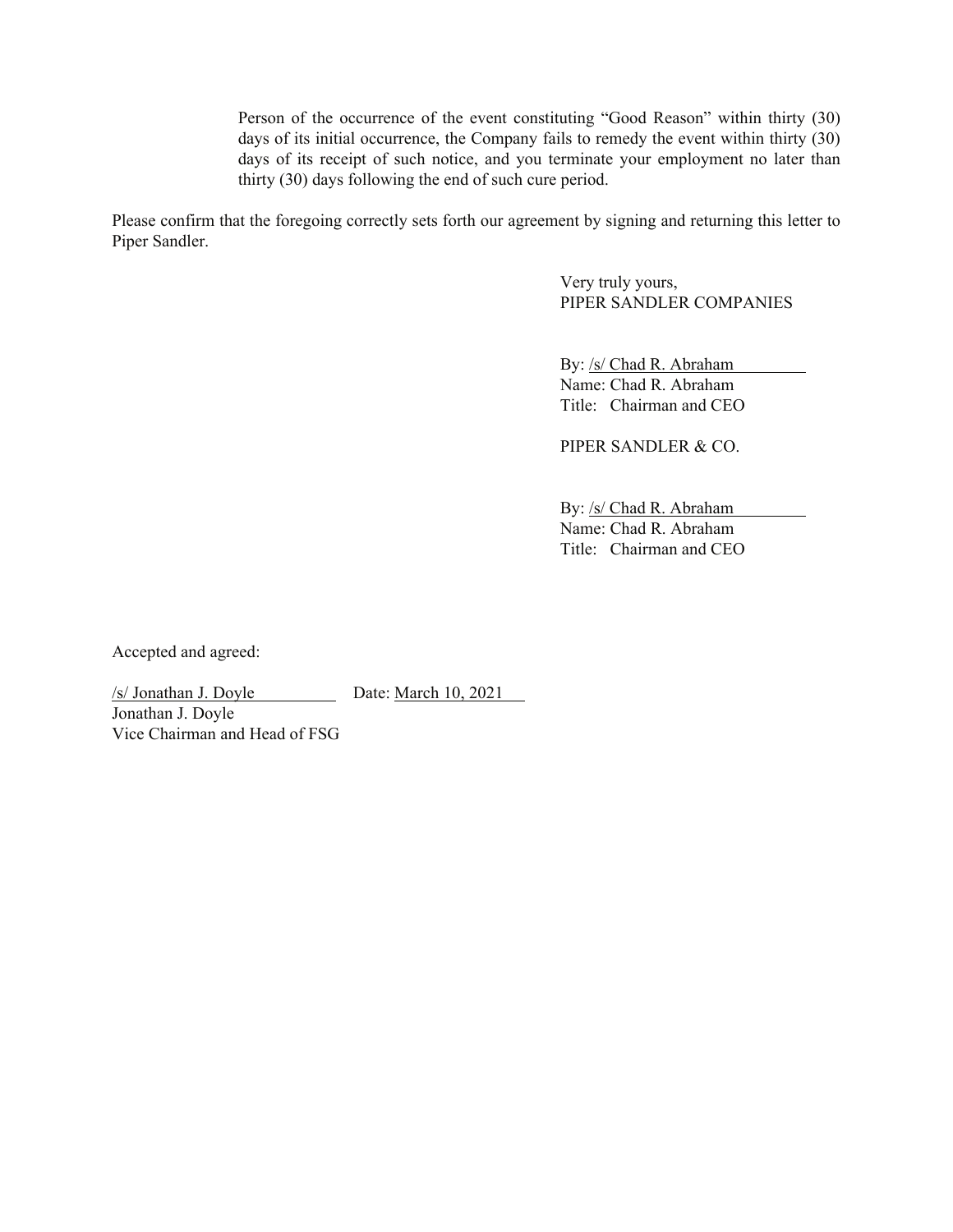Person of the occurrence of the event constituting "Good Reason" within thirty (30) days of its initial occurrence, the Company fails to remedy the event within thirty (30) days of its receipt of such notice, and you terminate your employment no later than thirty (30) days following the end of such cure period.

Please confirm that the foregoing correctly sets forth our agreement by signing and returning this letter to Piper Sandler.

> Very truly yours, PIPER SANDLER COMPANIES

By: /s/ Chad R. Abraham Name: Chad R. Abraham Title: Chairman and CEO

PIPER SANDLER & CO.

By: /s/ Chad R. Abraham Name: Chad R. Abraham Title: Chairman and CEO

Accepted and agreed:

/s/ Jonathan J. Doyle Date: March 10, 2021

Jonathan J. Doyle Vice Chairman and Head of FSG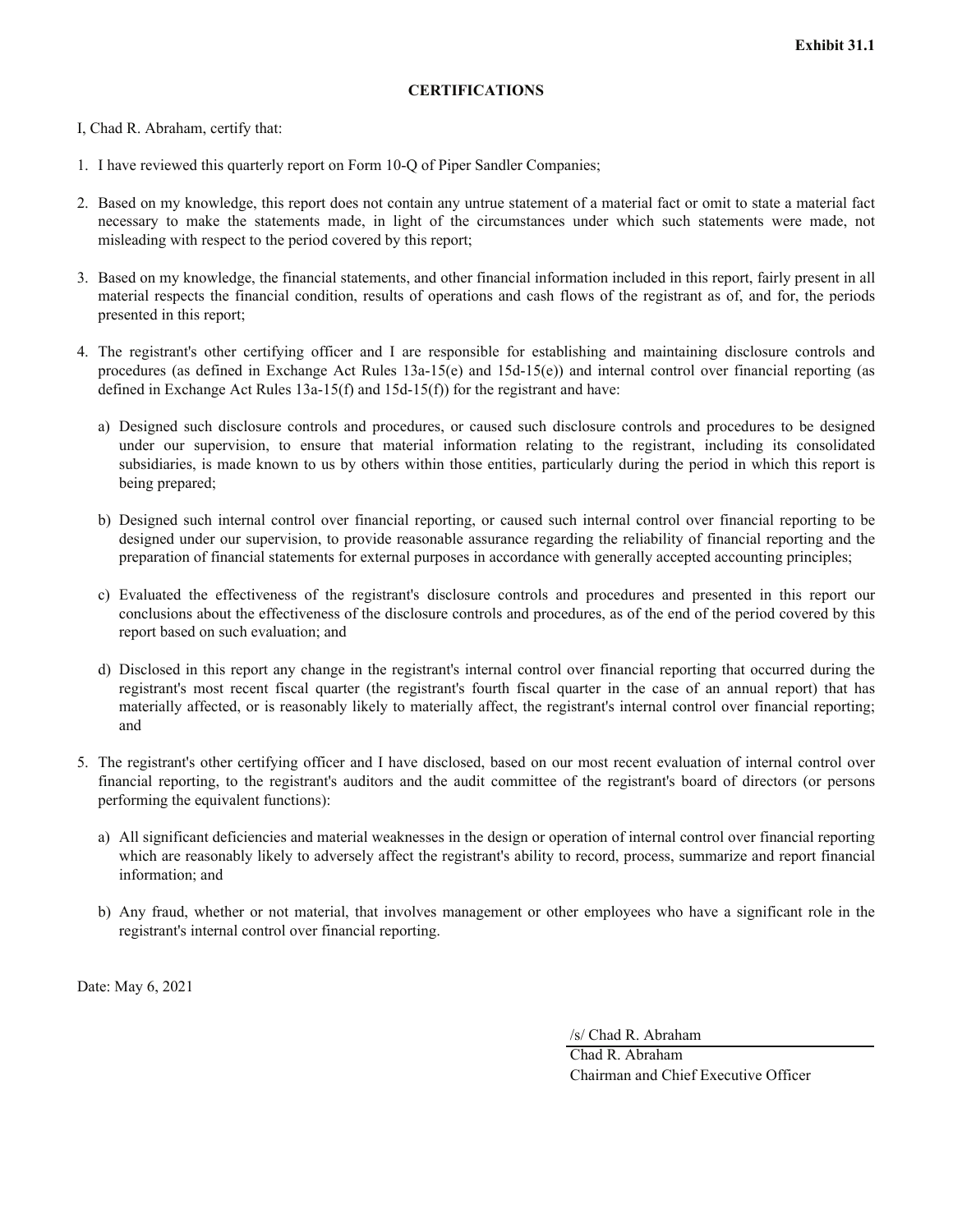#### **CERTIFICATIONS**

I, Chad R. Abraham, certify that:

- 1. I have reviewed this quarterly report on Form 10-Q of Piper Sandler Companies;
- 2. Based on my knowledge, this report does not contain any untrue statement of a material fact or omit to state a material fact necessary to make the statements made, in light of the circumstances under which such statements were made, not misleading with respect to the period covered by this report;
- 3. Based on my knowledge, the financial statements, and other financial information included in this report, fairly present in all material respects the financial condition, results of operations and cash flows of the registrant as of, and for, the periods presented in this report;
- 4. The registrant's other certifying officer and I are responsible for establishing and maintaining disclosure controls and procedures (as defined in Exchange Act Rules 13a-15(e) and 15d-15(e)) and internal control over financial reporting (as defined in Exchange Act Rules  $13a-15(f)$  and  $15d-15(f)$  for the registrant and have:
	- a) Designed such disclosure controls and procedures, or caused such disclosure controls and procedures to be designed under our supervision, to ensure that material information relating to the registrant, including its consolidated subsidiaries, is made known to us by others within those entities, particularly during the period in which this report is being prepared;
	- b) Designed such internal control over financial reporting, or caused such internal control over financial reporting to be designed under our supervision, to provide reasonable assurance regarding the reliability of financial reporting and the preparation of financial statements for external purposes in accordance with generally accepted accounting principles;
	- c) Evaluated the effectiveness of the registrant's disclosure controls and procedures and presented in this report our conclusions about the effectiveness of the disclosure controls and procedures, as of the end of the period covered by this report based on such evaluation; and
	- d) Disclosed in this report any change in the registrant's internal control over financial reporting that occurred during the registrant's most recent fiscal quarter (the registrant's fourth fiscal quarter in the case of an annual report) that has materially affected, or is reasonably likely to materially affect, the registrant's internal control over financial reporting; and
- 5. The registrant's other certifying officer and I have disclosed, based on our most recent evaluation of internal control over financial reporting, to the registrant's auditors and the audit committee of the registrant's board of directors (or persons performing the equivalent functions):
	- a) All significant deficiencies and material weaknesses in the design or operation of internal control over financial reporting which are reasonably likely to adversely affect the registrant's ability to record, process, summarize and report financial information; and
	- b) Any fraud, whether or not material, that involves management or other employees who have a significant role in the registrant's internal control over financial reporting.

Date: May 6, 2021

/s/ Chad R. Abraham

Chad R. Abraham Chairman and Chief Executive Officer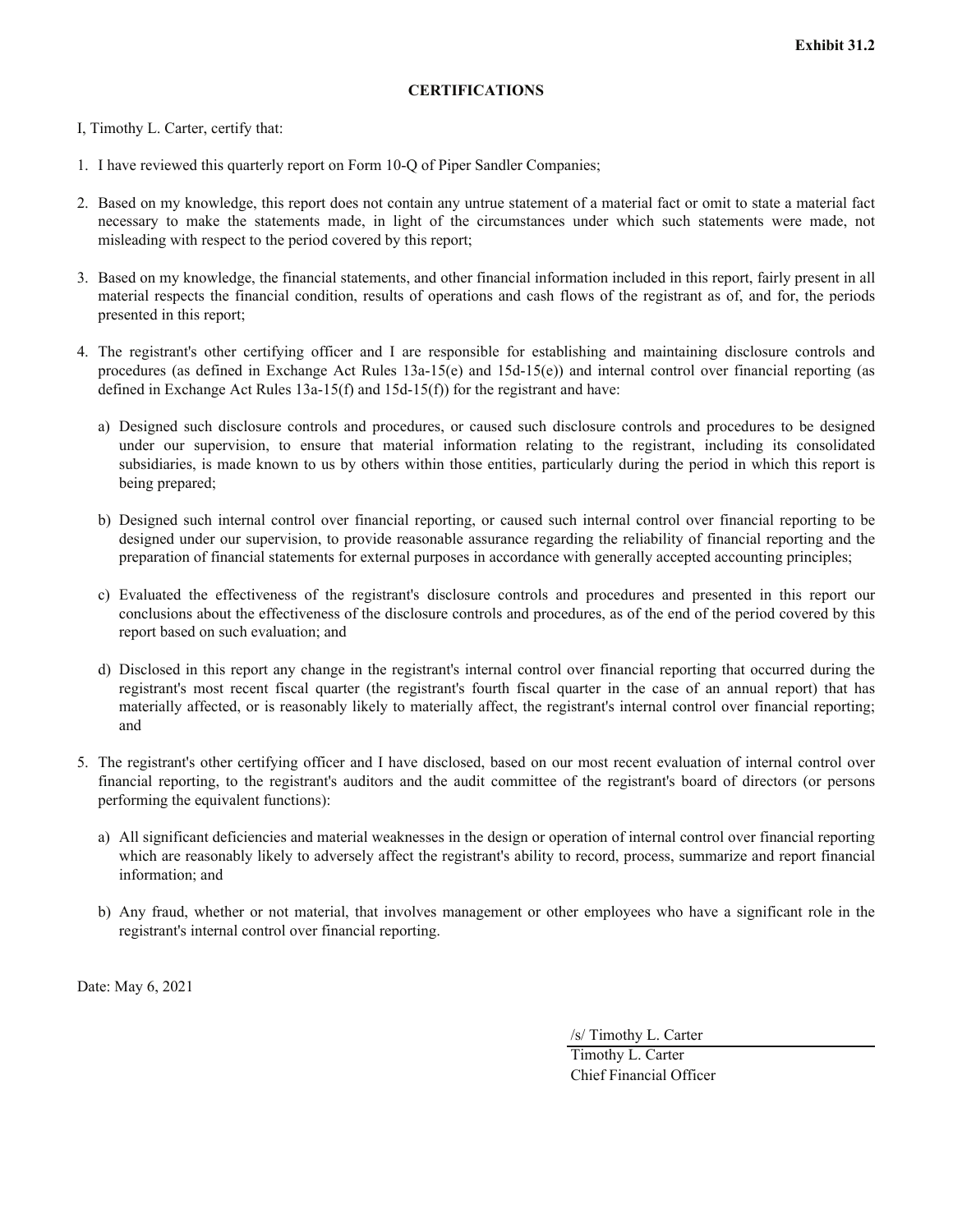#### **CERTIFICATIONS**

I, Timothy L. Carter, certify that:

- 1. I have reviewed this quarterly report on Form 10-Q of Piper Sandler Companies;
- 2. Based on my knowledge, this report does not contain any untrue statement of a material fact or omit to state a material fact necessary to make the statements made, in light of the circumstances under which such statements were made, not misleading with respect to the period covered by this report;
- 3. Based on my knowledge, the financial statements, and other financial information included in this report, fairly present in all material respects the financial condition, results of operations and cash flows of the registrant as of, and for, the periods presented in this report;
- 4. The registrant's other certifying officer and I are responsible for establishing and maintaining disclosure controls and procedures (as defined in Exchange Act Rules 13a-15(e) and 15d-15(e)) and internal control over financial reporting (as defined in Exchange Act Rules  $13a-15(f)$  and  $15d-15(f)$  for the registrant and have:
	- a) Designed such disclosure controls and procedures, or caused such disclosure controls and procedures to be designed under our supervision, to ensure that material information relating to the registrant, including its consolidated subsidiaries, is made known to us by others within those entities, particularly during the period in which this report is being prepared;
	- b) Designed such internal control over financial reporting, or caused such internal control over financial reporting to be designed under our supervision, to provide reasonable assurance regarding the reliability of financial reporting and the preparation of financial statements for external purposes in accordance with generally accepted accounting principles;
	- c) Evaluated the effectiveness of the registrant's disclosure controls and procedures and presented in this report our conclusions about the effectiveness of the disclosure controls and procedures, as of the end of the period covered by this report based on such evaluation; and
	- d) Disclosed in this report any change in the registrant's internal control over financial reporting that occurred during the registrant's most recent fiscal quarter (the registrant's fourth fiscal quarter in the case of an annual report) that has materially affected, or is reasonably likely to materially affect, the registrant's internal control over financial reporting; and
- 5. The registrant's other certifying officer and I have disclosed, based on our most recent evaluation of internal control over financial reporting, to the registrant's auditors and the audit committee of the registrant's board of directors (or persons performing the equivalent functions):
	- a) All significant deficiencies and material weaknesses in the design or operation of internal control over financial reporting which are reasonably likely to adversely affect the registrant's ability to record, process, summarize and report financial information; and
	- b) Any fraud, whether or not material, that involves management or other employees who have a significant role in the registrant's internal control over financial reporting.

Date: May 6, 2021

/s/ Timothy L. Carter

Timothy L. Carter Chief Financial Officer